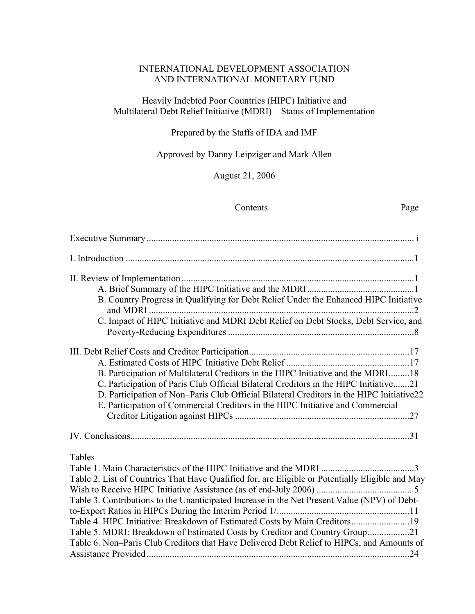## INTERNATIONAL DEVELOPMENT ASSOCIATION AND INTERNATIONAL MONETARY FUND

## Heavily Indebted Poor Countries (HIPC) Initiative and Multilateral Debt Relief Initiative (MDRI)—Status of Implementation

## Prepared by the Staffs of IDA and IMF

Approved by Danny Leipziger and Mark Allen

August 21, 2006

#### Contents Page

| B. Country Progress in Qualifying for Debt Relief Under the Enhanced HIPC Initiative             |
|--------------------------------------------------------------------------------------------------|
| C. Impact of HIPC Initiative and MDRI Debt Relief on Debt Stocks, Debt Service, and              |
|                                                                                                  |
|                                                                                                  |
| B. Participation of Multilateral Creditors in the HIPC Initiative and the MDRI18                 |
| C. Participation of Paris Club Official Bilateral Creditors in the HIPC Initiative21             |
| D. Participation of Non-Paris Club Official Bilateral Creditors in the HIPC Initiative22         |
| E. Participation of Commercial Creditors in the HIPC Initiative and Commercial                   |
|                                                                                                  |
|                                                                                                  |
| Tables                                                                                           |
|                                                                                                  |
| Table 2. List of Countries That Have Qualified for, are Eligible or Potentially Eligible and May |
|                                                                                                  |
| Table 3. Contributions to the Unanticipated Increase in the Net Present Value (NPV) of Debt-     |
|                                                                                                  |
| Table 4. HIPC Initiative: Breakdown of Estimated Costs by Main Creditors19                       |
| Table 5. MDRI: Breakdown of Estimated Costs by Creditor and Country Group21                      |
| Table 6. Non-Paris Club Creditors that Have Delivered Debt Relief to HIPCs, and Amounts of       |
|                                                                                                  |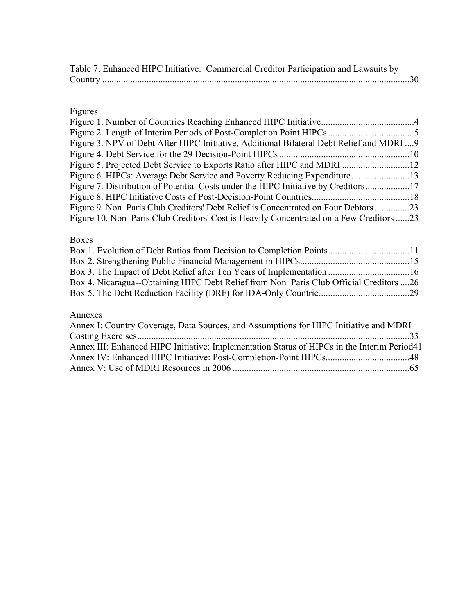|         | Table 7. Enhanced HIPC Initiative: Commercial Creditor Participation and Lawsuits by |  |
|---------|--------------------------------------------------------------------------------------|--|
| Country |                                                                                      |  |

# Figures

| Figure 3. NPV of Debt After HIPC Initiative, Additional Bilateral Debt Relief and MDRI  9 |  |
|-------------------------------------------------------------------------------------------|--|
|                                                                                           |  |
|                                                                                           |  |
| Figure 6. HIPCs: Average Debt Service and Poverty Reducing Expenditure13                  |  |
| Figure 7. Distribution of Potential Costs under the HIPC Initiative by Creditors17        |  |
|                                                                                           |  |
| Figure 9. Non-Paris Club Creditors' Debt Relief is Concentrated on Four Debtors 23        |  |
| Figure 10. Non-Paris Club Creditors' Cost is Heavily Concentrated on a Few Creditors 23   |  |

## Boxes

| Box 4. Nicaragua--Obtaining HIPC Debt Relief from Non-Paris Club Official Creditors 26 |  |
|----------------------------------------------------------------------------------------|--|
|                                                                                        |  |
|                                                                                        |  |

## Annexes

| Annex I: Country Coverage, Data Sources, and Assumptions for HIPC Initiative and MDRI       |  |
|---------------------------------------------------------------------------------------------|--|
|                                                                                             |  |
| Annex III: Enhanced HIPC Initiative: Implementation Status of HIPCs in the Interim Period41 |  |
|                                                                                             |  |
|                                                                                             |  |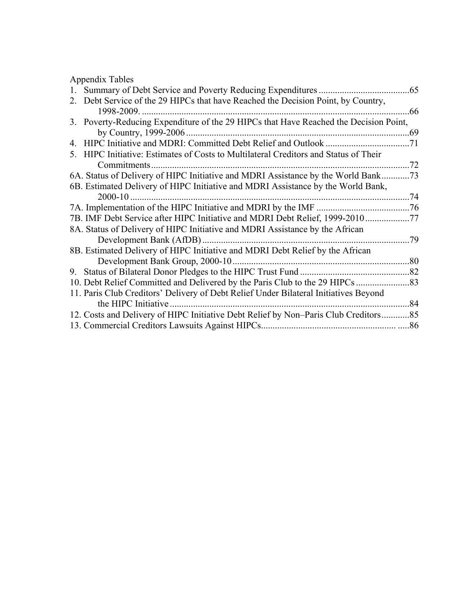Appendix Tables

| 2. Debt Service of the 29 HIPCs that have Reached the Decision Point, by Country,     |     |
|---------------------------------------------------------------------------------------|-----|
| 1998-2009.                                                                            | 66  |
| 3. Poverty-Reducing Expenditure of the 29 HIPCs that Have Reached the Decision Point, |     |
| by Country, 1999-2006                                                                 | .69 |
|                                                                                       | .71 |
| 5. HIPC Initiative: Estimates of Costs to Multilateral Creditors and Status of Their  |     |
| Commitments                                                                           | .72 |
| 6A. Status of Delivery of HIPC Initiative and MDRI Assistance by the World Bank.      | .73 |
| 6B. Estimated Delivery of HIPC Initiative and MDRI Assistance by the World Bank,      |     |
| 2000-10                                                                               | .74 |
| 7A. Implementation of the HIPC Initiative and MDRI by the IMF                         | .76 |
| 7B. IMF Debt Service after HIPC Initiative and MDRI Debt Relief, 1999-2010            | .77 |
| 8A. Status of Delivery of HIPC Initiative and MDRI Assistance by the African          |     |
| Development Bank (AfDB)                                                               | 79. |
| 8B. Estimated Delivery of HIPC Initiative and MDRI Debt Relief by the African         |     |
| Development Bank Group, 2000-10                                                       | .80 |
|                                                                                       | .82 |
| 10. Debt Relief Committed and Delivered by the Paris Club to the 29 HIPCs.            | .83 |
| 11. Paris Club Creditors' Delivery of Debt Relief Under Bilateral Initiatives Beyond  |     |
| the HIPC Initiative                                                                   | .84 |
| 12. Costs and Delivery of HIPC Initiative Debt Relief by Non-Paris Club Creditors     | .85 |
| 13. Commercial Creditors Lawsuits Against HIPCs.                                      | .86 |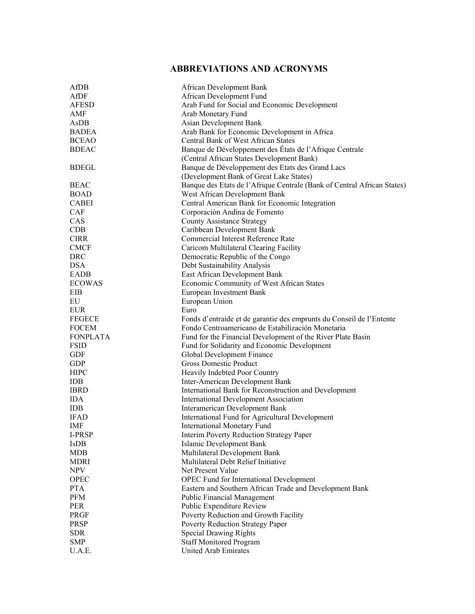## **ABBREVIATIONS AND ACRONYMS**

| AfDB            | African Development Bank                                                |
|-----------------|-------------------------------------------------------------------------|
| AfDF            | African Development Fund                                                |
| <b>AFESD</b>    | Arab Fund for Social and Economic Development                           |
| AMF             | Arab Monetary Fund                                                      |
|                 |                                                                         |
| AsDB            | Asian Development Bank                                                  |
| <b>BADEA</b>    | Arab Bank for Economic Development in Africa                            |
| <b>BCEAO</b>    | Central Bank of West African States                                     |
| <b>BDEAC</b>    | Banque de Développement des États de l'Afrique Centrale                 |
|                 | (Central African States Development Bank)                               |
| <b>BDEGL</b>    | Banque de Développement des Etats des Grand Lacs                        |
|                 | (Development Bank of Great Lake States)                                 |
| <b>BEAC</b>     | Banque des Etats de l'Afrique Centrale (Bank of Central African States) |
| <b>BOAD</b>     | West African Development Bank                                           |
| <b>CABEI</b>    | Central American Bank for Economic Integration                          |
| CAF             | Corporación Andina de Fomento                                           |
| CAS             | <b>County Assistance Strategy</b>                                       |
| <b>CDB</b>      | Caribbean Development Bank                                              |
| <b>CIRR</b>     | Commercial Interest Reference Rate                                      |
| <b>CMCF</b>     | Caricom Multilateral Clearing Facility                                  |
| <b>DRC</b>      | Democratic Republic of the Congo                                        |
| <b>DSA</b>      | Debt Sustainability Analysis                                            |
| EADB            | East African Development Bank                                           |
| <b>ECOWAS</b>   | Economic Community of West African States                               |
| EIB             | European Investment Bank                                                |
| EU              | European Union                                                          |
|                 | Euro                                                                    |
| <b>EUR</b>      |                                                                         |
| <b>FEGECE</b>   | Fonds d'entraide et de garantie des emprunts du Conseil de l'Entente    |
| <b>FOCEM</b>    | Fondo Centroamericano de Estabilización Monetaria                       |
| <b>FONPLATA</b> | Fund for the Financial Development of the River Plate Basin             |
| <b>FSID</b>     | Fund for Solidarity and Economic Development                            |
| GDF             | Global Development Finance                                              |
| <b>GDP</b>      | <b>Gross Domestic Product</b>                                           |
| <b>HIPC</b>     | Heavily Indebted Poor Country                                           |
| <b>IDB</b>      | Inter-American Development Bank                                         |
| <b>IBRD</b>     | International Bank for Reconstruction and Development                   |
| <b>IDA</b>      | <b>International Development Association</b>                            |
| <b>IDB</b>      | Interamerican Development Bank                                          |
| <b>IFAD</b>     | International Fund for Agricultural Development                         |
| IMF             | <b>International Monetary Fund</b>                                      |
| <b>I-PRSP</b>   | Interim Poverty Reduction Strategy Paper                                |
| <b>IsDB</b>     | <b>Islamic Development Bank</b>                                         |
| <b>MDB</b>      | Multilateral Development Bank                                           |
| <b>MDRI</b>     | Multilateral Debt Relief Initiative                                     |
| <b>NPV</b>      | Net Present Value                                                       |
| OPEC            | OPEC Fund for International Development                                 |
| <b>PTA</b>      | Eastern and Southern African Trade and Development Bank                 |
| PFM             | <b>Public Financial Management</b>                                      |
| PER             | Public Expenditure Review                                               |
| PRGF            | Poverty Reduction and Growth Facility                                   |
| PRSP            | Poverty Reduction Strategy Paper                                        |
| <b>SDR</b>      | <b>Special Drawing Rights</b>                                           |
|                 |                                                                         |
| <b>SMP</b>      | <b>Staff Monitored Program</b>                                          |
| U.A.E.          | United Arab Emirates                                                    |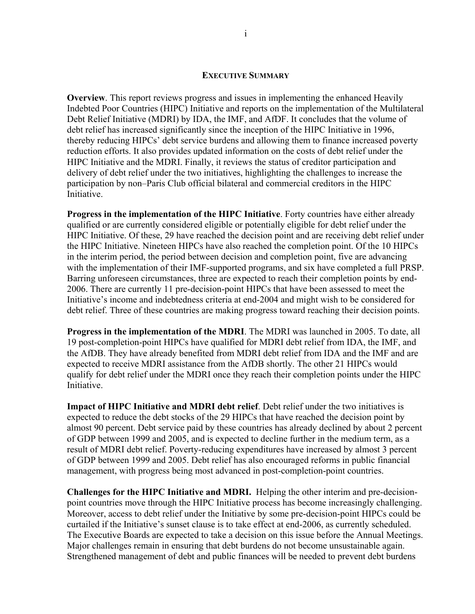#### **EXECUTIVE SUMMARY**

**Overview**. This report reviews progress and issues in implementing the enhanced Heavily Indebted Poor Countries (HIPC) Initiative and reports on the implementation of the Multilateral Debt Relief Initiative (MDRI) by IDA, the IMF, and AfDF. It concludes that the volume of debt relief has increased significantly since the inception of the HIPC Initiative in 1996, thereby reducing HIPCs' debt service burdens and allowing them to finance increased poverty reduction efforts. It also provides updated information on the costs of debt relief under the HIPC Initiative and the MDRI. Finally, it reviews the status of creditor participation and delivery of debt relief under the two initiatives, highlighting the challenges to increase the participation by non–Paris Club official bilateral and commercial creditors in the HIPC **Initiative** 

**Progress in the implementation of the HIPC Initiative**. Forty countries have either already qualified or are currently considered eligible or potentially eligible for debt relief under the HIPC Initiative. Of these, 29 have reached the decision point and are receiving debt relief under the HIPC Initiative. Nineteen HIPCs have also reached the completion point. Of the 10 HIPCs in the interim period, the period between decision and completion point, five are advancing with the implementation of their IMF-supported programs, and six have completed a full PRSP. Barring unforeseen circumstances, three are expected to reach their completion points by end-2006. There are currently 11 pre-decision-point HIPCs that have been assessed to meet the Initiative's income and indebtedness criteria at end-2004 and might wish to be considered for debt relief. Three of these countries are making progress toward reaching their decision points.

**Progress in the implementation of the MDRI**. The MDRI was launched in 2005. To date, all 19 post-completion-point HIPCs have qualified for MDRI debt relief from IDA, the IMF, and the AfDB. They have already benefited from MDRI debt relief from IDA and the IMF and are expected to receive MDRI assistance from the AfDB shortly. The other 21 HIPCs would qualify for debt relief under the MDRI once they reach their completion points under the HIPC Initiative.

**Impact of HIPC Initiative and MDRI debt relief**. Debt relief under the two initiatives is expected to reduce the debt stocks of the 29 HIPCs that have reached the decision point by almost 90 percent. Debt service paid by these countries has already declined by about 2 percent of GDP between 1999 and 2005, and is expected to decline further in the medium term, as a result of MDRI debt relief. Poverty-reducing expenditures have increased by almost 3 percent of GDP between 1999 and 2005. Debt relief has also encouraged reforms in public financial management, with progress being most advanced in post-completion-point countries.

**Challenges for the HIPC Initiative and MDRI.** Helping the other interim and pre-decisionpoint countries move through the HIPC Initiative process has become increasingly challenging. Moreover, access to debt relief under the Initiative by some pre-decision-point HIPCs could be curtailed if the Initiative's sunset clause is to take effect at end-2006, as currently scheduled. The Executive Boards are expected to take a decision on this issue before the Annual Meetings. Major challenges remain in ensuring that debt burdens do not become unsustainable again. Strengthened management of debt and public finances will be needed to prevent debt burdens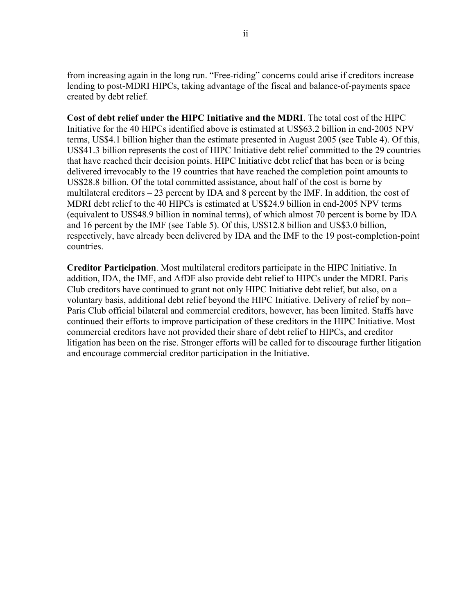from increasing again in the long run. "Free-riding" concerns could arise if creditors increase lending to post-MDRI HIPCs, taking advantage of the fiscal and balance-of-payments space created by debt relief.

**Cost of debt relief under the HIPC Initiative and the MDRI**. The total cost of the HIPC Initiative for the 40 HIPCs identified above is estimated at US\$63.2 billion in end-2005 NPV terms, US\$4.1 billion higher than the estimate presented in August 2005 (see Table 4). Of this, US\$41.3 billion represents the cost of HIPC Initiative debt relief committed to the 29 countries that have reached their decision points. HIPC Initiative debt relief that has been or is being delivered irrevocably to the 19 countries that have reached the completion point amounts to US\$28.8 billion. Of the total committed assistance, about half of the cost is borne by multilateral creditors – 23 percent by IDA and 8 percent by the IMF. In addition, the cost of MDRI debt relief to the 40 HIPCs is estimated at US\$24.9 billion in end-2005 NPV terms (equivalent to US\$48.9 billion in nominal terms), of which almost 70 percent is borne by IDA and 16 percent by the IMF (see Table 5). Of this, US\$12.8 billion and US\$3.0 billion, respectively, have already been delivered by IDA and the IMF to the 19 post-completion-point countries.

**Creditor Participation**. Most multilateral creditors participate in the HIPC Initiative. In addition, IDA, the IMF, and AfDF also provide debt relief to HIPCs under the MDRI. Paris Club creditors have continued to grant not only HIPC Initiative debt relief, but also, on a voluntary basis, additional debt relief beyond the HIPC Initiative. Delivery of relief by non– Paris Club official bilateral and commercial creditors, however, has been limited. Staffs have continued their efforts to improve participation of these creditors in the HIPC Initiative. Most commercial creditors have not provided their share of debt relief to HIPCs, and creditor litigation has been on the rise. Stronger efforts will be called for to discourage further litigation and encourage commercial creditor participation in the Initiative.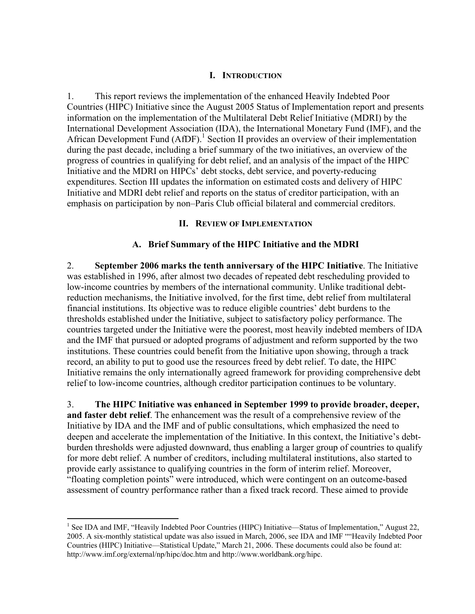## **I. INTRODUCTION**

1. This report reviews the implementation of the enhanced Heavily Indebted Poor Countries (HIPC) Initiative since the August 2005 Status of Implementation report and presents information on the implementation of the Multilateral Debt Relief Initiative (MDRI) by the International Development Association (IDA), the International Monetary Fund (IMF), and the African Development Fund  $(AfDF)$ .<sup>1</sup> Section II provides an overview of their implementation during the past decade, including a brief summary of the two initiatives, an overview of the progress of countries in qualifying for debt relief, and an analysis of the impact of the HIPC Initiative and the MDRI on HIPCs' debt stocks, debt service, and poverty-reducing expenditures. Section III updates the information on estimated costs and delivery of HIPC Initiative and MDRI debt relief and reports on the status of creditor participation, with an emphasis on participation by non–Paris Club official bilateral and commercial creditors.

## **II. REVIEW OF IMPLEMENTATION**

## **A. Brief Summary of the HIPC Initiative and the MDRI**

2. **September 2006 marks the tenth anniversary of the HIPC Initiative**. The Initiative was established in 1996, after almost two decades of repeated debt rescheduling provided to low-income countries by members of the international community. Unlike traditional debtreduction mechanisms, the Initiative involved, for the first time, debt relief from multilateral financial institutions. Its objective was to reduce eligible countries' debt burdens to the thresholds established under the Initiative, subject to satisfactory policy performance. The countries targeted under the Initiative were the poorest, most heavily indebted members of IDA and the IMF that pursued or adopted programs of adjustment and reform supported by the two institutions. These countries could benefit from the Initiative upon showing, through a track record, an ability to put to good use the resources freed by debt relief. To date, the HIPC Initiative remains the only internationally agreed framework for providing comprehensive debt relief to low-income countries, although creditor participation continues to be voluntary.

3. **The HIPC Initiative was enhanced in September 1999 to provide broader, deeper, and faster debt relief**. The enhancement was the result of a comprehensive review of the Initiative by IDA and the IMF and of public consultations, which emphasized the need to deepen and accelerate the implementation of the Initiative. In this context, the Initiative's debtburden thresholds were adjusted downward, thus enabling a larger group of countries to qualify for more debt relief. A number of creditors, including multilateral institutions, also started to provide early assistance to qualifying countries in the form of interim relief. Moreover, "floating completion points" were introduced, which were contingent on an outcome-based assessment of country performance rather than a fixed track record. These aimed to provide

<sup>&</sup>lt;sup>1</sup> See IDA and IMF, "Heavily Indebted Poor Countries (HIPC) Initiative—Status of Implementation," August 22, 2005. A six-monthly statistical update was also issued in March, 2006, see IDA and IMF ""Heavily Indebted Poor Countries (HIPC) Initiative—Statistical Update," March 21, 2006. These documents could also be found at: http://www.imf.org/external/np/hipc/doc.htm and http://www.worldbank.org/hipc.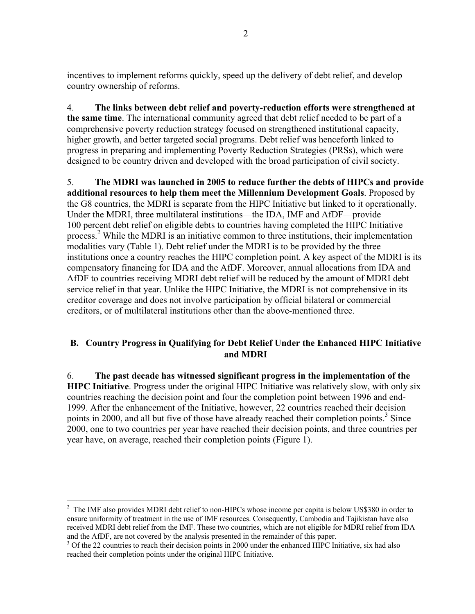incentives to implement reforms quickly, speed up the delivery of debt relief, and develop country ownership of reforms.

4. **The links between debt relief and poverty-reduction efforts were strengthened at the same time**. The international community agreed that debt relief needed to be part of a comprehensive poverty reduction strategy focused on strengthened institutional capacity, higher growth, and better targeted social programs. Debt relief was henceforth linked to progress in preparing and implementing Poverty Reduction Strategies (PRSs), which were designed to be country driven and developed with the broad participation of civil society.

5. **The MDRI was launched in 2005 to reduce further the debts of HIPCs and provide additional resources to help them meet the Millennium Development Goals**. Proposed by the G8 countries, the MDRI is separate from the HIPC Initiative but linked to it operationally. Under the MDRI, three multilateral institutions—the IDA, IMF and AfDF—provide 100 percent debt relief on eligible debts to countries having completed the HIPC Initiative process.<sup>2</sup> While the MDRI is an initiative common to three institutions, their implementation modalities vary (Table 1). Debt relief under the MDRI is to be provided by the three institutions once a country reaches the HIPC completion point. A key aspect of the MDRI is its compensatory financing for IDA and the AfDF. Moreover, annual allocations from IDA and AfDF to countries receiving MDRI debt relief will be reduced by the amount of MDRI debt service relief in that year. Unlike the HIPC Initiative, the MDRI is not comprehensive in its creditor coverage and does not involve participation by official bilateral or commercial creditors, or of multilateral institutions other than the above-mentioned three.

## **B. Country Progress in Qualifying for Debt Relief Under the Enhanced HIPC Initiative and MDRI**

6. **The past decade has witnessed significant progress in the implementation of the HIPC Initiative**. Progress under the original HIPC Initiative was relatively slow, with only six countries reaching the decision point and four the completion point between 1996 and end-1999. After the enhancement of the Initiative, however, 22 countries reached their decision points in 2000, and all but five of those have already reached their completion points.<sup>3</sup> Since 2000, one to two countries per year have reached their decision points, and three countries per year have, on average, reached their completion points (Figure 1).

 $2$  The IMF also provides MDRI debt relief to non-HIPCs whose income per capita is below US\$380 in order to ensure uniformity of treatment in the use of IMF resources. Consequently, Cambodia and Tajikistan have also received MDRI debt relief from the IMF. These two countries, which are not eligible for MDRI relief from IDA and the AfDF, are not covered by the analysis presented in the remainder of this paper.

<sup>&</sup>lt;sup>3</sup> Of the 22 countries to reach their decision points in 2000 under the enhanced HIPC Initiative, six had also reached their completion points under the original HIPC Initiative.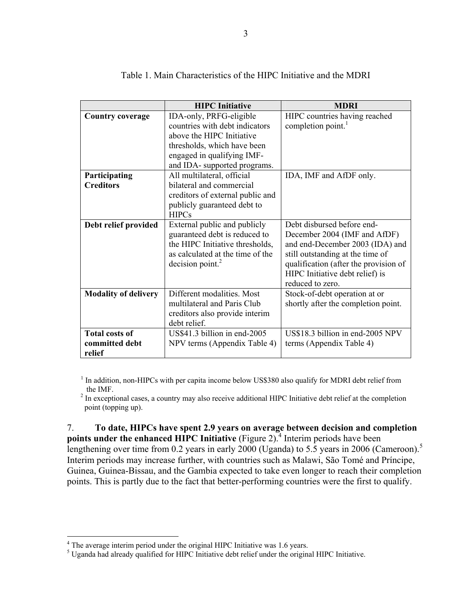|                                                   | <b>HIPC</b> Initiative                                                                                                                                                              | <b>MDRI</b>                                                                                                                                                                                                                       |
|---------------------------------------------------|-------------------------------------------------------------------------------------------------------------------------------------------------------------------------------------|-----------------------------------------------------------------------------------------------------------------------------------------------------------------------------------------------------------------------------------|
| <b>Country coverage</b>                           | IDA-only, PRFG-eligible<br>countries with debt indicators<br>above the HIPC Initiative<br>thresholds, which have been<br>engaged in qualifying IMF-<br>and IDA- supported programs. | HIPC countries having reached<br>completion point.                                                                                                                                                                                |
| Participating<br><b>Creditors</b>                 | All multilateral, official<br>bilateral and commercial<br>creditors of external public and<br>publicly guaranteed debt to<br><b>HIPCs</b>                                           | IDA, IMF and AfDF only.                                                                                                                                                                                                           |
| Debt relief provided                              | External public and publicly<br>guaranteed debt is reduced to<br>the HIPC Initiative thresholds,<br>as calculated at the time of the<br>$decision$ point. <sup>2</sup>              | Debt disbursed before end-<br>December 2004 (IMF and AfDF)<br>and end-December 2003 (IDA) and<br>still outstanding at the time of<br>qualification (after the provision of<br>HIPC Initiative debt relief) is<br>reduced to zero. |
| <b>Modality of delivery</b>                       | Different modalities. Most<br>multilateral and Paris Club<br>creditors also provide interim<br>debt relief.                                                                         | Stock-of-debt operation at or<br>shortly after the completion point.                                                                                                                                                              |
| <b>Total costs of</b><br>committed debt<br>relief | US\$41.3 billion in end-2005<br>NPV terms (Appendix Table 4)                                                                                                                        | US\$18.3 billion in end-2005 NPV<br>terms (Appendix Table 4)                                                                                                                                                                      |

Table 1. Main Characteristics of the HIPC Initiative and the MDRI

<sup>1</sup> In addition, non-HIPCs with per capita income below US\$380 also qualify for MDRI debt relief from the IMF.

<sup>2</sup> In exceptional cases, a country may also receive additional HIPC Initiative debt relief at the completion point (topping up).

7. **To date, HIPCs have spent 2.9 years on average between decision and completion points under the enhanced HIPC Initiative** (Figure 2).<sup>4</sup> Interim periods have been lengthening over time from 0.2 years in early 2000 (Uganda) to 5.5 years in 2006 (Cameroon).<sup>5</sup> Interim periods may increase further, with countries such as Malawi, São Tomé and Príncipe, Guinea, Guinea-Bissau, and the Gambia expected to take even longer to reach their completion points. This is partly due to the fact that better-performing countries were the first to qualify.

<sup>&</sup>lt;sup>4</sup> The average interim period under the original HIPC Initiative was 1.6 years.

<sup>&</sup>lt;sup>5</sup> Uganda had already qualified for HIPC Initiative debt relief under the original HIPC Initiative.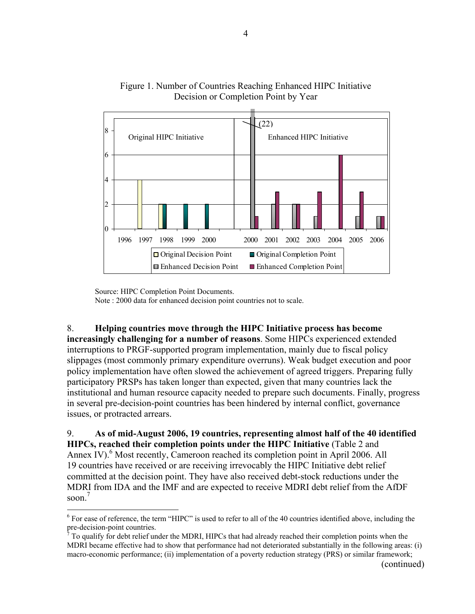

Figure 1. Number of Countries Reaching Enhanced HIPC Initiative Decision or Completion Point by Year

Source: HIPC Completion Point Documents.

Note : 2000 data for enhanced decision point countries not to scale.

8. **Helping countries move through the HIPC Initiative process has become increasingly challenging for a number of reasons**. Some HIPCs experienced extended interruptions to PRGF-supported program implementation, mainly due to fiscal policy slippages (most commonly primary expenditure overruns). Weak budget execution and poor policy implementation have often slowed the achievement of agreed triggers. Preparing fully participatory PRSPs has taken longer than expected, given that many countries lack the institutional and human resource capacity needed to prepare such documents. Finally, progress in several pre-decision-point countries has been hindered by internal conflict, governance issues, or protracted arrears.

9. **As of mid-August 2006, 19 countries, representing almost half of the 40 identified HIPCs, reached their completion points under the HIPC Initiative** (Table 2 and Annex IV).<sup>6</sup> Most recently, Cameroon reached its completion point in April 2006. All 19 countries have received or are receiving irrevocably the HIPC Initiative debt relief committed at the decision point. They have also received debt-stock reductions under the MDRI from IDA and the IMF and are expected to receive MDRI debt relief from the AfDF soon $<sup>7</sup>$ </sup>

 $\overline{a}$  $6$  For ease of reference, the term "HIPC" is used to refer to all of the 40 countries identified above, including the pre-decision-point countries.<br> $7\degree$  To qualify for dans religion

To qualify for debt relief under the MDRI, HIPCs that had already reached their completion points when the MDRI became effective had to show that performance had not deteriorated substantially in the following areas: (i) macro-economic performance; (ii) implementation of a poverty reduction strategy (PRS) or similar framework;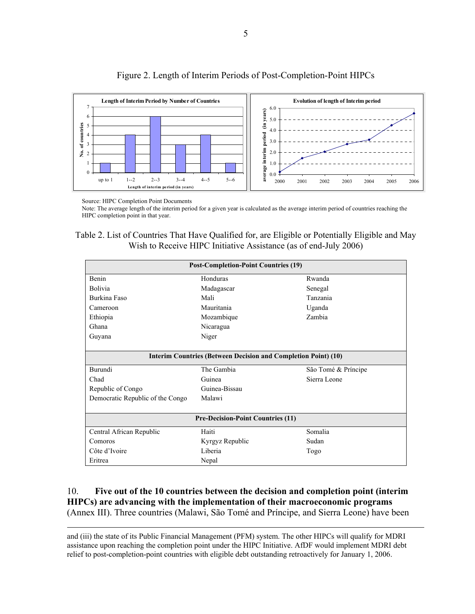

Figure 2. Length of Interim Periods of Post-Completion-Point HIPCs

Source: HIPC Completion Point Documents

Note: The average length of the interim period for a given year is calculated as the average interim period of countries reaching the HIPC completion point in that year.

Table 2. List of Countries That Have Qualified for, are Eligible or Potentially Eligible and May Wish to Receive HIPC Initiative Assistance (as of end-July 2006)

| <b>Post-Completion-Point Countries (19)</b> |                                                                       |                     |  |  |  |
|---------------------------------------------|-----------------------------------------------------------------------|---------------------|--|--|--|
| Benin                                       | Honduras                                                              | Rwanda              |  |  |  |
| <b>Bolivia</b>                              | Madagascar                                                            | Senegal             |  |  |  |
| Burkina Faso                                | Mali                                                                  | Tanzania            |  |  |  |
| Cameroon                                    | Mauritania                                                            | Uganda              |  |  |  |
| Ethiopia                                    | Mozambique                                                            | Zambia              |  |  |  |
| Ghana                                       | Nicaragua                                                             |                     |  |  |  |
| Guyana                                      | Niger                                                                 |                     |  |  |  |
|                                             | <b>Interim Countries (Between Decision and Completion Point) (10)</b> |                     |  |  |  |
| Burundi                                     | The Gambia                                                            | São Tomé & Príncipe |  |  |  |
| Chad                                        | Guinea                                                                | Sierra Leone        |  |  |  |
| Republic of Congo                           | Guinea-Bissau                                                         |                     |  |  |  |
| Democratic Republic of the Congo            | Malawi                                                                |                     |  |  |  |
|                                             |                                                                       |                     |  |  |  |
|                                             | <b>Pre-Decision-Point Countries (11)</b>                              |                     |  |  |  |
| Central African Republic                    | Haiti                                                                 | Somalia             |  |  |  |
| Comoros                                     | Kyrgyz Republic<br>Sudan                                              |                     |  |  |  |
| Côte d'Ivoire                               | Liberia                                                               | Togo                |  |  |  |
| Eritrea                                     | Nepal                                                                 |                     |  |  |  |

## 10. **Five out of the 10 countries between the decision and completion point (interim HIPCs) are advancing with the implementation of their macroeconomic programs** (Annex III). Three countries (Malawi, São Tomé and Príncipe, and Sierra Leone) have been

 and (iii) the state of its Public Financial Management (PFM) system. The other HIPCs will qualify for MDRI assistance upon reaching the completion point under the HIPC Initiative. AfDF would implement MDRI debt relief to post-completion-point countries with eligible debt outstanding retroactively for January 1, 2006.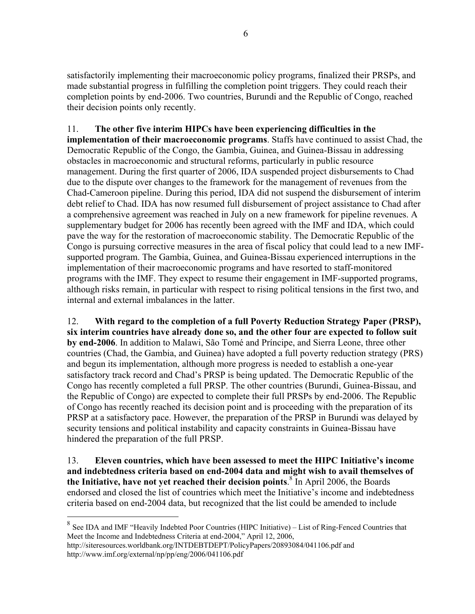satisfactorily implementing their macroeconomic policy programs, finalized their PRSPs, and made substantial progress in fulfilling the completion point triggers. They could reach their completion points by end-2006. Two countries, Burundi and the Republic of Congo, reached their decision points only recently.

11. **The other five interim HIPCs have been experiencing difficulties in the implementation of their macroeconomic programs**. Staffs have continued to assist Chad, the Democratic Republic of the Congo, the Gambia, Guinea, and Guinea-Bissau in addressing obstacles in macroeconomic and structural reforms, particularly in public resource management. During the first quarter of 2006, IDA suspended project disbursements to Chad due to the dispute over changes to the framework for the management of revenues from the Chad-Cameroon pipeline. During this period, IDA did not suspend the disbursement of interim debt relief to Chad. IDA has now resumed full disbursement of project assistance to Chad after a comprehensive agreement was reached in July on a new framework for pipeline revenues. A supplementary budget for 2006 has recently been agreed with the IMF and IDA, which could pave the way for the restoration of macroeconomic stability. The Democratic Republic of the Congo is pursuing corrective measures in the area of fiscal policy that could lead to a new IMFsupported program. The Gambia, Guinea, and Guinea-Bissau experienced interruptions in the implementation of their macroeconomic programs and have resorted to staff-monitored programs with the IMF. They expect to resume their engagement in IMF-supported programs, although risks remain, in particular with respect to rising political tensions in the first two, and internal and external imbalances in the latter.

12. **With regard to the completion of a full Poverty Reduction Strategy Paper (PRSP), six interim countries have already done so, and the other four are expected to follow suit by end-2006**. In addition to Malawi, São Tomé and Príncipe, and Sierra Leone, three other countries (Chad, the Gambia, and Guinea) have adopted a full poverty reduction strategy (PRS) and begun its implementation, although more progress is needed to establish a one-year satisfactory track record and Chad's PRSP is being updated. The Democratic Republic of the Congo has recently completed a full PRSP. The other countries (Burundi, Guinea-Bissau, and the Republic of Congo) are expected to complete their full PRSPs by end-2006. The Republic of Congo has recently reached its decision point and is proceeding with the preparation of its PRSP at a satisfactory pace. However, the preparation of the PRSP in Burundi was delayed by security tensions and political instability and capacity constraints in Guinea-Bissau have hindered the preparation of the full PRSP.

13. **Eleven countries, which have been assessed to meet the HIPC Initiative's income and indebtedness criteria based on end-2004 data and might wish to avail themselves of the Initiative, have not yet reached their decision points**. 8 In April 2006, the Boards endorsed and closed the list of countries which meet the Initiative's income and indebtedness criteria based on end-2004 data, but recognized that the list could be amended to include

<sup>8</sup> See IDA and IMF "Heavily Indebted Poor Countries (HIPC Initiative) – List of Ring-Fenced Countries that Meet the Income and Indebtedness Criteria at end-2004," April 12, 2006,

http://siteresources.worldbank.org/INTDEBTDEPT/PolicyPapers/20893084/041106.pdf and http://www.imf.org/external/np/pp/eng/2006/041106.pdf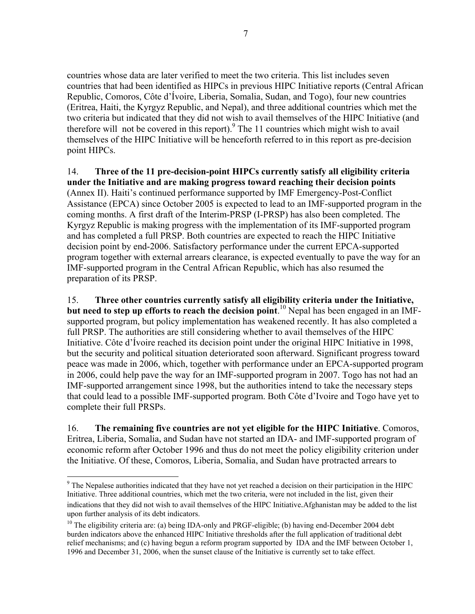countries whose data are later verified to meet the two criteria. This list includes seven countries that had been identified as HIPCs in previous HIPC Initiative reports (Central African Republic, Comoros, Côte d'Ívoire, Liberia, Somalia, Sudan, and Togo), four new countries (Eritrea, Haiti, the Kyrgyz Republic, and Nepal), and three additional countries which met the two criteria but indicated that they did not wish to avail themselves of the HIPC Initiative (and therefore will not be covered in this report). $9$  The 11 countries which might wish to avail themselves of the HIPC Initiative will be henceforth referred to in this report as pre-decision point HIPCs.

14. **Three of the 11 pre-decision-point HIPCs currently satisfy all eligibility criteria under the Initiative and are making progress toward reaching their decision points**  (Annex II). Haiti's continued performance supported by IMF Emergency-Post-Conflict Assistance (EPCA) since October 2005 is expected to lead to an IMF-supported program in the coming months. A first draft of the Interim-PRSP (I-PRSP) has also been completed. The Kyrgyz Republic is making progress with the implementation of its IMF-supported program and has completed a full PRSP. Both countries are expected to reach the HIPC Initiative decision point by end-2006. Satisfactory performance under the current EPCA-supported program together with external arrears clearance, is expected eventually to pave the way for an IMF-supported program in the Central African Republic, which has also resumed the preparation of its PRSP.

15. **Three other countries currently satisfy all eligibility criteria under the Initiative, but need to step up efforts to reach the decision point**. <sup>10</sup> Nepal has been engaged in an IMFsupported program, but policy implementation has weakened recently. It has also completed a full PRSP. The authorities are still considering whether to avail themselves of the HIPC Initiative. Côte d'Ívoire reached its decision point under the original HIPC Initiative in 1998, but the security and political situation deteriorated soon afterward. Significant progress toward peace was made in 2006, which, together with performance under an EPCA-supported program in 2006, could help pave the way for an IMF-supported program in 2007. Togo has not had an IMF-supported arrangement since 1998, but the authorities intend to take the necessary steps that could lead to a possible IMF-supported program. Both Côte d'Ivoire and Togo have yet to complete their full PRSPs.

16. **The remaining five countries are not yet eligible for the HIPC Initiative**. Comoros, Eritrea, Liberia, Somalia, and Sudan have not started an IDA- and IMF-supported program of economic reform after October 1996 and thus do not meet the policy eligibility criterion under the Initiative. Of these, Comoros, Liberia, Somalia, and Sudan have protracted arrears to

 $9$  The Nepalese authorities indicated that they have not yet reached a decision on their participation in the HIPC Initiative. Three additional countries, which met the two criteria, were not included in the list, given their indications that they did not wish to avail themselves of the HIPC Initiative.Afghanistan may be added to the list upon further analysis of its debt indicators.

<sup>&</sup>lt;sup>10</sup> The eligibility criteria are: (a) being IDA-only and PRGF-eligible; (b) having end-December 2004 debt burden indicators above the enhanced HIPC Initiative thresholds after the full application of traditional debt relief mechanisms; and (c) having begun a reform program supported by IDA and the IMF between October 1, 1996 and December 31, 2006, when the sunset clause of the Initiative is currently set to take effect.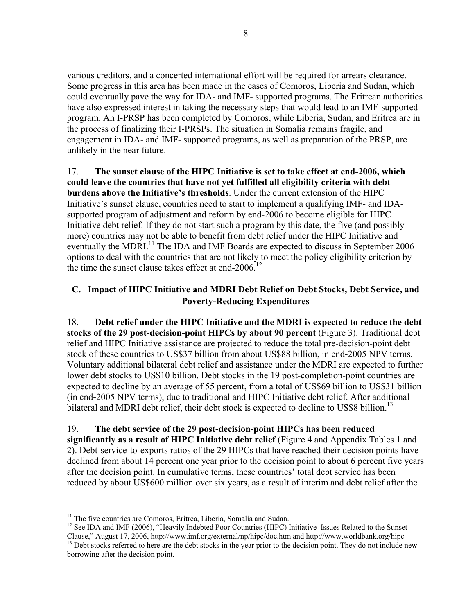various creditors, and a concerted international effort will be required for arrears clearance. Some progress in this area has been made in the cases of Comoros, Liberia and Sudan, which could eventually pave the way for IDA- and IMF- supported programs. The Eritrean authorities have also expressed interest in taking the necessary steps that would lead to an IMF-supported program. An I-PRSP has been completed by Comoros, while Liberia, Sudan, and Eritrea are in the process of finalizing their I-PRSPs. The situation in Somalia remains fragile, and engagement in IDA- and IMF- supported programs, as well as preparation of the PRSP, are unlikely in the near future.

17. **The sunset clause of the HIPC Initiative is set to take effect at end-2006, which could leave the countries that have not yet fulfilled all eligibility criteria with debt burdens above the Initiative's thresholds**. Under the current extension of the HIPC Initiative's sunset clause, countries need to start to implement a qualifying IMF- and IDAsupported program of adjustment and reform by end-2006 to become eligible for HIPC Initiative debt relief. If they do not start such a program by this date, the five (and possibly more) countries may not be able to benefit from debt relief under the HIPC Initiative and eventually the MDRI.<sup>11</sup> The IDA and IMF Boards are expected to discuss in September 2006 options to deal with the countries that are not likely to meet the policy eligibility criterion by the time the sunset clause takes effect at end-2006.<sup>12</sup>

## **C. Impact of HIPC Initiative and MDRI Debt Relief on Debt Stocks, Debt Service, and Poverty-Reducing Expenditures**

18. **Debt relief under the HIPC Initiative and the MDRI is expected to reduce the debt stocks of the 29 post-decision-point HIPCs by about 90 percent** (Figure 3). Traditional debt relief and HIPC Initiative assistance are projected to reduce the total pre-decision-point debt stock of these countries to US\$37 billion from about US\$88 billion, in end-2005 NPV terms. Voluntary additional bilateral debt relief and assistance under the MDRI are expected to further lower debt stocks to US\$10 billion. Debt stocks in the 19 post-completion-point countries are expected to decline by an average of 55 percent, from a total of US\$69 billion to US\$31 billion (in end-2005 NPV terms), due to traditional and HIPC Initiative debt relief. After additional bilateral and MDRI debt relief, their debt stock is expected to decline to US\$8 billion.<sup>13</sup>

## 19. **The debt service of the 29 post-decision-point HIPCs has been reduced significantly as a result of HIPC Initiative debt relief** (Figure 4 and Appendix Tables 1 and 2). Debt-service-to-exports ratios of the 29 HIPCs that have reached their decision points have declined from about 14 percent one year prior to the decision point to about 6 percent five years after the decision point. In cumulative terms, these countries' total debt service has been reduced by about US\$600 million over six years, as a result of interim and debt relief after the

<sup>&</sup>lt;sup>11</sup> The five countries are Comoros, Eritrea, Liberia, Somalia and Sudan.

 $12$  See IDA and IMF (2006), "Heavily Indebted Poor Countries (HIPC) Initiative–Issues Related to the Sunset Clause," August 17, 2006, http://www.imf.org/external/np/hipc/doc.htm and http://www.worldbank.org/hipc

<sup>&</sup>lt;sup>13</sup> Debt stocks referred to here are the debt stocks in the year prior to the decision point. They do not include new borrowing after the decision point.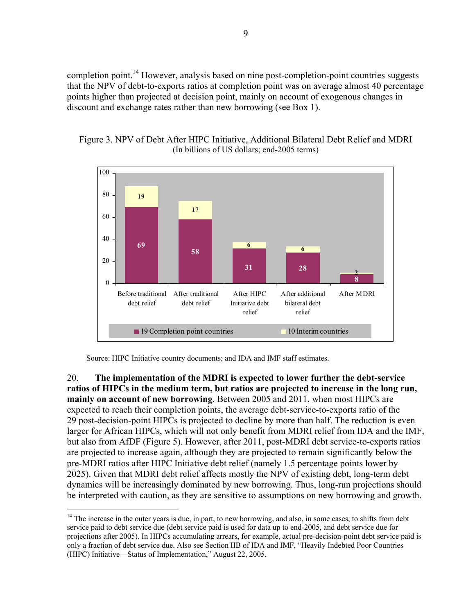completion point.<sup>14</sup> However, analysis based on nine post-completion-point countries suggests that the NPV of debt-to-exports ratios at completion point was on average almost 40 percentage points higher than projected at decision point, mainly on account of exogenous changes in discount and exchange rates rather than new borrowing (see Box 1).





Source: HIPC Initiative country documents; and IDA and IMF staff estimates.

 $\overline{a}$ 

20. **The implementation of the MDRI is expected to lower further the debt-service ratios of HIPCs in the medium term, but ratios are projected to increase in the long run, mainly on account of new borrowing**. Between 2005 and 2011, when most HIPCs are expected to reach their completion points, the average debt-service-to-exports ratio of the 29 post-decision-point HIPCs is projected to decline by more than half. The reduction is even larger for African HIPCs, which will not only benefit from MDRI relief from IDA and the IMF, but also from AfDF (Figure 5). However, after 2011, post-MDRI debt service-to-exports ratios are projected to increase again, although they are projected to remain significantly below the pre-MDRI ratios after HIPC Initiative debt relief (namely 1.5 percentage points lower by 2025). Given that MDRI debt relief affects mostly the NPV of existing debt, long-term debt dynamics will be increasingly dominated by new borrowing. Thus, long-run projections should be interpreted with caution, as they are sensitive to assumptions on new borrowing and growth.

 $14$  The increase in the outer years is due, in part, to new borrowing, and also, in some cases, to shifts from debt service paid to debt service due (debt service paid is used for data up to end-2005, and debt service due for projections after 2005). In HIPCs accumulating arrears, for example, actual pre-decision-point debt service paid is only a fraction of debt service due. Also see Section IIB of IDA and IMF, "Heavily Indebted Poor Countries (HIPC) Initiative—Status of Implementation," August 22, 2005.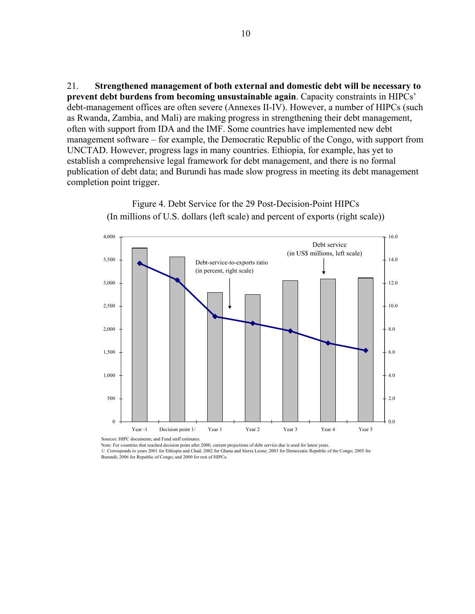21. **Strengthened management of both external and domestic debt will be necessary to prevent debt burdens from becoming unsustainable again**. Capacity constraints in HIPCs' debt-management offices are often severe (Annexes II-IV). However, a number of HIPCs (such as Rwanda, Zambia, and Mali) are making progress in strengthening their debt management, often with support from IDA and the IMF. Some countries have implemented new debt management software – for example, the Democratic Republic of the Congo, with support from UNCTAD. However, progress lags in many countries. Ethiopia, for example, has yet to establish a comprehensive legal framework for debt management, and there is no formal publication of debt data; and Burundi has made slow progress in meeting its debt management completion point trigger.

> 0 500 1,000 1,500 2,000 2,500 3,000 3,500 4,000 Year -1 Decision point 1/ Year 1 Year 2 Year 3 Year 4 Year 5 0.0 2.0 4.0 6.0 8.0 10.0 12.0 14.0 16.0 Debt-service-to-exports ratio (in percent, right scale) Debt service (in US\$ millions, left scale)

Figure 4. Debt Service for the 29 Post-Decision-Point HIPCs (In millions of U.S. dollars (left scale) and percent of exports (right scale))

Sources: HIPC documents; and Fund staff estimates.

Note: For countries that reached decision point after 2000, current projections of debt service due is used for latest years.

1/ Corresponds to years 2001 for Ethiopia and Chad; 2002 for Ghana and Sierra Leone; 2003 for Democratic Republic of the Congo; 2005 for Burundi; 2006 for Republic of Congo; and 2000 for rest of HIPCs.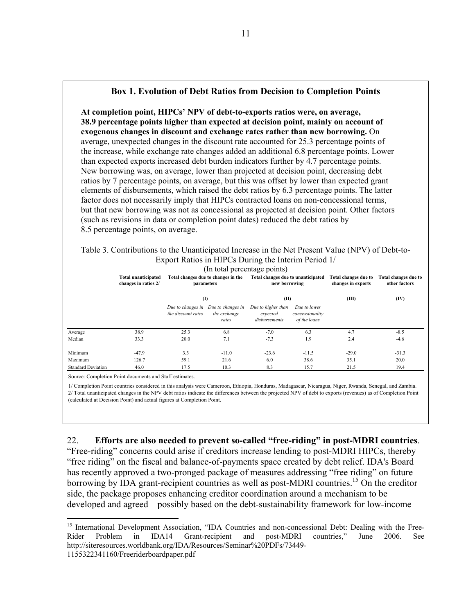### **Box 1. Evolution of Debt Ratios from Decision to Completion Points**

**At completion point, HIPCs' NPV of debt-to-exports ratios were, on average, 38.9 percentage points higher than expected at decision point, mainly on account of exogenous changes in discount and exchange rates rather than new borrowing.** On average, unexpected changes in the discount rate accounted for 25.3 percentage points of the increase, while exchange rate changes added an additional 6.8 percentage points. Lower than expected exports increased debt burden indicators further by 4.7 percentage points. New borrowing was, on average, lower than projected at decision point, decreasing debt ratios by 7 percentage points, on average, but this was offset by lower than expected grant elements of disbursements, which raised the debt ratios by 6.3 percentage points. The latter factor does not necessarily imply that HIPCs contracted loans on non-concessional terms, but that new borrowing was not as concessional as projected at decision point. Other factors (such as revisions in data or completion point dates) reduced the debt ratios by 8.5 percentage points, on average.

Table 3. Contributions to the Unanticipated Increase in the Net Present Value (NPV) of Debt-to-Export Ratios in HIPCs During the Interim Period 1/

|                           | <b>Total unanticipated</b><br>changes in ratios 2/ | parameters                              | Total changes due to changes in the        | III total percentage points)<br>Total changes due to unanticipated<br>new borrowing |                                                 | Total changes due to<br>changes in exports | Total changes due to<br>other factors |
|---------------------------|----------------------------------------------------|-----------------------------------------|--------------------------------------------|-------------------------------------------------------------------------------------|-------------------------------------------------|--------------------------------------------|---------------------------------------|
|                           |                                                    | $\mathbf{I}$                            |                                            | (II)                                                                                |                                                 | (III)                                      | (IV)                                  |
|                           |                                                    | Due to changes in<br>the discount rates | Due to changes in<br>the exchange<br>rates | Due to higher than<br>expected<br>disbursements                                     | Due to lower<br>concessionality<br>of the loans |                                            |                                       |
| Average                   | 38.9                                               | 25.3                                    | 6.8                                        | $-7.0$                                                                              | 6.3                                             | 4.7                                        | $-8.5$                                |
| Median                    | 33.3                                               | 20.0                                    | 7.1                                        | $-7.3$                                                                              | 1.9                                             | 2.4                                        | $-4.6$                                |
| Minimum                   | $-47.9$                                            | 3.3                                     | $-11.0$                                    | $-23.6$                                                                             | $-11.5$                                         | $-29.0$                                    | $-31.3$                               |
| Maximum                   | 126.7                                              | 59.1                                    | 21.6                                       | 6.0                                                                                 | 38.6                                            | 35.1                                       | 20.0                                  |
| <b>Standard Deviation</b> | 46.0                                               | 17.5                                    | 10.3                                       | 8.3                                                                                 | 15.7                                            | 21.5                                       | 19.4                                  |

 $(I_n, t_{n+1}, I_n, t_{n+2}, t_{n+3}, t_{n+4})$ 

Source: Completion Point documents and Staff estimates.

 $\overline{a}$ 

1/ Completion Point countries considered in this analysis were Cameroon, Ethiopia, Honduras, Madagascar, Nicaragua, Niger, Rwanda, Senegal, and Zambia. 2/ Total unanticipated changes in the NPV debt ratios indicate the differences between the projected NPV of debt to exports (revenues) as of Completion Point (calculated at Decision Point) and actual figures at Completion Point.

22. **Efforts are also needed to prevent so-called "free-riding" in post-MDRI countries**.

"Free-riding" concerns could arise if creditors increase lending to post-MDRI HIPCs, thereby "free riding" on the fiscal and balance-of-payments space created by debt relief. IDA's Board has recently approved a two-pronged package of measures addressing "free riding" on future borrowing by IDA grant-recipient countries as well as post-MDRI countries.<sup>15</sup> On the creditor side, the package proposes enhancing creditor coordination around a mechanism to be developed and agreed – possibly based on the debt-sustainability framework for low-income

<sup>&</sup>lt;sup>15</sup> International Development Association, "IDA Countries and non-concessional Debt: Dealing with the Free-Rider Problem in IDA14 Grant-recipient and post-MDRI countries," June 2006. See http://siteresources.worldbank.org/IDA/Resources/Seminar%20PDFs/73449- 1155322341160/Freeriderboardpaper.pdf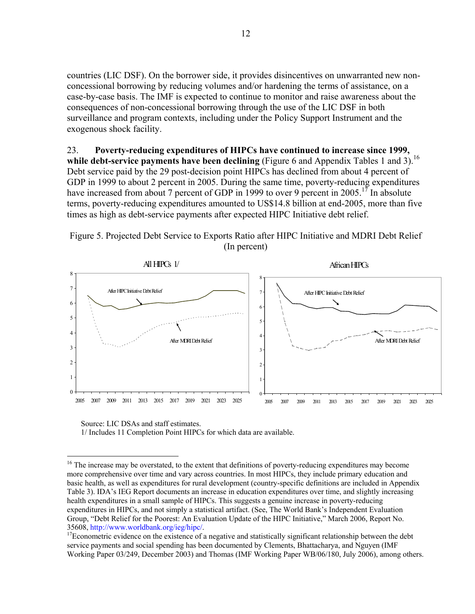countries (LIC DSF). On the borrower side, it provides disincentives on unwarranted new nonconcessional borrowing by reducing volumes and/or hardening the terms of assistance, on a case-by-case basis. The IMF is expected to continue to monitor and raise awareness about the consequences of non-concessional borrowing through the use of the LIC DSF in both surveillance and program contexts, including under the Policy Support Instrument and the exogenous shock facility.

23. **Poverty-reducing expenditures of HIPCs have continued to increase since 1999,**  while debt-service payments have been declining (Figure 6 and Appendix Tables 1 and 3).<sup>16</sup> Debt service paid by the 29 post-decision point HIPCs has declined from about 4 percent of GDP in 1999 to about 2 percent in 2005. During the same time, poverty-reducing expenditures have increased from about 7 percent of GDP in 1999 to over 9 percent in 2005.<sup>17</sup> In absolute terms, poverty-reducing expenditures amounted to US\$14.8 billion at end-2005, more than five times as high as debt-service payments after expected HIPC Initiative debt relief.



Figure 5. Projected Debt Service to Exports Ratio after HIPC Initiative and MDRI Debt Relief (In percent)

Source: LIC DSAs and staff estimates.

 $\overline{a}$ 

1/ Includes 11 Completion Point HIPCs for which data are available.

<sup>&</sup>lt;sup>16</sup> The increase may be overstated, to the extent that definitions of poverty-reducing expenditures may become more comprehensive over time and vary across countries. In most HIPCs, they include primary education and basic health, as well as expenditures for rural development (country-specific definitions are included in Appendix Table 3). IDA's IEG Report documents an increase in education expenditures over time, and slightly increasing health expenditures in a small sample of HIPCs. This suggests a genuine increase in poverty-reducing expenditures in HIPCs, and not simply a statistical artifact. (See, The World Bank's Independent Evaluation Group, "Debt Relief for the Poorest: An Evaluation Update of the HIPC Initiative," March 2006, Report No.

<sup>35608,</sup> http://www.worldbank.org/ieg/hipc/. 17Econometric evidence on the existence of a negative and statistically significant relationship between the debt service payments and social spending has been documented by Clements, Bhattacharya, and Nguyen (IMF Working Paper 03/249, December 2003) and Thomas (IMF Working Paper WB/06/180, July 2006), among others.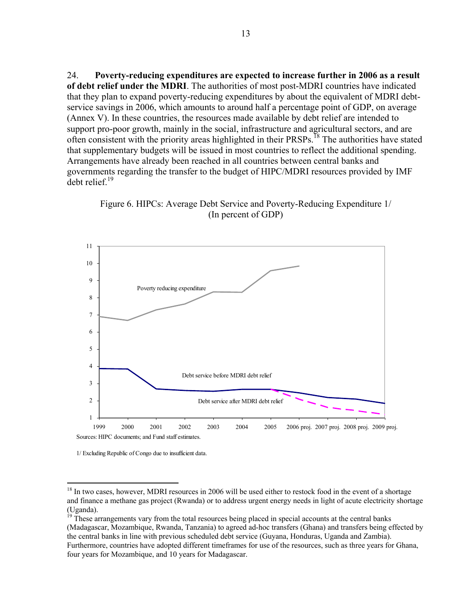24. **Poverty-reducing expenditures are expected to increase further in 2006 as a result of debt relief under the MDRI**. The authorities of most post-MDRI countries have indicated that they plan to expand poverty-reducing expenditures by about the equivalent of MDRI debtservice savings in 2006, which amounts to around half a percentage point of GDP, on average (Annex V). In these countries, the resources made available by debt relief are intended to support pro-poor growth, mainly in the social, infrastructure and agricultural sectors, and are often consistent with the priority areas highlighted in their PRSPs.<sup>18</sup> The authorities have stated that supplementary budgets will be issued in most countries to reflect the additional spending. Arrangements have already been reached in all countries between central banks and governments regarding the transfer to the budget of HIPC/MDRI resources provided by IMF debt relief.19





1/ Excluding Republic of Congo due to insufficient data.

<sup>&</sup>lt;sup>18</sup> In two cases, however, MDRI resources in 2006 will be used either to restock food in the event of a shortage and finance a methane gas project (Rwanda) or to address urgent energy needs in light of acute electricity shortage (Uganda).

<sup>&</sup>lt;sup>19</sup> These arrangements vary from the total resources being placed in special accounts at the central banks (Madagascar, Mozambique, Rwanda, Tanzania) to agreed ad-hoc transfers (Ghana) and transfers being effected by the central banks in line with previous scheduled debt service (Guyana, Honduras, Uganda and Zambia). Furthermore, countries have adopted different timeframes for use of the resources, such as three years for Ghana, four years for Mozambique, and 10 years for Madagascar.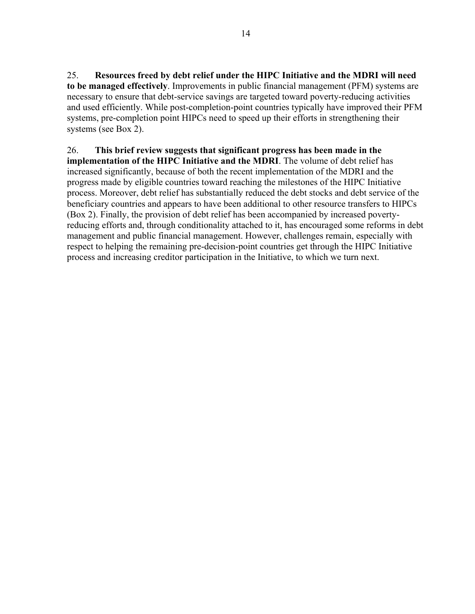25. **Resources freed by debt relief under the HIPC Initiative and the MDRI will need to be managed effectively**. Improvements in public financial management (PFM) systems are necessary to ensure that debt-service savings are targeted toward poverty-reducing activities and used efficiently. While post-completion-point countries typically have improved their PFM systems, pre-completion point HIPCs need to speed up their efforts in strengthening their systems (see Box 2).

## 26. **This brief review suggests that significant progress has been made in the**

**implementation of the HIPC Initiative and the MDRI**. The volume of debt relief has increased significantly, because of both the recent implementation of the MDRI and the progress made by eligible countries toward reaching the milestones of the HIPC Initiative process. Moreover, debt relief has substantially reduced the debt stocks and debt service of the beneficiary countries and appears to have been additional to other resource transfers to HIPCs (Box 2). Finally, the provision of debt relief has been accompanied by increased povertyreducing efforts and, through conditionality attached to it, has encouraged some reforms in debt management and public financial management. However, challenges remain, especially with respect to helping the remaining pre-decision-point countries get through the HIPC Initiative process and increasing creditor participation in the Initiative, to which we turn next.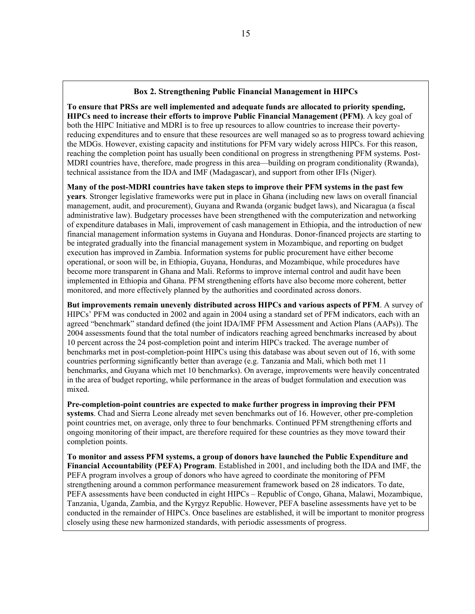#### **Box 2. Strengthening Public Financial Management in HIPCs**

**To ensure that PRSs are well implemented and adequate funds are allocated to priority spending, HIPCs need to increase their efforts to improve Public Financial Management (PFM)**. A key goal of both the HIPC Initiative and MDRI is to free up resources to allow countries to increase their povertyreducing expenditures and to ensure that these resources are well managed so as to progress toward achieving the MDGs. However, existing capacity and institutions for PFM vary widely across HIPCs. For this reason, reaching the completion point has usually been conditional on progress in strengthening PFM systems. Post-MDRI countries have, therefore, made progress in this area—building on program conditionality (Rwanda), technical assistance from the IDA and IMF (Madagascar), and support from other IFIs (Niger).

**Many of the post-MDRI countries have taken steps to improve their PFM systems in the past few years**. Stronger legislative frameworks were put in place in Ghana (including new laws on overall financial management, audit, and procurement), Guyana and Rwanda (organic budget laws), and Nicaragua (a fiscal administrative law). Budgetary processes have been strengthened with the computerization and networking of expenditure databases in Mali, improvement of cash management in Ethiopia, and the introduction of new financial management information systems in Guyana and Honduras. Donor-financed projects are starting to be integrated gradually into the financial management system in Mozambique, and reporting on budget execution has improved in Zambia. Information systems for public procurement have either become operational, or soon will be, in Ethiopia, Guyana, Honduras, and Mozambique, while procedures have become more transparent in Ghana and Mali. Reforms to improve internal control and audit have been implemented in Ethiopia and Ghana. PFM strengthening efforts have also become more coherent, better monitored, and more effectively planned by the authorities and coordinated across donors.

**But improvements remain unevenly distributed across HIPCs and various aspects of PFM**. A survey of HIPCs' PFM was conducted in 2002 and again in 2004 using a standard set of PFM indicators, each with an agreed "benchmark" standard defined (the joint IDA/IMF PFM Assessment and Action Plans (AAPs)). The 2004 assessments found that the total number of indicators reaching agreed benchmarks increased by about 10 percent across the 24 post-completion point and interim HIPCs tracked. The average number of benchmarks met in post-completion-point HIPCs using this database was about seven out of 16, with some countries performing significantly better than average (e.g. Tanzania and Mali, which both met 11 benchmarks, and Guyana which met 10 benchmarks). On average, improvements were heavily concentrated in the area of budget reporting, while performance in the areas of budget formulation and execution was mixed.

**Pre-completion-point countries are expected to make further progress in improving their PFM systems**. Chad and Sierra Leone already met seven benchmarks out of 16. However, other pre-completion point countries met, on average, only three to four benchmarks. Continued PFM strengthening efforts and ongoing monitoring of their impact, are therefore required for these countries as they move toward their completion points.

**To monitor and assess PFM systems, a group of donors have launched the Public Expenditure and Financial Accountability (PEFA) Program**. Established in 2001, and including both the IDA and IMF, the PEFA program involves a group of donors who have agreed to coordinate the monitoring of PFM strengthening around a common performance measurement framework based on 28 indicators. To date, PEFA assessments have been conducted in eight HIPCs – Republic of Congo, Ghana, Malawi, Mozambique, Tanzania, Uganda, Zambia, and the Kyrgyz Republic. However, PEFA baseline assessments have yet to be conducted in the remainder of HIPCs. Once baselines are established, it will be important to monitor progress closely using these new harmonized standards, with periodic assessments of progress.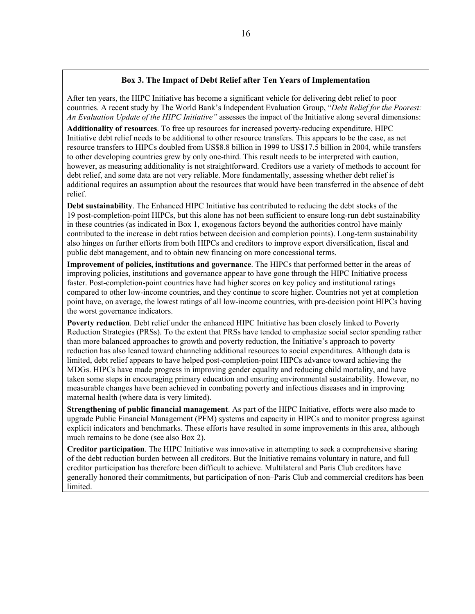#### **Box 3. The Impact of Debt Relief after Ten Years of Implementation**

After ten years, the HIPC Initiative has become a significant vehicle for delivering debt relief to poor countries. A recent study by The World Bank's Independent Evaluation Group, "*Debt Relief for the Poorest: An Evaluation Update of the HIPC Initiative"* assesses the impact of the Initiative along several dimensions:

**Additionality of resources**. To free up resources for increased poverty-reducing expenditure, HIPC Initiative debt relief needs to be additional to other resource transfers. This appears to be the case, as net resource transfers to HIPCs doubled from US\$8.8 billion in 1999 to US\$17.5 billion in 2004, while transfers to other developing countries grew by only one-third. This result needs to be interpreted with caution, however, as measuring additionality is not straightforward. Creditors use a variety of methods to account for debt relief, and some data are not very reliable. More fundamentally, assessing whether debt relief is additional requires an assumption about the resources that would have been transferred in the absence of debt relief.

**Debt sustainability**. The Enhanced HIPC Initiative has contributed to reducing the debt stocks of the 19 post-completion-point HIPCs, but this alone has not been sufficient to ensure long-run debt sustainability in these countries (as indicated in Box 1, exogenous factors beyond the authorities control have mainly contributed to the increase in debt ratios between decision and completion points). Long-term sustainability also hinges on further efforts from both HIPCs and creditors to improve export diversification, fiscal and public debt management, and to obtain new financing on more concessional terms.

**Improvement of policies, institutions and governance**. The HIPCs that performed better in the areas of improving policies, institutions and governance appear to have gone through the HIPC Initiative process faster. Post-completion-point countries have had higher scores on key policy and institutional ratings compared to other low-income countries, and they continue to score higher. Countries not yet at completion point have, on average, the lowest ratings of all low-income countries, with pre-decision point HIPCs having the worst governance indicators.

**Poverty reduction**. Debt relief under the enhanced HIPC Initiative has been closely linked to Poverty Reduction Strategies (PRSs). To the extent that PRSs have tended to emphasize social sector spending rather than more balanced approaches to growth and poverty reduction, the Initiative's approach to poverty reduction has also leaned toward channeling additional resources to social expenditures. Although data is limited, debt relief appears to have helped post-completion-point HIPCs advance toward achieving the MDGs. HIPCs have made progress in improving gender equality and reducing child mortality, and have taken some steps in encouraging primary education and ensuring environmental sustainability. However, no measurable changes have been achieved in combating poverty and infectious diseases and in improving maternal health (where data is very limited).

**Strengthening of public financial management**. As part of the HIPC Initiative, efforts were also made to upgrade Public Financial Management (PFM) systems and capacity in HIPCs and to monitor progress against explicit indicators and benchmarks. These efforts have resulted in some improvements in this area, although much remains to be done (see also Box 2).

**Creditor participation**. The HIPC Initiative was innovative in attempting to seek a comprehensive sharing of the debt reduction burden between all creditors. But the Initiative remains voluntary in nature, and full creditor participation has therefore been difficult to achieve. Multilateral and Paris Club creditors have generally honored their commitments, but participation of non–Paris Club and commercial creditors has been limited.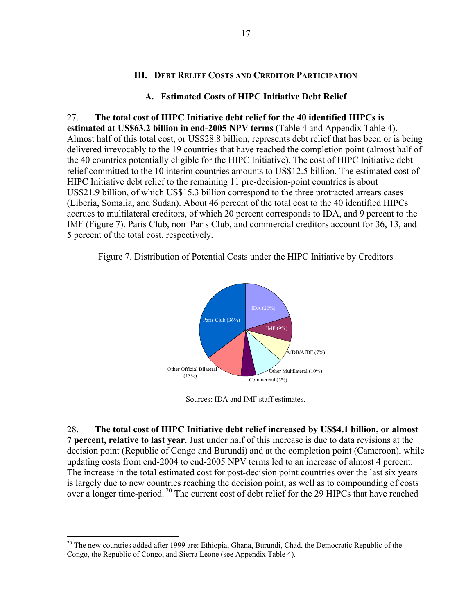### **III. DEBT RELIEF COSTS AND CREDITOR PARTICIPATION**

#### **A. Estimated Costs of HIPC Initiative Debt Relief**

27. **The total cost of HIPC Initiative debt relief for the 40 identified HIPCs is estimated at US\$63.2 billion in end-2005 NPV terms** (Table 4 and Appendix Table 4). Almost half of this total cost, or US\$28.8 billion, represents debt relief that has been or is being delivered irrevocably to the 19 countries that have reached the completion point (almost half of the 40 countries potentially eligible for the HIPC Initiative). The cost of HIPC Initiative debt relief committed to the 10 interim countries amounts to US\$12.5 billion. The estimated cost of HIPC Initiative debt relief to the remaining 11 pre-decision-point countries is about US\$21.9 billion, of which US\$15.3 billion correspond to the three protracted arrears cases (Liberia, Somalia, and Sudan). About 46 percent of the total cost to the 40 identified HIPCs accrues to multilateral creditors, of which 20 percent corresponds to IDA, and 9 percent to the IMF (Figure 7). Paris Club, non–Paris Club, and commercial creditors account for 36, 13, and 5 percent of the total cost, respectively.

Figure 7. Distribution of Potential Costs under the HIPC Initiative by Creditors



Sources: IDA and IMF staff estimates.

28. **The total cost of HIPC Initiative debt relief increased by US\$4.1 billion, or almost 7 percent, relative to last year**. Just under half of this increase is due to data revisions at the decision point (Republic of Congo and Burundi) and at the completion point (Cameroon), while updating costs from end-2004 to end-2005 NPV terms led to an increase of almost 4 percent. The increase in the total estimated cost for post-decision point countries over the last six years is largely due to new countries reaching the decision point, as well as to compounding of costs over a longer time-period. 20 The current cost of debt relief for the 29 HIPCs that have reached

<sup>&</sup>lt;sup>20</sup> The new countries added after 1999 are: Ethiopia, Ghana, Burundi, Chad, the Democratic Republic of the Congo, the Republic of Congo, and Sierra Leone (see Appendix Table 4).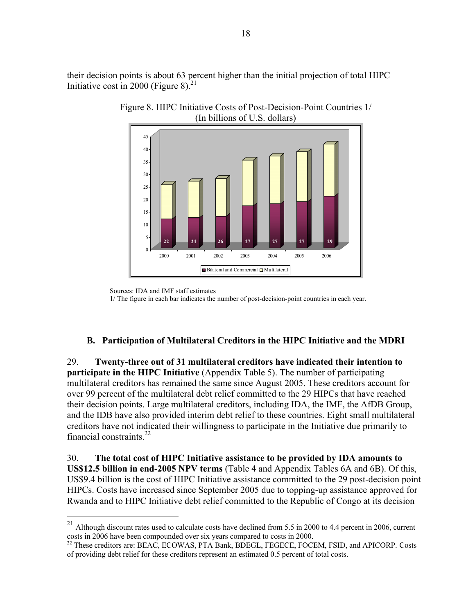their decision points is about 63 percent higher than the initial projection of total HIPC Initiative cost in 2000 (Figure 8). $^{21}$ 



Figure 8. HIPC Initiative Costs of Post-Decision-Point Countries 1/ (In billions of U.S. dollars)

## **B. Participation of Multilateral Creditors in the HIPC Initiative and the MDRI**

29. **Twenty-three out of 31 multilateral creditors have indicated their intention to participate in the HIPC Initiative** (Appendix Table 5). The number of participating multilateral creditors has remained the same since August 2005. These creditors account for over 99 percent of the multilateral debt relief committed to the 29 HIPCs that have reached their decision points. Large multilateral creditors, including IDA, the IMF, the AfDB Group, and the IDB have also provided interim debt relief to these countries. Eight small multilateral creditors have not indicated their willingness to participate in the Initiative due primarily to financial constraints  $^{22}$ 

30. **The total cost of HIPC Initiative assistance to be provided by IDA amounts to US\$12.5 billion in end-2005 NPV terms** (Table 4 and Appendix Tables 6A and 6B). Of this, US\$9.4 billion is the cost of HIPC Initiative assistance committed to the 29 post-decision point HIPCs. Costs have increased since September 2005 due to topping-up assistance approved for Rwanda and to HIPC Initiative debt relief committed to the Republic of Congo at its decision

Sources: IDA and IMF staff estimates<br>1/ The figure in each bar indicates the number of post-decision-point countries in each year. Sources: IDA and IMF staff estimates

<sup>&</sup>lt;sup>21</sup> Although discount rates used to calculate costs have declined from 5.5 in 2000 to 4.4 percent in 2006, current costs in 2006 have been compounded over six years compared to costs in 2000.<br><sup>22</sup> These creditors are: BEAC, ECOWAS, PTA Bank, BDEGL, FEGECE, FOCEM, FSID, and APICORP. Costs

of providing debt relief for these creditors represent an estimated 0.5 percent of total costs.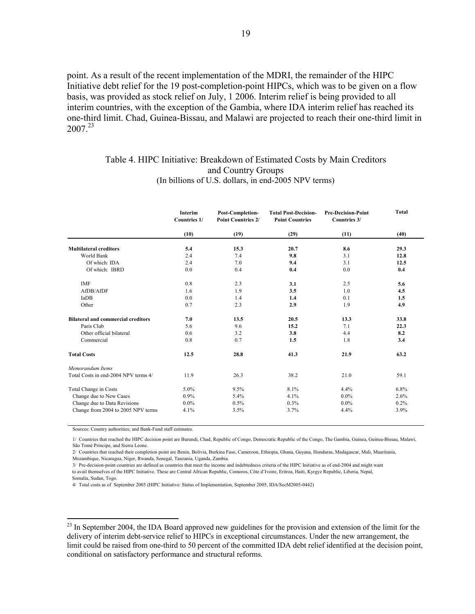point. As a result of the recent implementation of the MDRI, the remainder of the HIPC Initiative debt relief for the 19 post-completion-point HIPCs, which was to be given on a flow basis, was provided as stock relief on July, 1 2006. Interim relief is being provided to all interim countries, with the exception of the Gambia, where IDA interim relief has reached its one-third limit. Chad, Guinea-Bissau, and Malawi are projected to reach their one-third limit in 2007.23

#### Table 4. HIPC Initiative: Breakdown of Estimated Costs by Main Creditors and Country Groups (In billions of U.S. dollars, in end-2005 NPV terms)

|                                           | <b>Interim</b><br>Countries 1/ | Post-Completion-<br><b>Point Countries 2/</b> | <b>Total Post-Decision-</b><br><b>Point Countries</b> | <b>Pre-Decision-Point</b><br>Countries 3/ | <b>Total</b> |
|-------------------------------------------|--------------------------------|-----------------------------------------------|-------------------------------------------------------|-------------------------------------------|--------------|
|                                           | (10)                           | (19)                                          | (29)                                                  | (11)                                      | (40)         |
| <b>Multilateral creditors</b>             | 5.4                            | 15.3                                          | 20.7                                                  | 8.6                                       | 29.3         |
| World Bank                                | 2.4                            | 7.4                                           | 9.8                                                   | 3.1                                       | 12.8         |
| Of which: IDA                             | 2.4                            | 7.0                                           | 9.4                                                   | 3.1                                       | 12.5         |
| Of which: IBRD                            | 0.0                            | 0.4                                           | 0.4                                                   | 0.0                                       | 0.4          |
| <b>IMF</b>                                | 0.8                            | 2.3                                           | 3.1                                                   | 2.5                                       | 5.6          |
| AfDB/AfDF                                 | 1.6                            | 1.9                                           | 3.5                                                   | 1.0                                       | 4.5          |
| IaDB                                      | 0.0                            | 1.4                                           | 1.4                                                   | 0.1                                       | 1.5          |
| Other                                     | 0.7                            | 2.3                                           | 2.9                                                   | 1.9                                       | 4.9          |
| <b>Bilateral and commercial creditors</b> | 7.0                            | 13.5                                          | 20.5                                                  | 13.3                                      | 33.8         |
| Paris Club                                | 5.6                            | 9.6                                           | 15.2                                                  | 7.1                                       | 22.3         |
| Other official bilateral                  | 0.6                            | 3.2                                           | 3.8                                                   | 4.4                                       | 8.2          |
| Commercial                                | 0.8                            | 0.7                                           | 1.5                                                   | 1.8                                       | 3.4          |
| <b>Total Costs</b>                        | 12.5                           | 28.8                                          | 41.3                                                  | 21.9                                      | 63.2         |
| Memorandum Items                          |                                |                                               |                                                       |                                           |              |
| Total Costs in end-2004 NPV terms 4/      | 11.9                           | 26.3                                          | 38.2                                                  | 21.0                                      | 59.1         |
| Total Change in Costs                     | 5.0%                           | 9.5%                                          | 8.1%                                                  | 4.4%                                      | $6.8\%$      |
| Change due to New Cases                   | $0.9\%$                        | 5.4%                                          | 4.1%                                                  | $0.0\%$                                   | 2.6%         |
| Change due to Data Revisions              | $0.0\%$                        | 0.5%                                          | 0.3%                                                  | $0.0\%$                                   | 0.2%         |
| Change from 2004 to 2005 NPV terms        | 4.1%                           | 3.5%                                          | 3.7%                                                  | 4.4%                                      | 3.9%         |

Sources: Country authorities; and Bank-Fund staff estimates.

 $\overline{a}$ 

1/ Countries that reached the HIPC decision point are Burundi, Chad, Republic of Congo, Democratic Republic of the Congo, The Gambia, Guinea, Guinea-Bissau, Malawi, São Tomé Príncipe, and Sierra Leone.

2/ Countries that reached their completion point are Benin, Bolivia, Burkina Faso, Cameroon, Ethiopia, Ghana, Guyana, Honduras, Madagascar, Mali, Mauritania, Mozambique, Nicaragua, Níger, Rwanda, Senegal, Tanzania, Uganda, Zambia.

 to avail themselves of the HIPC Initiative. These are Central African Republic, Comoros, Côte d'Ivoire, Eritrea, Haiti, Kyrgyz Republic, Liberia, Nepal, Somalia, Sudan, Togo. 3/ Pre-decision-point countries are defined as countries that meet the income and indebtedness criteria of the HIPC Initiative as of end-2004 and might want

4/ Total costs as of September 2005 (HIPC Initiative: Status of Implementation, September 2005, IDA/SecM2005-0442)

<sup>23</sup> In September 2004, the IDA Board approved new guidelines for the provision and extension of the limit for the delivery of interim debt-service relief to HIPCs in exceptional circumstances. Under the new arrangement, the limit could be raised from one-third to 50 percent of the committed IDA debt relief identified at the decision point, conditional on satisfactory performance and structural reforms.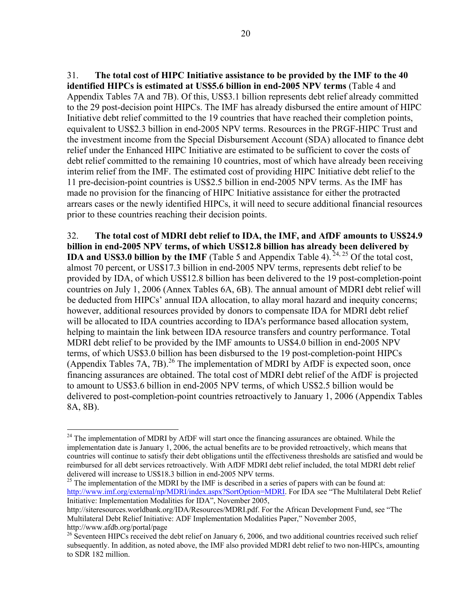31. **The total cost of HIPC Initiative assistance to be provided by the IMF to the 40 identified HIPCs is estimated at US\$5.6 billion in end-2005 NPV terms** (Table 4 and Appendix Tables 7A and 7B). Of this, US\$3.1 billion represents debt relief already committed to the 29 post-decision point HIPCs. The IMF has already disbursed the entire amount of HIPC Initiative debt relief committed to the 19 countries that have reached their completion points, equivalent to US\$2.3 billion in end-2005 NPV terms. Resources in the PRGF-HIPC Trust and the investment income from the Special Disbursement Account (SDA) allocated to finance debt relief under the Enhanced HIPC Initiative are estimated to be sufficient to cover the costs of debt relief committed to the remaining 10 countries, most of which have already been receiving interim relief from the IMF. The estimated cost of providing HIPC Initiative debt relief to the 11 pre-decision-point countries is US\$2.5 billion in end-2005 NPV terms. As the IMF has made no provision for the financing of HIPC Initiative assistance for either the protracted arrears cases or the newly identified HIPCs, it will need to secure additional financial resources prior to these countries reaching their decision points.

32. **The total cost of MDRI debt relief to IDA, the IMF, and AfDF amounts to US\$24.9 billion in end-2005 NPV terms, of which US\$12.8 billion has already been delivered by IDA and US\$3.0 billion by the IMF** (Table 5 and Appendix Table 4). <sup>24, 25</sup> Of the total cost, almost 70 percent, or US\$17.3 billion in end-2005 NPV terms, represents debt relief to be provided by IDA, of which US\$12.8 billion has been delivered to the 19 post-completion-point countries on July 1, 2006 (Annex Tables 6A, 6B). The annual amount of MDRI debt relief will be deducted from HIPCs' annual IDA allocation, to allay moral hazard and inequity concerns; however, additional resources provided by donors to compensate IDA for MDRI debt relief will be allocated to IDA countries according to IDA's performance based allocation system, helping to maintain the link between IDA resource transfers and country performance. Total MDRI debt relief to be provided by the IMF amounts to US\$4.0 billion in end-2005 NPV terms, of which US\$3.0 billion has been disbursed to the 19 post-completion-point HIPCs (Appendix Tables 7A, 7B).<sup>26</sup> The implementation of MDRI by AfDF is expected soon, once financing assurances are obtained. The total cost of MDRI debt relief of the AfDF is projected to amount to US\$3.6 billion in end-2005 NPV terms, of which US\$2.5 billion would be delivered to post-completion-point countries retroactively to January 1, 2006 (Appendix Tables 8A, 8B).

 $\overline{a}$ 

 $^{25}$  The implementation of the MDRI by the IMF is described in a series of papers with can be found at: http://www.imf.org/external/np/MDRI/index.aspx?SortOption=MDRI. For IDA see "The Multilateral Debt Relief Initiative: Implementation Modalities for IDA", November 2005,

 $24$  The implementation of MDRI by AfDF will start once the financing assurances are obtained. While the implementation date is January 1, 2006, the actual benefits are to be provided retroactively, which means that countries will continue to satisfy their debt obligations until the effectiveness thresholds are satisfied and would be reimbursed for all debt services retroactively. With AfDF MDRI debt relief included, the total MDRI debt relief delivered will increase to US\$18.3 billion in end-2005 NPV terms.

http://siteresources.worldbank.org/IDA/Resources/MDRI.pdf. For the African Development Fund, see "The Multilateral Debt Relief Initiative: ADF Implementation Modalities Paper," November 2005,

http://www.afdb.org/portal/page<br><sup>26</sup> Seventeen HIPCs received the debt relief on January 6, 2006, and two additional countries received such relief subsequently. In addition, as noted above, the IMF also provided MDRI debt relief to two non-HIPCs, amounting to SDR 182 million.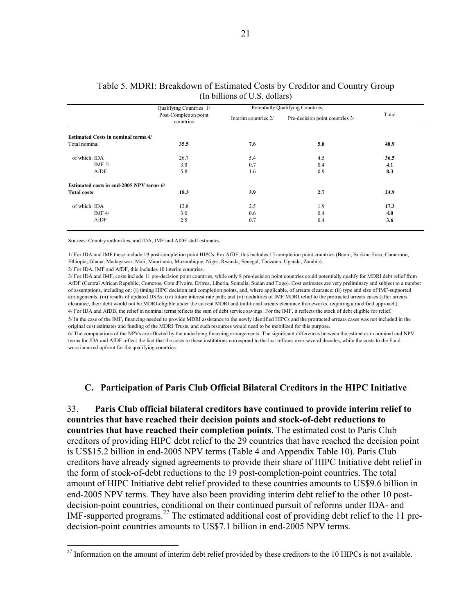|                                            | Qualifying Countries 1/            | Potentially Qualifying Countries |                                 |       |
|--------------------------------------------|------------------------------------|----------------------------------|---------------------------------|-------|
|                                            | Post-Completion point<br>countries | Interim countries 2/             | Pre-decision point countries 3/ | Total |
| <b>Estimated Costs in nominal terms 4/</b> |                                    |                                  |                                 |       |
| Total nominal                              | 35.5                               | 7.6                              | 5.8                             | 48.9  |
| of which: IDA                              | 26.7                               | 5.4                              | 4.5                             | 36.5  |
| IMF $5/$                                   | 3.0                                | 0.7                              | 0.4                             | 4.1   |
| AfDF                                       | 5.8                                | 1.6                              | 0.9                             | 8.3   |
| Estimated costs in end-2005 NPV terms 6/   |                                    |                                  |                                 |       |
| <b>Total costs</b>                         | 18.3                               | 3.9                              | 2.7                             | 24.9  |
| of which: IDA                              | 12.8                               | 2.5                              | 1.9                             | 17.3  |
| IMF $4/$                                   | 3.0                                | 0.6                              | 0.4                             | 4.0   |
| AfDF                                       | 2.5                                | 0.7                              | 0.4                             | 3.6   |

#### Table 5. MDRI: Breakdown of Estimated Costs by Creditor and Country Group (In billions of U.S. dollars)

Sources: Country authorities; and IDA, IMF and AfDF staff estimates.

1/ For IDA and IMF these include 19 post-completion point HIPCs. For AfDF, this includes 15 completion point countries (Benin, Burkina Faso, Cameroon, Ethiopia, Ghana, Madagascar, Mali, Mauritania, Mozambique, Niger, Rwanda, Senegal, Tanzania, Uganda, Zambia).

2/ For IDA, IMF and AfDF, this includes 10 interim countries.

 $\overline{a}$ 

5/ In the case of the IMF, financing needed to provide MDRI assistance to the newly identified HIPCs and the protracted arrears cases was not included in the original cost estimates and funding of the MDRI Trusts, and such resources would need to be mobilized for this purpose. 4/ For IDA and AfDB, the relief in nominal terms reflects the sum of debt service savings. For the IMF, it reflects the stock of debt eligible for relief. 3/ For IDA and IMF, costs include 11 pre-decision point countries, while only 8 pre-decision point countries could potentially qualify for MDRI debt relief from AfDF (Central African Republic, Comoros, Cote d'Ivoire, Eritrea, Liberia, Somalia, Sudan and Togo). Cost estimates are very preliminary and subject to a number of assumptions, including on: (i) timing HIPC decision and completion points, and, where applicable, of arrears clearance; (ii) type and size of IMF-supported arrangements, (iii) results of updated DSAs; (iv) future interest rate path; and (v) modalities of IMF MDRI relief to the protracted arrears cases (after arrears clearance, their debt would not be MDRI-eligible under the current MDRI and traditional arrears clearance frameworks, requiring a modified approach).

6/ The computations of the NPVs are affected by the underlying financing arrangements. The significant differences between the estimates in nominal and NPV terms for IDA and AfDF reflect the fact that the costs to these institutions correspond to the lost reflows over several decades, while the costs to the Fund were incurred upfront for the qualifying countries.

### **C. Participation of Paris Club Official Bilateral Creditors in the HIPC Initiative**

33. **Paris Club official bilateral creditors have continued to provide interim relief to countries that have reached their decision points and stock-of-debt reductions to countries that have reached their completion points**. The estimated cost to Paris Club creditors of providing HIPC debt relief to the 29 countries that have reached the decision point is US\$15.2 billion in end-2005 NPV terms (Table 4 and Appendix Table 10). Paris Club creditors have already signed agreements to provide their share of HIPC Initiative debt relief in the form of stock-of-debt reductions to the 19 post-completion-point countries. The total amount of HIPC Initiative debt relief provided to these countries amounts to US\$9.6 billion in end-2005 NPV terms. They have also been providing interim debt relief to the other 10 postdecision-point countries, conditional on their continued pursuit of reforms under IDA- and IMF-supported programs.27 The estimated additional cost of providing debt relief to the 11 predecision-point countries amounts to US\$7.1 billion in end-2005 NPV terms.

 $27$  Information on the amount of interim debt relief provided by these creditors to the 10 HIPCs is not available.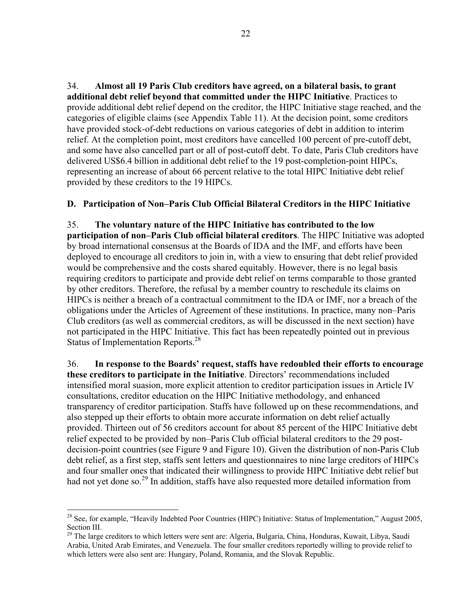34. **Almost all 19 Paris Club creditors have agreed, on a bilateral basis, to grant additional debt relief beyond that committed under the HIPC Initiative**. Practices to provide additional debt relief depend on the creditor, the HIPC Initiative stage reached, and the categories of eligible claims (see Appendix Table 11). At the decision point, some creditors have provided stock-of-debt reductions on various categories of debt in addition to interim relief. At the completion point, most creditors have cancelled 100 percent of pre-cutoff debt, and some have also cancelled part or all of post-cutoff debt. To date, Paris Club creditors have delivered US\$6.4 billion in additional debt relief to the 19 post-completion-point HIPCs, representing an increase of about 66 percent relative to the total HIPC Initiative debt relief provided by these creditors to the 19 HIPCs.

## **D. Participation of Non–Paris Club Official Bilateral Creditors in the HIPC Initiative**

35. **The voluntary nature of the HIPC Initiative has contributed to the low participation of non–Paris Club official bilateral creditors**. The HIPC Initiative was adopted by broad international consensus at the Boards of IDA and the IMF, and efforts have been deployed to encourage all creditors to join in, with a view to ensuring that debt relief provided would be comprehensive and the costs shared equitably. However, there is no legal basis requiring creditors to participate and provide debt relief on terms comparable to those granted by other creditors. Therefore, the refusal by a member country to reschedule its claims on HIPCs is neither a breach of a contractual commitment to the IDA or IMF, nor a breach of the obligations under the Articles of Agreement of these institutions. In practice, many non–Paris Club creditors (as well as commercial creditors, as will be discussed in the next section) have not participated in the HIPC Initiative. This fact has been repeatedly pointed out in previous Status of Implementation Reports.<sup>28</sup>

36. **In response to the Boards' request, staffs have redoubled their efforts to encourage these creditors to participate in the Initiative**. Directors' recommendations included intensified moral suasion, more explicit attention to creditor participation issues in Article IV consultations, creditor education on the HIPC Initiative methodology, and enhanced transparency of creditor participation. Staffs have followed up on these recommendations, and also stepped up their efforts to obtain more accurate information on debt relief actually provided. Thirteen out of 56 creditors account for about 85 percent of the HIPC Initiative debt relief expected to be provided by non–Paris Club official bilateral creditors to the 29 postdecision-point countries (see Figure 9 and Figure 10). Given the distribution of non-Paris Club debt relief, as a first step, staffs sent letters and questionnaires to nine large creditors of HIPCs and four smaller ones that indicated their willingness to provide HIPC Initiative debt relief but had not yet done so.<sup>29</sup> In addition, staffs have also requested more detailed information from

 $\overline{a}$ <sup>28</sup> See, for example, "Heavily Indebted Poor Countries (HIPC) Initiative: Status of Implementation," August 2005, Section III.

<sup>&</sup>lt;sup>29</sup> The large creditors to which letters were sent are: Algeria, Bulgaria, China, Honduras, Kuwait, Libya, Saudi Arabia, United Arab Emirates, and Venezuela. The four smaller creditors reportedly willing to provide relief to which letters were also sent are: Hungary, Poland, Romania, and the Slovak Republic.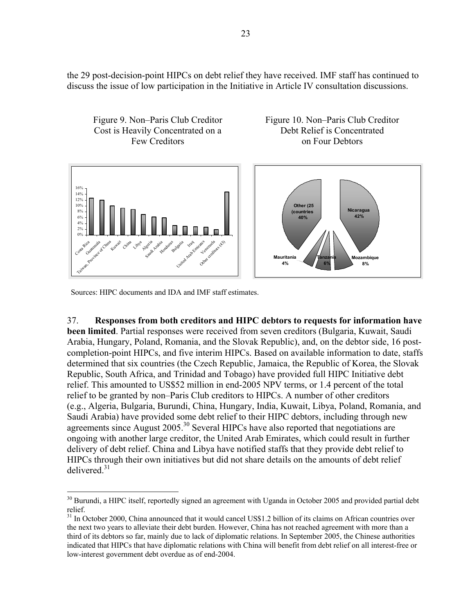the 29 post-decision-point HIPCs on debt relief they have received. IMF staff has continued to discuss the issue of low participation in the Initiative in Article IV consultation discussions.



Sources: HIPC documents and IDA and IMF staff estimates.

 $\overline{a}$ 

37. **Responses from both creditors and HIPC debtors to requests for information have been limited**. Partial responses were received from seven creditors (Bulgaria, Kuwait, Saudi Arabia, Hungary, Poland, Romania, and the Slovak Republic), and, on the debtor side, 16 postcompletion-point HIPCs, and five interim HIPCs. Based on available information to date, staffs determined that six countries (the Czech Republic, Jamaica, the Republic of Korea, the Slovak Republic, South Africa, and Trinidad and Tobago) have provided full HIPC Initiative debt relief. This amounted to US\$52 million in end-2005 NPV terms, or 1.4 percent of the total relief to be granted by non–Paris Club creditors to HIPCs. A number of other creditors (e.g., Algeria, Bulgaria, Burundi, China, Hungary, India, Kuwait, Libya, Poland, Romania, and Saudi Arabia) have provided some debt relief to their HIPC debtors, including through new agreements since August 2005.<sup>30</sup> Several HIPCs have also reported that negotiations are ongoing with another large creditor, the United Arab Emirates, which could result in further delivery of debt relief. China and Libya have notified staffs that they provide debt relief to HIPCs through their own initiatives but did not share details on the amounts of debt relief delivered.31

<sup>&</sup>lt;sup>30</sup> Burundi, a HIPC itself, reportedly signed an agreement with Uganda in October 2005 and provided partial debt relief.

<sup>&</sup>lt;sup>31</sup> In October 2000, China announced that it would cancel US\$1.2 billion of its claims on African countries over the next two years to alleviate their debt burden. However, China has not reached agreement with more than a third of its debtors so far, mainly due to lack of diplomatic relations. In September 2005, the Chinese authorities indicated that HIPCs that have diplomatic relations with China will benefit from debt relief on all interest-free or low-interest government debt overdue as of end-2004.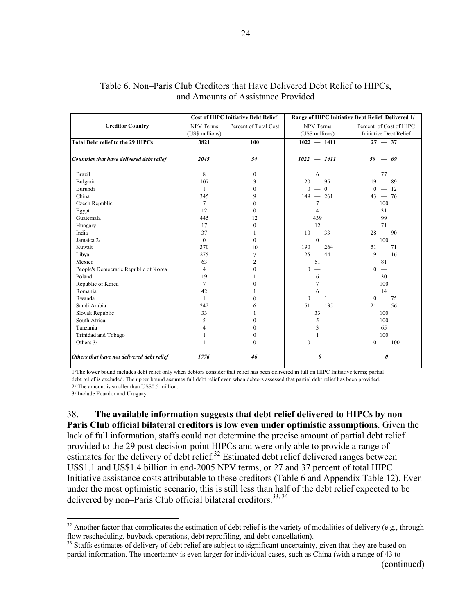|                                            |                  | <b>Cost of HIPC Initiative Debt Relief</b> | Range of HIPC Initiative Debt Relief Delivered 1/ |                         |  |  |
|--------------------------------------------|------------------|--------------------------------------------|---------------------------------------------------|-------------------------|--|--|
| <b>Creditor Country</b>                    | <b>NPV Terms</b> | Percent of Total Cost                      | <b>NPV Terms</b>                                  | Percent of Cost of HIPC |  |  |
|                                            | (US\$ millions)  |                                            | (US\$ millions)                                   | Initiative Debt Relief  |  |  |
| <b>Total Debt relief to the 29 HIPCs</b>   | 3821             | 100                                        | $1022 - 1411$                                     | $27 - 37$               |  |  |
|                                            |                  |                                            |                                                   |                         |  |  |
| Countries that have delivered debt relief  | 2045             | 54                                         | $1022 - 1411$                                     | $50 - 69$               |  |  |
| <b>Brazil</b>                              | 8                | $\boldsymbol{0}$                           | 6                                                 | 77                      |  |  |
| Bulgaria                                   | 107              | 3                                          | $20 - 95$                                         | $19 - 89$               |  |  |
| Burundi                                    | $\mathbf{1}$     | $\theta$                                   | $0 - 0$                                           | $0 - 12$                |  |  |
| China                                      | 345              | 9                                          | $149 - 261$                                       | $43 - 76$               |  |  |
| Czech Republic                             | $\tau$           | $\theta$                                   | $\tau$                                            | 100                     |  |  |
| Egypt                                      | 12               | $\theta$                                   | $\overline{4}$                                    | 31                      |  |  |
| Guatemala                                  | 445              | 12                                         | 439                                               | 99                      |  |  |
| Hungary                                    | 17               | $\mathbf{0}$                               | 12                                                | 71                      |  |  |
| India                                      | 37               | 1                                          | $10 - 33$                                         | $28 - 90$               |  |  |
| Jamaica 2/                                 | $\mathbf{0}$     | $\Omega$                                   | $\theta$                                          | 100                     |  |  |
| Kuwait                                     | 370              | 10                                         | $190 - 264$                                       | $51 - 71$               |  |  |
| Libya                                      | 275              | 7                                          | $25 - 44$                                         | $9 - 16$                |  |  |
| Mexico                                     | 63               | $\overline{c}$                             | 51                                                | 81                      |  |  |
| People's Democratic Republic of Korea      | $\overline{4}$   | $\boldsymbol{0}$                           | $\overline{0}$<br>$\overline{\phantom{a}}$        | $0 -$                   |  |  |
| Poland                                     | 19               |                                            | 6                                                 | 30                      |  |  |
| Republic of Korea                          | 7                | 0                                          | $\overline{7}$                                    | 100                     |  |  |
| Romania                                    | 42               |                                            | 6                                                 | 14                      |  |  |
| Rwanda                                     | $\mathbf{1}$     | $\theta$                                   | $0 - 1$                                           | $0 - 75$                |  |  |
| Saudi Arabia                               | 242              | 6                                          | $51 - 135$                                        | $21 - 56$               |  |  |
| Slovak Republic                            | 33               |                                            | 33                                                | 100                     |  |  |
| South Africa                               | 5                | $\theta$                                   | 5                                                 | 100                     |  |  |
| Tanzania                                   | 4                | $\theta$                                   | 3                                                 | 65                      |  |  |
| Trinidad and Tobago                        | 1                | $\boldsymbol{0}$                           | $\mathbf{1}$                                      | 100                     |  |  |
| Others 3/                                  |                  | $\theta$                                   | $0 - 1$                                           | $0 - 100$               |  |  |
| Others that have not delivered debt relief | 1776             | 46                                         | 0                                                 | $\boldsymbol{\theta}$   |  |  |

### Table 6. Non–Paris Club Creditors that Have Delivered Debt Relief to HIPCs, and Amounts of Assistance Provided

24

1/The lower bound includes debt relief only when debtors consider that relief has been delivered in full on HIPC Initiative terms; partial debt relief is excluded. The upper bound assumes full debt relief even when debtors assessed that partial debt relief has been provided.

2/ The amount is smaller than US\$0.5 million.

3/ Include Ecuador and Uruguay.

 $\overline{a}$ 

38. **The available information suggests that debt relief delivered to HIPCs by non– Paris Club official bilateral creditors is low even under optimistic assumptions**. Given the lack of full information, staffs could not determine the precise amount of partial debt relief provided to the 29 post-decision-point HIPCs and were only able to provide a range of estimates for the delivery of debt relief.<sup>32</sup> Estimated debt relief delivered ranges between US\$1.1 and US\$1.4 billion in end-2005 NPV terms, or 27 and 37 percent of total HIPC Initiative assistance costs attributable to these creditors (Table 6 and Appendix Table 12). Even under the most optimistic scenario, this is still less than half of the debt relief expected to be delivered by non-Paris Club official bilateral creditors.<sup>33, 34</sup>

 $32$  Another factor that complicates the estimation of debt relief is the variety of modalities of delivery (e.g., through flow rescheduling, buyback operations, debt reprofiling, and debt cancellation).<br><sup>33</sup> Staffs estimates of delivery of debt relief are subject to significant uncertainty, given that they are based on

partial information. The uncertainty is even larger for individual cases, such as China (with a range of 43 to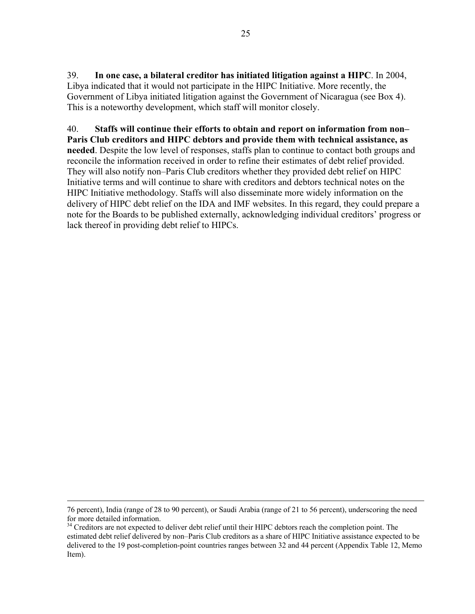39. **In one case, a bilateral creditor has initiated litigation against a HIPC**. In 2004, Libya indicated that it would not participate in the HIPC Initiative. More recently, the Government of Libya initiated litigation against the Government of Nicaragua (see Box 4). This is a noteworthy development, which staff will monitor closely.

40. **Staffs will continue their efforts to obtain and report on information from non– Paris Club creditors and HIPC debtors and provide them with technical assistance, as needed**. Despite the low level of responses, staffs plan to continue to contact both groups and reconcile the information received in order to refine their estimates of debt relief provided. They will also notify non–Paris Club creditors whether they provided debt relief on HIPC Initiative terms and will continue to share with creditors and debtors technical notes on the HIPC Initiative methodology. Staffs will also disseminate more widely information on the delivery of HIPC debt relief on the IDA and IMF websites. In this regard, they could prepare a note for the Boards to be published externally, acknowledging individual creditors' progress or lack thereof in providing debt relief to HIPCs.

 <sup>76</sup> percent), India (range of 28 to 90 percent), or Saudi Arabia (range of 21 to 56 percent), underscoring the need for more detailed information.

<sup>&</sup>lt;sup>34</sup> Creditors are not expected to deliver debt relief until their HIPC debtors reach the completion point. The estimated debt relief delivered by non–Paris Club creditors as a share of HIPC Initiative assistance expected to be delivered to the 19 post-completion-point countries ranges between 32 and 44 percent (Appendix Table 12, Memo Item).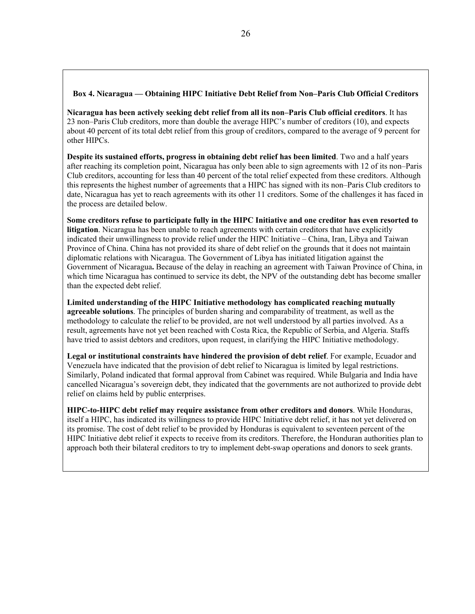#### **Box 4. Nicaragua — Obtaining HIPC Initiative Debt Relief from Non–Paris Club Official Creditors**

**Nicaragua has been actively seeking debt relief from all its non–Paris Club official creditors**. It has 23 non–Paris Club creditors, more than double the average HIPC's number of creditors (10), and expects about 40 percent of its total debt relief from this group of creditors, compared to the average of 9 percent for other HIPCs.

**Despite its sustained efforts, progress in obtaining debt relief has been limited**. Two and a half years after reaching its completion point, Nicaragua has only been able to sign agreements with 12 of its non–Paris Club creditors, accounting for less than 40 percent of the total relief expected from these creditors. Although this represents the highest number of agreements that a HIPC has signed with its non–Paris Club creditors to date, Nicaragua has yet to reach agreements with its other 11 creditors. Some of the challenges it has faced in the process are detailed below.

**Some creditors refuse to participate fully in the HIPC Initiative and one creditor has even resorted to litigation**. Nicaragua has been unable to reach agreements with certain creditors that have explicitly indicated their unwillingness to provide relief under the HIPC Initiative – China, Iran, Libya and Taiwan Province of China. China has not provided its share of debt relief on the grounds that it does not maintain diplomatic relations with Nicaragua. The Government of Libya has initiated litigation against the Government of Nicaragua**.** Because of the delay in reaching an agreement with Taiwan Province of China, in which time Nicaragua has continued to service its debt, the NPV of the outstanding debt has become smaller than the expected debt relief.

**Limited understanding of the HIPC Initiative methodology has complicated reaching mutually agreeable solutions**. The principles of burden sharing and comparability of treatment, as well as the methodology to calculate the relief to be provided, are not well understood by all parties involved. As a result, agreements have not yet been reached with Costa Rica, the Republic of Serbia, and Algeria. Staffs have tried to assist debtors and creditors, upon request, in clarifying the HIPC Initiative methodology.

**Legal or institutional constraints have hindered the provision of debt relief**. For example, Ecuador and Venezuela have indicated that the provision of debt relief to Nicaragua is limited by legal restrictions. Similarly, Poland indicated that formal approval from Cabinet was required. While Bulgaria and India have cancelled Nicaragua's sovereign debt, they indicated that the governments are not authorized to provide debt relief on claims held by public enterprises.

**HIPC-to-HIPC debt relief may require assistance from other creditors and donors**. While Honduras, itself a HIPC, has indicated its willingness to provide HIPC Initiative debt relief, it has not yet delivered on its promise. The cost of debt relief to be provided by Honduras is equivalent to seventeen percent of the HIPC Initiative debt relief it expects to receive from its creditors. Therefore, the Honduran authorities plan to approach both their bilateral creditors to try to implement debt-swap operations and donors to seek grants.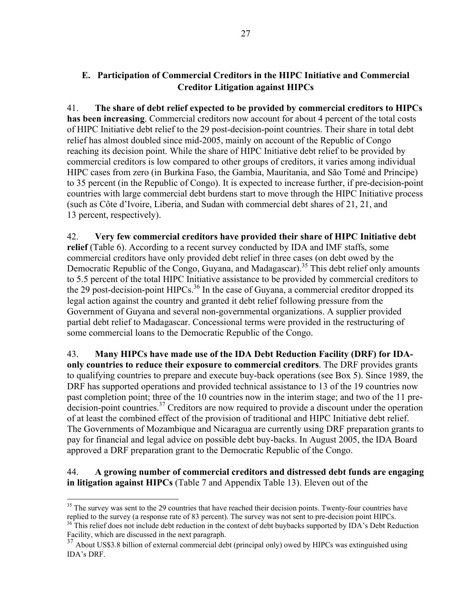## **E. Participation of Commercial Creditors in the HIPC Initiative and Commercial Creditor Litigation against HIPCs**

41. **The share of debt relief expected to be provided by commercial creditors to HIPCs has been increasing**. Commercial creditors now account for about 4 percent of the total costs of HIPC Initiative debt relief to the 29 post-decision-point countries. Their share in total debt relief has almost doubled since mid-2005, mainly on account of the Republic of Congo reaching its decision point. While the share of HIPC Initiative debt relief to be provided by commercial creditors is low compared to other groups of creditors, it varies among individual HIPC cases from zero (in Burkina Faso, the Gambia, Mauritania, and São Tomé and Principe) to 35 percent (in the Republic of Congo). It is expected to increase further, if pre-decision-point countries with large commercial debt burdens start to move through the HIPC Initiative process (such as Côte d'Ivoire, Liberia, and Sudan with commercial debt shares of 21, 21, and 13 percent, respectively).

42. **Very few commercial creditors have provided their share of HIPC Initiative debt relief** (Table 6). According to a recent survey conducted by IDA and IMF staffs, some commercial creditors have only provided debt relief in three cases (on debt owed by the Democratic Republic of the Congo, Guyana, and Madagascar).<sup>35</sup> This debt relief only amounts to 5.5 percent of the total HIPC Initiative assistance to be provided by commercial creditors to the 29 post-decision-point HIPCs.<sup>36</sup> In the case of Guyana, a commercial creditor dropped its legal action against the country and granted it debt relief following pressure from the Government of Guyana and several non-governmental organizations. A supplier provided partial debt relief to Madagascar. Concessional terms were provided in the restructuring of some commercial loans to the Democratic Republic of the Congo.

43. **Many HIPCs have made use of the IDA Debt Reduction Facility (DRF) for IDAonly countries to reduce their exposure to commercial creditors**. The DRF provides grants to qualifying countries to prepare and execute buy-back operations (see Box 5). Since 1989, the DRF has supported operations and provided technical assistance to 13 of the 19 countries now past completion point; three of the 10 countries now in the interim stage; and two of the 11 predecision-point countries.<sup>37</sup> Creditors are now required to provide a discount under the operation of at least the combined effect of the provision of traditional and HIPC Initiative debt relief. The Governments of Mozambique and Nicaragua are currently using DRF preparation grants to pay for financial and legal advice on possible debt buy-backs. In August 2005, the IDA Board approved a DRF preparation grant to the Democratic Republic of the Congo.

44. **A growing number of commercial creditors and distressed debt funds are engaging in litigation against HIPCs** (Table 7 and Appendix Table 13). Eleven out of the

 $\overline{a}$  $35$  The survey was sent to the 29 countries that have reached their decision points. Twenty-four countries have replied to the survey (a response rate of 83 percent). The survey was not sent to pre-decision point HIPCs.  $36$ <sup>This relief does not include debt reduction in the context of debt buybacks supported by IDA's Debt Reduction</sup>

Facility, which are discussed in the next paragraph.

<sup>&</sup>lt;sup>37</sup> About US\$3.8 billion of external commercial debt (principal only) owed by HIPCs was extinguished using IDA's DRF.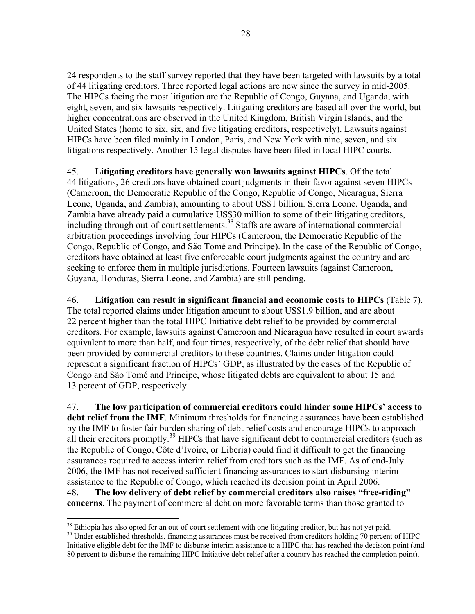24 respondents to the staff survey reported that they have been targeted with lawsuits by a total of 44 litigating creditors. Three reported legal actions are new since the survey in mid-2005. The HIPCs facing the most litigation are the Republic of Congo, Guyana, and Uganda, with eight, seven, and six lawsuits respectively. Litigating creditors are based all over the world, but higher concentrations are observed in the United Kingdom, British Virgin Islands, and the United States (home to six, six, and five litigating creditors, respectively). Lawsuits against HIPCs have been filed mainly in London, Paris, and New York with nine, seven, and six litigations respectively. Another 15 legal disputes have been filed in local HIPC courts.

45. **Litigating creditors have generally won lawsuits against HIPCs**. Of the total 44 litigations, 26 creditors have obtained court judgments in their favor against seven HIPCs (Cameroon, the Democratic Republic of the Congo, Republic of Congo, Nicaragua, Sierra Leone, Uganda, and Zambia), amounting to about US\$1 billion. Sierra Leone, Uganda, and Zambia have already paid a cumulative US\$30 million to some of their litigating creditors, including through out-of-court settlements.<sup>38</sup> Staffs are aware of international commercial arbitration proceedings involving four HIPCs (Cameroon, the Democratic Republic of the Congo, Republic of Congo, and São Tomé and Príncipe). In the case of the Republic of Congo, creditors have obtained at least five enforceable court judgments against the country and are seeking to enforce them in multiple jurisdictions. Fourteen lawsuits (against Cameroon, Guyana, Honduras, Sierra Leone, and Zambia) are still pending.

46. **Litigation can result in significant financial and economic costs to HIPCs** (Table 7). The total reported claims under litigation amount to about US\$1.9 billion, and are about 22 percent higher than the total HIPC Initiative debt relief to be provided by commercial creditors. For example, lawsuits against Cameroon and Nicaragua have resulted in court awards equivalent to more than half, and four times, respectively, of the debt relief that should have been provided by commercial creditors to these countries. Claims under litigation could represent a significant fraction of HIPCs' GDP, as illustrated by the cases of the Republic of Congo and São Tomé and Príncipe, whose litigated debts are equivalent to about 15 and 13 percent of GDP, respectively.

47. **The low participation of commercial creditors could hinder some HIPCs' access to debt relief from the IMF**. Minimum thresholds for financing assurances have been established by the IMF to foster fair burden sharing of debt relief costs and encourage HIPCs to approach all their creditors promptly.<sup>39</sup> HIPCs that have significant debt to commercial creditors (such as the Republic of Congo, Côte d'Ívoire, or Liberia) could find it difficult to get the financing assurances required to access interim relief from creditors such as the IMF. As of end-July 2006, the IMF has not received sufficient financing assurances to start disbursing interim assistance to the Republic of Congo, which reached its decision point in April 2006. 48. **The low delivery of debt relief by commercial creditors also raises "free-riding" concerns**. The payment of commercial debt on more favorable terms than those granted to

 $38$  Ethiopia has also opted for an out-of-court settlement with one litigating creditor, but has not yet paid.<br> $39$  Under established thresholds, financing assurances must be received from creditors holding 70 percent of Initiative eligible debt for the IMF to disburse interim assistance to a HIPC that has reached the decision point (and 80 percent to disburse the remaining HIPC Initiative debt relief after a country has reached the completion point).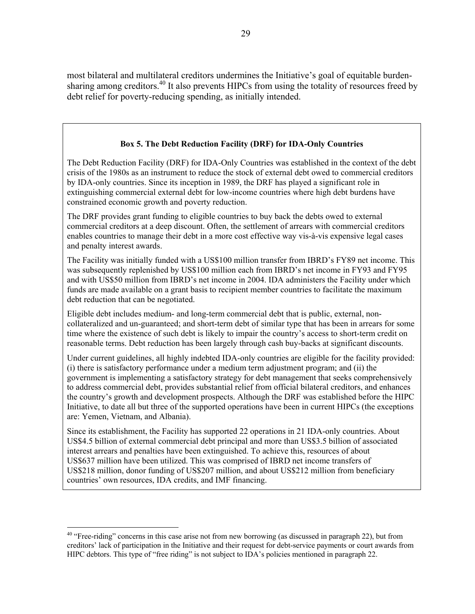most bilateral and multilateral creditors undermines the Initiative's goal of equitable burdensharing among creditors.<sup>40</sup> It also prevents HIPCs from using the totality of resources freed by debt relief for poverty-reducing spending, as initially intended.

### **Box 5. The Debt Reduction Facility (DRF) for IDA-Only Countries**

The Debt Reduction Facility (DRF) for IDA-Only Countries was established in the context of the debt crisis of the 1980s as an instrument to reduce the stock of external debt owed to commercial creditors by IDA-only countries. Since its inception in 1989, the DRF has played a significant role in extinguishing commercial external debt for low-income countries where high debt burdens have constrained economic growth and poverty reduction.

The DRF provides grant funding to eligible countries to buy back the debts owed to external commercial creditors at a deep discount. Often, the settlement of arrears with commercial creditors enables countries to manage their debt in a more cost effective way vis-à-vis expensive legal cases and penalty interest awards.

The Facility was initially funded with a US\$100 million transfer from IBRD's FY89 net income. This was subsequently replenished by US\$100 million each from IBRD's net income in FY93 and FY95 and with US\$50 million from IBRD's net income in 2004. IDA administers the Facility under which funds are made available on a grant basis to recipient member countries to facilitate the maximum debt reduction that can be negotiated.

Eligible debt includes medium- and long-term commercial debt that is public, external, noncollateralized and un-guaranteed; and short-term debt of similar type that has been in arrears for some time where the existence of such debt is likely to impair the country's access to short-term credit on reasonable terms. Debt reduction has been largely through cash buy-backs at significant discounts.

Under current guidelines, all highly indebted IDA-only countries are eligible for the facility provided: (i) there is satisfactory performance under a medium term adjustment program; and (ii) the government is implementing a satisfactory strategy for debt management that seeks comprehensively to address commercial debt, provides substantial relief from official bilateral creditors, and enhances the country's growth and development prospects. Although the DRF was established before the HIPC Initiative, to date all but three of the supported operations have been in current HIPCs (the exceptions are: Yemen, Vietnam, and Albania).

Since its establishment, the Facility has supported 22 operations in 21 IDA-only countries. About US\$4.5 billion of external commercial debt principal and more than US\$3.5 billion of associated interest arrears and penalties have been extinguished. To achieve this, resources of about US\$637 million have been utilized. This was comprised of IBRD net income transfers of US\$218 million, donor funding of US\$207 million, and about US\$212 million from beneficiary countries' own resources, IDA credits, and IMF financing.

<sup>&</sup>lt;sup>40</sup> "Free-riding" concerns in this case arise not from new borrowing (as discussed in paragraph 22), but from creditors' lack of participation in the Initiative and their request for debt-service payments or court awards from HIPC debtors. This type of "free riding" is not subject to IDA's policies mentioned in paragraph 22.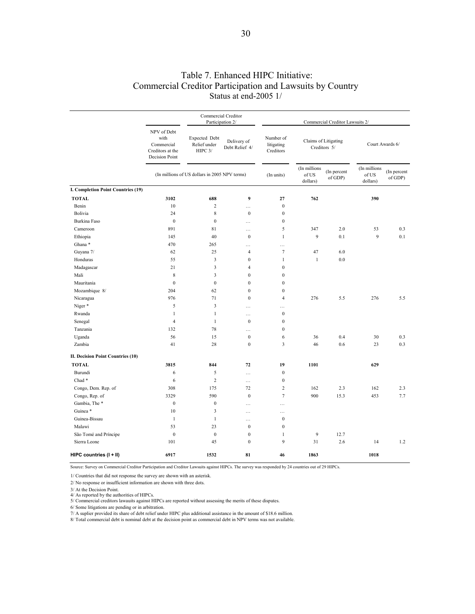### Table 7. Enhanced HIPC Initiative: Commercial Creditor Participation and Lawsuits by Country Status at end-2005 1/

|                                           | NPV of Debt<br>with<br>Commercial<br>Creditors at the<br>Decision Point | Commercial Creditor<br>Participation 2/       |                               | Commercial Creditor Lawsuits 2/      |                                      |                        |                                   |                        |
|-------------------------------------------|-------------------------------------------------------------------------|-----------------------------------------------|-------------------------------|--------------------------------------|--------------------------------------|------------------------|-----------------------------------|------------------------|
|                                           |                                                                         | Expected Debt<br>Relief under<br>HIPC 3/      | Delivery of<br>Debt Relief 4/ | Number of<br>litigating<br>Creditors | Claims of Litigating<br>Creditors 5/ |                        | Court Awards 6/                   |                        |
|                                           |                                                                         | (In millions of US dollars in 2005 NPV terms) |                               | (In units)                           | (In millions<br>of US<br>dollars)    | (In percent<br>of GDP) | (In millions<br>of US<br>dollars) | (In percent<br>of GDP) |
| <b>I. Completion Point Countries (19)</b> |                                                                         |                                               |                               |                                      |                                      |                        |                                   |                        |
| <b>TOTAL</b>                              | 3102                                                                    | 688                                           | 9                             | 27                                   | 762                                  |                        | 390                               |                        |
| Benin                                     | 10                                                                      | $\overline{c}$                                | .                             | $\boldsymbol{0}$                     |                                      |                        |                                   |                        |
| Bolivia                                   | 24                                                                      | 8                                             | $\boldsymbol{0}$              | $\boldsymbol{0}$                     |                                      |                        |                                   |                        |
| <b>Burkina Faso</b>                       | $\mathbf{0}$                                                            | $\overline{0}$                                | $\cdots$                      | $\mathbf{0}$                         |                                      |                        |                                   |                        |
| Cameroon                                  | 891                                                                     | 81                                            | $\cdots$                      | $\mathfrak s$                        | 347                                  | 2.0                    | 53                                | 0.3                    |
| Ethiopia                                  | 145                                                                     | 40                                            | $\boldsymbol{0}$              | $\mathbf{1}$                         | 9                                    | 0.1                    | 9                                 | 0.1                    |
| Ghana*                                    | 470                                                                     | 265                                           | $\cdots$                      | $\cdots$                             |                                      |                        |                                   |                        |
| Guyana 7/                                 | 62                                                                      | 25                                            | $\overline{4}$                | $\boldsymbol{7}$                     | 47                                   | 6.0                    |                                   |                        |
| Honduras                                  | 55                                                                      | 3                                             | $\boldsymbol{0}$              | $\mathbf{1}$                         | $\mathbf{1}$                         | 0.0                    |                                   |                        |
| Madagascar                                | 21                                                                      | 3                                             | $\overline{4}$                | $\boldsymbol{0}$                     |                                      |                        |                                   |                        |
| Mali                                      | 8                                                                       | 3                                             | $\mathbf{0}$                  | $\boldsymbol{0}$                     |                                      |                        |                                   |                        |
| Mauritania                                | $\boldsymbol{0}$                                                        | $\bf{0}$                                      | $\mathbf{0}$                  | $\bf{0}$                             |                                      |                        |                                   |                        |
| Mozambique 8/                             | 204                                                                     | 62                                            | $\mathbf{0}$                  | $\mathbf{0}$                         |                                      |                        |                                   |                        |
| Nicaragua                                 | 976                                                                     | 71                                            | $\mathbf{0}$                  | $\overline{4}$                       | 276                                  | 5.5                    | 276                               | 5.5                    |
| Niger*                                    | 5                                                                       | 3                                             | $\cdots$                      | .                                    |                                      |                        |                                   |                        |
| Rwanda                                    | $\mathbf{1}$                                                            | $\mathbf{1}$                                  | $\cdots$                      | $\boldsymbol{0}$                     |                                      |                        |                                   |                        |
| Senegal                                   | $\overline{4}$                                                          | $\mathbf{1}$                                  | $\mathbf{0}$                  | $\mathbf{0}$                         |                                      |                        |                                   |                        |
| Tanzania                                  | 132                                                                     | 78                                            | $\cdots$                      | $\boldsymbol{0}$                     |                                      |                        |                                   |                        |
| Uganda                                    | 56                                                                      | 15                                            | $\mathbf{0}$                  | 6                                    | 36                                   | 0.4                    | 30                                | 0.3                    |
| Zambia                                    | 41                                                                      | 28                                            | $\boldsymbol{0}$              | $\overline{\mathbf{3}}$              | 46                                   | 0.6                    | 23                                | 0.3                    |
| II. Decision Point Countries (10)         |                                                                         |                                               |                               |                                      |                                      |                        |                                   |                        |
| <b>TOTAL</b>                              | 3815                                                                    | 844                                           | 72                            | 19                                   | 1101                                 |                        | 629                               |                        |
| Burundi                                   | 6                                                                       | 5                                             | $\cdots$                      | $\boldsymbol{0}$                     |                                      |                        |                                   |                        |
| Chad*                                     | 6                                                                       | $\sqrt{2}$                                    | $\cdots$                      | $\boldsymbol{0}$                     |                                      |                        |                                   |                        |
| Congo, Dem. Rep. of                       | 308                                                                     | 175                                           | 72                            | $\overline{c}$                       | 162                                  | 2.3                    | 162                               | 2.3                    |
| Congo, Rep. of                            | 3329                                                                    | 590                                           | $\mathbf{0}$                  | $\tau$                               | 900                                  | 15.3                   | 453                               | 7.7                    |
| Gambia, The*                              | $\boldsymbol{0}$                                                        | $\boldsymbol{0}$                              | $\cdots$                      | .                                    |                                      |                        |                                   |                        |
| Guinea *                                  | 10                                                                      | 3                                             | $\cdots$                      | $\cdots$                             |                                      |                        |                                   |                        |
| Guinea-Bissau                             | $\mathbf{1}$                                                            | $\mathbf{1}$                                  | $\cdots$                      | $\boldsymbol{0}$                     |                                      |                        |                                   |                        |
| Malawi                                    | 53                                                                      | 23                                            | $\mathbf{0}$                  | $\mathbf{0}$                         |                                      |                        |                                   |                        |
| São Tomé and Príncipe                     | $\boldsymbol{0}$                                                        | $\overline{0}$                                | $\boldsymbol{0}$              | $\mathbf{1}$                         | 9                                    | 12.7                   |                                   |                        |
| Sierra Leone                              | 101                                                                     | 45                                            | $\mathbf{0}$                  | $\mathbf{Q}$                         | 31                                   | 2.6                    | 14                                | 1.2                    |
| HIPC countries (I + II)                   | 6917                                                                    | 1532                                          | 81                            | 46                                   | 1863                                 |                        | 1018                              |                        |

Source: Survey on Commercial Creditor Participation and Creditor Lawsuits against HIPCs. The survey was responded by 24 countries out of 29 HIPCs.

1/ Countries that did not response the survey are shown with an asterisk.

2/ No response or insufficient information are shown with three dots.

3/ At the Decision Point.

4/ As reported by the authorities of HIPCs. 5/ Commercial creditors lawauits against HIPCs are reported without assessing the merits of these disputes.

6/ Some litigations are pending or in arbitration.

7/ A suplier provided its share of debt relief under HIPC plus additional assistance in the amount of \$18.6 million.

8/ Total commercial debt is nominal debt at the decision point as commercial debt in NPV terms was not available.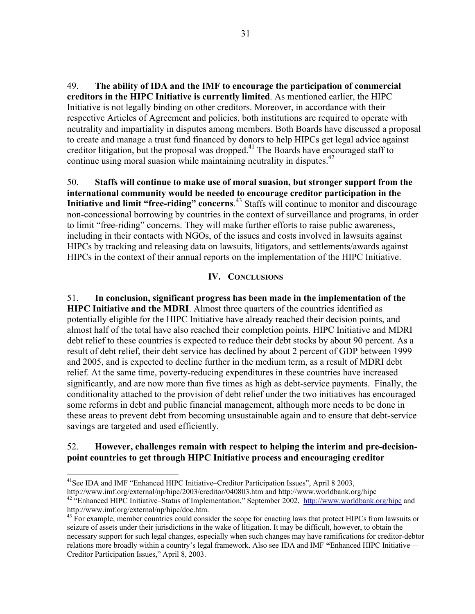49. **The ability of IDA and the IMF to encourage the participation of commercial creditors in the HIPC Initiative is currently limited**. As mentioned earlier, the HIPC Initiative is not legally binding on other creditors. Moreover, in accordance with their respective Articles of Agreement and policies, both institutions are required to operate with neutrality and impartiality in disputes among members. Both Boards have discussed a proposal to create and manage a trust fund financed by donors to help HIPCs get legal advice against creditor litigation, but the proposal was dropped.<sup>41</sup> The Boards have encouraged staff to continue using moral suasion while maintaining neutrality in disputes.<sup>42</sup>

50. **Staffs will continue to make use of moral suasion, but stronger support from the international community would be needed to encourage creditor participation in the Initiative and limit "free-riding" concerns**. 43 Staffs will continue to monitor and discourage non-concessional borrowing by countries in the context of surveillance and programs, in order to limit "free-riding" concerns. They will make further efforts to raise public awareness, including in their contacts with NGOs, of the issues and costs involved in lawsuits against HIPCs by tracking and releasing data on lawsuits, litigators, and settlements/awards against HIPCs in the context of their annual reports on the implementation of the HIPC Initiative.

#### **IV. CONCLUSIONS**

51. **In conclusion, significant progress has been made in the implementation of the HIPC Initiative and the MDRI**. Almost three quarters of the countries identified as potentially eligible for the HIPC Initiative have already reached their decision points, and almost half of the total have also reached their completion points. HIPC Initiative and MDRI debt relief to these countries is expected to reduce their debt stocks by about 90 percent. As a result of debt relief, their debt service has declined by about 2 percent of GDP between 1999 and 2005, and is expected to decline further in the medium term, as a result of MDRI debt relief. At the same time, poverty-reducing expenditures in these countries have increased significantly, and are now more than five times as high as debt-service payments. Finally, the conditionality attached to the provision of debt relief under the two initiatives has encouraged some reforms in debt and public financial management, although more needs to be done in these areas to prevent debt from becoming unsustainable again and to ensure that debt-service savings are targeted and used efficiently.

## 52. **However, challenges remain with respect to helping the interim and pre-decisionpoint countries to get through HIPC Initiative process and encouraging creditor**

 $\overline{a}$ 

<sup>&</sup>lt;sup>41</sup>See IDA and IMF "Enhanced HIPC Initiative–Creditor Participation Issues", April 8 2003,<br>http://www.imf.org/external/np/hipc/2003/creditor/040803.htm and http://www.worldbank.org/hipc

<sup>&</sup>lt;sup>42 "</sup>Enhanced HIPC Initiative–Status of Implementation," September 2002, http://www.worldbank.org/hipc and http://www.imf.org/external/np/hipc/doc.htm.<br><sup>43</sup> For example, member countries could consider the scope for enacting laws that protect HIPCs from lawsuits or

seizure of assets under their jurisdictions in the wake of litigation. It may be difficult, however, to obtain the necessary support for such legal changes, especially when such changes may have ramifications for creditor-debtor relations more broadly within a country's legal framework. Also see IDA and IMF **"**Enhanced HIPC Initiative— Creditor Participation Issues," April 8, 2003.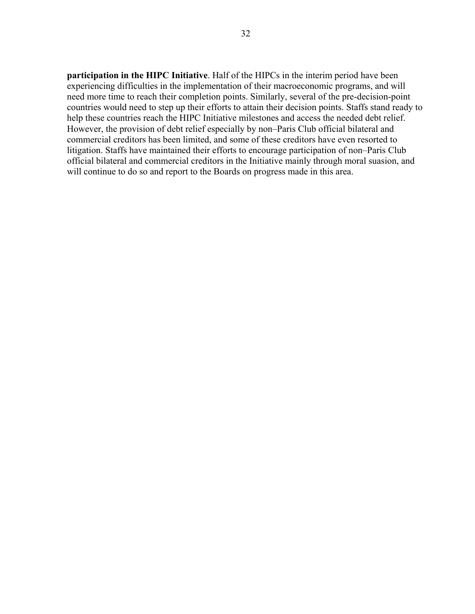**participation in the HIPC Initiative**. Half of the HIPCs in the interim period have been experiencing difficulties in the implementation of their macroeconomic programs, and will need more time to reach their completion points. Similarly, several of the pre-decision-point countries would need to step up their efforts to attain their decision points. Staffs stand ready to help these countries reach the HIPC Initiative milestones and access the needed debt relief. However, the provision of debt relief especially by non–Paris Club official bilateral and commercial creditors has been limited, and some of these creditors have even resorted to litigation. Staffs have maintained their efforts to encourage participation of non–Paris Club official bilateral and commercial creditors in the Initiative mainly through moral suasion, and will continue to do so and report to the Boards on progress made in this area.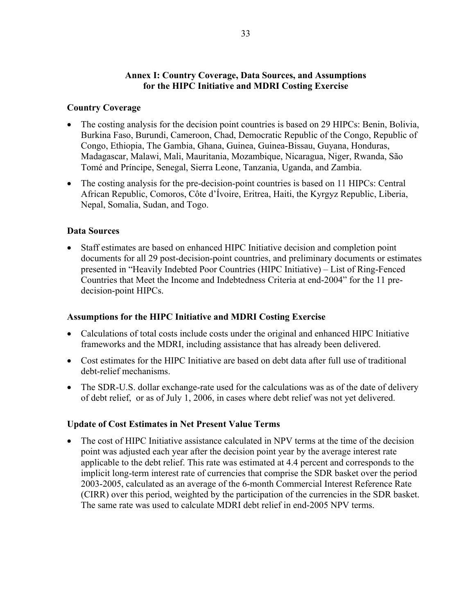## **Annex I: Country Coverage, Data Sources, and Assumptions for the HIPC Initiative and MDRI Costing Exercise**

## **Country Coverage**

- The costing analysis for the decision point countries is based on 29 HIPCs: Benin, Bolivia, Burkina Faso, Burundi, Cameroon, Chad, Democratic Republic of the Congo, Republic of Congo, Ethiopia, The Gambia, Ghana, Guinea, Guinea-Bissau, Guyana, Honduras, Madagascar, Malawi, Mali, Mauritania, Mozambique, Nicaragua, Niger, Rwanda, São Tomé and Príncipe, Senegal, Sierra Leone, Tanzania, Uganda, and Zambia.
- The costing analysis for the pre-decision-point countries is based on 11 HIPCs: Central African Republic, Comoros, Côte d'Ívoire, Eritrea, Haiti, the Kyrgyz Republic, Liberia, Nepal, Somalia, Sudan, and Togo.

## **Data Sources**

• Staff estimates are based on enhanced HIPC Initiative decision and completion point documents for all 29 post-decision-point countries, and preliminary documents or estimates presented in "Heavily Indebted Poor Countries (HIPC Initiative) – List of Ring-Fenced Countries that Meet the Income and Indebtedness Criteria at end-2004" for the 11 predecision-point HIPCs.

## **Assumptions for the HIPC Initiative and MDRI Costing Exercise**

- Calculations of total costs include costs under the original and enhanced HIPC Initiative frameworks and the MDRI, including assistance that has already been delivered.
- Cost estimates for the HIPC Initiative are based on debt data after full use of traditional debt-relief mechanisms.
- The SDR-U.S. dollar exchange-rate used for the calculations was as of the date of delivery of debt relief, or as of July 1, 2006, in cases where debt relief was not yet delivered.

# **Update of Cost Estimates in Net Present Value Terms**

• The cost of HIPC Initiative assistance calculated in NPV terms at the time of the decision point was adjusted each year after the decision point year by the average interest rate applicable to the debt relief. This rate was estimated at 4.4 percent and corresponds to the implicit long-term interest rate of currencies that comprise the SDR basket over the period 2003-2005, calculated as an average of the 6-month Commercial Interest Reference Rate (CIRR) over this period, weighted by the participation of the currencies in the SDR basket. The same rate was used to calculate MDRI debt relief in end-2005 NPV terms.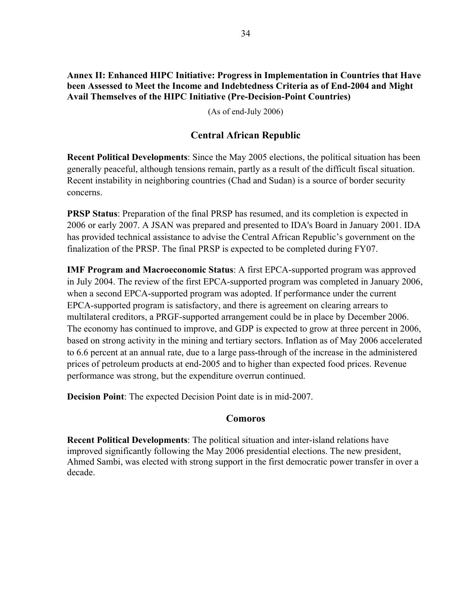**Annex II: Enhanced HIPC Initiative: Progress in Implementation in Countries that Have been Assessed to Meet the Income and Indebtedness Criteria as of End-2004 and Might Avail Themselves of the HIPC Initiative (Pre-Decision-Point Countries)** 

(As of end-July 2006)

# **Central African Republic**

**Recent Political Developments**: Since the May 2005 elections, the political situation has been generally peaceful, although tensions remain, partly as a result of the difficult fiscal situation. Recent instability in neighboring countries (Chad and Sudan) is a source of border security concerns.

**PRSP Status:** Preparation of the final PRSP has resumed, and its completion is expected in 2006 or early 2007. A JSAN was prepared and presented to IDA's Board in January 2001. IDA has provided technical assistance to advise the Central African Republic's government on the finalization of the PRSP. The final PRSP is expected to be completed during FY07.

**IMF Program and Macroeconomic Status**: A first EPCA-supported program was approved in July 2004. The review of the first EPCA-supported program was completed in January 2006, when a second EPCA-supported program was adopted. If performance under the current EPCA-supported program is satisfactory, and there is agreement on clearing arrears to multilateral creditors, a PRGF-supported arrangement could be in place by December 2006. The economy has continued to improve, and GDP is expected to grow at three percent in 2006, based on strong activity in the mining and tertiary sectors. Inflation as of May 2006 accelerated to 6.6 percent at an annual rate, due to a large pass-through of the increase in the administered prices of petroleum products at end-2005 and to higher than expected food prices. Revenue performance was strong, but the expenditure overrun continued.

**Decision Point**: The expected Decision Point date is in mid-2007.

# **Comoros**

**Recent Political Developments**: The political situation and inter-island relations have improved significantly following the May 2006 presidential elections. The new president, Ahmed Sambi, was elected with strong support in the first democratic power transfer in over a decade.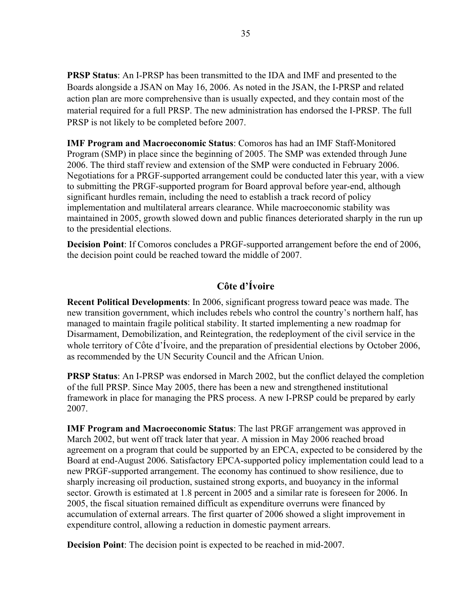**PRSP Status**: An I-PRSP has been transmitted to the IDA and IMF and presented to the Boards alongside a JSAN on May 16, 2006. As noted in the JSAN, the I-PRSP and related action plan are more comprehensive than is usually expected, and they contain most of the material required for a full PRSP. The new administration has endorsed the I-PRSP. The full PRSP is not likely to be completed before 2007.

**IMF Program and Macroeconomic Status**: Comoros has had an IMF Staff-Monitored Program (SMP) in place since the beginning of 2005. The SMP was extended through June 2006. The third staff review and extension of the SMP were conducted in February 2006. Negotiations for a PRGF-supported arrangement could be conducted later this year, with a view to submitting the PRGF-supported program for Board approval before year-end, although significant hurdles remain, including the need to establish a track record of policy implementation and multilateral arrears clearance. While macroeconomic stability was maintained in 2005, growth slowed down and public finances deteriorated sharply in the run up to the presidential elections.

**Decision Point**: If Comoros concludes a PRGF-supported arrangement before the end of 2006, the decision point could be reached toward the middle of 2007.

# **Côte d'Ívoire**

**Recent Political Developments**: In 2006, significant progress toward peace was made. The new transition government, which includes rebels who control the country's northern half, has managed to maintain fragile political stability. It started implementing a new roadmap for Disarmament, Demobilization, and Reintegration, the redeployment of the civil service in the whole territory of Côte d'Ívoire, and the preparation of presidential elections by October 2006, as recommended by the UN Security Council and the African Union.

**PRSP Status**: An I-PRSP was endorsed in March 2002, but the conflict delayed the completion of the full PRSP. Since May 2005, there has been a new and strengthened institutional framework in place for managing the PRS process. A new I-PRSP could be prepared by early 2007.

**IMF Program and Macroeconomic Status**: The last PRGF arrangement was approved in March 2002, but went off track later that year. A mission in May 2006 reached broad agreement on a program that could be supported by an EPCA, expected to be considered by the Board at end-August 2006. Satisfactory EPCA-supported policy implementation could lead to a new PRGF-supported arrangement. The economy has continued to show resilience, due to sharply increasing oil production, sustained strong exports, and buoyancy in the informal sector. Growth is estimated at 1.8 percent in 2005 and a similar rate is foreseen for 2006. In 2005, the fiscal situation remained difficult as expenditure overruns were financed by accumulation of external arrears. The first quarter of 2006 showed a slight improvement in expenditure control, allowing a reduction in domestic payment arrears.

**Decision Point**: The decision point is expected to be reached in mid-2007.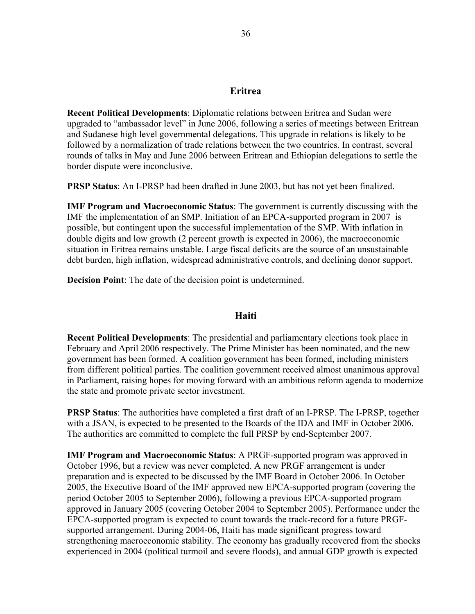## **Eritrea**

**Recent Political Developments**: Diplomatic relations between Eritrea and Sudan were upgraded to "ambassador level" in June 2006, following a series of meetings between Eritrean and Sudanese high level governmental delegations. This upgrade in relations is likely to be followed by a normalization of trade relations between the two countries. In contrast, several rounds of talks in May and June 2006 between Eritrean and Ethiopian delegations to settle the border dispute were inconclusive.

**PRSP Status**: An I-PRSP had been drafted in June 2003, but has not yet been finalized.

**IMF Program and Macroeconomic Status**: The government is currently discussing with the IMF the implementation of an SMP. Initiation of an EPCA-supported program in 2007 is possible, but contingent upon the successful implementation of the SMP. With inflation in double digits and low growth (2 percent growth is expected in 2006), the macroeconomic situation in Eritrea remains unstable. Large fiscal deficits are the source of an unsustainable debt burden, high inflation, widespread administrative controls, and declining donor support.

**Decision Point**: The date of the decision point is undetermined.

## **Haiti**

**Recent Political Developments**: The presidential and parliamentary elections took place in February and April 2006 respectively. The Prime Minister has been nominated, and the new government has been formed. A coalition government has been formed, including ministers from different political parties. The coalition government received almost unanimous approval in Parliament, raising hopes for moving forward with an ambitious reform agenda to modernize the state and promote private sector investment.

**PRSP Status**: The authorities have completed a first draft of an I-PRSP. The I-PRSP, together with a JSAN, is expected to be presented to the Boards of the IDA and IMF in October 2006. The authorities are committed to complete the full PRSP by end-September 2007.

**IMF Program and Macroeconomic Status**: A PRGF-supported program was approved in October 1996, but a review was never completed. A new PRGF arrangement is under preparation and is expected to be discussed by the IMF Board in October 2006. In October 2005, the Executive Board of the IMF approved new EPCA-supported program (covering the period October 2005 to September 2006), following a previous EPCA-supported program approved in January 2005 (covering October 2004 to September 2005). Performance under the EPCA-supported program is expected to count towards the track-record for a future PRGFsupported arrangement. During 2004-06, Haiti has made significant progress toward strengthening macroeconomic stability. The economy has gradually recovered from the shocks experienced in 2004 (political turmoil and severe floods), and annual GDP growth is expected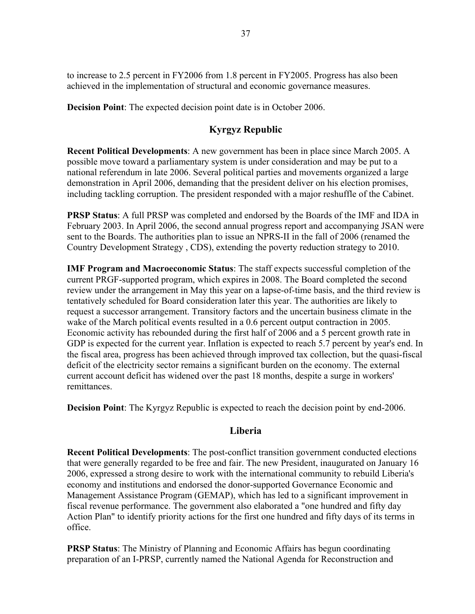to increase to 2.5 percent in FY2006 from 1.8 percent in FY2005. Progress has also been achieved in the implementation of structural and economic governance measures.

**Decision Point**: The expected decision point date is in October 2006.

# **Kyrgyz Republic**

**Recent Political Developments**: A new government has been in place since March 2005. A possible move toward a parliamentary system is under consideration and may be put to a national referendum in late 2006. Several political parties and movements organized a large demonstration in April 2006, demanding that the president deliver on his election promises, including tackling corruption. The president responded with a major reshuffle of the Cabinet.

**PRSP Status**: A full PRSP was completed and endorsed by the Boards of the IMF and IDA in February 2003. In April 2006, the second annual progress report and accompanying JSAN were sent to the Boards. The authorities plan to issue an NPRS-II in the fall of 2006 (renamed the Country Development Strategy , CDS), extending the poverty reduction strategy to 2010.

**IMF Program and Macroeconomic Status**: The staff expects successful completion of the current PRGF-supported program, which expires in 2008. The Board completed the second review under the arrangement in May this year on a lapse-of-time basis, and the third review is tentatively scheduled for Board consideration later this year. The authorities are likely to request a successor arrangement. Transitory factors and the uncertain business climate in the wake of the March political events resulted in a 0.6 percent output contraction in 2005. Economic activity has rebounded during the first half of 2006 and a 5 percent growth rate in GDP is expected for the current year. Inflation is expected to reach 5.7 percent by year's end. In the fiscal area, progress has been achieved through improved tax collection, but the quasi-fiscal deficit of the electricity sector remains a significant burden on the economy. The external current account deficit has widened over the past 18 months, despite a surge in workers' remittances.

**Decision Point**: The Kyrgyz Republic is expected to reach the decision point by end-2006.

# **Liberia**

**Recent Political Developments**: The post-conflict transition government conducted elections that were generally regarded to be free and fair. The new President, inaugurated on January 16 2006, expressed a strong desire to work with the international community to rebuild Liberia's economy and institutions and endorsed the donor-supported Governance Economic and Management Assistance Program (GEMAP), which has led to a significant improvement in fiscal revenue performance. The government also elaborated a "one hundred and fifty day Action Plan" to identify priority actions for the first one hundred and fifty days of its terms in office.

**PRSP Status**: The Ministry of Planning and Economic Affairs has begun coordinating preparation of an I-PRSP, currently named the National Agenda for Reconstruction and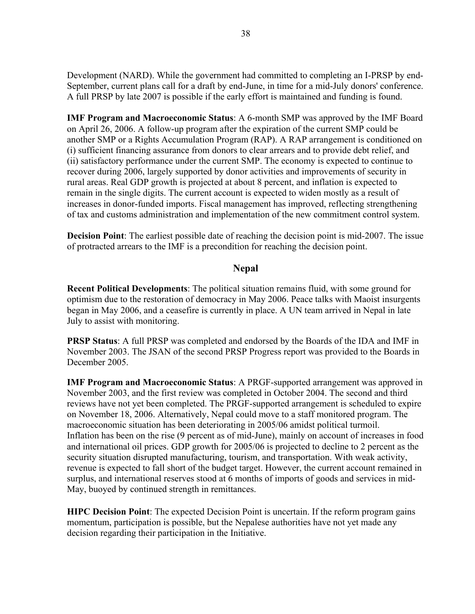Development (NARD). While the government had committed to completing an I-PRSP by end-September, current plans call for a draft by end-June, in time for a mid-July donors' conference. A full PRSP by late 2007 is possible if the early effort is maintained and funding is found.

**IMF Program and Macroeconomic Status**: A 6-month SMP was approved by the IMF Board on April 26, 2006. A follow-up program after the expiration of the current SMP could be another SMP or a Rights Accumulation Program (RAP). A RAP arrangement is conditioned on (i) sufficient financing assurance from donors to clear arrears and to provide debt relief, and (ii) satisfactory performance under the current SMP. The economy is expected to continue to recover during 2006, largely supported by donor activities and improvements of security in rural areas. Real GDP growth is projected at about 8 percent, and inflation is expected to remain in the single digits. The current account is expected to widen mostly as a result of increases in donor-funded imports. Fiscal management has improved, reflecting strengthening of tax and customs administration and implementation of the new commitment control system.

**Decision Point**: The earliest possible date of reaching the decision point is mid-2007. The issue of protracted arrears to the IMF is a precondition for reaching the decision point.

#### **Nepal**

**Recent Political Developments**: The political situation remains fluid, with some ground for optimism due to the restoration of democracy in May 2006. Peace talks with Maoist insurgents began in May 2006, and a ceasefire is currently in place. A UN team arrived in Nepal in late July to assist with monitoring.

**PRSP Status**: A full PRSP was completed and endorsed by the Boards of the IDA and IMF in November 2003. The JSAN of the second PRSP Progress report was provided to the Boards in December 2005.

**IMF Program and Macroeconomic Status**: A PRGF-supported arrangement was approved in November 2003, and the first review was completed in October 2004. The second and third reviews have not yet been completed. The PRGF-supported arrangement is scheduled to expire on November 18, 2006. Alternatively, Nepal could move to a staff monitored program. The macroeconomic situation has been deteriorating in 2005/06 amidst political turmoil. Inflation has been on the rise (9 percent as of mid-June), mainly on account of increases in food and international oil prices. GDP growth for 2005/06 is projected to decline to 2 percent as the security situation disrupted manufacturing, tourism, and transportation. With weak activity, revenue is expected to fall short of the budget target. However, the current account remained in surplus, and international reserves stood at 6 months of imports of goods and services in mid-May, buoyed by continued strength in remittances.

**HIPC Decision Point**: The expected Decision Point is uncertain. If the reform program gains momentum, participation is possible, but the Nepalese authorities have not yet made any decision regarding their participation in the Initiative.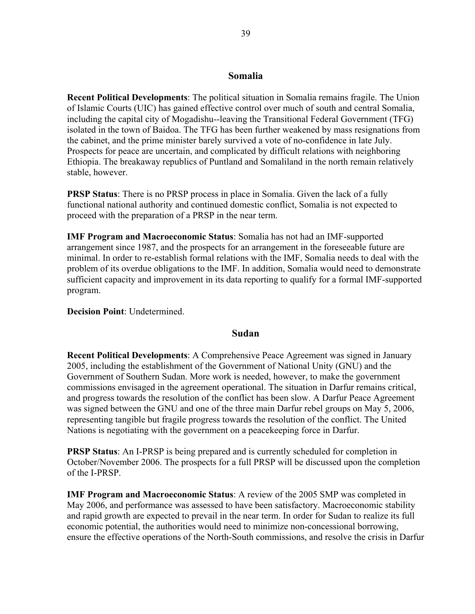#### **Somalia**

**Recent Political Developments**: The political situation in Somalia remains fragile. The Union of Islamic Courts (UIC) has gained effective control over much of south and central Somalia, including the capital city of Mogadishu--leaving the Transitional Federal Government (TFG) isolated in the town of Baidoa. The TFG has been further weakened by mass resignations from the cabinet, and the prime minister barely survived a vote of no-confidence in late July. Prospects for peace are uncertain, and complicated by difficult relations with neighboring Ethiopia. The breakaway republics of Puntland and Somaliland in the north remain relatively stable, however.

**PRSP Status**: There is no PRSP process in place in Somalia. Given the lack of a fully functional national authority and continued domestic conflict, Somalia is not expected to proceed with the preparation of a PRSP in the near term.

**IMF Program and Macroeconomic Status**: Somalia has not had an IMF-supported arrangement since 1987, and the prospects for an arrangement in the foreseeable future are minimal. In order to re-establish formal relations with the IMF, Somalia needs to deal with the problem of its overdue obligations to the IMF. In addition, Somalia would need to demonstrate sufficient capacity and improvement in its data reporting to qualify for a formal IMF-supported program.

**Decision Point**: Undetermined.

## **Sudan**

**Recent Political Developments**: A Comprehensive Peace Agreement was signed in January 2005, including the establishment of the Government of National Unity (GNU) and the Government of Southern Sudan. More work is needed, however, to make the government commissions envisaged in the agreement operational. The situation in Darfur remains critical, and progress towards the resolution of the conflict has been slow. A Darfur Peace Agreement was signed between the GNU and one of the three main Darfur rebel groups on May 5, 2006, representing tangible but fragile progress towards the resolution of the conflict. The United Nations is negotiating with the government on a peacekeeping force in Darfur.

**PRSP Status**: An I-PRSP is being prepared and is currently scheduled for completion in October/November 2006. The prospects for a full PRSP will be discussed upon the completion of the I-PRSP.

**IMF Program and Macroeconomic Status**: A review of the 2005 SMP was completed in May 2006, and performance was assessed to have been satisfactory. Macroeconomic stability and rapid growth are expected to prevail in the near term. In order for Sudan to realize its full economic potential, the authorities would need to minimize non-concessional borrowing, ensure the effective operations of the North-South commissions, and resolve the crisis in Darfur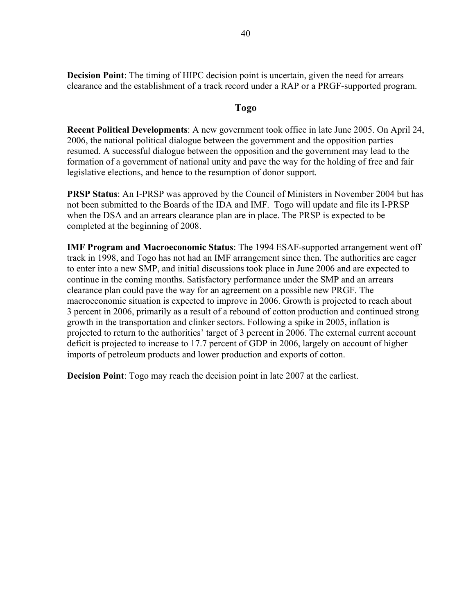**Decision Point**: The timing of HIPC decision point is uncertain, given the need for arrears clearance and the establishment of a track record under a RAP or a PRGF-supported program.

## **Togo**

**Recent Political Developments**: A new government took office in late June 2005. On April 24, 2006, the national political dialogue between the government and the opposition parties resumed. A successful dialogue between the opposition and the government may lead to the formation of a government of national unity and pave the way for the holding of free and fair legislative elections, and hence to the resumption of donor support.

**PRSP Status**: An I-PRSP was approved by the Council of Ministers in November 2004 but has not been submitted to the Boards of the IDA and IMF. Togo will update and file its I-PRSP when the DSA and an arrears clearance plan are in place. The PRSP is expected to be completed at the beginning of 2008.

**IMF Program and Macroeconomic Status**: The 1994 ESAF-supported arrangement went off track in 1998, and Togo has not had an IMF arrangement since then. The authorities are eager to enter into a new SMP, and initial discussions took place in June 2006 and are expected to continue in the coming months. Satisfactory performance under the SMP and an arrears clearance plan could pave the way for an agreement on a possible new PRGF. The macroeconomic situation is expected to improve in 2006. Growth is projected to reach about 3 percent in 2006, primarily as a result of a rebound of cotton production and continued strong growth in the transportation and clinker sectors. Following a spike in 2005, inflation is projected to return to the authorities' target of 3 percent in 2006. The external current account deficit is projected to increase to 17.7 percent of GDP in 2006, largely on account of higher imports of petroleum products and lower production and exports of cotton.

**Decision Point**: Togo may reach the decision point in late 2007 at the earliest.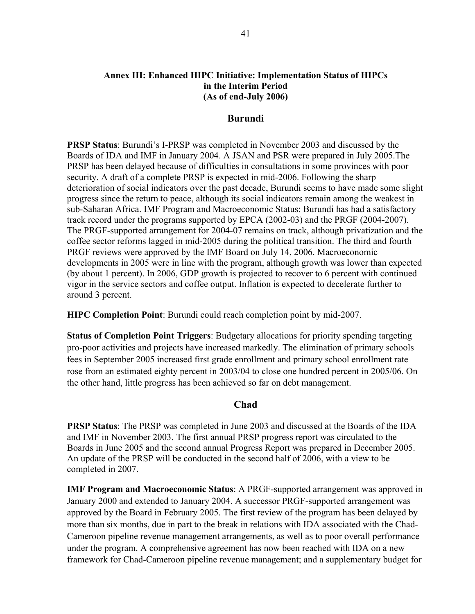#### **Annex III: Enhanced HIPC Initiative: Implementation Status of HIPCs in the Interim Period (As of end-July 2006)**

#### **Burundi**

**PRSP Status**: Burundi's I-PRSP was completed in November 2003 and discussed by the Boards of IDA and IMF in January 2004. A JSAN and PSR were prepared in July 2005.The PRSP has been delayed because of difficulties in consultations in some provinces with poor security. A draft of a complete PRSP is expected in mid-2006. Following the sharp deterioration of social indicators over the past decade, Burundi seems to have made some slight progress since the return to peace, although its social indicators remain among the weakest in sub-Saharan Africa. IMF Program and Macroeconomic Status: Burundi has had a satisfactory track record under the programs supported by EPCA (2002-03) and the PRGF (2004-2007). The PRGF-supported arrangement for 2004-07 remains on track, although privatization and the coffee sector reforms lagged in mid-2005 during the political transition. The third and fourth PRGF reviews were approved by the IMF Board on July 14, 2006. Macroeconomic developments in 2005 were in line with the program, although growth was lower than expected (by about 1 percent). In 2006, GDP growth is projected to recover to 6 percent with continued vigor in the service sectors and coffee output. Inflation is expected to decelerate further to around 3 percent.

**HIPC Completion Point**: Burundi could reach completion point by mid-2007.

**Status of Completion Point Triggers**: Budgetary allocations for priority spending targeting pro-poor activities and projects have increased markedly. The elimination of primary schools fees in September 2005 increased first grade enrollment and primary school enrollment rate rose from an estimated eighty percent in 2003/04 to close one hundred percent in 2005/06. On the other hand, little progress has been achieved so far on debt management.

#### **Chad**

**PRSP Status**: The PRSP was completed in June 2003 and discussed at the Boards of the IDA and IMF in November 2003. The first annual PRSP progress report was circulated to the Boards in June 2005 and the second annual Progress Report was prepared in December 2005. An update of the PRSP will be conducted in the second half of 2006, with a view to be completed in 2007.

**IMF Program and Macroeconomic Status**: A PRGF-supported arrangement was approved in January 2000 and extended to January 2004. A successor PRGF-supported arrangement was approved by the Board in February 2005. The first review of the program has been delayed by more than six months, due in part to the break in relations with IDA associated with the Chad-Cameroon pipeline revenue management arrangements, as well as to poor overall performance under the program. A comprehensive agreement has now been reached with IDA on a new framework for Chad-Cameroon pipeline revenue management; and a supplementary budget for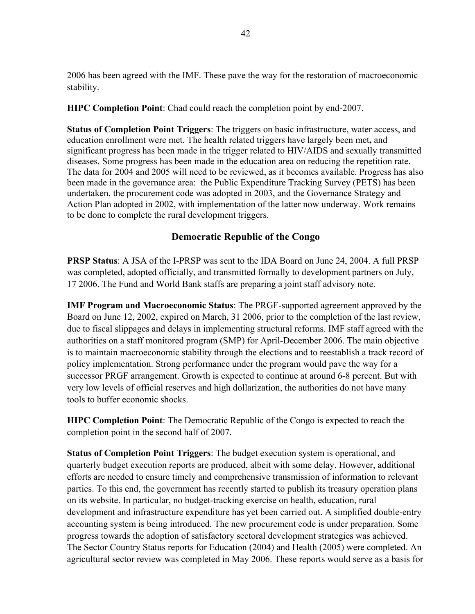2006 has been agreed with the IMF. These pave the way for the restoration of macroeconomic stability.

**HIPC Completion Point**: Chad could reach the completion point by end-2007.

**Status of Completion Point Triggers**: The triggers on basic infrastructure, water access, and education enrollment were met. The health related triggers have largely been met**,** and significant progress has been made in the trigger related to HIV/AIDS and sexually transmitted diseases. Some progress has been made in the education area on reducing the repetition rate. The data for 2004 and 2005 will need to be reviewed, as it becomes available. Progress has also been made in the governance area: the Public Expenditure Tracking Survey (PETS) has been undertaken, the procurement code was adopted in 2003, and the Governance Strategy and Action Plan adopted in 2002, with implementation of the latter now underway. Work remains to be done to complete the rural development triggers.

# **Democratic Republic of the Congo**

**PRSP Status**: A JSA of the I-PRSP was sent to the IDA Board on June 24, 2004. A full PRSP was completed, adopted officially, and transmitted formally to development partners on July, 17 2006. The Fund and World Bank staffs are preparing a joint staff advisory note.

**IMF Program and Macroeconomic Status**: The PRGF-supported agreement approved by the Board on June 12, 2002, expired on March, 31 2006, prior to the completion of the last review, due to fiscal slippages and delays in implementing structural reforms. IMF staff agreed with the authorities on a staff monitored program (SMP) for April-December 2006. The main objective is to maintain macroeconomic stability through the elections and to reestablish a track record of policy implementation. Strong performance under the program would pave the way for a successor PRGF arrangement. Growth is expected to continue at around 6-8 percent. But with very low levels of official reserves and high dollarization, the authorities do not have many tools to buffer economic shocks.

**HIPC Completion Point**: The Democratic Republic of the Congo is expected to reach the completion point in the second half of 2007.

**Status of Completion Point Triggers**: The budget execution system is operational, and quarterly budget execution reports are produced, albeit with some delay. However, additional efforts are needed to ensure timely and comprehensive transmission of information to relevant parties. To this end, the government has recently started to publish its treasury operation plans on its website. In particular, no budget-tracking exercise on health, education, rural development and infrastructure expenditure has yet been carried out. A simplified double-entry accounting system is being introduced. The new procurement code is under preparation. Some progress towards the adoption of satisfactory sectoral development strategies was achieved. The Sector Country Status reports for Education (2004) and Health (2005) were completed. An agricultural sector review was completed in May 2006. These reports would serve as a basis for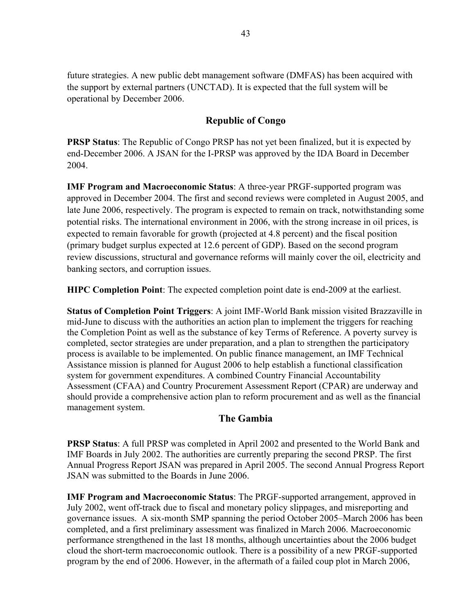future strategies. A new public debt management software (DMFAS) has been acquired with the support by external partners (UNCTAD). It is expected that the full system will be operational by December 2006.

# **Republic of Congo**

**PRSP Status**: The Republic of Congo PRSP has not yet been finalized, but it is expected by end-December 2006. A JSAN for the I-PRSP was approved by the IDA Board in December 2004.

**IMF Program and Macroeconomic Status**: A three-year PRGF-supported program was approved in December 2004. The first and second reviews were completed in August 2005, and late June 2006, respectively. The program is expected to remain on track, notwithstanding some potential risks. The international environment in 2006, with the strong increase in oil prices, is expected to remain favorable for growth (projected at 4.8 percent) and the fiscal position (primary budget surplus expected at 12.6 percent of GDP). Based on the second program review discussions, structural and governance reforms will mainly cover the oil, electricity and banking sectors, and corruption issues.

**HIPC Completion Point**: The expected completion point date is end-2009 at the earliest.

**Status of Completion Point Triggers**: A joint IMF-World Bank mission visited Brazzaville in mid-June to discuss with the authorities an action plan to implement the triggers for reaching the Completion Point as well as the substance of key Terms of Reference. A poverty survey is completed, sector strategies are under preparation, and a plan to strengthen the participatory process is available to be implemented. On public finance management, an IMF Technical Assistance mission is planned for August 2006 to help establish a functional classification system for government expenditures. A combined Country Financial Accountability Assessment (CFAA) and Country Procurement Assessment Report (CPAR) are underway and should provide a comprehensive action plan to reform procurement and as well as the financial management system.

# **The Gambia**

**PRSP Status**: A full PRSP was completed in April 2002 and presented to the World Bank and IMF Boards in July 2002. The authorities are currently preparing the second PRSP. The first Annual Progress Report JSAN was prepared in April 2005. The second Annual Progress Report JSAN was submitted to the Boards in June 2006.

**IMF Program and Macroeconomic Status**: The PRGF-supported arrangement, approved in July 2002, went off-track due to fiscal and monetary policy slippages, and misreporting and governance issues. A six-month SMP spanning the period October 2005–March 2006 has been completed, and a first preliminary assessment was finalized in March 2006. Macroeconomic performance strengthened in the last 18 months, although uncertainties about the 2006 budget cloud the short-term macroeconomic outlook. There is a possibility of a new PRGF-supported program by the end of 2006. However, in the aftermath of a failed coup plot in March 2006,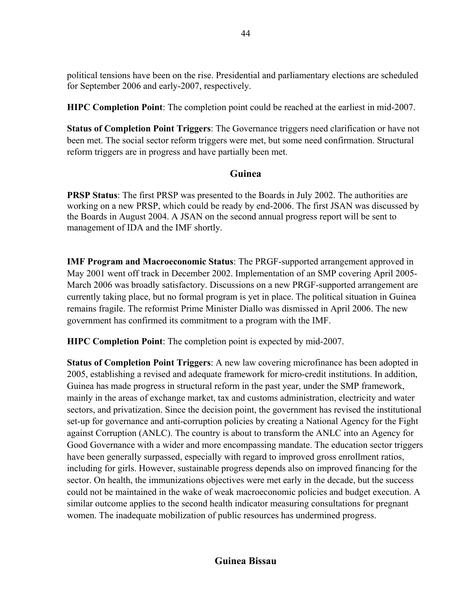political tensions have been on the rise. Presidential and parliamentary elections are scheduled for September 2006 and early-2007, respectively.

**HIPC Completion Point**: The completion point could be reached at the earliest in mid-2007.

**Status of Completion Point Triggers**: The Governance triggers need clarification or have not been met. The social sector reform triggers were met, but some need confirmation. Structural reform triggers are in progress and have partially been met.

# **Guinea**

**PRSP Status**: The first PRSP was presented to the Boards in July 2002. The authorities are working on a new PRSP, which could be ready by end-2006. The first JSAN was discussed by the Boards in August 2004. A JSAN on the second annual progress report will be sent to management of IDA and the IMF shortly.

**IMF Program and Macroeconomic Status**: The PRGF-supported arrangement approved in May 2001 went off track in December 2002. Implementation of an SMP covering April 2005- March 2006 was broadly satisfactory. Discussions on a new PRGF-supported arrangement are currently taking place, but no formal program is yet in place. The political situation in Guinea remains fragile. The reformist Prime Minister Diallo was dismissed in April 2006. The new government has confirmed its commitment to a program with the IMF.

**HIPC Completion Point**: The completion point is expected by mid-2007.

**Status of Completion Point Triggers**: A new law covering microfinance has been adopted in 2005, establishing a revised and adequate framework for micro-credit institutions. In addition, Guinea has made progress in structural reform in the past year, under the SMP framework, mainly in the areas of exchange market, tax and customs administration, electricity and water sectors, and privatization. Since the decision point, the government has revised the institutional set-up for governance and anti-corruption policies by creating a National Agency for the Fight against Corruption (ANLC). The country is about to transform the ANLC into an Agency for Good Governance with a wider and more encompassing mandate. The education sector triggers have been generally surpassed, especially with regard to improved gross enrollment ratios, including for girls. However, sustainable progress depends also on improved financing for the sector. On health, the immunizations objectives were met early in the decade, but the success could not be maintained in the wake of weak macroeconomic policies and budget execution. A similar outcome applies to the second health indicator measuring consultations for pregnant women. The inadequate mobilization of public resources has undermined progress.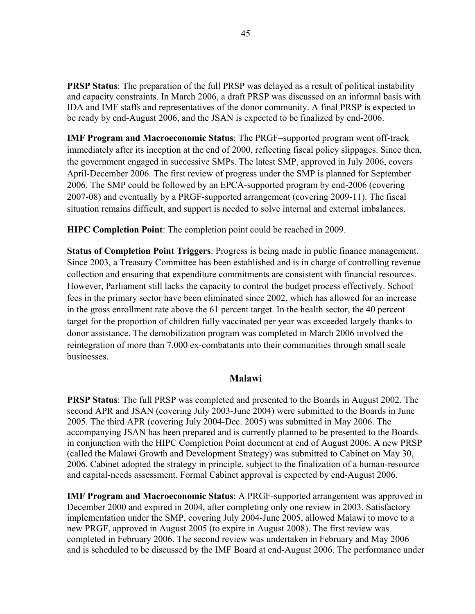**PRSP Status**: The preparation of the full PRSP was delayed as a result of political instability and capacity constraints. In March 2006, a draft PRSP was discussed on an informal basis with IDA and IMF staffs and representatives of the donor community. A final PRSP is expected to be ready by end-August 2006, and the JSAN is expected to be finalized by end-2006.

**IMF Program and Macroeconomic Status**: The PRGF–supported program went off-track immediately after its inception at the end of 2000, reflecting fiscal policy slippages. Since then, the government engaged in successive SMPs. The latest SMP, approved in July 2006, covers April-December 2006. The first review of progress under the SMP is planned for September 2006. The SMP could be followed by an EPCA-supported program by end-2006 (covering 2007-08) and eventually by a PRGF-supported arrangement (covering 2009-11). The fiscal situation remains difficult, and support is needed to solve internal and external imbalances.

**HIPC Completion Point**: The completion point could be reached in 2009.

**Status of Completion Point Triggers**: Progress is being made in public finance management. Since 2003, a Treasury Committee has been established and is in charge of controlling revenue collection and ensuring that expenditure commitments are consistent with financial resources. However, Parliament still lacks the capacity to control the budget process effectively. School fees in the primary sector have been eliminated since 2002, which has allowed for an increase in the gross enrollment rate above the 61 percent target. In the health sector, the 40 percent target for the proportion of children fully vaccinated per year was exceeded largely thanks to donor assistance. The demobilization program was completed in March 2006 involved the reintegration of more than 7,000 ex-combatants into their communities through small scale **businesses** 

## **Malawi**

**PRSP Status**: The full PRSP was completed and presented to the Boards in August 2002. The second APR and JSAN (covering July 2003-June 2004) were submitted to the Boards in June 2005. The third APR (covering July 2004-Dec. 2005) was submitted in May 2006. The accompanying JSAN has been prepared and is currently planned to be presented to the Boards in conjunction with the HIPC Completion Point document at end of August 2006. A new PRSP (called the Malawi Growth and Development Strategy) was submitted to Cabinet on May 30, 2006. Cabinet adopted the strategy in principle, subject to the finalization of a human-resource and capital-needs assessment. Formal Cabinet approval is expected by end-August 2006.

**IMF Program and Macroeconomic Status**: A PRGF-supported arrangement was approved in December 2000 and expired in 2004, after completing only one review in 2003. Satisfactory implementation under the SMP, covering July 2004-June 2005, allowed Malawi to move to a new PRGF, approved in August 2005 (to expire in August 2008). The first review was completed in February 2006. The second review was undertaken in February and May 2006 and is scheduled to be discussed by the IMF Board at end-August 2006. The performance under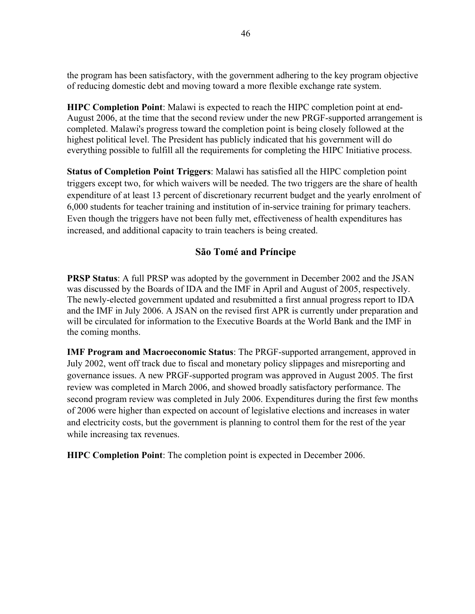the program has been satisfactory, with the government adhering to the key program objective of reducing domestic debt and moving toward a more flexible exchange rate system.

**HIPC Completion Point**: Malawi is expected to reach the HIPC completion point at end-August 2006, at the time that the second review under the new PRGF-supported arrangement is completed. Malawi's progress toward the completion point is being closely followed at the highest political level. The President has publicly indicated that his government will do everything possible to fulfill all the requirements for completing the HIPC Initiative process.

**Status of Completion Point Triggers**: Malawi has satisfied all the HIPC completion point triggers except two, for which waivers will be needed. The two triggers are the share of health expenditure of at least 13 percent of discretionary recurrent budget and the yearly enrolment of 6,000 students for teacher training and institution of in-service training for primary teachers. Even though the triggers have not been fully met, effectiveness of health expenditures has increased, and additional capacity to train teachers is being created.

# **São Tomé and Príncipe**

**PRSP Status**: A full PRSP was adopted by the government in December 2002 and the JSAN was discussed by the Boards of IDA and the IMF in April and August of 2005, respectively. The newly-elected government updated and resubmitted a first annual progress report to IDA and the IMF in July 2006. A JSAN on the revised first APR is currently under preparation and will be circulated for information to the Executive Boards at the World Bank and the IMF in the coming months.

**IMF Program and Macroeconomic Status**: The PRGF-supported arrangement, approved in July 2002, went off track due to fiscal and monetary policy slippages and misreporting and governance issues. A new PRGF-supported program was approved in August 2005. The first review was completed in March 2006, and showed broadly satisfactory performance. The second program review was completed in July 2006. Expenditures during the first few months of 2006 were higher than expected on account of legislative elections and increases in water and electricity costs, but the government is planning to control them for the rest of the year while increasing tax revenues.

**HIPC Completion Point**: The completion point is expected in December 2006.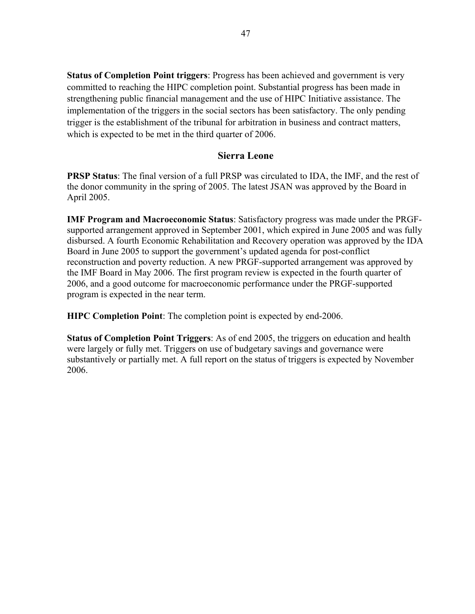**Status of Completion Point triggers**: Progress has been achieved and government is very committed to reaching the HIPC completion point. Substantial progress has been made in strengthening public financial management and the use of HIPC Initiative assistance. The implementation of the triggers in the social sectors has been satisfactory. The only pending trigger is the establishment of the tribunal for arbitration in business and contract matters, which is expected to be met in the third quarter of 2006.

## **Sierra Leone**

**PRSP Status**: The final version of a full PRSP was circulated to IDA, the IMF, and the rest of the donor community in the spring of 2005. The latest JSAN was approved by the Board in April 2005.

**IMF Program and Macroeconomic Status**: Satisfactory progress was made under the PRGFsupported arrangement approved in September 2001, which expired in June 2005 and was fully disbursed. A fourth Economic Rehabilitation and Recovery operation was approved by the IDA Board in June 2005 to support the government's updated agenda for post-conflict reconstruction and poverty reduction. A new PRGF-supported arrangement was approved by the IMF Board in May 2006. The first program review is expected in the fourth quarter of 2006, and a good outcome for macroeconomic performance under the PRGF-supported program is expected in the near term.

**HIPC Completion Point**: The completion point is expected by end-2006.

**Status of Completion Point Triggers**: As of end 2005, the triggers on education and health were largely or fully met. Triggers on use of budgetary savings and governance were substantively or partially met. A full report on the status of triggers is expected by November 2006.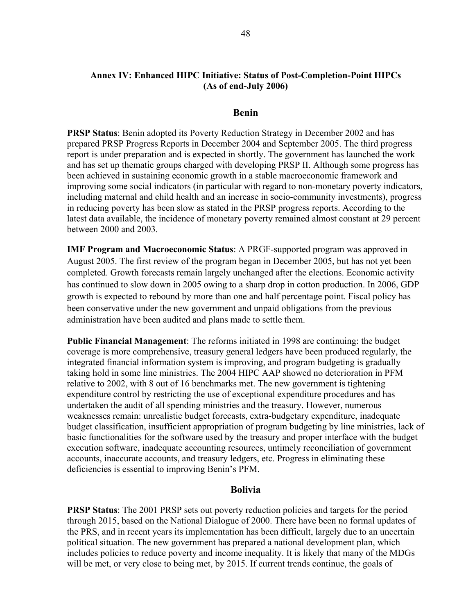## **Annex IV: Enhanced HIPC Initiative: Status of Post-Completion-Point HIPCs (As of end-July 2006)**

#### **Benin**

**PRSP Status**: Benin adopted its Poverty Reduction Strategy in December 2002 and has prepared PRSP Progress Reports in December 2004 and September 2005. The third progress report is under preparation and is expected in shortly. The government has launched the work and has set up thematic groups charged with developing PRSP II. Although some progress has been achieved in sustaining economic growth in a stable macroeconomic framework and improving some social indicators (in particular with regard to non-monetary poverty indicators, including maternal and child health and an increase in socio-community investments), progress in reducing poverty has been slow as stated in the PRSP progress reports. According to the latest data available, the incidence of monetary poverty remained almost constant at 29 percent between 2000 and 2003.

**IMF Program and Macroeconomic Status**: A PRGF-supported program was approved in August 2005. The first review of the program began in December 2005, but has not yet been completed. Growth forecasts remain largely unchanged after the elections. Economic activity has continued to slow down in 2005 owing to a sharp drop in cotton production. In 2006, GDP growth is expected to rebound by more than one and half percentage point. Fiscal policy has been conservative under the new government and unpaid obligations from the previous administration have been audited and plans made to settle them.

**Public Financial Management**: The reforms initiated in 1998 are continuing: the budget coverage is more comprehensive, treasury general ledgers have been produced regularly, the integrated financial information system is improving, and program budgeting is gradually taking hold in some line ministries. The 2004 HIPC AAP showed no deterioration in PFM relative to 2002, with 8 out of 16 benchmarks met. The new government is tightening expenditure control by restricting the use of exceptional expenditure procedures and has undertaken the audit of all spending ministries and the treasury. However, numerous weaknesses remain: unrealistic budget forecasts, extra-budgetary expenditure, inadequate budget classification, insufficient appropriation of program budgeting by line ministries, lack of basic functionalities for the software used by the treasury and proper interface with the budget execution software, inadequate accounting resources, untimely reconciliation of government accounts, inaccurate accounts, and treasury ledgers, etc. Progress in eliminating these deficiencies is essential to improving Benin's PFM.

#### **Bolivia**

**PRSP Status**: The 2001 PRSP sets out poverty reduction policies and targets for the period through 2015, based on the National Dialogue of 2000. There have been no formal updates of the PRS, and in recent years its implementation has been difficult, largely due to an uncertain political situation. The new government has prepared a national development plan, which includes policies to reduce poverty and income inequality. It is likely that many of the MDGs will be met, or very close to being met, by 2015. If current trends continue, the goals of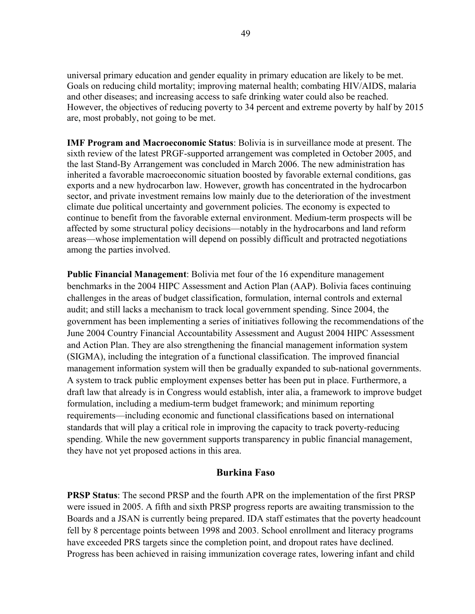universal primary education and gender equality in primary education are likely to be met. Goals on reducing child mortality; improving maternal health; combating HIV/AIDS, malaria and other diseases; and increasing access to safe drinking water could also be reached. However, the objectives of reducing poverty to 34 percent and extreme poverty by half by 2015 are, most probably, not going to be met.

**IMF Program and Macroeconomic Status**: Bolivia is in surveillance mode at present. The sixth review of the latest PRGF-supported arrangement was completed in October 2005, and the last Stand-By Arrangement was concluded in March 2006. The new administration has inherited a favorable macroeconomic situation boosted by favorable external conditions, gas exports and a new hydrocarbon law. However, growth has concentrated in the hydrocarbon sector, and private investment remains low mainly due to the deterioration of the investment climate due political uncertainty and government policies. The economy is expected to continue to benefit from the favorable external environment. Medium-term prospects will be affected by some structural policy decisions—notably in the hydrocarbons and land reform areas—whose implementation will depend on possibly difficult and protracted negotiations among the parties involved.

**Public Financial Management**: Bolivia met four of the 16 expenditure management benchmarks in the 2004 HIPC Assessment and Action Plan (AAP). Bolivia faces continuing challenges in the areas of budget classification, formulation, internal controls and external audit; and still lacks a mechanism to track local government spending. Since 2004, the government has been implementing a series of initiatives following the recommendations of the June 2004 Country Financial Accountability Assessment and August 2004 HIPC Assessment and Action Plan. They are also strengthening the financial management information system (SIGMA), including the integration of a functional classification. The improved financial management information system will then be gradually expanded to sub-national governments. A system to track public employment expenses better has been put in place. Furthermore, a draft law that already is in Congress would establish, inter alia, a framework to improve budget formulation, including a medium-term budget framework; and minimum reporting requirements—including economic and functional classifications based on international standards that will play a critical role in improving the capacity to track poverty-reducing spending. While the new government supports transparency in public financial management, they have not yet proposed actions in this area.

## **Burkina Faso**

**PRSP Status**: The second PRSP and the fourth APR on the implementation of the first PRSP were issued in 2005. A fifth and sixth PRSP progress reports are awaiting transmission to the Boards and a JSAN is currently being prepared. IDA staff estimates that the poverty headcount fell by 8 percentage points between 1998 and 2003. School enrollment and literacy programs have exceeded PRS targets since the completion point, and dropout rates have declined. Progress has been achieved in raising immunization coverage rates, lowering infant and child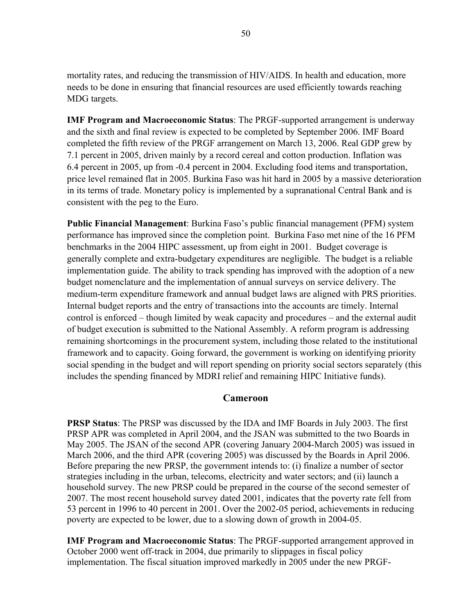mortality rates, and reducing the transmission of HIV/AIDS. In health and education, more needs to be done in ensuring that financial resources are used efficiently towards reaching MDG targets.

**IMF Program and Macroeconomic Status**: The PRGF-supported arrangement is underway and the sixth and final review is expected to be completed by September 2006. IMF Board completed the fifth review of the PRGF arrangement on March 13, 2006. Real GDP grew by 7.1 percent in 2005, driven mainly by a record cereal and cotton production. Inflation was 6.4 percent in 2005, up from -0.4 percent in 2004. Excluding food items and transportation, price level remained flat in 2005. Burkina Faso was hit hard in 2005 by a massive deterioration in its terms of trade. Monetary policy is implemented by a supranational Central Bank and is consistent with the peg to the Euro.

**Public Financial Management**: Burkina Faso's public financial management (PFM) system performance has improved since the completion point. Burkina Faso met nine of the 16 PFM benchmarks in the 2004 HIPC assessment, up from eight in 2001. Budget coverage is generally complete and extra-budgetary expenditures are negligible. The budget is a reliable implementation guide. The ability to track spending has improved with the adoption of a new budget nomenclature and the implementation of annual surveys on service delivery. The medium-term expenditure framework and annual budget laws are aligned with PRS priorities. Internal budget reports and the entry of transactions into the accounts are timely. Internal control is enforced – though limited by weak capacity and procedures – and the external audit of budget execution is submitted to the National Assembly. A reform program is addressing remaining shortcomings in the procurement system, including those related to the institutional framework and to capacity. Going forward, the government is working on identifying priority social spending in the budget and will report spending on priority social sectors separately (this includes the spending financed by MDRI relief and remaining HIPC Initiative funds).

## **Cameroon**

**PRSP Status**: The PRSP was discussed by the IDA and IMF Boards in July 2003. The first PRSP APR was completed in April 2004, and the JSAN was submitted to the two Boards in May 2005. The JSAN of the second APR (covering January 2004-March 2005) was issued in March 2006, and the third APR (covering 2005) was discussed by the Boards in April 2006. Before preparing the new PRSP, the government intends to: (i) finalize a number of sector strategies including in the urban, telecoms, electricity and water sectors; and (ii) launch a household survey. The new PRSP could be prepared in the course of the second semester of 2007. The most recent household survey dated 2001, indicates that the poverty rate fell from 53 percent in 1996 to 40 percent in 2001. Over the 2002-05 period, achievements in reducing poverty are expected to be lower, due to a slowing down of growth in 2004-05.

**IMF Program and Macroeconomic Status**: The PRGF-supported arrangement approved in October 2000 went off-track in 2004, due primarily to slippages in fiscal policy implementation. The fiscal situation improved markedly in 2005 under the new PRGF-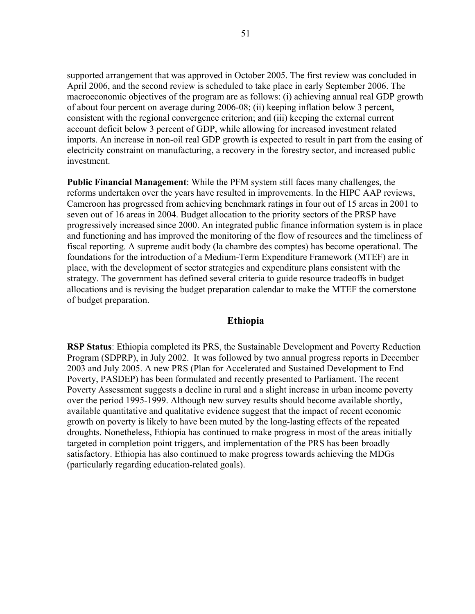supported arrangement that was approved in October 2005. The first review was concluded in April 2006, and the second review is scheduled to take place in early September 2006. The macroeconomic objectives of the program are as follows: (i) achieving annual real GDP growth of about four percent on average during 2006-08; (ii) keeping inflation below 3 percent, consistent with the regional convergence criterion; and (iii) keeping the external current account deficit below 3 percent of GDP, while allowing for increased investment related imports. An increase in non-oil real GDP growth is expected to result in part from the easing of electricity constraint on manufacturing, a recovery in the forestry sector, and increased public investment.

**Public Financial Management**: While the PFM system still faces many challenges, the reforms undertaken over the years have resulted in improvements. In the HIPC AAP reviews, Cameroon has progressed from achieving benchmark ratings in four out of 15 areas in 2001 to seven out of 16 areas in 2004. Budget allocation to the priority sectors of the PRSP have progressively increased since 2000. An integrated public finance information system is in place and functioning and has improved the monitoring of the flow of resources and the timeliness of fiscal reporting. A supreme audit body (la chambre des comptes) has become operational. The foundations for the introduction of a Medium-Term Expenditure Framework (MTEF) are in place, with the development of sector strategies and expenditure plans consistent with the strategy. The government has defined several criteria to guide resource tradeoffs in budget allocations and is revising the budget preparation calendar to make the MTEF the cornerstone of budget preparation.

## **Ethiopia**

**RSP Status**: Ethiopia completed its PRS, the Sustainable Development and Poverty Reduction Program (SDPRP), in July 2002. It was followed by two annual progress reports in December 2003 and July 2005. A new PRS (Plan for Accelerated and Sustained Development to End Poverty, PASDEP) has been formulated and recently presented to Parliament. The recent Poverty Assessment suggests a decline in rural and a slight increase in urban income poverty over the period 1995-1999. Although new survey results should become available shortly, available quantitative and qualitative evidence suggest that the impact of recent economic growth on poverty is likely to have been muted by the long-lasting effects of the repeated droughts. Nonetheless, Ethiopia has continued to make progress in most of the areas initially targeted in completion point triggers, and implementation of the PRS has been broadly satisfactory. Ethiopia has also continued to make progress towards achieving the MDGs (particularly regarding education-related goals).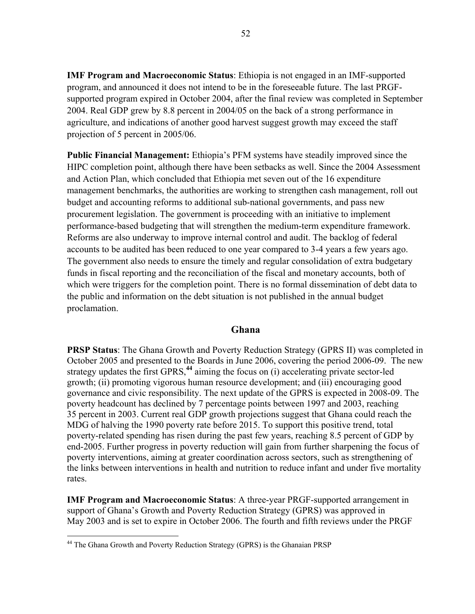**IMF Program and Macroeconomic Status**: Ethiopia is not engaged in an IMF-supported program, and announced it does not intend to be in the foreseeable future. The last PRGFsupported program expired in October 2004, after the final review was completed in September 2004. Real GDP grew by 8.8 percent in 2004/05 on the back of a strong performance in agriculture, and indications of another good harvest suggest growth may exceed the staff projection of 5 percent in 2005/06.

**Public Financial Management:** Ethiopia's PFM systems have steadily improved since the HIPC completion point, although there have been setbacks as well. Since the 2004 Assessment and Action Plan, which concluded that Ethiopia met seven out of the 16 expenditure management benchmarks, the authorities are working to strengthen cash management, roll out budget and accounting reforms to additional sub-national governments, and pass new procurement legislation. The government is proceeding with an initiative to implement performance-based budgeting that will strengthen the medium-term expenditure framework. Reforms are also underway to improve internal control and audit. The backlog of federal accounts to be audited has been reduced to one year compared to 3-4 years a few years ago. The government also needs to ensure the timely and regular consolidation of extra budgetary funds in fiscal reporting and the reconciliation of the fiscal and monetary accounts, both of which were triggers for the completion point. There is no formal dissemination of debt data to the public and information on the debt situation is not published in the annual budget proclamation.

## **Ghana**

**PRSP Status**: The Ghana Growth and Poverty Reduction Strategy (GPRS II) was completed in October 2005 and presented to the Boards in June 2006, covering the period 2006-09. The new strategy updates the first GPRS,**<sup>44</sup>** aiming the focus on (i) accelerating private sector-led growth; (ii) promoting vigorous human resource development; and (iii) encouraging good governance and civic responsibility. The next update of the GPRS is expected in 2008-09. The poverty headcount has declined by 7 percentage points between 1997 and 2003, reaching 35 percent in 2003. Current real GDP growth projections suggest that Ghana could reach the MDG of halving the 1990 poverty rate before 2015. To support this positive trend, total poverty-related spending has risen during the past few years, reaching 8.5 percent of GDP by end-2005. Further progress in poverty reduction will gain from further sharpening the focus of poverty interventions, aiming at greater coordination across sectors, such as strengthening of the links between interventions in health and nutrition to reduce infant and under five mortality rates.

**IMF Program and Macroeconomic Status**: A three-year PRGF-supported arrangement in support of Ghana's Growth and Poverty Reduction Strategy (GPRS) was approved in May 2003 and is set to expire in October 2006. The fourth and fifth reviews under the PRGF

 $\overline{a}$ 

<sup>&</sup>lt;sup>44</sup> The Ghana Growth and Poverty Reduction Strategy (GPRS) is the Ghanaian PRSP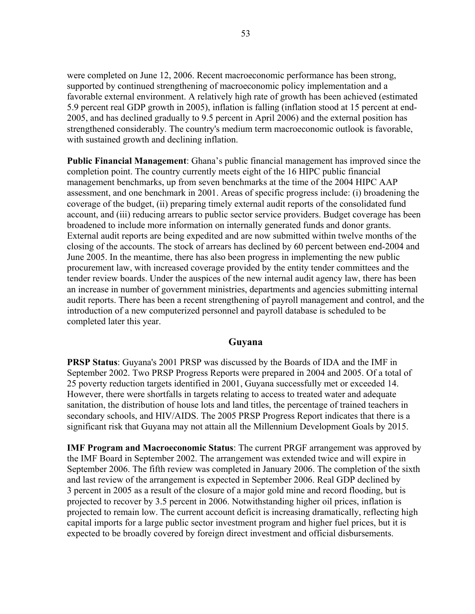were completed on June 12, 2006. Recent macroeconomic performance has been strong, supported by continued strengthening of macroeconomic policy implementation and a favorable external environment. A relatively high rate of growth has been achieved (estimated 5.9 percent real GDP growth in 2005), inflation is falling (inflation stood at 15 percent at end-2005, and has declined gradually to 9.5 percent in April 2006) and the external position has strengthened considerably. The country's medium term macroeconomic outlook is favorable, with sustained growth and declining inflation.

**Public Financial Management**: Ghana's public financial management has improved since the completion point. The country currently meets eight of the 16 HIPC public financial management benchmarks, up from seven benchmarks at the time of the 2004 HIPC AAP assessment, and one benchmark in 2001. Areas of specific progress include: (i) broadening the coverage of the budget, (ii) preparing timely external audit reports of the consolidated fund account, and (iii) reducing arrears to public sector service providers. Budget coverage has been broadened to include more information on internally generated funds and donor grants. External audit reports are being expedited and are now submitted within twelve months of the closing of the accounts. The stock of arrears has declined by 60 percent between end-2004 and June 2005. In the meantime, there has also been progress in implementing the new public procurement law, with increased coverage provided by the entity tender committees and the tender review boards. Under the auspices of the new internal audit agency law, there has been an increase in number of government ministries, departments and agencies submitting internal audit reports. There has been a recent strengthening of payroll management and control, and the introduction of a new computerized personnel and payroll database is scheduled to be completed later this year.

## **Guyana**

**PRSP Status**: Guyana's 2001 PRSP was discussed by the Boards of IDA and the IMF in September 2002. Two PRSP Progress Reports were prepared in 2004 and 2005. Of a total of 25 poverty reduction targets identified in 2001, Guyana successfully met or exceeded 14. However, there were shortfalls in targets relating to access to treated water and adequate sanitation, the distribution of house lots and land titles, the percentage of trained teachers in secondary schools, and HIV/AIDS. The 2005 PRSP Progress Report indicates that there is a significant risk that Guyana may not attain all the Millennium Development Goals by 2015.

**IMF Program and Macroeconomic Status**: The current PRGF arrangement was approved by the IMF Board in September 2002. The arrangement was extended twice and will expire in September 2006. The fifth review was completed in January 2006. The completion of the sixth and last review of the arrangement is expected in September 2006. Real GDP declined by 3 percent in 2005 as a result of the closure of a major gold mine and record flooding, but is projected to recover by 3.5 percent in 2006. Notwithstanding higher oil prices, inflation is projected to remain low. The current account deficit is increasing dramatically, reflecting high capital imports for a large public sector investment program and higher fuel prices, but it is expected to be broadly covered by foreign direct investment and official disbursements.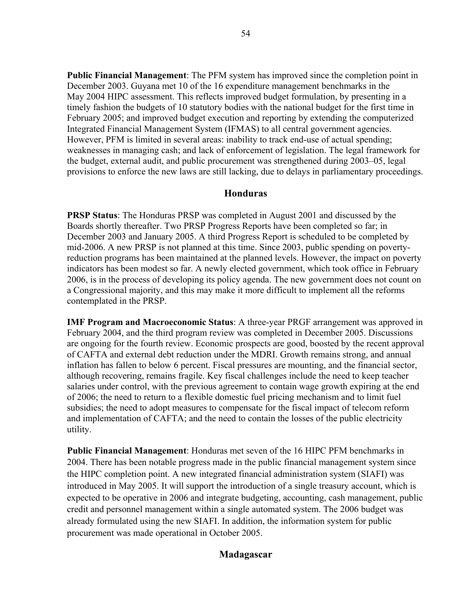**Public Financial Management**: The PFM system has improved since the completion point in December 2003. Guyana met 10 of the 16 expenditure management benchmarks in the May 2004 HIPC assessment. This reflects improved budget formulation, by presenting in a timely fashion the budgets of 10 statutory bodies with the national budget for the first time in February 2005; and improved budget execution and reporting by extending the computerized Integrated Financial Management System (IFMAS) to all central government agencies. However, PFM is limited in several areas: inability to track end-use of actual spending; weaknesses in managing cash; and lack of enforcement of legislation. The legal framework for the budget, external audit, and public procurement was strengthened during 2003–05, legal provisions to enforce the new laws are still lacking, due to delays in parliamentary proceedings.

## **Honduras**

**PRSP Status**: The Honduras PRSP was completed in August 2001 and discussed by the Boards shortly thereafter. Two PRSP Progress Reports have been completed so far; in December 2003 and January 2005. A third Progress Report is scheduled to be completed by mid-2006. A new PRSP is not planned at this time. Since 2003, public spending on povertyreduction programs has been maintained at the planned levels. However, the impact on poverty indicators has been modest so far. A newly elected government, which took office in February 2006, is in the process of developing its policy agenda. The new government does not count on a Congressional majority, and this may make it more difficult to implement all the reforms contemplated in the PRSP.

**IMF Program and Macroeconomic Status**: A three-year PRGF arrangement was approved in February 2004, and the third program review was completed in December 2005. Discussions are ongoing for the fourth review. Economic prospects are good, boosted by the recent approval of CAFTA and external debt reduction under the MDRI. Growth remains strong, and annual inflation has fallen to below 6 percent. Fiscal pressures are mounting, and the financial sector, although recovering, remains fragile. Key fiscal challenges include the need to keep teacher salaries under control, with the previous agreement to contain wage growth expiring at the end of 2006; the need to return to a flexible domestic fuel pricing mechanism and to limit fuel subsidies; the need to adopt measures to compensate for the fiscal impact of telecom reform and implementation of CAFTA; and the need to contain the losses of the public electricity utility.

**Public Financial Management**: Honduras met seven of the 16 HIPC PFM benchmarks in 2004. There has been notable progress made in the public financial management system since the HIPC completion point. A new integrated financial administration system (SIAFI) was introduced in May 2005. It will support the introduction of a single treasury account, which is expected to be operative in 2006 and integrate budgeting, accounting, cash management, public credit and personnel management within a single automated system. The 2006 budget was already formulated using the new SIAFI. In addition, the information system for public procurement was made operational in October 2005.

# **Madagascar**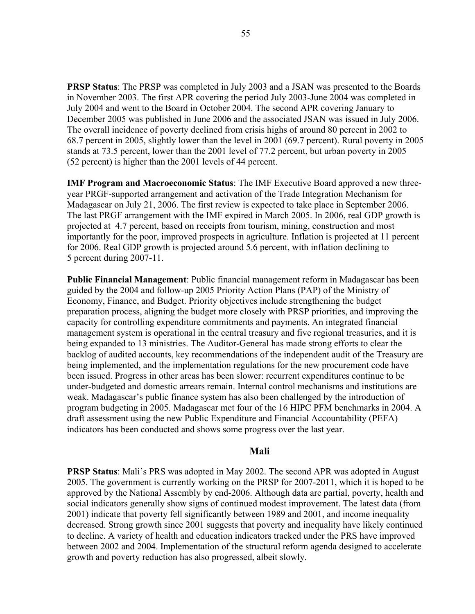**PRSP Status**: The PRSP was completed in July 2003 and a JSAN was presented to the Boards in November 2003. The first APR covering the period July 2003-June 2004 was completed in July 2004 and went to the Board in October 2004. The second APR covering January to December 2005 was published in June 2006 and the associated JSAN was issued in July 2006. The overall incidence of poverty declined from crisis highs of around 80 percent in 2002 to 68.7 percent in 2005, slightly lower than the level in 2001 (69.7 percent). Rural poverty in 2005 stands at 73.5 percent, lower than the 2001 level of 77.2 percent, but urban poverty in 2005 (52 percent) is higher than the 2001 levels of 44 percent.

**IMF Program and Macroeconomic Status**: The IMF Executive Board approved a new threeyear PRGF-supported arrangement and activation of the Trade Integration Mechanism for Madagascar on July 21, 2006. The first review is expected to take place in September 2006. The last PRGF arrangement with the IMF expired in March 2005. In 2006, real GDP growth is projected at 4.7 percent, based on receipts from tourism, mining, construction and most importantly for the poor, improved prospects in agriculture. Inflation is projected at 11 percent for 2006. Real GDP growth is projected around 5.6 percent, with inflation declining to 5 percent during 2007-11.

**Public Financial Management**: Public financial management reform in Madagascar has been guided by the 2004 and follow-up 2005 Priority Action Plans (PAP) of the Ministry of Economy, Finance, and Budget. Priority objectives include strengthening the budget preparation process, aligning the budget more closely with PRSP priorities, and improving the capacity for controlling expenditure commitments and payments. An integrated financial management system is operational in the central treasury and five regional treasuries, and it is being expanded to 13 ministries. The Auditor-General has made strong efforts to clear the backlog of audited accounts, key recommendations of the independent audit of the Treasury are being implemented, and the implementation regulations for the new procurement code have been issued. Progress in other areas has been slower: recurrent expenditures continue to be under-budgeted and domestic arrears remain. Internal control mechanisms and institutions are weak. Madagascar's public finance system has also been challenged by the introduction of program budgeting in 2005. Madagascar met four of the 16 HIPC PFM benchmarks in 2004. A draft assessment using the new Public Expenditure and Financial Accountability (PEFA) indicators has been conducted and shows some progress over the last year.

## **Mali**

**PRSP Status**: Mali's PRS was adopted in May 2002. The second APR was adopted in August 2005. The government is currently working on the PRSP for 2007-2011, which it is hoped to be approved by the National Assembly by end-2006. Although data are partial, poverty, health and social indicators generally show signs of continued modest improvement. The latest data (from 2001) indicate that poverty fell significantly between 1989 and 2001, and income inequality decreased. Strong growth since 2001 suggests that poverty and inequality have likely continued to decline. A variety of health and education indicators tracked under the PRS have improved between 2002 and 2004. Implementation of the structural reform agenda designed to accelerate growth and poverty reduction has also progressed, albeit slowly.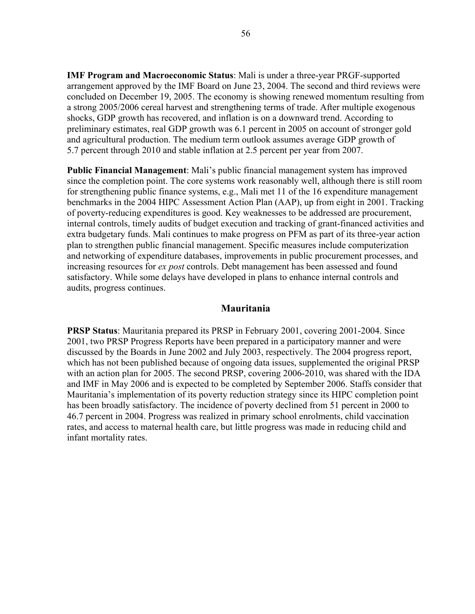**IMF Program and Macroeconomic Status**: Mali is under a three-year PRGF-supported arrangement approved by the IMF Board on June 23, 2004. The second and third reviews were concluded on December 19, 2005. The economy is showing renewed momentum resulting from a strong 2005/2006 cereal harvest and strengthening terms of trade. After multiple exogenous shocks, GDP growth has recovered, and inflation is on a downward trend. According to preliminary estimates, real GDP growth was 6.1 percent in 2005 on account of stronger gold and agricultural production. The medium term outlook assumes average GDP growth of 5.7 percent through 2010 and stable inflation at 2.5 percent per year from 2007.

**Public Financial Management**: Mali's public financial management system has improved since the completion point. The core systems work reasonably well, although there is still room for strengthening public finance systems, e.g., Mali met 11 of the 16 expenditure management benchmarks in the 2004 HIPC Assessment Action Plan (AAP), up from eight in 2001. Tracking of poverty-reducing expenditures is good. Key weaknesses to be addressed are procurement, internal controls, timely audits of budget execution and tracking of grant-financed activities and extra budgetary funds. Mali continues to make progress on PFM as part of its three-year action plan to strengthen public financial management. Specific measures include computerization and networking of expenditure databases, improvements in public procurement processes, and increasing resources for *ex post* controls. Debt management has been assessed and found satisfactory. While some delays have developed in plans to enhance internal controls and audits, progress continues.

## **Mauritania**

**PRSP Status**: Mauritania prepared its PRSP in February 2001, covering 2001-2004. Since 2001, two PRSP Progress Reports have been prepared in a participatory manner and were discussed by the Boards in June 2002 and July 2003, respectively. The 2004 progress report, which has not been published because of ongoing data issues, supplemented the original PRSP with an action plan for 2005. The second PRSP, covering 2006-2010, was shared with the IDA and IMF in May 2006 and is expected to be completed by September 2006. Staffs consider that Mauritania's implementation of its poverty reduction strategy since its HIPC completion point has been broadly satisfactory. The incidence of poverty declined from 51 percent in 2000 to 46.7 percent in 2004. Progress was realized in primary school enrolments, child vaccination rates, and access to maternal health care, but little progress was made in reducing child and infant mortality rates.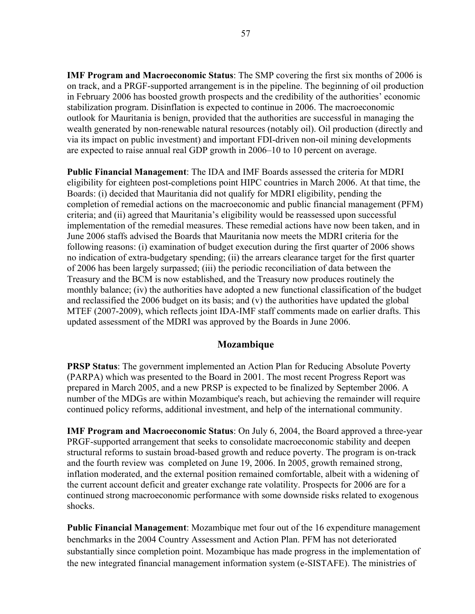**IMF Program and Macroeconomic Status**: The SMP covering the first six months of 2006 is on track, and a PRGF-supported arrangement is in the pipeline. The beginning of oil production in February 2006 has boosted growth prospects and the credibility of the authorities' economic stabilization program. Disinflation is expected to continue in 2006. The macroeconomic outlook for Mauritania is benign, provided that the authorities are successful in managing the wealth generated by non-renewable natural resources (notably oil). Oil production (directly and via its impact on public investment) and important FDI-driven non-oil mining developments are expected to raise annual real GDP growth in 2006–10 to 10 percent on average.

**Public Financial Management**: The IDA and IMF Boards assessed the criteria for MDRI eligibility for eighteen post-completions point HIPC countries in March 2006. At that time, the Boards: (i) decided that Mauritania did not qualify for MDRI eligibility, pending the completion of remedial actions on the macroeconomic and public financial management (PFM) criteria; and (ii) agreed that Mauritania's eligibility would be reassessed upon successful implementation of the remedial measures. These remedial actions have now been taken, and in June 2006 staffs advised the Boards that Mauritania now meets the MDRI criteria for the following reasons: (i) examination of budget execution during the first quarter of 2006 shows no indication of extra-budgetary spending; (ii) the arrears clearance target for the first quarter of 2006 has been largely surpassed; (iii) the periodic reconciliation of data between the Treasury and the BCM is now established, and the Treasury now produces routinely the monthly balance; (iv) the authorities have adopted a new functional classification of the budget and reclassified the 2006 budget on its basis; and (v) the authorities have updated the global MTEF (2007-2009), which reflects joint IDA-IMF staff comments made on earlier drafts. This updated assessment of the MDRI was approved by the Boards in June 2006.

# **Mozambique**

**PRSP Status:** The government implemented an Action Plan for Reducing Absolute Poverty (PARPA) which was presented to the Board in 2001. The most recent Progress Report was prepared in March 2005, and a new PRSP is expected to be finalized by September 2006. A number of the MDGs are within Mozambique's reach, but achieving the remainder will require continued policy reforms, additional investment, and help of the international community.

**IMF Program and Macroeconomic Status**: On July 6, 2004, the Board approved a three-year PRGF-supported arrangement that seeks to consolidate macroeconomic stability and deepen structural reforms to sustain broad-based growth and reduce poverty. The program is on-track and the fourth review was completed on June 19, 2006. In 2005, growth remained strong, inflation moderated, and the external position remained comfortable, albeit with a widening of the current account deficit and greater exchange rate volatility. Prospects for 2006 are for a continued strong macroeconomic performance with some downside risks related to exogenous shocks.

**Public Financial Management**: Mozambique met four out of the 16 expenditure management benchmarks in the 2004 Country Assessment and Action Plan. PFM has not deteriorated substantially since completion point. Mozambique has made progress in the implementation of the new integrated financial management information system (e-SISTAFE). The ministries of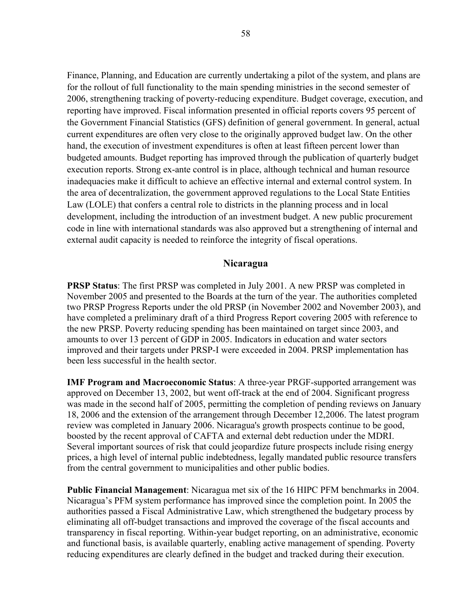Finance, Planning, and Education are currently undertaking a pilot of the system, and plans are for the rollout of full functionality to the main spending ministries in the second semester of 2006, strengthening tracking of poverty-reducing expenditure. Budget coverage, execution, and reporting have improved. Fiscal information presented in official reports covers 95 percent of the Government Financial Statistics (GFS) definition of general government. In general, actual current expenditures are often very close to the originally approved budget law. On the other hand, the execution of investment expenditures is often at least fifteen percent lower than budgeted amounts. Budget reporting has improved through the publication of quarterly budget execution reports. Strong ex-ante control is in place, although technical and human resource inadequacies make it difficult to achieve an effective internal and external control system. In the area of decentralization, the government approved regulations to the Local State Entities Law (LOLE) that confers a central role to districts in the planning process and in local development, including the introduction of an investment budget. A new public procurement code in line with international standards was also approved but a strengthening of internal and external audit capacity is needed to reinforce the integrity of fiscal operations.

## **Nicaragua**

**PRSP Status**: The first PRSP was completed in July 2001. A new PRSP was completed in November 2005 and presented to the Boards at the turn of the year. The authorities completed two PRSP Progress Reports under the old PRSP (in November 2002 and November 2003), and have completed a preliminary draft of a third Progress Report covering 2005 with reference to the new PRSP. Poverty reducing spending has been maintained on target since 2003, and amounts to over 13 percent of GDP in 2005. Indicators in education and water sectors improved and their targets under PRSP-I were exceeded in 2004. PRSP implementation has been less successful in the health sector.

**IMF Program and Macroeconomic Status**: A three-year PRGF-supported arrangement was approved on December 13, 2002, but went off-track at the end of 2004. Significant progress was made in the second half of 2005, permitting the completion of pending reviews on January 18, 2006 and the extension of the arrangement through December 12,2006. The latest program review was completed in January 2006. Nicaragua's growth prospects continue to be good, boosted by the recent approval of CAFTA and external debt reduction under the MDRI. Several important sources of risk that could jeopardize future prospects include rising energy prices, a high level of internal public indebtedness, legally mandated public resource transfers from the central government to municipalities and other public bodies.

**Public Financial Management**: Nicaragua met six of the 16 HIPC PFM benchmarks in 2004. Nicaragua's PFM system performance has improved since the completion point. In 2005 the authorities passed a Fiscal Administrative Law, which strengthened the budgetary process by eliminating all off-budget transactions and improved the coverage of the fiscal accounts and transparency in fiscal reporting. Within-year budget reporting, on an administrative, economic and functional basis, is available quarterly, enabling active management of spending. Poverty reducing expenditures are clearly defined in the budget and tracked during their execution.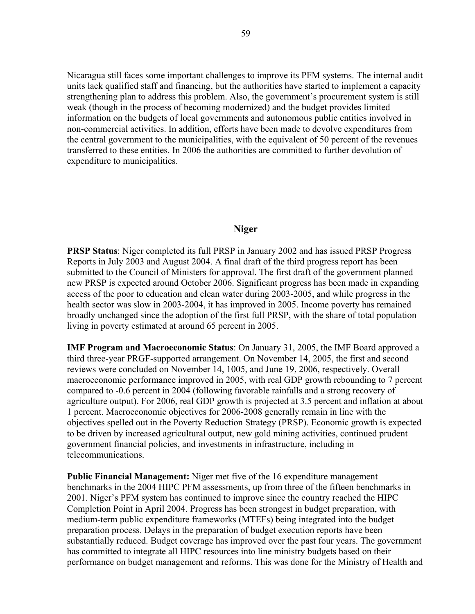Nicaragua still faces some important challenges to improve its PFM systems. The internal audit units lack qualified staff and financing, but the authorities have started to implement a capacity strengthening plan to address this problem. Also, the government's procurement system is still weak (though in the process of becoming modernized) and the budget provides limited information on the budgets of local governments and autonomous public entities involved in non-commercial activities. In addition, efforts have been made to devolve expenditures from the central government to the municipalities, with the equivalent of 50 percent of the revenues transferred to these entities. In 2006 the authorities are committed to further devolution of expenditure to municipalities.

#### **Niger**

**PRSP Status**: Niger completed its full PRSP in January 2002 and has issued PRSP Progress Reports in July 2003 and August 2004. A final draft of the third progress report has been submitted to the Council of Ministers for approval. The first draft of the government planned new PRSP is expected around October 2006. Significant progress has been made in expanding access of the poor to education and clean water during 2003-2005, and while progress in the health sector was slow in 2003-2004, it has improved in 2005. Income poverty has remained broadly unchanged since the adoption of the first full PRSP, with the share of total population living in poverty estimated at around 65 percent in 2005.

**IMF Program and Macroeconomic Status**: On January 31, 2005, the IMF Board approved a third three-year PRGF-supported arrangement. On November 14, 2005, the first and second reviews were concluded on November 14, 1005, and June 19, 2006, respectively. Overall macroeconomic performance improved in 2005, with real GDP growth rebounding to 7 percent compared to -0.6 percent in 2004 (following favorable rainfalls and a strong recovery of agriculture output). For 2006, real GDP growth is projected at 3.5 percent and inflation at about 1 percent. Macroeconomic objectives for 2006-2008 generally remain in line with the objectives spelled out in the Poverty Reduction Strategy (PRSP). Economic growth is expected to be driven by increased agricultural output, new gold mining activities, continued prudent government financial policies, and investments in infrastructure, including in telecommunications.

**Public Financial Management:** Niger met five of the 16 expenditure management benchmarks in the 2004 HIPC PFM assessments, up from three of the fifteen benchmarks in 2001. Niger's PFM system has continued to improve since the country reached the HIPC Completion Point in April 2004. Progress has been strongest in budget preparation, with medium-term public expenditure frameworks (MTEFs) being integrated into the budget preparation process. Delays in the preparation of budget execution reports have been substantially reduced. Budget coverage has improved over the past four years. The government has committed to integrate all HIPC resources into line ministry budgets based on their performance on budget management and reforms. This was done for the Ministry of Health and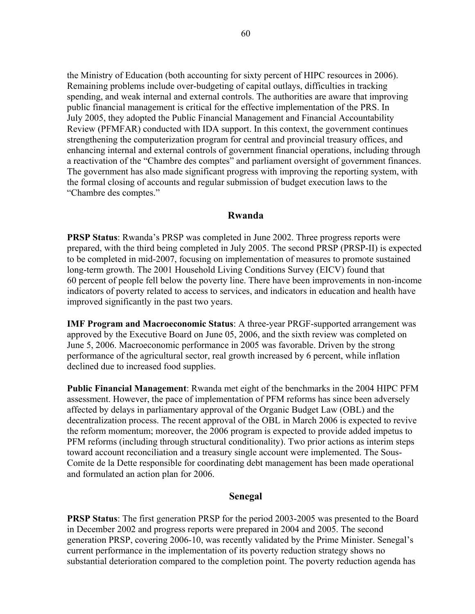the Ministry of Education (both accounting for sixty percent of HIPC resources in 2006). Remaining problems include over-budgeting of capital outlays, difficulties in tracking spending, and weak internal and external controls. The authorities are aware that improving public financial management is critical for the effective implementation of the PRS. In July 2005, they adopted the Public Financial Management and Financial Accountability Review (PFMFAR) conducted with IDA support. In this context, the government continues strengthening the computerization program for central and provincial treasury offices, and enhancing internal and external controls of government financial operations, including through a reactivation of the "Chambre des comptes" and parliament oversight of government finances. The government has also made significant progress with improving the reporting system, with the formal closing of accounts and regular submission of budget execution laws to the "Chambre des comptes."

#### **Rwanda**

**PRSP Status**: Rwanda's PRSP was completed in June 2002. Three progress reports were prepared, with the third being completed in July 2005. The second PRSP (PRSP-II) is expected to be completed in mid-2007, focusing on implementation of measures to promote sustained long-term growth. The 2001 Household Living Conditions Survey (EICV) found that 60 percent of people fell below the poverty line. There have been improvements in non-income indicators of poverty related to access to services, and indicators in education and health have improved significantly in the past two years.

**IMF Program and Macroeconomic Status**: A three-year PRGF-supported arrangement was approved by the Executive Board on June 05, 2006, and the sixth review was completed on June 5, 2006. Macroeconomic performance in 2005 was favorable. Driven by the strong performance of the agricultural sector, real growth increased by 6 percent, while inflation declined due to increased food supplies.

**Public Financial Management**: Rwanda met eight of the benchmarks in the 2004 HIPC PFM assessment. However, the pace of implementation of PFM reforms has since been adversely affected by delays in parliamentary approval of the Organic Budget Law (OBL) and the decentralization process. The recent approval of the OBL in March 2006 is expected to revive the reform momentum; moreover, the 2006 program is expected to provide added impetus to PFM reforms (including through structural conditionality). Two prior actions as interim steps toward account reconciliation and a treasury single account were implemented. The Sous-Comite de la Dette responsible for coordinating debt management has been made operational and formulated an action plan for 2006.

## **Senegal**

**PRSP Status**: The first generation PRSP for the period 2003-2005 was presented to the Board in December 2002 and progress reports were prepared in 2004 and 2005. The second generation PRSP, covering 2006-10, was recently validated by the Prime Minister. Senegal's current performance in the implementation of its poverty reduction strategy shows no substantial deterioration compared to the completion point. The poverty reduction agenda has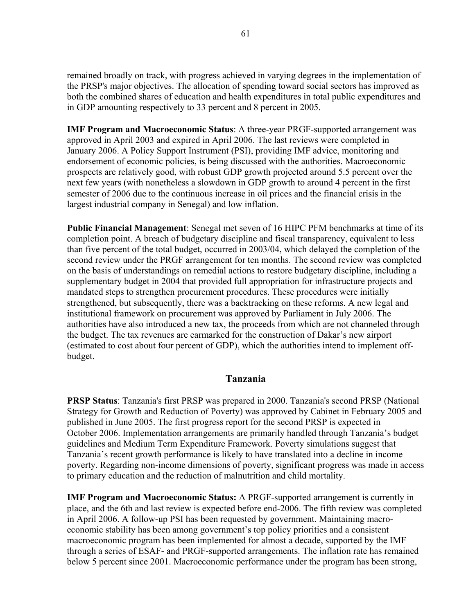remained broadly on track, with progress achieved in varying degrees in the implementation of the PRSP's major objectives. The allocation of spending toward social sectors has improved as both the combined shares of education and health expenditures in total public expenditures and in GDP amounting respectively to 33 percent and 8 percent in 2005.

**IMF Program and Macroeconomic Status**: A three-year PRGF-supported arrangement was approved in April 2003 and expired in April 2006. The last reviews were completed in January 2006. A Policy Support Instrument (PSI), providing IMF advice, monitoring and endorsement of economic policies, is being discussed with the authorities. Macroeconomic prospects are relatively good, with robust GDP growth projected around 5.5 percent over the next few years (with nonetheless a slowdown in GDP growth to around 4 percent in the first semester of 2006 due to the continuous increase in oil prices and the financial crisis in the largest industrial company in Senegal) and low inflation.

**Public Financial Management**: Senegal met seven of 16 HIPC PFM benchmarks at time of its completion point. A breach of budgetary discipline and fiscal transparency, equivalent to less than five percent of the total budget, occurred in 2003/04, which delayed the completion of the second review under the PRGF arrangement for ten months. The second review was completed on the basis of understandings on remedial actions to restore budgetary discipline, including a supplementary budget in 2004 that provided full appropriation for infrastructure projects and mandated steps to strengthen procurement procedures. These procedures were initially strengthened, but subsequently, there was a backtracking on these reforms. A new legal and institutional framework on procurement was approved by Parliament in July 2006. The authorities have also introduced a new tax, the proceeds from which are not channeled through the budget. The tax revenues are earmarked for the construction of Dakar's new airport (estimated to cost about four percent of GDP), which the authorities intend to implement offbudget.

# **Tanzania**

**PRSP Status**: Tanzania's first PRSP was prepared in 2000. Tanzania's second PRSP (National Strategy for Growth and Reduction of Poverty) was approved by Cabinet in February 2005 and published in June 2005. The first progress report for the second PRSP is expected in October 2006. Implementation arrangements are primarily handled through Tanzania's budget guidelines and Medium Term Expenditure Framework. Poverty simulations suggest that Tanzania's recent growth performance is likely to have translated into a decline in income poverty. Regarding non-income dimensions of poverty, significant progress was made in access to primary education and the reduction of malnutrition and child mortality.

**IMF Program and Macroeconomic Status:** A PRGF-supported arrangement is currently in place, and the 6th and last review is expected before end-2006. The fifth review was completed in April 2006. A follow-up PSI has been requested by government. Maintaining macroeconomic stability has been among government's top policy priorities and a consistent macroeconomic program has been implemented for almost a decade, supported by the IMF through a series of ESAF- and PRGF-supported arrangements. The inflation rate has remained below 5 percent since 2001. Macroeconomic performance under the program has been strong,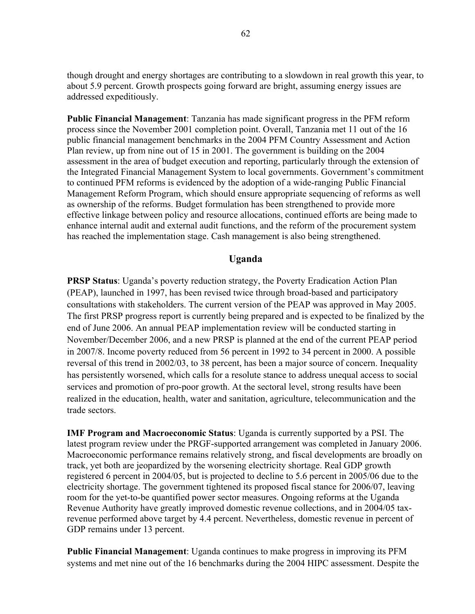though drought and energy shortages are contributing to a slowdown in real growth this year, to about 5.9 percent. Growth prospects going forward are bright, assuming energy issues are addressed expeditiously.

**Public Financial Management**: Tanzania has made significant progress in the PFM reform process since the November 2001 completion point. Overall, Tanzania met 11 out of the 16 public financial management benchmarks in the 2004 PFM Country Assessment and Action Plan review, up from nine out of 15 in 2001. The government is building on the 2004 assessment in the area of budget execution and reporting, particularly through the extension of the Integrated Financial Management System to local governments. Government's commitment to continued PFM reforms is evidenced by the adoption of a wide-ranging Public Financial Management Reform Program, which should ensure appropriate sequencing of reforms as well as ownership of the reforms. Budget formulation has been strengthened to provide more effective linkage between policy and resource allocations, continued efforts are being made to enhance internal audit and external audit functions, and the reform of the procurement system has reached the implementation stage. Cash management is also being strengthened.

## **Uganda**

**PRSP Status**: Uganda's poverty reduction strategy, the Poverty Eradication Action Plan (PEAP), launched in 1997, has been revised twice through broad-based and participatory consultations with stakeholders. The current version of the PEAP was approved in May 2005. The first PRSP progress report is currently being prepared and is expected to be finalized by the end of June 2006. An annual PEAP implementation review will be conducted starting in November/December 2006, and a new PRSP is planned at the end of the current PEAP period in 2007/8. Income poverty reduced from 56 percent in 1992 to 34 percent in 2000. A possible reversal of this trend in 2002/03, to 38 percent, has been a major source of concern. Inequality has persistently worsened, which calls for a resolute stance to address unequal access to social services and promotion of pro-poor growth. At the sectoral level, strong results have been realized in the education, health, water and sanitation, agriculture, telecommunication and the trade sectors.

**IMF Program and Macroeconomic Status**: Uganda is currently supported by a PSI. The latest program review under the PRGF-supported arrangement was completed in January 2006. Macroeconomic performance remains relatively strong, and fiscal developments are broadly on track, yet both are jeopardized by the worsening electricity shortage. Real GDP growth registered 6 percent in 2004/05, but is projected to decline to 5.6 percent in 2005/06 due to the electricity shortage. The government tightened its proposed fiscal stance for 2006/07, leaving room for the yet-to-be quantified power sector measures. Ongoing reforms at the Uganda Revenue Authority have greatly improved domestic revenue collections, and in 2004/05 taxrevenue performed above target by 4.4 percent. Nevertheless, domestic revenue in percent of GDP remains under 13 percent.

**Public Financial Management**: Uganda continues to make progress in improving its PFM systems and met nine out of the 16 benchmarks during the 2004 HIPC assessment. Despite the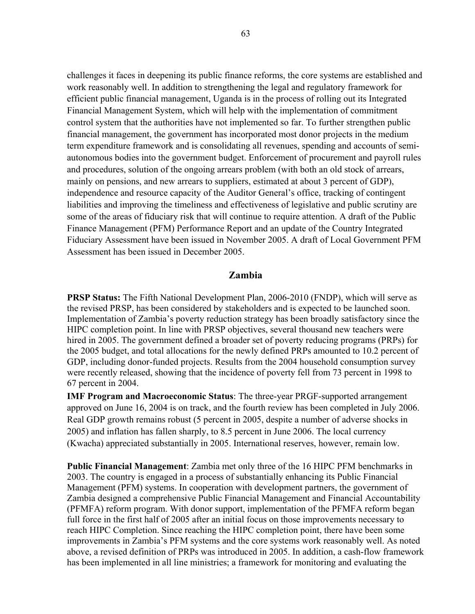challenges it faces in deepening its public finance reforms, the core systems are established and work reasonably well. In addition to strengthening the legal and regulatory framework for efficient public financial management, Uganda is in the process of rolling out its Integrated Financial Management System, which will help with the implementation of commitment control system that the authorities have not implemented so far. To further strengthen public financial management, the government has incorporated most donor projects in the medium term expenditure framework and is consolidating all revenues, spending and accounts of semiautonomous bodies into the government budget. Enforcement of procurement and payroll rules and procedures, solution of the ongoing arrears problem (with both an old stock of arrears, mainly on pensions, and new arrears to suppliers, estimated at about 3 percent of GDP), independence and resource capacity of the Auditor General's office, tracking of contingent liabilities and improving the timeliness and effectiveness of legislative and public scrutiny are some of the areas of fiduciary risk that will continue to require attention. A draft of the Public Finance Management (PFM) Performance Report and an update of the Country Integrated Fiduciary Assessment have been issued in November 2005. A draft of Local Government PFM Assessment has been issued in December 2005.

#### **Zambia**

**PRSP Status:** The Fifth National Development Plan, 2006-2010 (FNDP), which will serve as the revised PRSP, has been considered by stakeholders and is expected to be launched soon. Implementation of Zambia's poverty reduction strategy has been broadly satisfactory since the HIPC completion point. In line with PRSP objectives, several thousand new teachers were hired in 2005. The government defined a broader set of poverty reducing programs (PRPs) for the 2005 budget, and total allocations for the newly defined PRPs amounted to 10.2 percent of GDP, including donor-funded projects. Results from the 2004 household consumption survey were recently released, showing that the incidence of poverty fell from 73 percent in 1998 to 67 percent in 2004.

**IMF Program and Macroeconomic Status**: The three-year PRGF-supported arrangement approved on June 16, 2004 is on track, and the fourth review has been completed in July 2006. Real GDP growth remains robust (5 percent in 2005, despite a number of adverse shocks in 2005) and inflation has fallen sharply, to 8.5 percent in June 2006. The local currency (Kwacha) appreciated substantially in 2005. International reserves, however, remain low.

**Public Financial Management**: Zambia met only three of the 16 HIPC PFM benchmarks in 2003. The country is engaged in a process of substantially enhancing its Public Financial Management (PFM) systems. In cooperation with development partners, the government of Zambia designed a comprehensive Public Financial Management and Financial Accountability (PFMFA) reform program. With donor support, implementation of the PFMFA reform began full force in the first half of 2005 after an initial focus on those improvements necessary to reach HIPC Completion. Since reaching the HIPC completion point, there have been some improvements in Zambia's PFM systems and the core systems work reasonably well. As noted above, a revised definition of PRPs was introduced in 2005. In addition, a cash-flow framework has been implemented in all line ministries; a framework for monitoring and evaluating the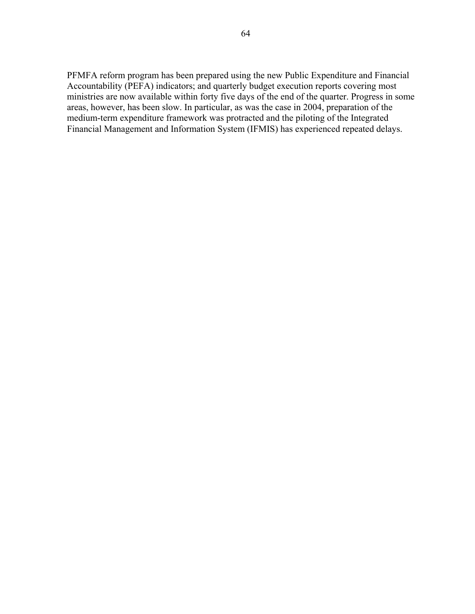PFMFA reform program has been prepared using the new Public Expenditure and Financial Accountability (PEFA) indicators; and quarterly budget execution reports covering most ministries are now available within forty five days of the end of the quarter. Progress in some areas, however, has been slow. In particular, as was the case in 2004, preparation of the medium-term expenditure framework was protracted and the piloting of the Integrated Financial Management and Information System (IFMIS) has experienced repeated delays.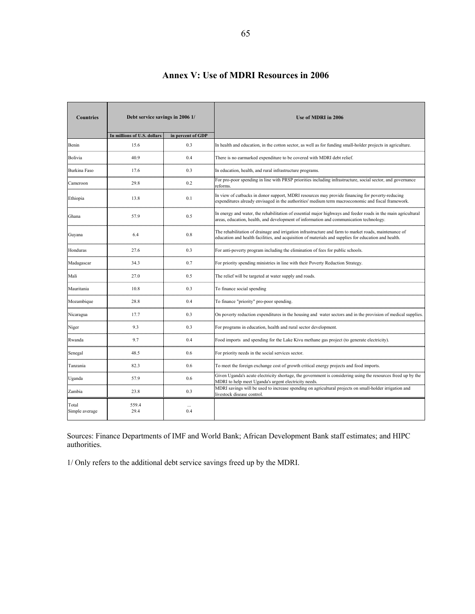| <b>Countries</b>        | Debt service savings in 2006 1/ |                   | Use of MDRI in 2006                                                                                                                                                                                           |  |  |  |  |  |  |  |
|-------------------------|---------------------------------|-------------------|---------------------------------------------------------------------------------------------------------------------------------------------------------------------------------------------------------------|--|--|--|--|--|--|--|
|                         | In millions of U.S. dollars     | in percent of GDP |                                                                                                                                                                                                               |  |  |  |  |  |  |  |
| Benin                   | 15.6                            | 0.3               | In health and education, in the cotton sector, as well as for funding small-holder projects in agriculture.                                                                                                   |  |  |  |  |  |  |  |
| Bolivia                 | 40.9                            | 0.4               | There is no earmarked expenditure to be covered with MDRI debt relief.                                                                                                                                        |  |  |  |  |  |  |  |
| <b>Burkina Faso</b>     | 17.6                            | 0.3               | In education, health, and rural infrastructure programs.                                                                                                                                                      |  |  |  |  |  |  |  |
| Cameroon<br>            | 29.8                            | 0.2               | For pro-poor spending in line with PRSP priorities including infrastructure, social sector, and governance<br>reforms.                                                                                        |  |  |  |  |  |  |  |
| Ethiopia                | 13.8                            | 0.1               | In view of cutbacks in donor support, MDRI resources may provide financing for poverty-reducing<br>expenditures already envisaged in the authorities' medium term macroeconomic and fiscal framework.         |  |  |  |  |  |  |  |
| Ghana                   | 57.9                            | 0.5               | In energy and water, the rehabilitation of essential major highways and feeder roads in the main agricultural<br>areas, education, health, and development of information and communication technology.       |  |  |  |  |  |  |  |
| Guyana                  | 6.4                             | 0.8               | The rehabilitation of drainage and irrigation infrastructure and farm to market roads, maintenance of<br>education and health facilities, and acquisition of materials and supplies for education and health. |  |  |  |  |  |  |  |
| Honduras                | 27.6                            | 0.3               | For anti-poverty program including the elimination of fees for public schools.                                                                                                                                |  |  |  |  |  |  |  |
| Madagascar              | 343                             | 07                | For priority spending ministries in line with their Poverty Reduction Strategy.                                                                                                                               |  |  |  |  |  |  |  |
| Mali                    | 27.0                            | 0.5               | The relief will be targeted at water supply and roads.                                                                                                                                                        |  |  |  |  |  |  |  |
| Mauritania<br>.         | 10.8                            | 0.3               | To finance social spending                                                                                                                                                                                    |  |  |  |  |  |  |  |
| Mozambique<br>          | 28.8                            | 0.4               | To finance "priority" pro-poor spending.                                                                                                                                                                      |  |  |  |  |  |  |  |
| Nicaragua               | 17.7                            | 0.3               | On poverty reduction expenditures in the housing and water sectors and in the provision of medical supplies.                                                                                                  |  |  |  |  |  |  |  |
| Niger                   | 9.3                             | 0.3               | For programs in education, health and rural sector development.                                                                                                                                               |  |  |  |  |  |  |  |
| Rwanda                  | 9.7                             | 0.4               | Food imports and spending for the Lake Kivu methane gas project (to generate electricity).                                                                                                                    |  |  |  |  |  |  |  |
| Senegal                 | 48.5                            | 0.6               | For priority needs in the social services sector.                                                                                                                                                             |  |  |  |  |  |  |  |
| Tanzania                | 82.3                            | 0.6               | To meet the foreign exchange cost of growth critical energy projects and food imports.                                                                                                                        |  |  |  |  |  |  |  |
| Uganda                  | 57.9                            | 0.6               | Given Uganda's acute electricity shortage, the government is considering using the resources freed up by the<br>MDRI to help meet Uganda's urgent electricity needs.                                          |  |  |  |  |  |  |  |
| Zambia                  | 23.8                            | 0.3               | MDRI savings will be used to increase spending on agricultural projects on small-holder irrigation and<br>livestock disease control.                                                                          |  |  |  |  |  |  |  |
| Total<br>Simple average | 559.4<br>29.4                   | 0.4               |                                                                                                                                                                                                               |  |  |  |  |  |  |  |

# **Annex V: Use of MDRI Resources in 2006**

Sources: Finance Departments of IMF and World Bank; African Development Bank staff estimates; and HIPC authorities.

1/ Only refers to the additional debt service savings freed up by the MDRI.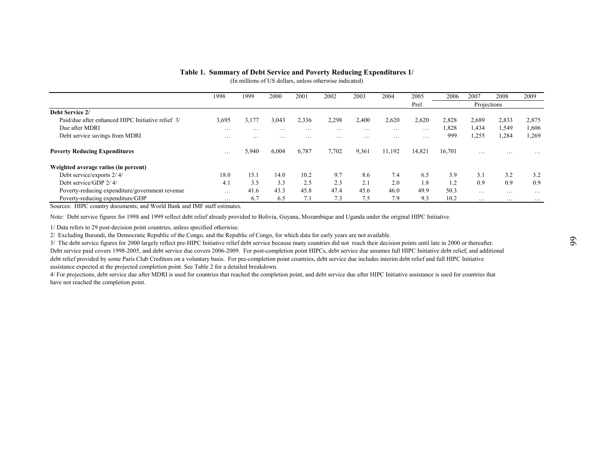|                                                                                                              | 1998            | 1999                 | 2000          | 2001                 | 2002          | 2003   | 2004          | 2005                 | 2006           | 2007           | 2008                    | 2009           |
|--------------------------------------------------------------------------------------------------------------|-----------------|----------------------|---------------|----------------------|---------------|--------|---------------|----------------------|----------------|----------------|-------------------------|----------------|
|                                                                                                              |                 |                      |               |                      |               |        |               | Prel.                |                | Projections    |                         |                |
| Debt Service 2/<br>Paid/due after enhanced HIPC Initiative relief 3/                                         |                 |                      |               |                      |               |        |               |                      |                |                |                         |                |
| Due after MDRI                                                                                               | 3,695           | 3,177                | 3,043         | 2,336                | 2,298         | 2,400  | 2,620         | 2,620                | 2,828<br>1,828 | 2,689<br>1,434 | 2,833<br>1,549          | 2,875<br>1,606 |
| Debt service savings from MDRI                                                                               | $\cdots$<br>.   | .<br>$\cdot$ $\cdot$ | $\cdots$<br>. | $\cdots$<br>$\cdots$ | $\cdots$<br>. | .<br>. | $\cdots$<br>. | $\cdots$<br>$\cdots$ | 999            | 1,255          | 1,284                   | 1,269          |
|                                                                                                              |                 |                      |               |                      |               |        |               |                      |                |                |                         |                |
| <b>Poverty Reducing Expenditures</b>                                                                         | $\ldots$        | 5,940                | 6,004         | 6,787                | 7,702         | 9,361  | 11,192        | 14,821               | 16,701         | .              |                         | $\cdots$       |
| Weighted average ratios (in percent)                                                                         |                 |                      |               |                      |               |        |               |                      |                |                |                         |                |
| Debt service/exports 2/4/                                                                                    | 18.0            | 15.1                 | 14.0          | 10.2                 | 9.7           | 8.6    | 7.4           | 6.5                  | 3.9            | 3.1            | 3.2                     | 3.2            |
| Debt service/GDP 2/4/                                                                                        | 4.1             | 3.5                  | 3.3           | 2.5                  | 2.3           | 2.1    | 2.0           | 1.8                  | 1.2            | 0.9            | 0.9                     | 0.9            |
| Poverty-reducing expenditure/government revenue                                                              | $\ldots$        | 41.6                 | 43.3          | 45.8                 | 47.4          | 45.6   | 46.0          | 49.9                 | 50.3           | $\cdots$       | $\cdots$                | $\cdots$       |
| Poverty-reducing expenditure/GDP<br>Sources: HIPC country documents; and World Bank and IMF staff estimates. | $\cdot$ $\cdot$ | 6.7                  | 6.5           | 7.1                  | 7.3           | 7.5    | 7.9           | 9.3                  | 10.2           | $\cdot$        | $\cdot$ $\cdot$ $\cdot$ | $\cdots$       |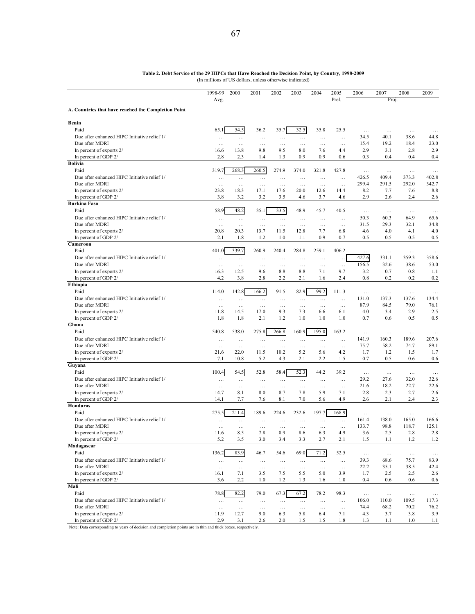|                                                     | 1998-99<br>Avg.  | 2000                 | 2001             | 2002             | 2003              | 2004             | 2005<br>Prel.    | 2006              | 2007<br>Proj.    | 2008             | 2009             |
|-----------------------------------------------------|------------------|----------------------|------------------|------------------|-------------------|------------------|------------------|-------------------|------------------|------------------|------------------|
| A. Countries that have reached the Completion Point |                  |                      |                  |                  |                   |                  |                  |                   |                  |                  |                  |
| Benin                                               |                  |                      |                  |                  |                   |                  |                  |                   |                  |                  |                  |
| Paid                                                | 65.1             | 54.5                 | 36.2             | 35.7             | 32.5              | 35.8             | 25.5             | $\ldots$          | $\ldots$         |                  |                  |
| Due after enhanced HIPC Initiative relief 1/        | $\ldots$         |                      | $\ldots$         | $\ldots$         | $\dots$           | $\cdots$         | $\cdots$         | 34.5              | 40.1             | $\cdots$<br>38.6 | $\cdots$<br>44.8 |
| Due after MDRI                                      | $\ldots$         | $\ldots$<br>$\ldots$ | $\ldots$         | $\ldots$         | $\ldots$          | $\ldots$         | $\ldots$         | 15.4              | 19.2             | 18.4             | 23.0             |
| In percent of exports 2/                            | 16.6             | 13.8                 | 9.8              | 9.5              | 8.0               | 7.6              | 4.4              | 2.9               | 3.1              | 2.8              | 2.9              |
| In percent of GDP 2/                                | 2.8              | 2.3                  | 1.4              | 1.3              | 0.9               | 0.9              | 0.6              | 0.3               | 0.4              | 0.4              | 0.4              |
| <b>Bolivia</b>                                      |                  |                      |                  |                  |                   |                  |                  |                   |                  |                  |                  |
| Paid                                                | 319.7            | 268.3                | 260.5            | 274.9            | 374.0             | 321.8            | 427.8            | $\cdots$          | $\ddotsc$        | $\ldots$         | $\cdots$         |
| Due after enhanced HIPC Initiative relief 1/        |                  |                      |                  |                  |                   |                  |                  | 426.5             | 409.4            | 373.3            | 402.8            |
| Due after MDRI                                      | $\cdots$         | $\cdots$             | $\cdots$         | $\ldots$         | $\cdots$          | $\cdots$         | $\cdots$         | 299.4             | 291.5            | 292.0            | 342.7            |
| In percent of exports 2/                            | $\ldots$<br>23.8 | $\cdots$<br>18.3     | $\ldots$<br>17.1 | $\ldots$<br>17.6 | $\ddotsc$<br>20.0 | $\ldots$<br>12.6 | $\ldots$<br>14.4 | 8.2               | 7.7              | 7.6              | 8.8              |
| In percent of GDP 2/                                | 3.8              | 3.2                  | 3.2              | 3.5              | 4.6               | 3.7              | 4.6              | 2.9               | 2.6              | 2.4              | 2.6              |
| <b>Burkina Faso</b>                                 |                  |                      |                  |                  |                   |                  |                  |                   |                  |                  |                  |
| Paid                                                | 58.9             | 48.2                 | 35.1             | 33.5             | 48.9              | 45.7             | 40.5             |                   |                  |                  |                  |
| Due after enhanced HIPC Initiative relief 1/        |                  |                      |                  |                  |                   |                  |                  | $\ddotsc$<br>50.3 | $\ldots$<br>60.3 | $\ldots$<br>64.9 | $\cdots$         |
| Due after MDRI                                      | $\ldots$         | $\ldots$             | $\ldots$         | $\ldots$         | $\ldots$          | $\ldots$         | $\cdots$         | 31.5              | 29.3             | 32.1             | 65.6<br>34.8     |
| In percent of exports 2/                            | $\ldots$<br>20.8 | $\cdots$<br>20.3     | $\ldots$<br>13.7 | $\ldots$<br>11.5 | $\cdots$<br>12.8  | $\ldots$<br>7.7  | $\ldots$<br>6.8  | 4.6               | 4.0              | 4.1              | 4.0              |
| In percent of GDP 2/                                | 2.1              | 1.8                  | 1.2              | 1.0              | 1.1               | 0.9              | 0.7              | 0.5               | 0.5              | 0.5              | 0.5              |
| Cameroon                                            |                  |                      |                  |                  |                   |                  |                  |                   |                  |                  |                  |
| Paid                                                | 401.0            | 339.7                | 260.9            | 240.4            | 284.8             | 259.1            | 406.2            |                   |                  |                  |                  |
|                                                     |                  |                      |                  |                  |                   |                  |                  | $\cdots$          | $\ldots$         | $\ldots$         | $\ldots$         |
| Due after enhanced HIPC Initiative relief 1/        | $\cdots$         | $\ldots$             | $\cdots$         | $\cdots$         | $\cdots$          | $\cdots$         | $\ddotsc$        | 427.6             | 331.1            | 359.3            | 358.6            |
| Due after MDRI                                      | $\cdots$         | $\ldots$             | $\ldots$         | $\ldots$         | $\ldots$          | $\ldots$         | $\cdots$         | 156.5             | 32.6             | 38.6             | 53.0             |
| In percent of exports 2/                            | 16.3             | 12.5                 | 9.6              | 8.8              | 8.8               | 7.1              | 9.7              | 3.2               | 0.7              | 0.8              | 1.1              |
| In percent of GDP 2/                                | 4.2              | 3.8                  | 2.8              | 2.2              | 2.1               | 1.6              | 2.4              | 0.8               | 0.2              | 0.2              | 0.2              |
| Ethiopia                                            |                  |                      |                  |                  |                   |                  |                  |                   |                  |                  |                  |
| Paid                                                | 114.0            | 142.8                | 166.2            | 91.5             | 82.9              | 99.2             | 111.3            | $\cdots$          | $\cdots$         | $\ldots$         | $\cdots$         |
| Due after enhanced HIPC Initiative relief 1/        | $\cdots$         | $\cdots$             | $\cdots$         | $\ldots$         | $\ldots$          | $\cdots$         | $\cdots$         | 131.0             | 137.3            | 137.6            | 134.4            |
| Due after MDRI                                      | $\cdots$         | $\cdots$             | $\ldots$         | $\cdots$         | .                 | $\cdots$         | .                | 87.9              | 84.5             | 79.0             | 76.1             |
| In percent of exports 2/                            | 11.8             | 14.5                 | 17.0             | 9.3              | 7.3               | 6.6              | 6.1              | 4.0               | 3.4              | 2.9              | 2.5              |
| In percent of GDP 2/                                | 1.8              | 1.8                  | 2.1              | 1.2              | 1.0               | 1.0              | 1.0              | 0.7               | 0.6              | 0.5              | 0.5              |
| Ghana                                               |                  |                      |                  |                  |                   |                  |                  |                   |                  |                  |                  |
| Paid                                                | 540.8            | 538.0                | 275.8            | 266.8            | 160.9             | 195.0            | 163.2            | $\ddotsc$         | $\ldots$         | $\ldots$         | $\ddots$         |
| Due after enhanced HIPC Initiative relief 1/        | $\cdots$         | $\cdots$             | $\cdots$         | $\ldots$         | $\cdots$          | $\cdots$         | $\cdots$         | 141.9             | 160.3            | 189.6            | 207.6            |
| Due after MDRI                                      | $\cdots$         | $\cdots$             | $\cdots$         | $\cdots$         | $\cdots$          | $\cdots$         | $\cdots$         | 75.7              | 58.2             | 74.7             | 89.1             |
| In percent of exports 2/                            | 21.6             | 22.0                 | 11.5             | 10.2             | 5.2               | 5.6              | 4.2              | 1.7               | 1.2              | 1.5              | 1.7              |
| In percent of GDP 2/                                | 7.1              | 10.8                 | 5.2              | 4.3              | 2.1               | 2.2              | 1.5              | 0.7               | 0.5              | 0.6              | 0.6              |
| Guyana                                              |                  |                      |                  |                  |                   |                  |                  |                   |                  |                  |                  |
| Paid                                                | 100.4            | 54.5                 | 52.8             | 58.4             | 52.3              | 44.2             | 39.2             | $\ldots$          | $\ldots$         | $\ldots$         | $\ldots$         |
| Due after enhanced HIPC Initiative relief 1/        | $\ldots$         | $\cdots$             | $\cdots$         | $\cdots$         | $\dots$           | $\cdots$         | $\ldots$         | 29.2              | 27.6             | 32.0             | 32.6             |
| Due after MDRI                                      | .                | $\ldots$             | $\ldots$         | $\ldots$         | $\ldots$          | $\ldots$         | $\ldots$         | 21.6              | 18.2             | 22.7             | 22.6             |
| In percent of exports 2/                            | 14.7             | 8.1                  | 8.0              | 8.7              | 7.8               | 5.9              | 7.1              | 2.8               | 2.3              | 2.7              | 2.6              |
| In percent of GDP 2/                                | 14.1             | 7.7                  | 7.6              | 8.1              | 7.0               | 5.6              | 4.9              | 2.6               | 2.1              | 2.4              | 2.3              |
| Honduras                                            |                  |                      |                  |                  |                   |                  |                  |                   |                  |                  |                  |
| Paid                                                | 275.5            | 211.4                | 189.6            | 224.6            | 232.6             | 197.7            | 168.9            | $\cdots$          | $\ldots$         | $\cdots$         | $\ddotsc$        |
| Due after enhanced HIPC Initiative relief 1/        | $\cdots$         | $\cdots$             | $\cdots$         | $\cdots$         | $\cdots$          | $\cdots$         | $\cdots$         | 161.4             | 138.0            | 165.0            | 166.6            |
| Due after MDRI                                      | $\cdots$         | $\cdots$             | $\cdots$         | $\cdots$         | $\cdots$          | $\cdots$         | $\cdots$         | 133.7             | 98.8             | 118.7            | 125.1            |
| In percent of exports 2/                            | 11.6             | 8.5                  | 7.8              | 8.9              | 8.6               | 6.3              | 4.9              | 3.6               | 2.5              | 2.8              | 2.8              |
| In percent of GDP 2/                                | 5.2              | 3.5                  | 3.0              | 3.4              | 3.3               | 2.7              | 2.1              | 1.5               | 1.1              | 1.2              | 1.2              |
| Madagascar                                          |                  |                      |                  |                  |                   |                  |                  |                   |                  |                  |                  |
| Paid                                                | 136.2            | 83.9                 | 46.7             | 54.6             | 69.0              | 71.2             | 52.5             | $\cdots$          | $\ldots$         | $\ldots$         | $\ddotsc$        |
| Due after enhanced HIPC Initiative relief 1/        | $\ldots$         | $\ldots$             | $\ldots$         | $\dots$          | $\ldots$          | $\ldots$         | $\ldots$         | 39.3              | 68.6             | 75.7             | 83.9             |
| Due after MDRI                                      | .                | $\ldots$             | $\ldots$         | $\ldots$         | $\cdots$          | $\ldots$         | $\ldots$         | 22.2              | 35.1             | 38.5             | 42.4             |
| In percent of exports 2/                            | 16.1             | 7.1                  | 3.5              | 7.5              | 5.5               | 5.0              | 3.9              | 1.7               | 2.5              | 2.5              | 2.6              |
| In percent of GDP 2/                                | 3.6              | 2.2                  | 1.0              | 1.2              | 1.3               | 1.6              | 1.0              | 0.4               | 0.6              | 0.6              | 0.6              |
| Mali                                                |                  |                      |                  |                  |                   |                  |                  |                   |                  |                  |                  |
| Paid                                                | 78.8             | 82.2                 | 79.0             | 67.3             | 67.2              | 78.2             | 98.3             | $\ldots$          | $\ldots$         | $\ldots$         | $\ldots$         |
| Due after enhanced HIPC Initiative relief 1/        | $\ldots$         | $\ldots$             | $\ldots$         | $\ldots$         | $\dots$           | $\ldots$         | $\ldots$         | 106.0             | 110.0            | 109.5            | 117.3            |
| Due after MDRI                                      | $\cdots$         | $\ldots$             | $\ldots$         | $\dots$          | $\ldots$          | $\ldots$         | $\ldots$         | 74.4              | 68.2             | 70.2             | 76.2             |
| In percent of exports 2/                            | 11.9             | 12.7                 | 9.0              | 6.3              | 5.8               | 6.4              | 7.1              | 4.3               | 3.7              | 3.8              | 3.9              |
| In percent of GDP 2/                                | 2.9              | 3.1                  | 2.6              | 2.0              | 1.5               | 1.5              | 1.8              | 1.3               | 1.1              | 1.0              | 1.1              |

#### **Table 2. Debt Service of the 29 HIPCs that Have Reached the Decision Point, by Country, 1998-2009** (In millions of US dollars, unless otherwise indicated)

Note: Data corresponding to years of decision and completion points are in thin and thick boxes, respectively.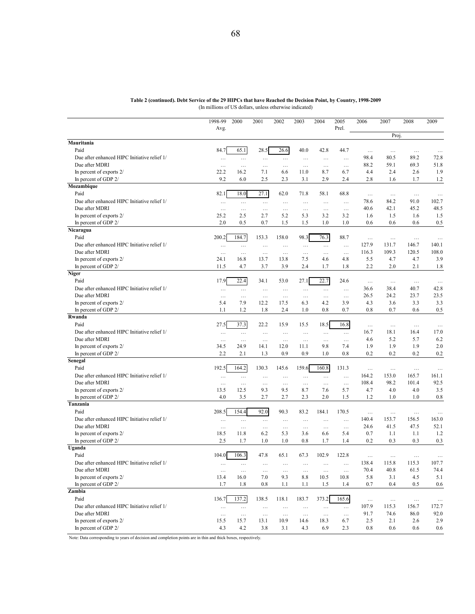| Table 2 (continued). Debt Service of the 29 HIPCs that have Reached the Decision Point, by Country, 1998-2009 |  |  |  |  |  |
|---------------------------------------------------------------------------------------------------------------|--|--|--|--|--|
|                                                                                                               |  |  |  |  |  |

(In millions of US dollars, unless otherwise indicated)

|                                                  | 1998-99              | 2000                 | 2001                 | 2002                 | 2003                 | 2004                 | 2005<br>Prel.        | 2006       | 2007       | 2008         | 2009               |
|--------------------------------------------------|----------------------|----------------------|----------------------|----------------------|----------------------|----------------------|----------------------|------------|------------|--------------|--------------------|
|                                                  | Avg.                 |                      |                      |                      |                      |                      |                      |            | Proj       |              |                    |
| Mauritania                                       |                      |                      |                      |                      |                      |                      |                      |            |            |              |                    |
| Paid                                             | 84.7                 | 65.1                 | 28.5                 | 26.6                 | 40.0                 | 42.8                 | 44.7                 | $\cdots$   | $\ldots$   | .            | $\ldots$           |
| Due after enhanced HIPC Initiative relief 1/     | $\ldots$             | $\ldots$             | $\ldots$             | $\ldots$             | $\ldots$             | $\ldots$             | $\cdots$             | 98.4       | 80.5       | 89.2         | 72.8               |
| Due after MDRI                                   | $\ldots$             | $\cdots$             | $\ddotsc$            | $\ddots$             | $\cdots$             | $\ldots$             | $\ldots$             | 88.2       | 59.1       | 69.3         | 51.8               |
| In percent of exports 2/                         | 22.2                 | 16.2                 | 7.1                  | 6.6                  | 11.0                 | 8.7                  | 6.7                  | 4.4        | 2.4        | 2.6          | 1.9                |
| In percent of GDP 2/                             | 9.2                  | 6.0                  | 2.5                  | 2.3                  | 3.1                  | 2.9                  | 2.4                  | 2.8        | 1.6        | 1.7          | 1.2                |
| Mozambique                                       |                      |                      |                      |                      |                      |                      |                      |            |            |              |                    |
| Paid                                             | 82.1                 | 18.0                 | 27.1                 | 62.0                 | 71.8                 | 58.1                 | 68.8                 | $\cdots$   | $\ldots$   | $\ldots$     | $\ldots$           |
| Due after enhanced HIPC Initiative relief 1/     | $\ldots$             | $\ldots$             | $\ldots$             | $\ldots$             | $\ldots$             | $\ldots$             | $\cdots$             | 78.6       | 84.2       | 91.0         | 102.7              |
| Due after MDRI                                   | $\ldots$             | $\ldots$             | $\ldots$             | $\ldots$             | $\ldots$             | $\ldots$             | $\ldots$             | 40.6       | 42.1       | 45.2         | 48.5               |
| In percent of exports 2/                         | 25.2                 | 2.5                  | 2.7                  | 5.2                  | 5.3                  | 3.2                  | 3.2                  | 1.6        | 1.5        | 1.6          | 1.5                |
| In percent of GDP 2/                             | 2.0                  | 0.5                  | 0.7                  | 1.5                  | 1.5                  | 1.0                  | 1.0                  | 0.6        | 0.6        | 0.6          | 0.5                |
| Nicaragua                                        |                      |                      |                      |                      |                      |                      |                      |            |            |              |                    |
| Paid                                             | 200.2                | 184.7                | 153.3                | 158.0                | 98.3                 | 76.3                 | 88.7                 | $\ddotsc$  | $\cdots$   | $\ldots$     | $\ldots$           |
| Due after enhanced HIPC Initiative relief 1/     | $\ldots$             | $\ldots$             | $\cdots$             | $\ddots$             | $\cdots$             | $\ldots$             | $\cdots$             | 127.9      | 131.7      | 146.7        | 140.1              |
| Due after MDRI                                   | $\ddots$             | $\ldots$             | $\ldots$             | $\ldots$             | $\cdots$             | $\ddots$             | $\ldots$             | 116.3      | 109.3      | 120.5        | 108.0              |
| In percent of exports 2/                         | 24.1                 | 16.8                 | 13.7                 | 13.8                 | 7.5                  | 4.6                  | 4.8                  | 5.5        | 4.7        | 4.7          | 3.9                |
| In percent of GDP 2/                             | 11.5                 | 4.7                  | 3.7                  | 3.9                  | 2.4                  | 1.7                  | 1.8                  | 2.2        | 2.0        | 2.1          | 1.8                |
| <b>Niger</b>                                     |                      |                      |                      |                      |                      |                      |                      |            |            |              |                    |
| Paid                                             | 17.9                 | 22.4                 | 34.1                 | 53.0                 | 27.1                 | 22.7                 | 24.6                 | $\ldots$   | $\ldots$   | .            | $\ddots$           |
| Due after enhanced HIPC Initiative relief 1/     | $\cdots$             | $\ldots$             | $\ldots$             | $\ldots$             | $\cdots$             | $\cdots$             | $\ldots$             | 36.6       | 38.4       | 40.7         | 42.8               |
| Due after MDRI                                   | $\cdots$             | $\cdots$             | $\ldots$             | $\cdots$             | $\cdots$             | $\ldots$             | $\cdots$             | 26.5       | 24.2       | 23.7         | 23.5               |
| In percent of exports 2/                         | 5.4                  | 7.9                  | 12.2                 | 17.5                 | 6.3                  | 4.2                  | 3.9                  | 4.3        | 3.6        | 3.3          | 3.3                |
| In percent of GDP 2/                             | 1.1                  | 1.2                  | 1.8                  | 2.4                  | 1.0                  | 0.8                  | 0.7                  | 0.8        | 0.7        | 0.6          | 0.5                |
| Rwanda                                           |                      |                      |                      |                      |                      |                      |                      |            |            |              |                    |
| Paid                                             | 27.5                 | 37.3                 | 22.2                 | 15.9                 | 15.5                 | 18.5                 | 16.8                 | $\ddots$   | $\ldots$   | $\ldots$     | $\cdots$           |
| Due after enhanced HIPC Initiative relief 1/     | $\ldots$             | $\ldots$             | $\ldots$             | $\ldots$             | $\ldots$             | $\ldots$             | $\ldots$             | 16.7       | 18.1       | 16.4         | 17.0               |
| Due after MDRI                                   | $\ldots$             | $\ldots$             | $\ldots$             | $\ldots$             | $\ldots$             | $\ldots$             | $\ldots$             | 4.6        | 5.2        | 5.7          | 6.2                |
| In percent of exports 2/                         | 34.5                 | 24.9                 | 14.1                 | 12.0                 | 11.1                 | 9.8                  | 7.4                  | 1.9        | 1.9        | 1.9          | 2.0                |
| In percent of GDP 2/                             | 2.2                  | 2.1                  | 1.3                  | 0.9                  | 0.9                  | 1.0                  | 0.8                  | 0.2        | 0.2        | 0.2          | 0.2                |
| Senegal<br>Paid                                  | 192.5                |                      |                      |                      |                      |                      |                      |            |            |              |                    |
|                                                  |                      | 164.2                | 130.3                | 145.6                | 159.6                | 160.8                | 131.3                | $\cdots$   | .          | .            | $\ddotsc$          |
| Due after enhanced HIPC Initiative relief 1/     | $\ddotsc$            | $\ldots$             | $\cdots$             | $\ddots$             | $\cdots$             | $\ldots$             | $\cdots$             | 164.2      | 153.0      | 165.7        | 161.1              |
| Due after MDRI                                   | $\cdots$             | $\ldots$             | $\ldots$             | .                    | $\ldots$             | $\ldots$             | $\ldots$             | 108.4      | 98.2       | 101.4<br>4.0 | 92.5<br>3.5        |
| In percent of exports 2/<br>In percent of GDP 2/ | 13.5<br>4.0          | 12.5<br>3.5          | 9.3<br>2.7           | 9.5<br>2.7           | 8.7<br>2.3           | 7.6<br>2.0           | 5.7<br>1.5           | 4.7<br>1.2 | 4.0<br>1.0 | 1.0          | 0.8                |
| Tanzania                                         |                      |                      |                      |                      |                      |                      |                      |            |            |              |                    |
| Paid                                             | 208.5                | 154.4                | 92.0                 | 90.3                 | 83.2                 | 184.1                | 170.5                | $\cdots$   | $\cdots$   |              |                    |
| Due after enhanced HIPC Initiative relief 1/     |                      |                      |                      |                      |                      |                      | $\ddotsc$            | 140.4      | 153.7      | .<br>156.5   | $\ddotsc$<br>163.0 |
| Due after MDRI                                   | .                    | $\cdots$             | $\ddots$             | $\cdots$             | $\cdots$             | $\cdots$             |                      | 24.6       | 41.5       | 47.5         | 52.1               |
| In percent of exports 2/                         | $\ldots$<br>18.5     | $\ldots$<br>11.8     | $\ddots$<br>6.2      | $\ddots$<br>5.3      | $\ldots$<br>3.6      | $\ddots$<br>6.6      | $\ldots$<br>5.4      | 0.7        | 1.1        | 1.1          | 1.2                |
| In percent of GDP 2/                             | 2.5                  | 1.7                  | 1.0                  | 1.0                  | 0.8                  | 1.7                  | 1.4                  | 0.2        | 0.3        | 0.3          | 0.3                |
| Uganda                                           |                      |                      |                      |                      |                      |                      |                      |            |            |              |                    |
| Paid                                             | 104.0                | 106.3                | 47.8                 | 65.1                 | 67.3                 | 102.9                | 122.8                | $\ldots$   | $\cdots$   | .            |                    |
| Due after enhanced HIPC Initiative relief 1/     |                      |                      |                      |                      |                      |                      |                      | 138.4      | 115.8      | 115.3        | 107.7              |
| Due after MDRI                                   | $\ldots$<br>$\ldots$ | $\cdots$<br>$\ldots$ | $\cdots$<br>$\ldots$ | $\cdots$<br>$\ldots$ | $\cdots$<br>$\ldots$ | $\cdots$<br>$\ldots$ | $\cdots$<br>$\ldots$ | 70.4       | 40.8       | 61.5         | 74.4               |
| In percent of exports 2/                         | 13.4                 | 16.0                 | 7.0                  | 9.3                  | 8.8                  | 10.5                 | 10.8                 | 5.8        | 3.1        | 4.5          | 5.1                |
| In percent of GDP 2/                             | 1.7                  | 1.8                  | 0.8                  | 1.1                  | 1.1                  | 1.5                  | 1.4                  | 0.7        | 0.4        | 0.5          | 0.6                |
| Zambia                                           |                      |                      |                      |                      |                      |                      |                      |            |            |              |                    |
| Paid                                             | 136.7                | 137.2                | 138.5                | 118.1                | 183.7                | 373.2                | 165.6                | $\ldots$   | $\ldots$   | $\ldots$     | $\cdots$           |
| Due after enhanced HIPC Initiative relief 1/     | $\ldots$             | $\ldots$             | $\ldots$             | $\cdots$             | $\ldots$             | $\ldots$             | $\ldots$             | 107.9      | 115.3      | 156.7        | 172.7              |
| Due after MDRI                                   | $\ldots$             | $\ldots$             | $\ldots$             | $\ldots$             | $\ldots$             | $\ldots$             | $\ldots$             | 91.7       | 74.6       | 86.0         | 92.0               |
| In percent of exports 2/                         | 15.5                 | 15.7                 | 13.1                 | 10.9                 | 14.6                 | 18.3                 | 6.7                  | 2.5        | 2.1        | 2.6          | 2.9                |
| In percent of GDP 2/                             | 4.3                  | 4.2                  | 3.8                  | 3.1                  | 4.3                  | 6.9                  | 2.3                  | 0.8        | 0.6        | 0.6          | 0.6                |
|                                                  |                      |                      |                      |                      |                      |                      |                      |            |            |              |                    |

Note: Data corresponding to years of decision and completion points are in thin and thick boxes, respectively.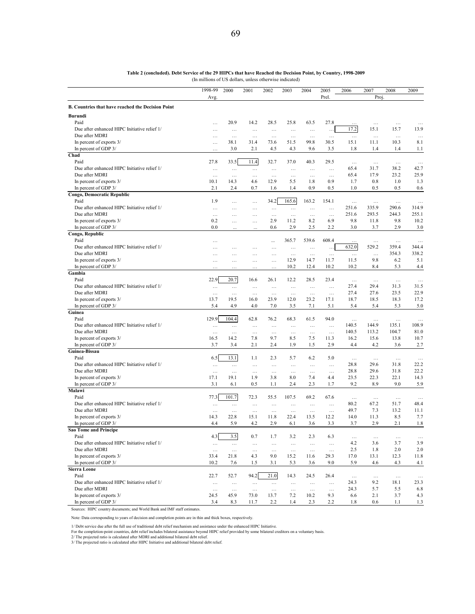|                                                                | 1998-99          | 2000             | 2001            | 2002            | 2003             | 2004             | 2005                 | 2006           | 2007               | 2008               | 2009               |
|----------------------------------------------------------------|------------------|------------------|-----------------|-----------------|------------------|------------------|----------------------|----------------|--------------------|--------------------|--------------------|
|                                                                | Avg.             |                  |                 |                 |                  |                  | Prel.                |                | Proj               |                    |                    |
| B. Countries that have reached the Decision Point              |                  |                  |                 |                 |                  |                  |                      |                |                    |                    |                    |
| <b>Burundi</b>                                                 |                  |                  |                 |                 |                  |                  |                      |                |                    |                    |                    |
| Paid                                                           | .                | 20.9             | 14.2            | 28.5            | 25.8             | 63.5             | 27.8                 |                | $\cdots$           | $\ldots$           | $\ddots$           |
| Due after enhanced HIPC Initiative relief 1/                   | $\cdots$         | $\ldots$         | $\ldots$        | $\ldots$        | $\ldots$         | $\ldots$         | .                    | 17.2           | 15.1               | 15.7               | 13.9               |
| Due after MDRI                                                 | $\cdots$         | $\ldots$         | $\ldots$        | $\ldots$        | $\ldots$         | $\ldots$         | $\ldots$             | $\ldots$       | $\cdots$           | $\ldots$           | $\cdots$           |
| In percent of exports 3/                                       |                  | 38.1             | 31.4            | 73.6            | 51.5             | 99.8             | 30.5                 | 15.1           | 11.1               | 10.3               | 8.1                |
| In percent of GDP 3/                                           | .                | 3.0              | 2.1             | 4.5             | 4.3              | 9.6              | 3.5                  | 1.8            | 1.4                | 1.4                | 1.1                |
| Chad                                                           |                  |                  |                 |                 |                  |                  |                      |                |                    |                    |                    |
| Paid                                                           | 27.8             | 33.5             | 11.4            | 32.7            | 37.0             | 40.3             | 29.5                 |                | $\cdots$           | $\cdots$           | $\ldots$           |
| Due after enhanced HIPC Initiative relief 1/                   | $\cdots$         | $\ldots$         | $\ldots$        | $\cdots$        | $\cdots$         | $\cdots$         | $\cdots$             | 65.4           | 31.7               | 38.2               | 42.7               |
| Due after MDRI                                                 | $\ldots$         | $\ldots$         | $\ldots$        | $\ldots$        | $\cdots$         | $\cdots$         | $\cdots$             | 65.4           | 17.9               | 23.2               | 25.9               |
| In percent of exports 3/                                       | 10.1             | 14.3             | 4.6             | 12.9            | 5.5              | 1.8              | 0.9                  | 1.7            | 0.8                | 1.0                | 1.3                |
| In percent of GDP 3/                                           | 2.1              | 2.4              | 0.7             | 1.6             | 1.4              | 0.9              | 0.5                  | 1.0            | 0.5                | 0.5                | 0.6                |
| Congo, Democratic Republic                                     |                  |                  |                 |                 |                  |                  |                      |                |                    |                    |                    |
| Paid                                                           | 1.9              | $\ddotsc$        | $\cdots$        | 34.2            | 165.6            | 163.2            | 154.1                | $\ldots$       | $\ldots$           | $\ldots$           | $\ldots$           |
| Due after enhanced HIPC Initiative relief 1/<br>Due after MDRI | .                | .                | $\cdots$        | $\ldots$        | $\ldots$         | $\ldots$         | $\cdots$             | 251.6<br>251.6 | 335.9              | 290.6<br>244.3     | 314.9<br>255.1     |
| In percent of exports 3/                                       | $\cdots$<br>0.2  |                  | .               | $\cdots$<br>2.9 | .<br>11.2        | $\ldots$<br>8.2  | $\ldots$<br>6.9      | 9.8            | 293.5<br>11.8      | 9.8                | 10.2               |
| In percent of GDP 3/                                           | 0.0              | .                | $\cdots$        | 0.6             | 2.9              | 2.5              | 2.2                  | 3.0            | 3.7                | 2.9                | 3.0                |
| Congo, Republic                                                |                  |                  |                 |                 |                  |                  |                      |                |                    |                    |                    |
| Paid                                                           |                  |                  |                 |                 | 365.7            | 539.6            | 608.4                |                |                    |                    |                    |
| Due after enhanced HIPC Initiative relief 1/                   | .                |                  | .               | .               | $\ldots$         | .                | $\ddot{\phantom{a}}$ | 632.0          | $\ddotsc$<br>529.2 | $\ddotsc$<br>359.4 | $\ddotsc$<br>344.4 |
| Due after MDRI                                                 |                  | .<br>.           | $\cdots$        | $\ldots$        | $\ldots$         | $\ldots$         | $\cdots$             | $\ldots$       | $\ldots$           | 354.3              | 338.2              |
| In percent of exports 3/                                       | .                | $\cdots$         | $\cdots$        | .               | 12.9             | 14.7             | 11.7                 | 11.5           | 9.8                | 6.2                | 5.1                |
| In percent of GDP 3/                                           |                  |                  |                 | .               | 10.2             | 12.4             | 10.2                 | 10.2           | 8.4                | 5.3                | 4.4                |
| Gambia                                                         |                  |                  |                 |                 |                  |                  |                      |                |                    |                    |                    |
| Paid                                                           | 22.9             | 20.7             | 16.6            | 26.1            | 12.2             | 28.5             | 23.4                 | $\ldots$       | $\cdots$           | $\ldots$           | $\ldots$           |
| Due after enhanced HIPC Initiative relief 1/                   | $\cdots$         | $\ldots$         | $\ldots$        | $\cdots$        | $\ldots$         | $\cdots$         | $\cdots$             | 27.4           | 29.4               | 31.3               | 31.5               |
| Due after MDRI                                                 | $\ldots$         | $\cdots$         | $\cdots$        | $\cdots$        | $\cdots$         | $\cdots$         | $\cdots$             | 27.4           | 27.6               | 23.5               | 22.9               |
| In percent of exports 3/                                       | 13.7             | 19.5             | 16.0            | 23.9            | 12.0             | 23.2             | 17.1                 | 18.7           | 18.5               | 18.3               | 17.2               |
| In percent of GDP 3/                                           | 5.4              | 4.9              | 4.0             | 7.0             | 3.5              | 7.1              | 5.1                  | 5.4            | 5.4                | 5.3                | 5.0                |
| Guinea                                                         |                  |                  |                 |                 |                  |                  |                      |                |                    |                    |                    |
| Paid                                                           | 129.9            | 104.4            | 62.8            | 76.2            | 68.3             | 61.5             | 94.0                 | $\cdots$       | $\cdots$           | $\ldots$           | $\ddotsc$          |
| Due after enhanced HIPC Initiative relief 1/                   | $\cdots$         | $\cdots$         | $\cdots$        | $\cdots$        | $\cdots$         | $\cdots$         | $\ldots$             | 140.5          | 144.9              | 135.1              | 108.9              |
| Due after MDRI                                                 | $\ldots$         | $\ldots$         | $\ldots$        | $\ldots$        | $\ldots$         | $\ldots$         | $\ldots$             | 140.5          | 113.2              | 104.7              | 81.0               |
| In percent of exports 3/                                       | 16.5             | 14.2             | 7.8             | 9.7             | 8.5              | 7.5              | 11.3                 | 16.2           | 15.6               | 13.8               | 10.7               |
| In percent of GDP 3/                                           | 3.7              | 3.4              | 2.1             | 2.4             | 1.9              | 1.5              | 2.9                  | 4.4            | 4.2                | 3.6                | 2.7                |
| Guinea-Bissau                                                  |                  |                  |                 |                 |                  |                  |                      |                |                    |                    |                    |
| Paid                                                           | 6.5              | 13.1             | 1.1             | 2.3             | 5.7              | 6.2              | 5.0                  | $\ddotsc$      | $\ldots$           | $\ldots$           | $\cdots$           |
| Due after enhanced HIPC Initiative relief 1/                   | $\ldots$         | $\ldots$         | $\ldots$        | $\cdots$        | $\cdots$         | $\cdots$         | $\cdots$             | 28.8           | 29.6               | 31.8               | 22.2               |
| Due after MDRI                                                 | $\ldots$         | $\ldots$         | $\ldots$        | $\ldots$        | $\ldots$         | $\ldots$         | $\cdots$             | 28.8           | 29.6               | 31.8               | 22.2               |
| In percent of exports 3/                                       | 17.1             | 19.1             | 1.9             | 3.8             | 8.0              | 7.4              | 4.4                  | 23.5           | 22.3               | 22.1               | 14.3               |
| In percent of GDP 3/                                           | 3.1              | 6.1              | 0.5             | 1.1             | 2.4              | 2.3              | 1.7                  | 9.2            | 8.9                | 9.0                | 5.9                |
| Malawi                                                         |                  |                  |                 |                 |                  |                  |                      |                |                    |                    |                    |
| Paid                                                           | 77.3             | 101.7            | 72.3            | 55.5            | 107.5            | 69.2             | 67.6                 | $\ldots$       | $\ldots$           | $\ldots$           | $\ldots$           |
| Due after enhanced HIPC Initiative relief 1/                   | $\cdots$         | $\ldots$         | $\ldots$        | $\ldots$        | $\ldots$         | $\cdots$         | $\cdots$             | 80.2           | 67.2               | 51.7               | 48.4               |
| Due after MDRI                                                 | $\cdots$         | $\ldots$         | $\ldots$        | $\ldots$        | $\ldots$         | $\ldots$         | $\ldots$             | 49.7           | 7.3                | 13.2               | 11.1               |
| In percent of exports 3/                                       | 14.3<br>4.4      | 22.8             | 15.1<br>4.2     | 11.8            | 22.4             | 13.5             | 12.2                 | 14.0           | 11.3<br>2.9        | 8.5                | 7.7                |
| In percent of GDP 3/<br><b>Sao Tome and Principe</b>           |                  | 5.9              |                 | 2.9             | 6.1              | 3.6              | 3.3                  | 3.7            |                    | 2.1                | 1.8                |
| Paid                                                           |                  | 3.5              |                 | 1.7             | 3.2              | 2.3              |                      |                |                    |                    |                    |
| Due after enhanced HIPC Initiative relief 1/                   | 4.3              |                  | 0.7             |                 |                  |                  | 6.3                  | $\ldots$       | $\ldots$           | $\ldots$           | $\cdots$           |
| Due after MDRI                                                 | $\ldots$         | $\ldots$         | $\ldots$        | $\ldots$        | $\ldots$         | $\ldots$         | $\ldots$             | 4.2<br>2.5     | 3.6<br>1.8         | 3.7<br>2.0         | 3.9<br>2.0         |
| In percent of exports 3/                                       | $\ldots$<br>33.4 | $\ldots$<br>21.8 | $\ldots$<br>4.3 | $\ldots$<br>9.0 | $\ldots$<br>15.2 | $\ldots$<br>11.6 | $\ldots$<br>29.3     | 17.0           | 13.1               | 12.3               | 11.8               |
| In percent of GDP 3/                                           | 10.2             | 7.6              | 1.5             | 3.1             | 5.3              | 3.6              | 9.0                  | 5.9            | 4.6                | 4.3                | 4.1                |
| <b>Sierra Leone</b>                                            |                  |                  |                 |                 |                  |                  |                      |                |                    |                    |                    |
| Paid                                                           | 22.7             | 52.7             | 94.2            | 21.0            | 14.3             | 24.5             | 26.4                 | $\ldots$       | $\ldots$           | $\ldots$           |                    |
| Due after enhanced HIPC Initiative relief 1/                   | $\ldots$         | $\ldots$         | $\ldots$        | $\ldots$        | $\ldots$         | $\cdots$         | $\cdots$             | 24.3           | 9.2                | 18.1               | $\cdots$<br>23.3   |
| Due after MDRI                                                 | $\ldots$         | $\cdots$         | $\ldots$        | $\ldots$        | $\ldots$         | $\ldots$         | $\ldots$             | 24.3           | 5.7                | 5.5                | 6.8                |
| In percent of exports 3/                                       | 24.5             | 45.9             | 73.0            | 13.7            | 7.2              | 10.2             | 9.3                  | 6.6            | 2.1                | 3.7                | 4.3                |
| In percent of GDP 3/                                           | 3.4              | 8.3              | 11.7            | 2.2             | 1.4              | 2.3              | 2.2                  | 1.8            | 0.6                | 1.1                | 1.3                |

**Table 2 (concluded). Debt Service of the 29 HIPCs that have Reached the Decision Point, by Country, 1998-2009** (In millions of US dollars, unless otherwise indicated)

Sources: HIPC country documents; and World Bank and IMF staff estimates.

Note: Data corresponding to years of decision and completion points are in thin and thick boxes, respectively.

1/ Debt service due after the full use of traditional debt relief mechanism and assistance under the enhanced HIPC Initiative.<br>For the completion-point countries, debt relief includes bilateral assistance beyond HIPC relie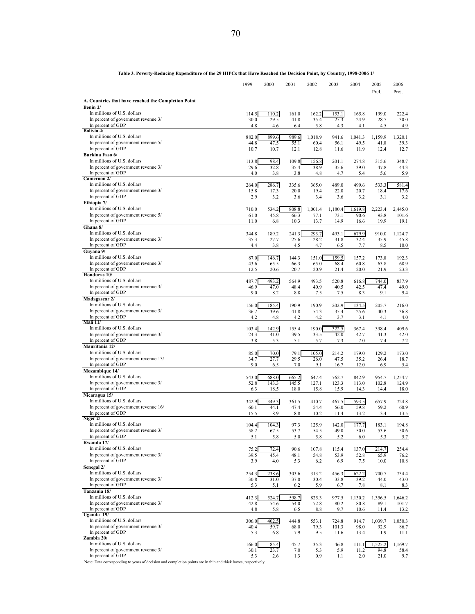|                                                                    | 1999          | 2000           | 2001           | 2002            | 2003           | 2004            | 2005<br>Prel.   | 2006<br>Proj.    |
|--------------------------------------------------------------------|---------------|----------------|----------------|-----------------|----------------|-----------------|-----------------|------------------|
| A. Countries that have reached the Completion Point<br>Benin 2/    |               |                |                |                 |                |                 |                 |                  |
| In millions of U.S. dollars<br>In percent of government revenue 3/ | 114.5<br>30.0 | 110.2<br>29.5  | 161.0<br>41.8  | 162.2<br>35.4   | 153.1<br>25.3  | 165.8<br>24.9   | 199.0<br>28.7   | 222.4<br>30.0    |
| In percent of GDP<br>Bolivia 4/                                    | 4.8           | 4.6            | 6.4            | 5.8             | 4.3            | 4.1             | 4.5             | 4.9              |
| In millions of U.S. dollars<br>In percent of government revenue 5/ | 882.0<br>44.8 | 899.6<br>47.5  | 989.6<br>55.1  | 1,018.9<br>60.4 | 941.6<br>56.1  | 1,041.3<br>49.5 | 1,159.9<br>41.8 | 1,320.1<br>39.3  |
| In percent of GDP                                                  | 10.7          | 10.7           | 12.1           | 12.8            | 11.6           | 11.9            | 12.4            | 12.7             |
| Burkina Faso 6/<br>In millions of U.S. dollars                     | 113.8         | 98.4           | 109.8          | 156.8           | 201.1          | 274.8           | 315.6           | 348.7            |
| In percent of government revenue 3/<br>In percent of GDP           | 29.6          | 32.8           | 35.4           | 38.9            | 35.6           | 39.0            | 47.8            | 44.3             |
| Cameroon 2/                                                        | 4.0           | 3.8            | 3.8            | 4.8             | 4.7            | 5.4             | 5.6             | 5.9              |
| In millions of U.S. dollars<br>In percent of government revenue 3/ | 264.0<br>15.8 | 286.7<br>17.3  | 335.6<br>20.0  | 365.0<br>19.4   | 489.0<br>22.0  | 499.6<br>20.7   | 533.3<br>18.4   | 581.4<br>17.6    |
| In percent of GDP                                                  | 2.9           | 3.2            | 3.6            | 3.4             | 3.6            | 3.2             | 3.1             | 3.2              |
| Ethiopia 7/<br>In millions of U.S. dollars                         | 710.0         | 534.2          | 808.8          | 1,001.4         | 1,180.4        | 1,619.8         | 2,223.4         | 2,445.0          |
| In percent of government revenue 5/                                | 61.0          | 45.8           | 66.3           | 77.1            | 73.1           | 90.6            | 93.8            | 101.6            |
| In percent of GDP<br>Ghana 8/                                      | 11.0          | 6.8            | 10.3           | 13.7            | 14.9           | 16.6            | 19.9            | 19.1             |
| In millions of U.S. dollars                                        | 344.8         | 189.2          | 241.3          | 293.7           | 493.1          | 679.9           | 910.0           | 1,124.7          |
| In percent of government revenue 3/<br>In percent of GDP           | 35.3<br>4.4   | 27.7<br>3.8    | 25.6<br>4.5    | 28.2<br>4.7     | 31.8<br>6.5    | 32.4<br>7.7     | 35.9<br>8.5     | 45.8<br>10.0     |
| Guyana 9/                                                          |               |                |                |                 |                |                 |                 |                  |
| In millions of U.S. dollars<br>In percent of government revenue 3/ | 87.0<br>43.6  | 146.7<br>65.5  | 144.3<br>66.3  | 151.0<br>65.0   | 159.5<br>68.4  | 157.2<br>60.8   | 173.8<br>63.8   | 192.3<br>68.9    |
| In percent of GDP                                                  | 12.5          | 20.6           | 20.7           | 20.9            | 21.4           | 20.0            | 21.9            | 23.3             |
| Honduras <sub>10</sub> /<br>In millions of U.S. dollars            | 487.7         | 493.2          | 564.9          | 493.5           | 520.8          | 616.8           | 744.0           | 837.9            |
| In percent of government revenue 3/                                | 46.9          | 47.0           | 48.4           | 40.9            | 40.5           | 42.5            | 47.4            | 49.0             |
| In percent of GDP<br>Madagascar 2/                                 | 9.0           | 8.2            | 8.8            | 7.5             | 7.5            | 8.3             | 9.1             | 9.4              |
| In millions of U.S. dollars                                        | 156.0         | 185.4          | 190.9          | 190.9           | 202.9          | 134.5           | 205.7           | 216.0            |
| In percent of government revenue 3/<br>In percent of GDP           | 36.7<br>4.2   | 39.6<br>4.8    | 41.8<br>4.2    | 54.3<br>4.2     | 35.4<br>3.7    | 25.6<br>3.1     | 40.3<br>4.1     | 36.8<br>4.0      |
| $\overline{\text{Mali}}$ $11/$<br>In millions of U.S. dollars      | 103.4         | 142.9          | 155.4          | 190.0           | 322.5          | 367.4           | 398.4           | 409.6            |
| In percent of government revenue 3/                                | 24.3          | 41.0           | 39.5           | 33.5            | 42.0           | 42.7            | 41.3            | 42.0             |
| In percent of GDP<br>Mauritania 12/                                | 3.8           | 5.3            | 5.1            | 5.7             | 7.3            | 7.0             | 7.4             | 7.2              |
| In millions of U.S. dollars                                        | 85.0          | 70.0           | 79.1           | 105.0           | 214.2          | 179.0           | 129.2           | 173.0            |
| In percent of government revenue 13/<br>In percent of GDP          | 34.7<br>9.0   | 27.7<br>6.5    | 29.5<br>7.0    | 26.0<br>9.1     | 47.5<br>16.7   | 35.2<br>12.0    | 26.4<br>6.9     | 18.7<br>5.4      |
| Mozambique 14/                                                     |               |                |                |                 |                |                 |                 |                  |
| In millions of U.S. dollars<br>In percent of government revenue 3/ | 543.0<br>52.8 | 688.0<br>143.3 | 665.2<br>145.5 | 647.4<br>127.1  | 762.7<br>123.3 | 842.9<br>113.0  | 954.7<br>102.8  | 1,254.7<br>124.9 |
| In percent of GDP                                                  | 6.3           | 18.5           | 18.0           | 15.8            | 15.9           | 14.3            | 14.4            | 18.0             |
| Nicaragua 15/<br>In millions of U.S. dollars                       | 342.9         | 349.3          | 361.5          | 410.7           | 467.5          | 593.5           | 657.9           | 724.8            |
| In percent of government revenue 16/<br>In percent of GDP          | 60.1          | 44.1           | 47.4           | 54.4            | 56.0           | 59.8            | 59.2            | 60.9             |
| Niger 2/                                                           | 15.5          | 8.9            | 8.8            | 10.2            | 11.4           | 13.2            | 13.4            | 13.5             |
| In millions of U.S. dollars<br>In percent of government revenue 3/ | 104.4<br>58.2 | 104.3<br>67.5  | 97.3<br>53.7   | 125.9<br>54.5   | 142.0<br>49.0  | 177.7<br>50.0   | 183.1<br>53.6   | 194.8<br>50.6    |
| In percent of GDP                                                  | 5.1           | 5.8            | 5.0            | 5.8             | 5.2            | 6.0             | 5.3             | 5.7              |
| Rwanda 17/<br>In millions of U.S. dollars                          | 75.2          | 72.4           | 90.6           | 107.8           | 115.4          | 137.0           | 214.7           | 254.4            |
| In percent of government revenue 3/                                | 39.5          | 45.4           | 48.1           | 54.8            | 53.9           | 52.8            | 65.9            | 76.2             |
| In percent of GDP<br>Senegal 2/                                    | 3.9           | 4.0            | 5.3            | 6.2             | 6.9            | 7.5             | 10.0            | 10.8             |
| In millions of U.S. dollars                                        | 254.3         | 238.6          | 303.6          | 313.2           | 456.3          | 622.2           | 700.7           | 734.4            |
| In percent of government revenue 3/<br>In percent of GDP           | 30.8<br>5.3   | 31.0<br>5.1    | 37.0<br>6.2    | 30.4<br>5.9     | 33.8<br>6.7    | 39.2<br>7.8     | 44.0<br>8.1     | 43.0<br>8.3      |
| Tanzania 18/                                                       |               |                |                |                 |                |                 |                 |                  |
| In millions of U.S. dollars<br>In percent of government revenue 3/ | 412.3<br>42.8 | 524.7<br>54.6  | 598.7<br>54.0  | 825.3<br>72.8   | 977.5<br>80.2  | 1,130.2<br>80.8 | 1,356.5<br>89.1 | 1,646.2<br>101.7 |
| In percent of GDP                                                  | 4.8           | 5.8            | 6.5            | 8.8             | 9.7            | 10.6            | 11.4            | 13.2             |
| Uganda 19/<br>In millions of U.S. dollars                          | 306.0         | 402.5          | 444.8          | 553.1           | 724.8          | 914.7           | 1,039.7         | 1,050.3          |
| In percent of government revenue 3/<br>In percent of GDP           | 40.4          | 59.7           | 68.0           | 79.3            | 101.3          | 98.0            | 92.9            | 86.7             |
| Zambia 20/                                                         | 5.3           | 6.8            | 7.9            | 9.5             | 11.6           | 13.4            | 11.9            | 11.1             |
| In millions of U.S. dollars<br>In percent of government revenue 3/ | 166.0<br>30.1 | 85.4<br>23.7   | 45.7<br>7.0    | 35.3<br>5.3     | 46.8<br>5.9    | 111.1<br>11.2   | 1,525.2<br>94.8 | 1,169.7<br>58.4  |
| In percent of GDP                                                  | 5.3           | 2.6            | 1.3            | 0.9             | 1.1            | 2.0             | 21.0            | 9.7              |

**Table 3. Poverty-Reducing Expenditure of the 29 HIPCs that Have Reached the Decision Point, by Country, 1998-2006 1/**

Note: Data corresponding to years of decision and completion points are in thin and thick boxes, respectively.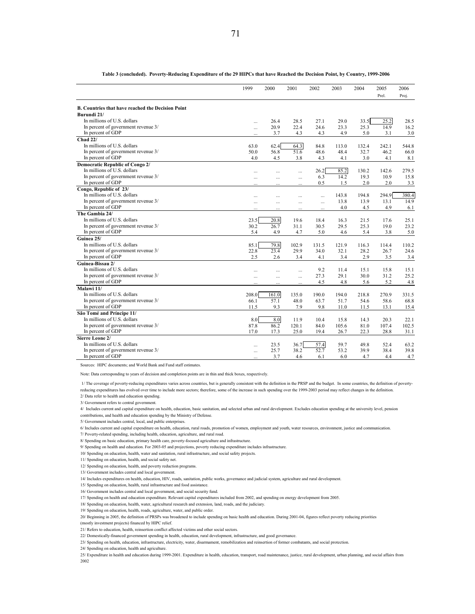|                                                          | 1999      | 2000   | 2001      | 2002     | 2003  | 2004  | 2005  | 2006  |
|----------------------------------------------------------|-----------|--------|-----------|----------|-------|-------|-------|-------|
|                                                          |           |        |           |          |       |       | Prel. | Proj. |
| <b>B. Countries that have reached the Decision Point</b> |           |        |           |          |       |       |       |       |
| Burundi 21/                                              |           |        |           |          |       |       |       |       |
| In millions of U.S. dollars                              | $\cdots$  | 26.4   | 28.5      | 27.1     | 29.0  | 33.5  | 25.2  | 28.5  |
| In percent of government revenue 3/                      | $\ddotsc$ | 20.9   | 22.4      | 24.6     | 23.3  | 25.3  | 14.9  | 16.2  |
| In percent of GDP                                        | $\cdots$  | 3.7    | 4.3       | 4.3      | 4.9   | 5.0   | 3.1   | 3.0   |
| Chad 22/                                                 |           |        |           |          |       |       |       |       |
| In millions of U.S. dollars                              | 63.0      | 62.4   | 64.3      | 84.8     | 113.0 | 132.4 | 242.1 | 544.8 |
| In percent of government revenue 3/                      | 50.0      | 56.8   | 51.6      | 48.6     | 48.4  | 32.7  | 46.2  | 66.0  |
| In percent of GDP                                        | 4.0       | 4.5    | 3.8       | 4.3      | 4.1   | 3.0   | 4.1   | 8.1   |
| Democratic Republic of Congo 2/                          |           |        |           |          |       |       |       |       |
| In millions of U.S. dollars                              | $\ddotsc$ | $\sim$ | $\cdots$  | 26.2     | 85.2  | 130.2 | 142.6 | 279.5 |
| In percent of government revenue 3/                      | $\ddotsc$ |        |           | 6.3      | 14.2  | 19.3  | 10.9  | 15.8  |
| In percent of GDP                                        |           |        |           | 0.5      | 1.5   | 2.0   | 2.0   | 3.3   |
| Congo, Republic of 23/                                   |           |        |           |          |       |       |       |       |
| In millions of U.S. dollars                              |           |        |           | $\cdots$ | 143.8 | 194.8 | 294.9 | 380.4 |
| In percent of government revenue 3/                      | $\sim$    |        | $\cdots$  | $\cdots$ | 13.8  | 13.9  | 13.1  | 14.9  |
| In percent of GDP                                        |           |        | $\ddotsc$ | $\sim$   | 4.0   | 4.5   | 4.9   | 6.1   |
| The Gambia 24/                                           |           |        |           |          |       |       |       |       |
| In millions of U.S. dollars                              | 23.5      | 20.8   | 19.6      | 184      | 16.3  | 21.5  | 17.6  | 25.1  |
| In percent of government revenue 3/                      | 30.2      | 26.7   | 31.1      | 30.5     | 29.5  | 25.3  | 19.0  | 23.2  |
| In percent of GDP                                        | 5.4       | 4.9    | 4.7       | 5.0      | 4.6   | 5.4   | 3.8   | 5.0   |
| Guinea 25/                                               |           |        |           |          |       |       |       |       |
| In millions of U.S. dollars                              | 85.1      | 79.8   | 102.9     | 131.5    | 121.9 | 116.3 | 114.4 | 110.2 |
| In percent of government revenue 3/                      | 22.8      | 23.4   | 29.9      | 34.0     | 32.1  | 28.2  | 26.7  | 24.6  |
| In percent of GDP                                        | 2.5       | 2.6    | 3.4       | 4.1      | 3.4   | 2.9   | 3.5   | 3.4   |
| Guinea-Bissau 2/                                         |           |        |           |          |       |       |       |       |
| In millions of U.S. dollars                              | $\ddotsc$ | $\sim$ | $\sim$    | 9.2      | 11.4  | 15.1  | 15.8  | 15.1  |
| In percent of government revenue 3/                      | $\sim$    | $\sim$ | $\ddotsc$ | 27.3     | 29.1  | 30.0  | 31.2  | 25.2  |
| In percent of GDP                                        |           |        |           | 4.5      | 4.8   | 5.6   | 5.2   | 4.8   |
| Malawi 11/                                               |           |        |           |          |       |       |       |       |
| In millions of U.S. dollars                              | 208.0     | 161.0  | 135.0     | 190.0    | 194.0 | 218.8 | 270.9 | 331.5 |
| In percent of government revenue 3/                      | 66.1      | 57.1   | 48.0      | 63.7     | 51.7  | 54.6  | 58.6  | 68.8  |
| In percent of GDP                                        | 11.5      | 9.3    | 7.9       | 9.8      | 11.0  | 11.5  | 13.1  | 15.4  |
| São Tomé and Príncipe 11/                                |           |        |           |          |       |       |       |       |
| In millions of U.S. dollars                              | 8.0       | 8.0    | 11.9      | 10.4     | 15.8  | 14.3  | 20.3  | 22.1  |
| In percent of government revenue 3/                      | 87.8      | 86.2   | 120.1     | 84.0     | 105.6 | 81.0  | 107.4 | 102.5 |
| In percent of GDP                                        | 17.0      | 17.3   | 25.0      | 19.4     | 26.7  | 22.3  | 28.8  | 31.1  |
| Sierre Leone 2/                                          |           |        |           |          |       |       |       |       |
| In millions of U.S. dollars                              | $\ddotsc$ | 23.5   | 36.7      | 57.4     | 59.7  | 49.8  | 52.4  | 63.2  |
| In percent of government revenue 3/                      | $\cdots$  | 25.7   | 38.2      | 52.7     | 53.2  | 39.9  | 38.4  | 39.8  |
| In percent of GDP                                        |           | 3.7    | 4.6       | 6.1      | 6.0   | 4.7   | 4.4   | 4.7   |

**Table 3 (concluded). Poverty-Reducing Expenditure of the 29 HIPCs that have Reached the Decision Point, by Country, 1999-2006**

Sources: HIPC documents; and World Bank and Fund staff estimates.

Note: Data corresponding to years of decision and completion points are in thin and thick boxes, respectively.

 1/ The coverage of poverty-reducing expenditures varies across countries, but is generally consistent with the definition in the PRSP and the budget. In some countries, the definition of povertyreducing expenditures has evolved over time to include more sectors; therefore, some of the increase in such spending over the 1999-2003 period may reflect changes in the definition.

2/ Data refer to health and education spending.

3/ Government refers to central government.

4/ Includes current and capital expenditure on health, education, basic sanitation, and selected urban and rural development. Excludes education spending at the university level, pension contributions, and health and education spending by the Ministry of Defense.

5/ Government includes central, local, and public enterprises.

6/ Includes current and capital expenditure on health, education, rural roads, promotion of women, employment and youth, water resources, environment, justice and communication.

7/ Poverty-related spending, including health, education, agriculture, and rural road.

8/ Spending on basic education, primary health care, poverty-focused agriculture and infrastructure.

9/ Spending on health and education. For 2003-05 and projections, poverty reducing expenditure includes infrastructure.

10/ Spending on education, health, water and sanitation, rural infrastructure, and social safety projects.

11/ Spending on education, health, and social safety net.

12/ Spending on education, health, and poverty reduction programs.

13/ Government includes central and local government.

14/ Includes expenditures on health, education, HIV, roads, sanitation, public works, governance and judicial system, agriculture and rural development.

15/ Spending on education, health, rural infrastructure and food assistance.

16/ Government includes central and local government, and social security fund.

17/ Spending on health and education expenditure. Relevant capital expenditures included from 2002, and spending on energy development from 2005.

18/ Spending on education, health, water, agricultural research and extension, land, roads, and the judiciary.

19/ Spending on education, health, roads, agriculture, water, and public order.

20/ Beginning in 2005, the definition of PRSPs was broadened to include spending on basic health and education. During 2001-04, figures reflect poverty reducing priorities

(mostly investment projects) financed by HIPC relief.

21/ Refers to education, health, reinsertion conflict affected victims and other social sectors.

22/ Domestically-financed government spending in health, education, rural development, infrastructure, and good governance.

23/ Spending on health, education, infrastructure, electricity, water, disarmament, remobilization and reinsertion of former combatants, and social protection.

24/ Spending on education, health and agriculture.

25/ Expenditure in health and education during 1999-2001. Expenditure in health, education, transport, road maintenance, justice, rural development, urban planning, and social affairs from 2002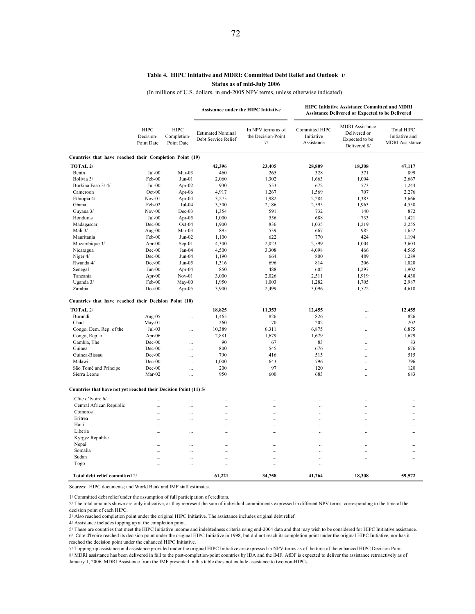## **Table 4. HIPC Initiative and MDRI: Committed Debt Relief and Outlook 1/ Status as of mid-July 2006**

(In millions of U.S. dollars, in end-2005 NPV terms, unless otherwise indicated)

|                                                                  |                                        |                                          |                                                 | <b>Assistance under the HIPC Initiative</b>    | <b>HIPC Initiative Assistance Committed and MDRI</b><br><b>Assistance Delivered or Expected to be Delivered</b> |                                                                          |                                                        |  |  |
|------------------------------------------------------------------|----------------------------------------|------------------------------------------|-------------------------------------------------|------------------------------------------------|-----------------------------------------------------------------------------------------------------------------|--------------------------------------------------------------------------|--------------------------------------------------------|--|--|
|                                                                  | <b>HIPC</b><br>Decision-<br>Point Date | <b>HIPC</b><br>Completion-<br>Point Date | <b>Estimated Nominal</b><br>Debt Service Relief | In NPV terms as of<br>the Decision-Point<br>7/ | Committed HIPC<br>Initiative<br>Assistance                                                                      | <b>MDRI</b> Assistance<br>Delivered or<br>Expected to be<br>Delivered 8/ | Total HIPC<br>Initiative and<br><b>MDRI</b> Assistance |  |  |
| Countries that have reached their Completion Point (19)          |                                        |                                          |                                                 |                                                |                                                                                                                 |                                                                          |                                                        |  |  |
| TOTAL <sub>2</sub> /                                             |                                        |                                          | 42,396                                          | 23,405                                         | 28,809                                                                                                          | 18,308                                                                   | 47,117                                                 |  |  |
| Benin                                                            | Jul-00                                 | Mar-03                                   | 460                                             | 265                                            | 328                                                                                                             | 571                                                                      | 899                                                    |  |  |
| Bolivia 3/                                                       | Feb-00                                 | $Jun-01$                                 | 2,060                                           | 1,302                                          | 1,663                                                                                                           | 1,004                                                                    | 2,667                                                  |  |  |
| Burkina Faso 3/4/                                                | Jul-00                                 | Apr-02                                   | 930                                             | 553                                            | 672                                                                                                             | 573                                                                      | 1,244                                                  |  |  |
| Cameroon                                                         | $Oct-00$                               | Apr-06                                   | 4,917                                           | 1,267                                          | 1,569                                                                                                           | 707                                                                      | 2,276                                                  |  |  |
| Ethiopia 4/                                                      | $Nov-01$                               | Apr-04                                   | 3,275                                           | 1,982                                          | 2,284                                                                                                           | 1,383                                                                    | 3,666                                                  |  |  |
| Ghana                                                            | Feb-02                                 | Jul-04                                   | 3,500                                           | 2,186                                          | 2,595                                                                                                           | 1,963                                                                    | 4,558                                                  |  |  |
| Guyana 3/                                                        | $Nov-00$                               | Dec-03                                   | 1,354                                           | 591                                            | 732                                                                                                             | 140                                                                      | 872                                                    |  |  |
| Honduras                                                         | Jul-00                                 | Apr-05                                   | 1,000                                           | 556                                            | 688                                                                                                             | 733                                                                      | 1,421                                                  |  |  |
| Madagascar                                                       | Dec-00                                 | $Oct-04$                                 | 1,900                                           | 836                                            | 1,035                                                                                                           | 1,219                                                                    | 2,255                                                  |  |  |
| Mali 3/                                                          | Aug-00                                 | $Mar-03$                                 | 895                                             | 539                                            | 667                                                                                                             | 985                                                                      | 1,652                                                  |  |  |
| Mauritania                                                       | Feb-00                                 | $Jun-02$                                 | 1,100                                           | 622                                            | 770                                                                                                             | 424                                                                      | 1,194                                                  |  |  |
| Mozambique 3/                                                    | Apr- $00$                              | $Sep-01$                                 | 4,300                                           | 2,023                                          | 2,599                                                                                                           | 1,004                                                                    | 3,603                                                  |  |  |
| Nicaragua                                                        | Dec-00                                 | Jan-04                                   | 4,500                                           | 3,308                                          | 4,098                                                                                                           | 466                                                                      | 4,565                                                  |  |  |
| Niger 4/                                                         | Dec-00                                 | $Jun-04$                                 | 1,190                                           | 664                                            | 800                                                                                                             | 489                                                                      | 1,289                                                  |  |  |
| Rwanda 4/                                                        | Dec-00                                 | $Jun-05$                                 | 1,316                                           | 696                                            | 814                                                                                                             | 206                                                                      | 1,020                                                  |  |  |
| Senegal                                                          | $Jun-00$                               | Apr-04                                   | 850                                             | 488                                            | 605                                                                                                             | 1,297                                                                    | 1,902                                                  |  |  |
| Tanzania                                                         | Apr- $00$                              | $Nov-01$                                 | 3,000                                           | 2,026                                          | 2,511                                                                                                           | 1,919                                                                    | 4,430                                                  |  |  |
| Uganda 3/                                                        | Feb-00                                 | $M$ ay-00                                | 1,950                                           | 1,003                                          | 1,282                                                                                                           | 1,705                                                                    | 2,987                                                  |  |  |
| Zambia                                                           | $Dec-00$                               | Apr- $05$                                | 3,900                                           | 2,499                                          | 3,096                                                                                                           | 1,522                                                                    | 4,618                                                  |  |  |
| Countries that have reached their Decision Point (10)            |                                        |                                          |                                                 |                                                |                                                                                                                 |                                                                          |                                                        |  |  |
| TOTAL <sub>2</sub> /                                             |                                        |                                          |                                                 |                                                |                                                                                                                 |                                                                          |                                                        |  |  |
|                                                                  |                                        |                                          | 18,825                                          | 11,353                                         | 12,455                                                                                                          |                                                                          | 12,455                                                 |  |  |
| Burundi                                                          | Aug-05                                 | $\cdots$                                 | 1,465                                           | 826                                            | 826                                                                                                             |                                                                          | 826                                                    |  |  |
| Chad                                                             | $May-01$                               |                                          | 260                                             | 170                                            | 202                                                                                                             | Ω,                                                                       | 202                                                    |  |  |
| Congo, Dem. Rep. of the                                          | Jul-03                                 |                                          | 10,389                                          | 6,311                                          | 6,875                                                                                                           |                                                                          | 6,875                                                  |  |  |
| Congo, Rep. of                                                   | Apr-06                                 |                                          | 2,881                                           | 1,679                                          | 1,679                                                                                                           | .                                                                        | 1,679                                                  |  |  |
| Gambia, The                                                      | Dec-00                                 |                                          | 90                                              | 67                                             | 83                                                                                                              | .                                                                        | 83                                                     |  |  |
| Guinea                                                           | Dec-00                                 | $\cdots$                                 | 800                                             | 545                                            | 676                                                                                                             | .                                                                        | 676                                                    |  |  |
| Guinea-Bissau                                                    | Dec-00                                 | $\ddotsc$                                | 790                                             | 416                                            | 515                                                                                                             | $\cdots$                                                                 | 515                                                    |  |  |
| Malawi                                                           | Dec-00                                 | $\ddotsc$                                | 1,000                                           | 643                                            | 796                                                                                                             | .                                                                        | 796                                                    |  |  |
| São Tomé and Príncipe                                            | Dec-00                                 |                                          | 200                                             | 97                                             | 120                                                                                                             |                                                                          | 120                                                    |  |  |
| Sierra Leone                                                     | Mar-02                                 |                                          | 950                                             | 600                                            | 683                                                                                                             |                                                                          | 683                                                    |  |  |
| Countries that have not yet reached their Decision Point (11) 5/ |                                        |                                          |                                                 |                                                |                                                                                                                 |                                                                          |                                                        |  |  |
| Côte d'Ivoire 6/                                                 |                                        |                                          | $\ddotsc$                                       | $\cdots$                                       | $\ddotsc$                                                                                                       |                                                                          |                                                        |  |  |
| Central African Republic                                         |                                        | $\cdots$                                 | $\cdots$                                        | $\cdots$                                       | $\cdots$                                                                                                        | .                                                                        |                                                        |  |  |
| Comoros                                                          |                                        | $\ddotsc$                                | $\cdots$                                        | $\cdots$                                       | $\cdots$                                                                                                        |                                                                          |                                                        |  |  |
| Eritrea                                                          | .                                      |                                          | $\cdots$                                        | $\ddotsc$                                      | .                                                                                                               |                                                                          |                                                        |  |  |
| Haiti                                                            |                                        |                                          |                                                 |                                                |                                                                                                                 |                                                                          |                                                        |  |  |
| Liberia                                                          |                                        |                                          | $\cdots$                                        | $\ddotsc$                                      |                                                                                                                 |                                                                          |                                                        |  |  |
| Kyrgyz Republic                                                  |                                        |                                          | $\ddotsc$                                       |                                                | $\ddotsc$                                                                                                       |                                                                          |                                                        |  |  |
| Nepal                                                            |                                        |                                          | $\cdots$                                        | $\cdots$                                       | $\ddots$                                                                                                        |                                                                          |                                                        |  |  |
| Somalia                                                          | $\cdots$                               | $\cdots$                                 | $\cdots$                                        | $\cdots$                                       | $\cdots$                                                                                                        |                                                                          | $\cdots$                                               |  |  |
| Sudan                                                            | $\cdots$                               | $\ddotsc$                                | $\ddotsc$                                       | $\ddotsc$                                      | $\ddotsc$                                                                                                       | $\cdots$                                                                 |                                                        |  |  |
| Togo                                                             | .                                      | $\ddotsc$                                | $\cdots$                                        | $\cdots$                                       | $\cdots$                                                                                                        |                                                                          |                                                        |  |  |
|                                                                  |                                        |                                          |                                                 |                                                |                                                                                                                 |                                                                          |                                                        |  |  |
| Total debt relief committed 2/                                   |                                        |                                          | 61,221                                          | 34,758                                         | 41,264                                                                                                          | 18,308                                                                   | 59,572                                                 |  |  |

Sources: HIPC documents; and World Bank and IMF staff estimates.

1/ Committed debt relief under the assumption of full participation of creditors.

2/ The total amounts shown are only indicative, as they represent the sum of individual commitments expressed in different NPV terms, corresponding to the time of the decision point of each HIPC.

3/ Also reached completion point under the original HIPC Initiative. The assistance includes original debt relief.

4/ Assistance includes topping up at the completion point.

5/ These are countries that meet the HIPC Initiative income and indebtedness criteria using end-2004 data and that may wish to be considered for HIPC Initiative assistance. 6/ Côte d'Ivoire reached its decision point under the original HIPC Initiative in 1998, but did not reach its completion point under the original HIPC Initiative, nor has it reached the decision point under the enhanced HIPC Initiative.

7/ Topping-up assistance and assistance provided under the original HIPC Initiative are expressed in NPV-terms as of the time of the enhanced HIPC Decision Point.

8/ MDRI assistance has been delivered in full to the post-completion-point countries by IDA and the IMF. AfDF is expected to deliver the assistance retroactively as of January 1, 2006. MDRI Assistance from the IMF presented in this table does not include assistance to two non-HIPCs.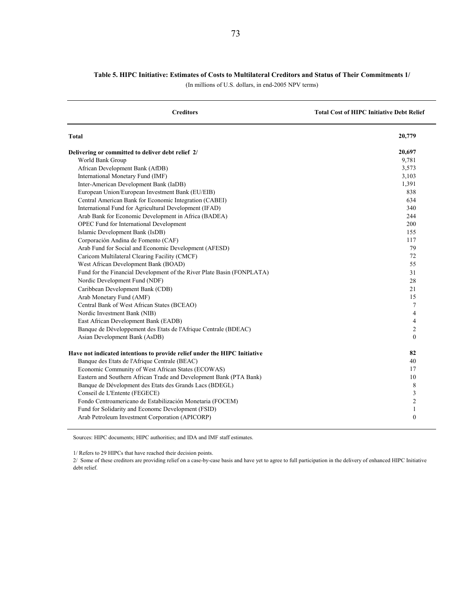## **Table 5. HIPC Initiative: Estimates of Costs to Multilateral Creditors and Status of Their Commitments 1/**

(In millions of U.S. dollars, in end-2005 NPV terms)

| <b>Creditors</b>                                                          | <b>Total Cost of HIPC Initiative Debt Relief</b> |
|---------------------------------------------------------------------------|--------------------------------------------------|
| Total                                                                     | 20,779                                           |
| Delivering or committed to deliver debt relief 2/                         | 20,697                                           |
| World Bank Group                                                          | 9,781                                            |
| African Development Bank (AfDB)                                           | 3,573                                            |
| International Monetary Fund (IMF)                                         | 3,103                                            |
| Inter-American Development Bank (IaDB)                                    | 1,391                                            |
| European Union/European Investment Bank (EU/EIB)                          | 838                                              |
| Central American Bank for Economic Integration (CABEI)                    | 634                                              |
| International Fund for Agricultural Development (IFAD)                    | 340                                              |
| Arab Bank for Economic Development in Africa (BADEA)                      | 244                                              |
| OPEC Fund for International Development                                   | 200                                              |
| Islamic Development Bank (IsDB)                                           | 155                                              |
| Corporación Andina de Fomento (CAF)                                       | 117                                              |
| Arab Fund for Social and Economic Development (AFESD)                     | 79                                               |
| Caricom Multilateral Clearing Facility (CMCF)                             | 72                                               |
| West African Development Bank (BOAD)                                      | 55                                               |
| Fund for the Financial Development of the River Plate Basin (FONPLATA)    | 31                                               |
| Nordic Development Fund (NDF)                                             | 28                                               |
| Caribbean Development Bank (CDB)                                          | 21                                               |
| Arab Monetary Fund (AMF)                                                  | 15                                               |
| Central Bank of West African States (BCEAO)                               | 7                                                |
| Nordic Investment Bank (NIB)                                              | 4                                                |
| East African Development Bank (EADB)                                      | $\overline{4}$                                   |
| Banque de Développement des Etats de l'Afrique Centrale (BDEAC)           | $\mathfrak{2}$                                   |
| Asian Development Bank (AsDB)                                             | $\mathbf{0}$                                     |
| Have not indicated intentions to provide relief under the HIPC Initiative | 82                                               |
| Banque des Etats de l'Afrique Centrale (BEAC)                             | 40                                               |
| Economic Community of West African States (ECOWAS)                        | 17                                               |
| Eastern and Southern African Trade and Development Bank (PTA Bank)        | 10                                               |
| Banque de Dévelopment des Etats des Grands Lacs (BDEGL)                   | 8                                                |
| Conseil de L'Entente (FEGECE)                                             | 3                                                |
| Fondo Centroamericano de Estabilización Monetaria (FOCEM)                 | $\mathfrak{2}$                                   |
| Fund for Solidarity and Econome Development (FSID)                        | $\mathbf{1}$                                     |
| Arab Petroleum Investment Corporation (APICORP)                           | $\mathbf{0}$                                     |

Sources: HIPC documents; HIPC authorities; and IDA and IMF staff estimates.

1/ Refers to 29 HIPCs that have reached their decision points.

2/ Some of these creditors are providing relief on a case-by-case basis and have yet to agree to full participation in the delivery of enhanced HIPC Initiative debt relief.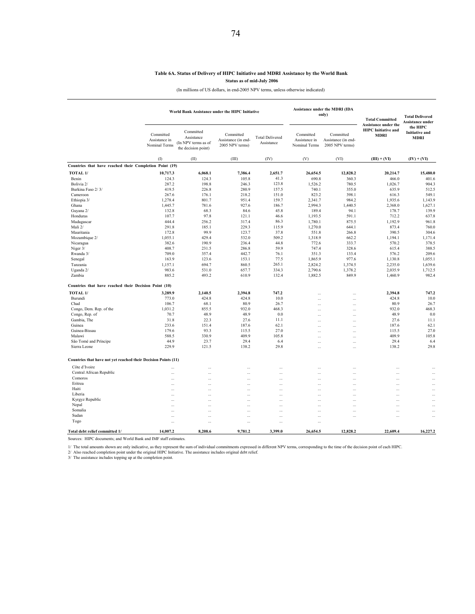## **Table 6A. Status of Delivery of HIPC Initiative and MDRI Assistance by the World Bank**

**Status as of mid-July 2006**

(In millions of US dollars, in end-2005 NPV terms, unless otherwise indicated)

|                                                                | <b>Assistance under the MDRI (IDA</b><br>World Bank Assistance under the HIPC Initiative<br>only) |                                                                       |                                                     |                                      |                                             |                                                     | <b>Total Committed</b>                                            | <b>Total Delivered</b><br>Assistance under |
|----------------------------------------------------------------|---------------------------------------------------------------------------------------------------|-----------------------------------------------------------------------|-----------------------------------------------------|--------------------------------------|---------------------------------------------|-----------------------------------------------------|-------------------------------------------------------------------|--------------------------------------------|
|                                                                | Committed<br>Assistance in<br>Nominal Terms                                                       | Committed<br>Assistance<br>(In NPV terms as of<br>the decision point) | Committed<br>Assistance (in end-<br>2005 NPV terms) | <b>Total Delivered</b><br>Assistance | Committed<br>Assistance in<br>Nominal Terms | Committed<br>Assistance (in end-<br>2005 NPV terms) | Assistance under the<br><b>HIPC</b> Initiative and<br><b>MDRI</b> | the HIPC<br><b>Initiative and</b><br>MDRI  |
|                                                                | (1)                                                                                               | (II)                                                                  | (III)                                               | (IV)                                 | (V)                                         | (VI)                                                | $(III) + (VI)$                                                    | $(IV) + (VI)$                              |
| Countries that have reached their Completion Point (19)        |                                                                                                   |                                                                       |                                                     |                                      |                                             |                                                     |                                                                   |                                            |
| TOTAL 1/                                                       | 10,717.3                                                                                          | 6,068.1                                                               | 7,386.4                                             | 2,651.7                              | 26,654.5                                    | 12,828.2                                            | 20,214.7                                                          | 15,480.0                                   |
| Benin                                                          | 124.3                                                                                             | 124.3                                                                 | 105.8                                               | 41.3                                 | 690.8                                       | 360.3                                               | 466.0                                                             | 401.6                                      |
| Bolivia 2/                                                     | 287.2                                                                                             | 198.8                                                                 | 246.3                                               | 123.8                                | 1,526.2                                     | 780.5                                               | 1,026.7                                                           | 904.3                                      |
| Burkina Faso 2/3/                                              | 419.5                                                                                             | 226.8                                                                 | 280.9                                               | 157.5                                | 740.1                                       | 355.0                                               | 635.9                                                             | 512.5                                      |
| Cameroon                                                       | 267.6                                                                                             | 176.1                                                                 | 218.2                                               | 151.0                                | 823.2                                       | 398.1                                               | 616.3                                                             | 549.1                                      |
| Ethiopia 3/                                                    | 1,278.4                                                                                           | 801.7                                                                 | 951.4                                               | 159.7                                | 2,341.7                                     | 984.2                                               | 1,935.6                                                           | 1,143.9                                    |
| Ghana                                                          | 1,445.7                                                                                           | 781.6                                                                 | 927.6                                               | 186.7                                | 2,994.3                                     | 1,440.5                                             | 2,368.0                                                           | 1,627.1                                    |
| Guyana 2/                                                      | 132.8                                                                                             | 68.3                                                                  | 84.6                                                | 45.8                                 | 189.4                                       | 94.1                                                | 178.7                                                             | 139.9                                      |
| Honduras                                                       | 107.7                                                                                             | 97.8                                                                  | 121.1                                               | 46.6                                 | 1,193.5                                     | 591.1                                               | 712.2                                                             | 637.8                                      |
| Madagascar                                                     | 444.4                                                                                             | 256.2                                                                 | 317.4                                               | 86.3                                 | 1,780.1                                     | 875.5                                               | 1,192.9                                                           | 961.8                                      |
| Mali 2/                                                        | 291.8                                                                                             | 185.1                                                                 | 229.3                                               | 115.9                                | 1,270.0                                     | 644.1                                               | 873.4                                                             | 760.0                                      |
| Mauritania                                                     | 172.8                                                                                             | 99.9                                                                  | 123.7                                               | 37.8                                 | 551.8                                       | 266.8                                               | 390.5                                                             | 304.6                                      |
| Mozambique 2/                                                  | 1,055.1                                                                                           | 429.4                                                                 | 532.0                                               | 509.2                                | 1,318.9                                     | 662.2                                               | 1,194.1                                                           | 1,171.4                                    |
| Nicaragua                                                      | 382.6                                                                                             | 190.9                                                                 | 236.4                                               | 44.8                                 | 772.6                                       | 333.7                                               | 570.2                                                             | 378.5                                      |
| Niger 3/                                                       | 408.7                                                                                             | 231.5                                                                 | 286.8                                               | 59.9                                 | 747.4                                       | 328.6                                               | 615.4                                                             | 388.5                                      |
| Rwanda 3/                                                      | 709.0                                                                                             | 357.4                                                                 | 442.7                                               | 76.1<br>77.5                         | 351.3                                       | 133.4<br>977.6                                      | 576.2                                                             | 209.6                                      |
| Senegal<br>Tanzania                                            | 163.9<br>1,157.1                                                                                  | 123.6<br>694.7                                                        | 153.1<br>860.5                                      | 265.1                                | 1,865.9<br>2,824.2                          | 1,374.5                                             | 1,130.8<br>2,235.0                                                | 1,055.1<br>1,639.6                         |
| Uganda 2/                                                      | 983.6                                                                                             | 531.0                                                                 | 657.7                                               | 334.3                                | 2,790.6                                     | 1,378.2                                             | 2,035.9                                                           | 1,712.5                                    |
| Zambia                                                         | 885.2                                                                                             | 493.2                                                                 | 610.9                                               | 132.4                                | 1,882.5                                     | 849.9                                               | 1,460.9                                                           | 982.4                                      |
| Countries that have reached their Decision Point (10)          |                                                                                                   |                                                                       |                                                     |                                      |                                             |                                                     |                                                                   |                                            |
| TOTAL 1/                                                       | 3,289.9                                                                                           | 2,140.5                                                               | 2,394.8                                             | 747.2                                | Щ,                                          | $\ddotsc$                                           | 2,394.8                                                           | 747.2                                      |
| Burundi                                                        | 773.0                                                                                             | 424.8                                                                 | 424.8                                               | 10.0                                 |                                             | $\ddotsc$                                           | 424.8                                                             | 10.0                                       |
| Chad                                                           | 106.7                                                                                             | 68.1                                                                  | 80.9                                                | 26.7                                 |                                             | $\ddotsc$                                           | 80.9                                                              | 26.7                                       |
| Congo, Dem. Rep. of the                                        | 1,031.2                                                                                           | 855.5                                                                 | 932.0                                               | 468.3                                | Ω,                                          | à.                                                  | 932.0                                                             | 468.3                                      |
| Congo, Rep. of                                                 | 70.7                                                                                              | 48.9                                                                  | 48.9                                                | 0.0                                  | ă,                                          |                                                     | 48.9                                                              | 0.0                                        |
| Gambia, The                                                    | 31.8                                                                                              | 22.3                                                                  | 27.6                                                | 11.1                                 |                                             | $\sim$                                              | 27.6                                                              | 11.1                                       |
| Guinea                                                         | 233.6                                                                                             | 151.4                                                                 | 187.6                                               | 62.1                                 |                                             |                                                     | 187.6                                                             | 62.1                                       |
| Guinea-Bissau                                                  | 179.6                                                                                             | 93.3                                                                  | 115.5                                               | 27.0                                 |                                             | $\ddotsc$                                           | 115.5                                                             | 27.0                                       |
| Malawi                                                         | 588.5                                                                                             | 330.9                                                                 | 409.9                                               | 105.8                                |                                             | $\ddotsc$                                           | 409.9                                                             | 105.8                                      |
| São Tomé and Príncipe                                          | 44.9                                                                                              | 23.7                                                                  | 29.4                                                | 6.4                                  | ă,                                          |                                                     | 29.4                                                              | 6.4                                        |
| Sierra Leone                                                   | 229.9                                                                                             | 121.5                                                                 | 138.2                                               | 29.8                                 | ă.                                          | $\ddotsc$                                           | 138.2                                                             | 29.8                                       |
| Countries that have not yet reached their Decision Points (11) |                                                                                                   |                                                                       |                                                     |                                      |                                             |                                                     |                                                                   |                                            |
| Côte d'Ivoire                                                  | $\ddotsc$                                                                                         | $\cdots$                                                              |                                                     | $\cdots$                             |                                             | $\ddotsc$                                           | $\ddotsc$                                                         | $\ddotsc$                                  |
| Central African Republic                                       | $\cdots$                                                                                          | $\cdots$                                                              |                                                     | $\cdots$                             |                                             |                                                     | Ц,                                                                | à.                                         |
| Comoros                                                        | $\cdots$                                                                                          | ă,                                                                    |                                                     | ă,                                   | Ш,                                          | $\sim$                                              |                                                                   | Ω,                                         |
| Eritrea                                                        | $\ddotsc$                                                                                         |                                                                       | $\sim$                                              | $\cdots$                             |                                             | ш,                                                  | Ω,                                                                | $\ddotsc$                                  |
| Haiti                                                          | $\cdots$                                                                                          | $\cdots$                                                              |                                                     | $\cdots$                             | $\cdots$                                    | $\ddotsc$                                           | $\cdots$                                                          | $\cdots$                                   |
| Liberia                                                        | $\cdots$                                                                                          | $\cdots$                                                              |                                                     | $\cdots$                             |                                             | $\ddotsc$                                           |                                                                   | $\cdots$                                   |
| Kyrgyz Republic                                                | $\cdots$                                                                                          | $\cdots$                                                              | Ω,                                                  | $\cdots$                             | Ц,                                          |                                                     | Ц,                                                                |                                            |
| Nepal                                                          | $\cdots$                                                                                          | $\cdots$                                                              | Ω,                                                  | $\cdots$                             | Ш,                                          | Ц,                                                  |                                                                   | u.                                         |
| Somalia                                                        | $\ddotsc$                                                                                         |                                                                       |                                                     | $\cdots$                             | $\ddotsc$                                   | ä,                                                  | $\ddotsc$                                                         | $\cdots$                                   |
| Sudan                                                          | $\ddotsc$                                                                                         |                                                                       |                                                     | $\sim$                               | $\ddotsc$                                   | аń.                                                 | $\ddotsc$                                                         | $\cdots$                                   |
| Togo                                                           | $\cdots$                                                                                          | $\cdots$                                                              |                                                     | $\cdots$                             | Ц,                                          |                                                     |                                                                   |                                            |
| Total debt relief committed 1/                                 | 14,007.2                                                                                          | 8,208.6                                                               | 9,781.2                                             | 3,399.0                              | 26,654.5                                    | 12,828.2                                            | 22,609.4                                                          | 16,227.2                                   |

Sources: HIPC documents; and World Bank and IMF staff estimates.

1/ The total amounts shown are only indicative, as they represent the sum of individual commitments expressed in different NPV terms, corresponding to the time of the decision point of each HIPC.<br>2/ Also reached completion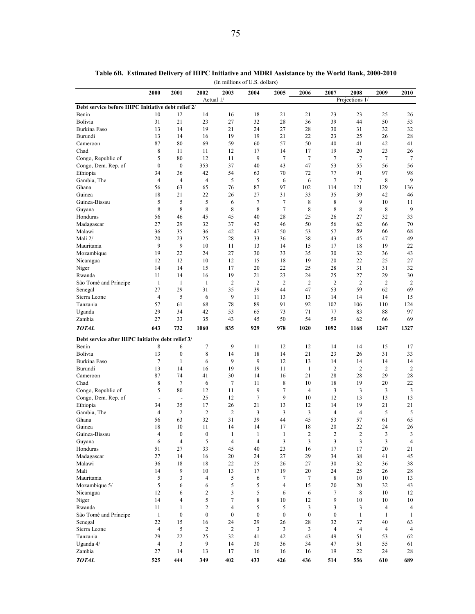|                                                    | 2000                          | 2001                 | 2002                | 2003                | 2004             | 2005                  | 2006                 | 2007             | 2008                 | 2009           | 2010                 |
|----------------------------------------------------|-------------------------------|----------------------|---------------------|---------------------|------------------|-----------------------|----------------------|------------------|----------------------|----------------|----------------------|
|                                                    |                               |                      | Actual 1/           |                     |                  |                       |                      |                  | Projections 1/       |                |                      |
| Debt service before HIPC Initiative debt relief 2/ |                               |                      |                     |                     |                  |                       |                      |                  |                      |                |                      |
| Benin                                              | 10                            | 12                   | 14                  | 16                  | 18               | 21                    | 21                   | 23               | 23                   | 25             | 26                   |
| Bolivia                                            | 31                            | 21                   | 23                  | 27                  | 32               | 28                    | 36                   | 39               | 44                   | 50             | 53                   |
| Burkina Faso<br>Burundi                            | 13<br>13                      | 14<br>14             | 19<br>16            | 21<br>19            | 24<br>19         | 27<br>21              | 28<br>22             | 30<br>23         | 31<br>25             | 32<br>26       | 32<br>28             |
| Cameroon                                           | 87                            | 80                   | 69                  | 59                  | 60               | 57                    | 50                   | 40               | 41                   | 42             | 41                   |
| Chad                                               | 8                             | 11                   | 11                  | 12                  | 17               | 14                    | 17                   | 19               | 20                   | 23             | 26                   |
| Congo, Republic of                                 | 5                             | 80                   | 12                  | 11                  | 9                | $7\phantom{.0}$       | 7                    | 7                | $\tau$               | 7              | $\tau$               |
| Congo, Dem. Rep. of                                | $\boldsymbol{0}$              | $\boldsymbol{0}$     | 353                 | 37                  | 40               | 43                    | 47                   | 53               | 55                   | 56             | 56                   |
| Ethiopia                                           | 34                            | 36                   | 42                  | 54                  | 63               | 70                    | 72                   | 77               | 91                   | 97             | 98                   |
| Gambia, The                                        | $\overline{4}$                | $\overline{4}$       | $\overline{4}$      | 5                   | 5                | 6                     | 6                    | 7                | $\tau$               | 8              | 9                    |
| Ghana                                              | 56                            | 63                   | 65                  | 76                  | 87               | 97                    | 102                  | 114              | 121                  | 129            | 136                  |
| Guinea                                             | 18                            | 21                   | 22                  | 26                  | 27               | 31                    | 33                   | 35               | 39                   | 42             | 46                   |
| Guinea-Bissau                                      | 5                             | 5                    | 5                   | 6                   | 7                | 7                     | 8                    | 8                | 9                    | 10             | 11                   |
| Guyana                                             | 8                             | 8                    | 8                   | 8                   | 8                | $7\phantom{.0}$<br>28 | 8<br>25              | 8                | 8                    | 8              | 9                    |
| Honduras<br>Madagascar                             | 56<br>27                      | 46<br>29             | 45<br>32            | 45<br>37            | 40<br>42         | 46                    | 50                   | 26<br>56         | 27<br>62             | 32<br>66       | 33<br>70             |
| Malawi                                             | 36                            | 35                   | 36                  | 42                  | 47               | 50                    | 53                   | 57               | 59                   | 66             | 68                   |
| Mali 2/                                            | 20                            | 23                   | 25                  | 28                  | 33               | 36                    | 38                   | 43               | 45                   | 47             | 49                   |
| Mauritania                                         | 9                             | 9                    | 10                  | 11                  | 13               | 14                    | 15                   | 17               | 18                   | 19             | 22                   |
| Mozambique                                         | 19                            | 22                   | 24                  | 27                  | 30               | 33                    | 35                   | 30               | 32                   | 36             | 43                   |
| Nicaragua                                          | 12                            | 12                   | 10                  | 12                  | 15               | 18                    | 19                   | 20               | 22                   | 25             | 27                   |
| Niger                                              | 14                            | 14                   | 15                  | 17                  | 20               | 22                    | 25                   | 28               | 31                   | 31             | 32                   |
| Rwanda                                             | 11                            | 14                   | 16                  | 19                  | 21               | 23                    | 24                   | 25               | 27                   | 29             | 30                   |
| São Tomé and Príncipe                              | $\mathbf{1}$                  | $\mathbf{1}$         | $\mathbf{1}$        | $\overline{2}$      | $\overline{2}$   | $\overline{2}$        | $\overline{2}$       | $\overline{c}$   | $\overline{2}$       | 2              | 2                    |
| Senegal                                            | 27                            | 29                   | 31                  | 35                  | 39               | 44                    | 47                   | 53               | 59                   | 62             | 69                   |
| Sierra Leone                                       | 4                             | 5                    | 6                   | 9                   | 11               | 13                    | 13                   | 14               | 14                   | 14             | 15                   |
| Tanzania                                           | 57                            | 61                   | 68                  | 78                  | 89               | 91                    | 92                   | 102              | 106                  | 110            | 124                  |
| Uganda                                             | 29                            | 34                   | 42                  | 53                  | 65               | 73                    | 71                   | 77               | 83                   | 88             | 97                   |
| Zambia                                             | 27                            | 33                   | 35                  | 43                  | 45               | 50                    | 54                   | 59               | 62                   | 66             | 69                   |
| <b>TOTAL</b>                                       | 643                           | 732                  | 1060                | 835                 | 929              | 978                   | 1020                 | 1092             | 1168                 | 1247           | 1327                 |
| Debt service after HIPC Initiative debt relief 3/  |                               |                      |                     |                     |                  |                       |                      |                  |                      |                |                      |
| Benin                                              | 8                             | 6                    | 7                   | 9                   | 11               | 12                    | 12                   | 14               | 14                   | 15             | 17                   |
| Bolivia                                            | 13                            | $\boldsymbol{0}$     | 8                   | 14                  | 18               | 14                    | 21                   | 23               | 26                   | 31             | 33                   |
| Burkina Faso                                       | $\tau$                        | $\mathbf{1}$         | 6                   | 9                   | 9                | 12                    | 13                   | 14               | 14                   | 14             | 14                   |
| Burundi                                            | 13                            | 14                   | 16                  | 19                  | 19               | 11                    | $\mathbf{1}$         | $\overline{c}$   | $\overline{2}$       | $\overline{c}$ | 2                    |
| Cameroon                                           | 87                            | 74                   | 41                  | 30                  | 14               | 16                    | 21                   | 28               | 28                   | 29             | 28                   |
| Chad                                               | 8                             | 7                    | 6                   | 7                   | 11<br>9          | 8<br>$\tau$           | 10<br>$\overline{4}$ | 18               | 19                   | 20             | 22                   |
| Congo, Republic of<br>Congo, Dem. Rep. of          | 5<br>$\overline{\phantom{a}}$ | 80<br>$\blacksquare$ | 12<br>25            | 11<br>12            | $\tau$           | 9                     | 10                   | 3<br>12          | 3<br>13              | 3<br>13        | 3<br>13              |
| Ethiopia                                           | 34                            | 35                   | 17                  | 26                  | 21               | 13                    | 12                   | 14               | 19                   | 21             | 21                   |
| Gambia, The                                        | 4                             | $\overline{2}$       | $\overline{2}$      | $\overline{2}$      | 3                | 3                     | 3                    | 4                | $\overline{4}$       | 5              | 5                    |
| Ghana                                              | 56                            | 63                   | 32                  | 31                  | 39               | 44                    | 45                   | 53               | 57                   | 61             | 65                   |
| Guinea                                             | 18                            | 10                   | 11                  | 14                  | 14               | 17                    | 18                   | 20               | 22                   | 24             | 26                   |
| Guinea-Bissau                                      | $\overline{4}$                | $\boldsymbol{0}$     | $\mathbf{0}$        | $\mathbf{1}$        | 1                | $\mathbf{1}$          | $\boldsymbol{2}$     | $\boldsymbol{2}$ | $\sqrt{2}$           | 3              | $\mathfrak{Z}$       |
| Guyana                                             | 6                             | 4                    | 5                   | $\overline{4}$      | $\overline{4}$   | 3                     | 3                    | 3                | $\mathfrak{Z}$       | 3              | $\overline{4}$       |
| Honduras                                           | 51                            | 27                   | 33                  | 45                  | 40               | 23                    | 16                   | 17               | 17                   | 20             | 21                   |
| Madagascar                                         | 27                            | 14                   | 16                  | 20                  | 24               | 27                    | 29                   | 34               | 38                   | 41             | 45                   |
| Malawi                                             | 36                            | 18                   | 18                  | 22                  | 25               | 26                    | 27                   | 30               | 32                   | 36             | 38                   |
| Mali                                               | 14                            | 9                    | 10                  | 13                  | 17               | 19                    | 20                   | 24               | 25                   | 26             | 28                   |
| Mauritania                                         | 5                             | 3                    | $\overline{4}$      | 5                   | 6                | $\tau$                | 7                    | 8                | 10                   | 10             | 13                   |
| Mozambique 5/                                      | 5                             | 6                    | 6                   | 5                   | 5                | 4                     | 15                   | 20               | 20                   | 32             | 43                   |
| Nicaragua                                          | 12                            | 6<br>$\overline{4}$  | $\overline{c}$<br>5 | 3                   | 5                | 6                     | 6                    | 7<br>9           | $\,$ 8 $\,$          | 10             | 12                   |
| Niger<br>Rwanda                                    | 14<br>11                      | $\mathbf{1}$         | $\overline{c}$      | 7<br>$\overline{4}$ | 8<br>5           | 10<br>5               | 12<br>$\mathfrak{Z}$ | 3                | 10<br>$\mathfrak{Z}$ | 10<br>4        | 10<br>$\overline{4}$ |
| São Tomé and Príncipe                              | $\mathbf{1}$                  | $\boldsymbol{0}$     | $\boldsymbol{0}$    | $\boldsymbol{0}$    | $\boldsymbol{0}$ | $\boldsymbol{0}$      | $\boldsymbol{0}$     | $\boldsymbol{0}$ | $\mathbf{1}$         | $\mathbf{1}$   | 1                    |
| Senegal                                            | 22                            | 15                   | 16                  | 24                  | 29               | 26                    | 28                   | 32               | 37                   | 40             | 63                   |
| Sierra Leone                                       | $\overline{4}$                | 5                    | $\overline{c}$      | $\overline{c}$      | 3                | 3                     | 3                    | $\overline{4}$   | $\overline{4}$       | 4              | 4                    |
| Tanzania                                           | 29                            | 22                   | 25                  | 32                  | 41               | 42                    | 43                   | 49               | 51                   | 53             | 62                   |
| Uganda 4/                                          | $\overline{4}$                | 3                    | 9                   | 14                  | 30               | 36                    | 34                   | 47               | 51                   | 55             | 61                   |
| Zambia                                             | 27                            | 14                   | 13                  | 17                  | 16               | 16                    | 16                   | 19               | 22                   | 24             | 28                   |
| <b>TOTAL</b>                                       | 525                           | 444                  | 349                 | 402                 | 433              | 426                   | 436                  | 514              | 556                  | 610            | 689                  |

(In millions of U.S. dollars) **Table 6B. Estimated Delivery of HIPC Initiative and MDRI Assistance by the World Bank, 2000-2010**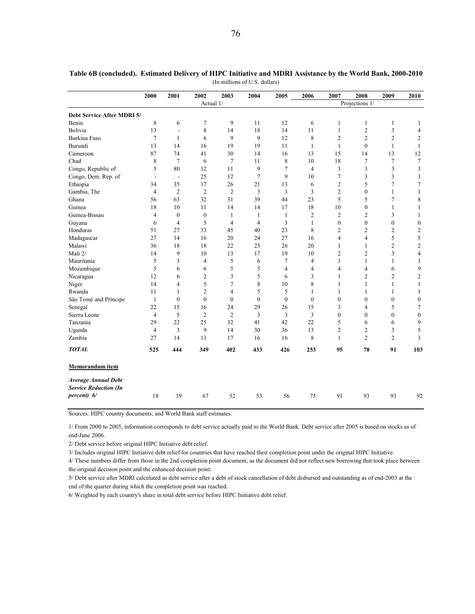|                                                            | 2000                     | 2001                     | 2002             | 2003           | 2004             | 2005           | 2006           | 2007           | 2008           | 2009             | 2010                     |
|------------------------------------------------------------|--------------------------|--------------------------|------------------|----------------|------------------|----------------|----------------|----------------|----------------|------------------|--------------------------|
|                                                            |                          |                          | Actual 1/        |                |                  |                |                |                | Projections 1/ |                  |                          |
| Debt Service After MDRI 5/                                 |                          |                          |                  |                |                  |                |                |                |                |                  |                          |
| Benin                                                      | 8                        | 6                        | 7                | 9              | 11               | 12             | 6              | 1              | 1              | $\mathbf{1}$     | 1                        |
| Bolivia                                                    | 13                       | $\frac{1}{2}$            | 8                | 14             | 18               | 14             | 11             | $\mathbf{1}$   | $\overline{c}$ | 3                | $\overline{4}$           |
| <b>Burkina Faso</b>                                        | $\overline{7}$           | 1                        | 6                | 9              | 9                | 12             | 8              | $\overline{2}$ | $\overline{2}$ | $\overline{c}$   | 2                        |
| Burundi                                                    | 13                       | 14                       | 16               | 19             | 19               | 11             | $\mathbf{1}$   | $\mathbf{1}$   | $\mathbf{0}$   | $\mathbf{1}$     | $\mathbf{1}$             |
| Cameroon                                                   | 87                       | 74                       | 41               | 30             | 14               | 16             | 13             | 15             | 14             | 13               | 12                       |
| Chad                                                       | 8                        | $\tau$                   | 6                | $\tau$         | 11               | 8              | 10             | 18             | 7              | 7                | $\tau$                   |
| Congo, Republic of                                         | 5                        | 80                       | 12               | 11             | 9                | 7              | $\overline{4}$ | 3              | 3              | 3                | 3                        |
| Congo, Dem. Rep. of                                        | $\overline{\phantom{a}}$ | $\overline{\phantom{a}}$ | 25               | 12             | 7                | 9              | 10             | $\overline{7}$ | 3              | 3                | 3                        |
| Ethiopia                                                   | 34                       | 35                       | 17               | 26             | 21               | 13             | 6              | $\overline{c}$ | 5              | 7                | 7                        |
| Gambia, The                                                | $\overline{4}$           | $\overline{2}$           | $\overline{2}$   | $\overline{2}$ | 3                | 3              | 3              | $\overline{2}$ | $\mathbf{0}$   | $\mathbf{1}$     | $\mathbf{1}$             |
| Ghana                                                      | 56                       | 63                       | 32               | 31             | 39               | 44             | 23             | 5              | 5              | 7                | 8                        |
| Guinea                                                     | 18                       | 10                       | 11               | 14             | 14               | 17             | 18             | 10             | $\mathbf{0}$   | $\mathbf{1}$     | $\mathbf{1}$             |
| Guinea-Bissau                                              | $\overline{4}$           | $\mathbf{0}$             | $\boldsymbol{0}$ | $\mathbf{1}$   | 1                | $\mathbf{1}$   | $\overline{c}$ | $\overline{c}$ | $\overline{c}$ | 3                | 1                        |
| Guyana                                                     | 6                        | $\overline{4}$           | 5                | $\overline{4}$ | $\overline{4}$   | 3              | $\mathbf{1}$   | $\mathbf{0}$   | $\mathbf{0}$   | $\mathbf{0}$     | $\boldsymbol{0}$         |
| Honduras                                                   | 51                       | 27                       | 33               | 45             | 40               | 23             | 8              | $\overline{2}$ | $\overline{2}$ | 2                | $\overline{c}$           |
| Madagascar                                                 | 27                       | 14                       | 16               | 20             | 24               | 27             | 16             | $\overline{4}$ | $\overline{4}$ | 5                | 5                        |
| Malawi                                                     | 36                       | 18                       | 18               | 22             | 25               | 26             | 20             | $\mathbf{1}$   | $\mathbf{1}$   | $\overline{c}$   | $\overline{c}$           |
| Mali 2/                                                    | 14                       | 9                        | 10               | 13             | 17               | 19             | 10             | $\overline{2}$ | $\overline{2}$ | 3                | $\overline{\mathcal{A}}$ |
| Mauritania                                                 | 5                        | 3                        | 4                | 5              | 6                | 7              | $\overline{4}$ | 1              | 1              | 1                | 1                        |
| Mozambique                                                 | 5                        | 6                        | 6                | 5              | 5                | $\overline{4}$ | $\overline{4}$ | $\overline{4}$ | 4              | 6                | 9                        |
| Nicaragua                                                  | 12                       | 6                        | $\overline{c}$   | 3              | 5                | 6              | 3              | 1              | $\overline{c}$ | 2                | $\mathbf{2}$             |
| Niger                                                      | 14                       | $\overline{4}$           | 5                | $\tau$         | 8                | 10             | 8              | $\mathbf{1}$   | $\mathbf{1}$   | $\mathbf{1}$     | $\mathbf{1}$             |
| Rwanda                                                     | 11                       | 1                        | $\overline{c}$   | 4              | 5                | 5              | 1              | 1              | 1              | 1                | 1                        |
| São Tomé and Príncipe                                      | $\mathbf{1}$             | $\mathbf{0}$             | $\mathbf{0}$     | $\mathbf{0}$   | $\boldsymbol{0}$ | $\mathbf{0}$   | $\mathbf{0}$   | $\mathbf{0}$   | $\mathbf{0}$   | $\boldsymbol{0}$ | $\boldsymbol{0}$         |
| Senegal                                                    | 22                       | 15                       | 16               | 24             | 29               | 26             | 15             | 3              | 4              | 5                | 7                        |
| Sierra Leone                                               | 4                        | 5                        | $\overline{c}$   | $\overline{2}$ | 3                | 3              | 3              | $\mathbf{0}$   | $\mathbf{0}$   | $\mathbf{0}$     | $\boldsymbol{0}$         |
| Tanzania                                                   | 29                       | 22                       | 25               | 32             | 41               | 42             | 22             | 5              | 6              | 6                | 9                        |
| Uganda                                                     | 4                        | 3                        | 9                | 14             | 30               | 36             | 13             | $\overline{2}$ | $\overline{c}$ | 3                | 5                        |
| Zambia                                                     | 27                       | 14                       | 13               | 17             | 16               | 16             | 8              | 1              | $\overline{2}$ | $\overline{c}$   | 3                        |
| <b>TOTAL</b>                                               | 525                      | 444                      | 349              | 402            | 433              | 426            | 253            | 95             | 78             | 91               | 103                      |
| Memorandum item                                            |                          |                          |                  |                |                  |                |                |                |                |                  |                          |
| <b>Average Annual Debt</b><br><b>Service Reduction (In</b> |                          |                          |                  |                |                  |                |                |                |                |                  |                          |
| percent) 6/                                                | 18                       | 39                       | 67               | 52             | 53               | 56             | 75             | 91             | 93             | 93               | 92                       |

**Table 6B (concluded). Estimated Delivery of HIPC Initiative and MDRI Assistance by the World Bank, 2000-2010** (In millions of U.S. dollars)

Sources: HIPC country documents; and World Bank staff estimates.

1/ From 2000 to 2005, information corresponds to debt service actually paid to the World Bank. Debt service after 2005 is based on stocks as of end-June 2006.

2/ Debt service before original HIPC Initiative debt relief.

3/ Includes original HIPC Initiative debt relief for countries that have reached their completion point under the original HIPC Initiative.

4/ These numbers differ from those in the 2nd completion point document, as the document did not reflect new borrowing that took place between the original decision point and the enhanced decision point.

5/ Debt service after MDRI calculated as debt service after a debt of stock cancellation of debt disbursed and outstanding as of end-2003 at the end of the quarter during which the completion point was reached.

6/ Weighted by each country's share in total debt service before HIPC Initiative debt relief.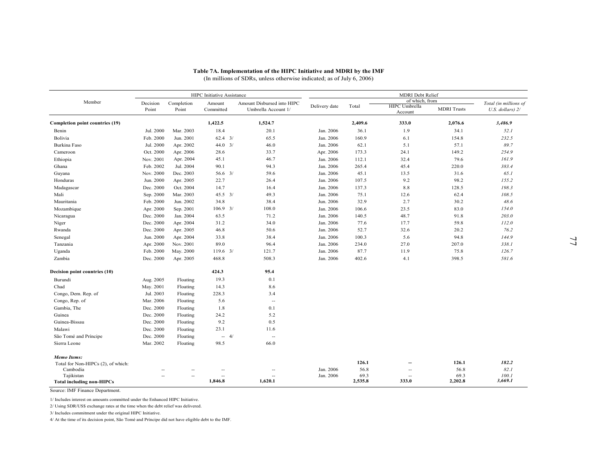|                                                |                          |                          | HIPC Initiative Assistance |                                                   | (In millions of SDRs, unless otherwise indicated; as of July 6, 2006) |              | <b>MDRI</b> Debt Relief         |                    |                                             |
|------------------------------------------------|--------------------------|--------------------------|----------------------------|---------------------------------------------------|-----------------------------------------------------------------------|--------------|---------------------------------|--------------------|---------------------------------------------|
| Member                                         | Decision<br>Point        | Completion<br>Point      | Amount<br>Committed        | Amount Disbursed into HIPC<br>Umbrella Account 1/ | Delivery date                                                         | Total        | of which, from<br>HIPC Umbrella | <b>MDRI</b> Trusts | Total (in millions of<br>U.S. dollars) $2/$ |
|                                                |                          |                          |                            |                                                   |                                                                       |              | Account                         |                    |                                             |
| Completion point countries (19)                |                          |                          | 1,422.5                    | 1,524.7                                           |                                                                       | 2,409.6      | 333.0                           | 2,076.6            | 3,486.9                                     |
| Benin                                          | Jul. 2000                | Mar. 2003                | 18.4                       | 20.1                                              | Jan. 2006                                                             | 36.1         | 1.9                             | 34.1               | 52.1                                        |
| Bolivia                                        | Feb. 2000                | Jun. 2001                | $62.4$ $3/$                | 65.5                                              | Jan. 2006                                                             | 160.9        | 6.1                             | 154.8              | 232.5                                       |
| Burkina Faso                                   | Jul. 2000                | Apr. 2002                | $44.0$ 3/                  | 46.0                                              | Jan. 2006                                                             | 62.1         | 5.1                             | 57.1               | 89.7                                        |
| Cameroon                                       | Oct. 2000                | Apr. 2006                | 28.6                       | 33.7                                              | Apr. 2006                                                             | 173.3        | 24.1                            | 149.2              | 254.9                                       |
| Ethiopia                                       | Nov. 2001                | Apr. 2004                | 45.1                       | 46.7                                              | Jan. 2006                                                             | 112.1        | 32.4                            | 79.6               | 161.9                                       |
| Ghana                                          | Feb. 2002                | Jul. 2004                | 90.1                       | 94.3                                              | Jan. 2006                                                             | 265.4        | 45.4                            | 220.0              | 383.4                                       |
| Guyana                                         | Nov. 2000                | Dec. 2003                | $56.6 \quad 3/$            | 59.6                                              | Jan. 2006                                                             | 45.1         | 13.5                            | 31.6               | 65.1                                        |
| Honduras                                       | Jun. 2000                | Apr. 2005                | 22.7                       | 26.4                                              | Jan. 2006                                                             | 107.5        | 9.2                             | 98.2               | 155.2<br>198.3                              |
| Madagascar                                     | Dec. 2000                | Oct. 2004                | 14.7<br>$45.5 \t3/$        | 16.4<br>49.3                                      | Jan. 2006                                                             | 137.3        | 8.8<br>12.6                     | 128.5              | 108.5                                       |
| Mali<br>Mauritania                             | Sep. 2000<br>Feb. 2000   | Mar. 2003<br>Jun. 2002   | 34.8                       | 38.4                                              | Jan. 2006<br>Jun. 2006                                                | 75.1<br>32.9 | 2.7                             | 62.4<br>30.2       | 48.6                                        |
| Mozambique                                     | Apr. 2000                | Sep. 2001                | $106.9 - 3/$               | 108.0                                             | Jan. 2006                                                             | 106.6        | 23.5                            | 83.0               | 154.0                                       |
| Nicaragua                                      | Dec. 2000                | Jan. 2004                | 63.5                       | 71.2                                              | Jan. 2006                                                             | 140.5        | 48.7                            | 91.8               | 203.0                                       |
| Niger                                          | Dec. 2000                | Apr. 2004                | 31.2                       | 34.0                                              | Jan. 2006                                                             | 77.6         | 17.7                            | 59.8               | 112.0                                       |
| Rwanda                                         | Dec. 2000                | Apr. 2005                | 46.8                       | 50.6                                              | Jan. 2006                                                             | 52.7         | 32.6                            | 20.2               | 76.2                                        |
| Senegal                                        | Jun. 2000                | Apr. 2004                | 33.8                       | 38.4                                              | Jan. 2006                                                             | 100.3        | 5.6                             | 94.8               | 144.9                                       |
| Tanzania                                       | Apr. 2000                | Nov. 2001                | 89.0                       | 96.4                                              | Jan. 2006                                                             | 234.0        | 27.0                            | 207.0              | 338.1                                       |
| Uganda                                         | Feb. 2000                | May. 2000                | $119.6$ 3/                 | 121.7                                             | Jan. 2006                                                             | 87.7         | 11.9                            | 75.8               | 126.7                                       |
| Zambia                                         | Dec. 2000                | Apr. 2005                | 468.8                      | 508.3                                             | Jan. 2006                                                             | 402.6        | 4.1                             | 398.5              | 581.6                                       |
| Decision point countries (10)                  |                          |                          | 424.3                      | 95.4                                              |                                                                       |              |                                 |                    |                                             |
| Burundi                                        | Aug. 2005                | Floating                 | 19.3                       | 0.1                                               |                                                                       |              |                                 |                    |                                             |
| Chad                                           | May. 2001                | Floating                 | 14.3                       | 8.6                                               |                                                                       |              |                                 |                    |                                             |
| Congo, Dem. Rep. of                            | Jul. 2003                | Floating                 | 228.3                      | 3.4                                               |                                                                       |              |                                 |                    |                                             |
| Congo, Rep. of                                 | Mar. 2006                | Floating                 | 5.6                        | $\overline{\phantom{a}}$                          |                                                                       |              |                                 |                    |                                             |
| Gambia, The                                    | Dec. 2000                | Floating                 | 1.8                        | 0.1                                               |                                                                       |              |                                 |                    |                                             |
| Guinea                                         | Dec. 2000                | Floating                 | 24.2                       | 5.2                                               |                                                                       |              |                                 |                    |                                             |
| Guinea-Bissau                                  | Dec. 2000                | Floating                 | 9.2                        | 0.5                                               |                                                                       |              |                                 |                    |                                             |
| Malawi                                         | Dec. 2000                | Floating                 | 23.1                       | 11.6                                              |                                                                       |              |                                 |                    |                                             |
| São Tomé and Príncipe                          | Dec. 2000                | Floating                 | $- 4/$                     | $\overline{a}$                                    |                                                                       |              |                                 |                    |                                             |
| Sierra Leone                                   | Mar. 2002                | Floating                 | 98.5                       | 66.0                                              |                                                                       |              |                                 |                    |                                             |
| Memo Items:                                    |                          |                          |                            |                                                   |                                                                       |              |                                 |                    |                                             |
| Total for Non-HIPCs (2), of which:             |                          |                          |                            |                                                   |                                                                       | 126.1        | $\overline{\phantom{a}}$        | 126.1              | 182.2                                       |
| Cambodia                                       | $\overline{\phantom{a}}$ |                          | $\overline{a}$             | --                                                | Jan. 2006                                                             | 56.8<br>69.3 | $\qquad \qquad \cdots$          | 56.8<br>69.3       | 82.1<br>100.1                               |
| Tajikistan<br><b>Total including non-HIPCs</b> |                          | $\overline{\phantom{a}}$ | 1,846.8                    | 1,620.1                                           | Jan. 2006                                                             | 2,535.8      | 333.0                           | 2,202.8            | 3,669.1                                     |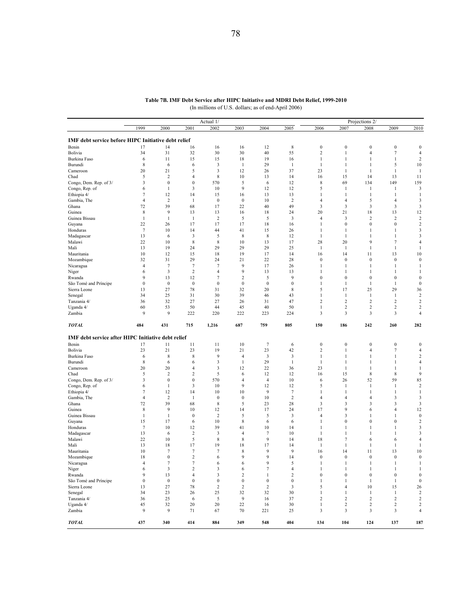|                                                           |                  |                  |                         | Actual 1/        |                  |                  |                         |                                | Projections 2/                   |                       |                            |                                    |
|-----------------------------------------------------------|------------------|------------------|-------------------------|------------------|------------------|------------------|-------------------------|--------------------------------|----------------------------------|-----------------------|----------------------------|------------------------------------|
|                                                           | 1999             | 2000             | 2001                    | 2002             | 2003             | 2004             | 2005                    | 2006                           | 2007                             | 2008                  | 2009                       | 2010                               |
|                                                           |                  |                  |                         |                  |                  |                  |                         |                                |                                  |                       |                            |                                    |
| IMF debt service before HIPC Initiative debt relief       |                  |                  |                         |                  |                  |                  |                         |                                |                                  |                       |                            |                                    |
| Benin                                                     | 17<br>34         | 14<br>31         | 16<br>32                | 16               | 16<br>30         | 12<br>40         | $\,$ 8 $\,$<br>55       | $\boldsymbol{0}$<br>$\sqrt{2}$ | $\boldsymbol{0}$<br>$\mathbf{1}$ | $\boldsymbol{0}$<br>4 | $\boldsymbol{0}$<br>$\tau$ | $\boldsymbol{0}$<br>$\overline{4}$ |
| Bolivia<br>Burkina Faso                                   | 6                | 11               | 15                      | 30<br>15         | 18               | 19               | 16                      | $\mathbf{1}$                   | $\mathbf{1}$                     | $\mathbf{1}$          | $\mathbf{1}$               | 2                                  |
| Burundi                                                   | $\,$ 8 $\,$      | 6                | 6                       | $\mathbf{3}$     | $\mathbf{1}$     | 29               | $\mathbf{1}$            | 1                              | $\mathbf{1}$                     | $\mathbf{1}$          | 5                          | 10                                 |
| Cameroon                                                  | 20               | 21               | 5                       | $\mathbf{3}$     | 12               | 26               | 37                      | 23                             | $\mathbf{1}$                     | $\mathbf{1}$          | $\mathbf{1}$               | $\mathbf{1}$                       |
| Chad                                                      | 5                | $\overline{2}$   | 4                       | 8                | 10               | 13               | 14                      | 16                             | 15                               | 14                    | 13                         | 11                                 |
| Congo, Dem. Rep. of 3/                                    | 3                | $\boldsymbol{0}$ | $\boldsymbol{0}$        | 570              | 5                | 6                | 12                      | 8                              | 69                               | 134                   | 149                        | 159                                |
| Congo, Rep. of                                            | 6                | 1                | 3                       | 10               | 9                | 12               | 12                      | 5                              | 1                                | 1                     | 1                          | 3                                  |
| Ethiopia 4/                                               | 7                | 12               | 14                      | 15               | 16               | 13               | 13                      | 1                              | 1                                | $\mathbf{1}$          | 1                          | 1                                  |
| Gambia, The                                               | $\overline{4}$   | $\overline{2}$   | 1                       | $\boldsymbol{0}$ | $\boldsymbol{0}$ | 10               | $\overline{\mathbf{c}}$ | $\overline{4}$                 | 4                                | 5                     | $\overline{4}$             | 3                                  |
| Ghana                                                     | 72               | 39               | 68                      | 17               | 22               | 40               | 49                      | $\mathbf{3}$                   | 3                                | 3                     | 3                          | 3                                  |
| Guinea                                                    | 8                | 9                | 13                      | 13               | 16               | 18               | 24                      | 20                             | 21                               | 18                    | 13                         | 12                                 |
| Guinea Bissau                                             | $\mathbf{1}$     | $\mathbf{1}$     | $\mathbf{1}$            | $\overline{2}$   | 5                | 5                | $\mathbf{3}$            | $\overline{4}$                 | 3                                | $\overline{2}$        | $\overline{c}$             | $\overline{2}$                     |
| Guyana                                                    | 22               | 26               | 17                      | 17               | 17               | 18               | 16                      | $\mathbf{1}$                   | $\bf{0}$                         | $\boldsymbol{0}$      | $\boldsymbol{0}$           | $\boldsymbol{2}$                   |
| Honduras                                                  | $\tau$           | 10               | 14                      | 44               | 41               | 15               | 26                      | 1                              | 1                                | 1                     | 1                          | 3                                  |
| Madagascar                                                | 13               | 6                | 3                       | 5                | 8                | 8                | 12                      | 1                              | $\mathbf{1}$                     | 1                     | 1                          | 3                                  |
| Malawi                                                    | 22               | 10               | 8                       | 8                | 10               | 13               | 17                      | 28                             | 20                               | 9                     | $\tau$                     | 4                                  |
| Mali                                                      | 13               | 19               | 24                      | 29               | 29               | 29               | 25                      | 1                              | 1                                | 1                     | $\mathbf{1}$               | 1                                  |
| Mauritania                                                | 10               | 12               | 15                      | 18               | 19               | 17               | 14                      | 16                             | 14                               | 11                    | 13                         | 10                                 |
| Mozambique                                                | 32               | 31               | 29                      | 24               | 21               | 22               | 28                      | $\boldsymbol{0}$               | $\bf{0}$                         | $\boldsymbol{0}$      | $\bf{0}$                   | $\boldsymbol{0}$                   |
| Nicaragua                                                 | $\overline{4}$   | 7                | $\tau$                  | 7                | 9                | 17               | 26                      | 1                              | $\mathbf{1}$                     | $\mathbf{1}$          | $\mathbf{1}$               | 1                                  |
| Niger                                                     | 6                | 3                | $\overline{\mathbf{c}}$ | 4                | 9                | 13               | 13                      | 1                              | $\mathbf{1}$                     | 1                     | $\mathbf{1}$               | 1                                  |
| Rwanda                                                    | 9                | 13               | 12                      | $\tau$           | $\sqrt{2}$       | 5                | 9                       | $\boldsymbol{0}$               | $\boldsymbol{0}$                 | $\boldsymbol{0}$      | $\boldsymbol{0}$           | $\boldsymbol{0}$                   |
| São Tomé and Príncipe                                     | $\boldsymbol{0}$ | $\boldsymbol{0}$ | $\boldsymbol{0}$        | $\boldsymbol{0}$ | $\boldsymbol{0}$ | $\boldsymbol{0}$ | $\boldsymbol{0}$        | 1                              | 1                                | $\mathbf{1}$          | $\mathbf{1}$               | $\boldsymbol{0}$                   |
| Sierra Leone                                              | 13               | 27               | 78                      | 31               | 32               | 20               | 8                       | 5                              | 17                               | 25                    | 29                         | 36                                 |
| Senegal                                                   | 34               | 25               | 31                      | 30               | 39               | 46               | 43                      | 1                              | 1                                | -1                    | 1                          | $\overline{2}$                     |
| Tanzania 4/                                               | 36               | 32               | 27                      | 27               | 26               | 31               | 47                      | $\overline{2}$                 | $\overline{c}$                   | 2                     | $\overline{2}$             | 2                                  |
| Uganda 4/                                                 | 60               | 53               | 50                      | 44               | 45               | 40               | 50                      | 1                              | 2                                | 2                     | $\sqrt{2}$                 | 2                                  |
| Zambia                                                    | 9                | 9                | 222                     | 220              | 222              | 223              | 224                     | 3                              | 3                                | 3                     | 3                          | $\overline{4}$                     |
| <b>TOTAL</b>                                              | 484              | 431              | 715                     | 1,216            | 687              | 759              | 805                     | 150                            | 186                              | 242                   | 260                        | 282                                |
|                                                           |                  |                  |                         |                  |                  |                  |                         |                                |                                  |                       |                            |                                    |
| <b>IMF</b> debt service after HIPC Initiative debt relief |                  |                  |                         |                  |                  |                  |                         |                                |                                  |                       |                            |                                    |
| Benin                                                     | 17               | 11               | 11                      | 11               | 10               | 7                | 6                       | $\boldsymbol{0}$               | $\bf{0}$                         | $\boldsymbol{0}$      | $\boldsymbol{0}$           | $\bf{0}$                           |
| Bolivia                                                   | 23               | 21               | 23                      | 19               | 21               | 23               | 42                      | $\overline{2}$                 | 1                                | 4                     | 7                          | $\overline{4}$                     |
| Burkina Faso                                              | 6                | 8                | 8                       | 9                | $\overline{4}$   | 3                | 3                       | $\mathbf{1}$                   | 1                                | 1                     | $\mathbf{1}$               | 2                                  |
| Burundi                                                   | 8                | 6                | 6                       | 3                | 1                | 29               | $\mathbf{1}$            | 1                              | 1                                | 1                     | 1                          | 4                                  |
| Cameroon                                                  | 20               | 20               | $\overline{4}$          | 3                | 12               | 22               | 36                      | 23                             | $\mathbf{1}$                     | 1                     | $\mathbf{1}$               | 1                                  |
| Chad                                                      | 5                | $\overline{2}$   | $\overline{\mathbf{c}}$ | 5                | 6                | 12               | 12                      | 16                             | 15                               | $\,$ 8 $\,$           | 8                          | 9                                  |
| Congo, Dem. Rep. of 3/                                    | 3                | $\boldsymbol{0}$ | $\boldsymbol{0}$        | 570              | $\overline{4}$   | $\overline{4}$   | 10                      | 6                              | 26                               | 52                    | 59                         | 85                                 |
| Congo, Rep. of                                            | 6                | $\mathbf{1}$     | 3                       | 10               | 9                | 12               | 12                      | 5                              | 1                                | 1                     | $\mathbf{1}$               | $\sqrt{2}$                         |
| Ethiopia 4/                                               | $\tau$           | 12               | 14                      | 10               | 10               | 9                | $\tau$                  | 1                              | $\mathbf{1}$                     | $\mathbf{1}$          | $\mathbf{1}$               | 1                                  |
| Gambia, The                                               | $\overline{4}$   | $\overline{2}$   | 1                       | $\boldsymbol{0}$ | $\boldsymbol{0}$ | 10               | $\overline{c}$          | $\overline{4}$                 | 4                                | 4                     | 3                          | 3                                  |
| Ghana                                                     | 72               | 39               | 68                      | 8                | 5                | 23               | 28                      | 3                              | 3                                | 3                     | 3                          | 3                                  |
| Guinea                                                    | 8                | 9                | 10                      | 12               | 14               | 17               | 24                      | 17                             | 9                                | 6                     | $\overline{4}$             | 12                                 |
| Guinea Bissau                                             | 1                | $\mathbf{1}$     | $\mathbf{0}$            | 2                | 5                | 5                | 3                       | $\overline{4}$                 | 3                                | 1                     | 1                          | $\boldsymbol{0}$                   |
| Guyana                                                    | 15               | 17               | 6                       | 10               | $\,$ 8 $\,$      | 6                | 6                       | 1                              | $\bf{0}$                         | $\boldsymbol{0}$      | $\boldsymbol{0}$           | 2                                  |
| Honduras                                                  | $\tau$           | 10               | 12                      | 39               | 41               | 10               | 14                      | 1                              | $\mathbf{1}$                     | $\mathbf{1}$          | $\mathbf{1}$               | 3                                  |
| Madagascar                                                | 13               | 6                | $\overline{\mathbf{c}}$ | 3                | $\overline{4}$   | 7                | 10                      | 1                              | $\mathbf{1}$                     | $\mathbf{1}$          | $\mathbf{1}$               | 3                                  |
| Malawi                                                    | 22               | 10               | 5                       | 8                | 8                | 9                | 14                      | 18                             | $\tau$                           | 6                     | 6                          | $\overline{4}$                     |
| Mali                                                      | 13               | 18               | 17                      | 19               | 18               | 17               | 14                      | 1                              | $\mathbf{1}$                     | $\mathbf{1}$          | 1                          | 1                                  |
| Mauritania                                                | 10               | $\overline{7}$   | $\overline{7}$          | $\tau$           | 8                | 9                | 9                       | 16                             | 14                               | 11                    | 13                         | 10                                 |
| Mozambique                                                | 18               | $\bf{0}$         | $\overline{2}$          | 6                | 9                | 9                | 14                      | $\boldsymbol{0}$               | $\bf{0}$                         | $\boldsymbol{0}$      | $\boldsymbol{0}$           | $\bf{0}$                           |
| Nicaragua                                                 | $\overline{4}$   | $\overline{7}$   | 7                       | 6                | 6                | 9                | $\varsigma$             | $\mathbf{1}$                   |                                  | 1                     | $\mathbf{1}$               |                                    |
| Niger                                                     | 6                | 3                | $\overline{\mathbf{c}}$ | 3                | 6                | $\tau$           | 4                       | 1                              | 1                                | $\mathbf{1}$          | $\mathbf{1}$               | $\mathbf{1}$                       |
| Rwanda                                                    | 9                | 13               | $\overline{4}$          | 3                | $\sqrt{2}$       | $\mathbf{1}$     | $\sqrt{2}$              | $\boldsymbol{0}$               | $\boldsymbol{0}$                 | $\boldsymbol{0}$      | $\boldsymbol{0}$           | $\boldsymbol{0}$                   |
| São Tomé and Príncipe                                     | $\boldsymbol{0}$ | $\boldsymbol{0}$ | $\boldsymbol{0}$        | $\boldsymbol{0}$ | $\boldsymbol{0}$ | $\boldsymbol{0}$ | $\boldsymbol{0}$        | $\mathbf{1}$                   | $\mathbf{1}$                     | $\mathbf{1}$          | $\mathbf{1}$               | $\boldsymbol{0}$                   |
| Sierra Leone                                              | 13               | 27               | 78                      | $\sqrt{2}$       | $\sqrt{2}$       | 2                | 3                       | 5                              | 4                                | 10                    | 15                         | 26                                 |
| Senegal                                                   | 34               | 23               | 26                      | 25               | 32               | 32               | 30                      | $\mathbf{1}$                   | $\mathbf{1}$                     | $\mathbf{1}$          | $\mathbf{1}$               | $\sqrt{2}$                         |
| Tanzania 4/                                               | 36               | 25               | 6                       | 5                | 9                | 16               | 37                      | $\boldsymbol{2}$               | 2                                | $\sqrt{2}$            | $\sqrt{2}$                 | $\sqrt{2}$                         |
| Uganda 4/                                                 | 45               | 32               | 20                      | 20               | 22               | 16               | 30                      | $\mathbf{1}$                   | 2                                | $\boldsymbol{2}$      | $\sqrt{2}$                 | $\boldsymbol{2}$                   |
| Zambia                                                    | 9                | 9                | 71                      | 67               | 70               | 221              | 25                      | $\ensuremath{\mathfrak{Z}}$    | 3                                | 3                     | 3                          | $\overline{4}$                     |
| <b>TOTAL</b>                                              | 437              | 340              | 414                     | 884              | 349              | 548              | 404                     | 134                            | 104                              | 124                   | 137                        | 187                                |

**Table 7B. IMF Debt Service after HIPC Initiative and MDRI Debt Relief, 1999-2010** (In millions of U.S. dollars; as of end-April 2006)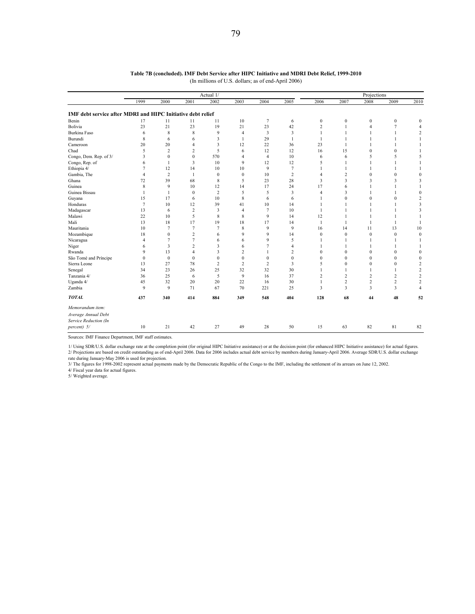|                                                                    |                |                  |                  | Actual 1/      |                | Projections    |                |                  |                  |                  |                |                  |
|--------------------------------------------------------------------|----------------|------------------|------------------|----------------|----------------|----------------|----------------|------------------|------------------|------------------|----------------|------------------|
|                                                                    | 1999           | 2000             | 2001             | 2002           | 2003           | 2004           | 2005           | 2006             | 2007             | 2008             | 2009           | 2010             |
| <b>IMF debt service after MDRI and HIPC Initiative debt relief</b> |                |                  |                  |                |                |                |                |                  |                  |                  |                |                  |
| Benin                                                              | 17             | 11               | 11               | 11             | 10             | 7              | 6              | $\bf{0}$         | $\boldsymbol{0}$ | $\boldsymbol{0}$ | $\mathbf{0}$   | $\mathbf{0}$     |
| Bolivia                                                            | 23             | 21               | 23               | 19             | 21             | 23             | 42             | $\overline{2}$   | 1                | $\overline{4}$   | $\tau$         | $\overline{4}$   |
| <b>Burkina Faso</b>                                                | 6              | 8                | 8                | 9              | $\overline{4}$ | 3              | 3              | 1                | 1                | $\mathbf{1}$     | 1              | $\overline{2}$   |
| Burundi                                                            | 8              | 6                | 6                | 3              | $\overline{1}$ | 29             | 1              | $\overline{1}$   | 1                |                  |                | 1                |
| Cameroon                                                           | 20             | 20               | 4                | 3              | 12             | 22             | 36             | 23               | 1                |                  |                |                  |
| Chad                                                               | 5              | $\overline{2}$   | 2                | 5              | 6              | 12             | 12             | 16               | 15               | $\mathbf{0}$     | $\Omega$       |                  |
| Congo, Dem. Rep. of 3/                                             | 3              | $\mathbf{0}$     | $\mathbf{0}$     | 570            | 4              | $\overline{4}$ | 10             | 6                | 6                | 5                | 5              | 5                |
| Congo, Rep. of                                                     | 6              | $\mathbf{1}$     | 3                | 10             | 9              | 12             | 12             | 5                | $\mathbf{1}$     | $\mathbf{1}$     | 1              | $\mathbf{1}$     |
| Ethiopia 4/                                                        | 7              | 12               | 14               | 10             | 10             | 9              | $\tau$         | $\mathbf{1}$     | $\mathbf{1}$     | $\mathbf{1}$     | 1              | $\mathbf{1}$     |
| Gambia, The                                                        | $\overline{4}$ | $\overline{2}$   | 1                | $\mathbf{0}$   | $\mathbf{0}$   | 10             | $\overline{c}$ | $\overline{4}$   | 2                | $\mathbf{0}$     | $\mathbf{0}$   | $\mathbf{0}$     |
| Ghana                                                              | 72             | 39               | 68               | 8              | 5              | 23             | 28             | 3                | 3                | 3                | 3              | 3                |
| Guinea                                                             | 8              | 9                | 10               | 12             | 14             | 17             | 24             | 17               | 6                |                  |                | $\mathbf{1}$     |
| Guinea Bissau                                                      | 1              | $\mathbf{1}$     | $\boldsymbol{0}$ | $\overline{c}$ | 5              | 5              | 3              | $\overline{4}$   | 3                |                  |                | $\bf{0}$         |
| Guyana                                                             | 15             | 17               | 6                | 10             | 8              | 6              | 6              | $\mathbf{1}$     | $\mathbf{0}$     | $\mathbf{0}$     | $\mathbf{0}$   | $\overline{2}$   |
| Honduras                                                           | $\overline{7}$ | 10               | 12               | 39             | 41             | 10             | 14             | $\mathbf{1}$     | 1                | $\mathbf{1}$     |                | 3                |
| Madagascar                                                         | 13             | 6                | $\overline{c}$   | 3              | $\overline{4}$ | 7              | 10             | $\mathbf{1}$     | 1                | $\mathbf{1}$     |                | 3                |
| Malawi                                                             | 22             | 10               | 5                | 8              | 8              | 9              | 14             | 12               | 1                |                  |                |                  |
| Mali                                                               | 13             | 18               | 17               | 19             | 18             | 17             | 14             | 1                | 1                | $\mathbf{1}$     | $\mathbf{1}$   | 1                |
| Mauritania                                                         | 10             | 7                | $\overline{7}$   | 7              | 8              | 9              | 9              | 16               | 14               | 11               | 13             | 10               |
| Mozambique                                                         | 18             | $\boldsymbol{0}$ | $\overline{c}$   | 6              | 9              | 9              | 14             | $\boldsymbol{0}$ | $\boldsymbol{0}$ | $\boldsymbol{0}$ | $\mathbf{0}$   | $\boldsymbol{0}$ |
| Nicaragua                                                          | 4              | $\overline{7}$   | $\overline{7}$   | 6              | 6              | 9              | 5              | $\overline{1}$   | $\mathbf{1}$     | $\mathbf{1}$     | $\mathbf{1}$   | 1                |
| Niger                                                              | 6              | 3                | $\overline{c}$   | 3              | 6              | 7              | $\overline{4}$ | -1               | 1                |                  |                | 1                |
| Rwanda                                                             | 9              | 13               | 4                | 3              | $\overline{2}$ | 1              | $\overline{2}$ | $\theta$         | $\mathbf{0}$     | $\mathbf{0}$     | $\Omega$       | $\bf{0}$         |
| São Tomé and Príncipe                                              | $\Omega$       | $\theta$         | $\mathbf{0}$     | $\Omega$       | $\Omega$       | $\mathbf{0}$   | $\mathbf{0}$   | $\theta$         | $\Omega$         | $\theta$         | $\Omega$       | $\bf{0}$         |
| Sierra Leone                                                       | 13             | 27               | 78               | $\overline{c}$ | $\overline{2}$ | $\overline{c}$ | 3              | 5                | $\mathbf{0}$     | $\mathbf{0}$     | $\mathbf{0}$   | $\overline{2}$   |
| Senegal                                                            | 34             | 23               | 26               | 25             | 32             | 32             | 30             | 1                | 1                | $\mathbf{1}$     |                | $\overline{c}$   |
| Tanzania 4/                                                        | 36             | 25               | 6                | 5              | 9              | 16             | 37             | 2                | 2                | $\overline{2}$   | 2              | $\overline{c}$   |
| Uganda 4/                                                          | 45             | 32               | 20               | 20             | 22             | 16             | 30             | $\mathbf{1}$     | $\overline{c}$   | $\overline{2}$   | $\overline{c}$ | $\overline{2}$   |
| Zambia                                                             | 9              | 9                | 71               | 67             | 70             | 221            | 25             | 3                | 3                | 3                | 3              | $\overline{4}$   |
| <b>TOTAL</b>                                                       | 437            | 340              | 414              | 884            | 349            | 548            | 404            | 128              | 68               | 44               | 48             | 52               |
| Memorandum item:                                                   |                |                  |                  |                |                |                |                |                  |                  |                  |                |                  |
| Average Annual Debt<br>Service Reduction (In                       |                |                  |                  |                |                |                |                |                  |                  |                  |                |                  |
| percent) 5/                                                        | 10             | 21               | 42               | 27             | 49             | 28             | 50             | 15               | 63               | 82               | 81             | 82               |

## **Table 7B (concluded). IMF Debt Service after HIPC Initiative and MDRI Debt Relief, 1999-2010** (In millions of U.S. dollars; as of end-April 2006)

Sources: IMF Finance Department, IMF staff estimates.

1/ Using SDR/U.S. dollar exchange rate at the completion point (for original HIPC Initiative assistance) or at the decision point (for enhanced HIPC Initiative assistance) for actual figures. 2/ Projections are based on credit outstanding as of end-April 2006. Data for 2006 includes actual debt service by members during January-April 2006. Average SDR/U.S. dollar exchange rate during January-May 2006 is used for projection.

3/ The figures for 1998-2002 represent actual payments made by the Democratic Republic of the Congo to the IMF, including the settlement of its arrears on June 12, 2002. 4/ Fiscal year data for actual figures.

5/ Weighted average.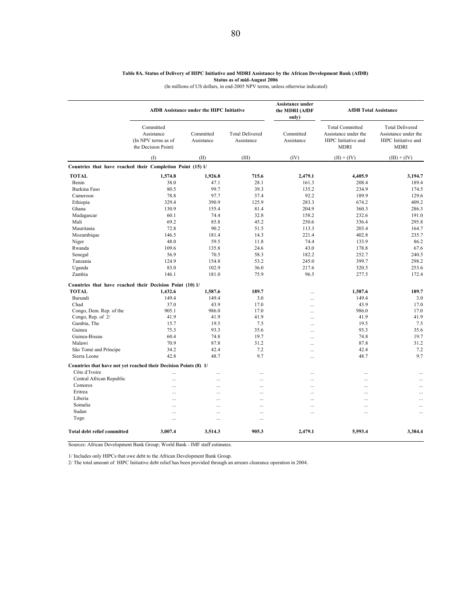#### **Table 8A. Status of Delivery of HIPC Initiative and MDRI Assistance by the African Development Bank (AfDB) Status as of mid-August 2006**

(In millions of US dollars, in end-2005 NPV terms, unless otherwise indicated)

|                                                                  |                                                                       | AfDB Assistance under the HIPC Initiative |                                      | Assistance under<br>the MDRI (AfDF<br>only) | <b>AfDB</b> Total Assistance                                                         |                                                                                      |
|------------------------------------------------------------------|-----------------------------------------------------------------------|-------------------------------------------|--------------------------------------|---------------------------------------------|--------------------------------------------------------------------------------------|--------------------------------------------------------------------------------------|
|                                                                  | Committed<br>Assistance<br>(In NPV terms as of<br>the Decision Point) | Committed<br>Assistance                   | <b>Total Delivered</b><br>Assistance | Committed<br>Assistance                     | <b>Total Committed</b><br>Assistance under the<br>HIPC Initiative and<br><b>MDRI</b> | <b>Total Delivered</b><br>Assistance under the<br>HIPC Initiative and<br><b>MDRI</b> |
|                                                                  | (1)                                                                   | (II)                                      | (III)                                | (IV)                                        | $(II) + (IV)$                                                                        | $(III) + (IV)$                                                                       |
| Countries that have reached their Completion Point (15) 1/       |                                                                       |                                           |                                      |                                             |                                                                                      |                                                                                      |
| <b>TOTAL</b>                                                     | 1,574.8                                                               | 1,926.8                                   | 715.6                                | 2,479.1                                     | 4,405.9                                                                              | 3,194.7                                                                              |
| Benin                                                            | 38.0                                                                  | 47.1                                      | 28.1                                 | 161.3                                       | 208.4                                                                                | 189.4                                                                                |
| Burkina Faso                                                     | 80.5                                                                  | 99.7                                      | 39.3                                 | 135.2                                       | 234.9                                                                                | 174.5                                                                                |
| Cameroon                                                         | 78.8                                                                  | 97.7                                      | 37.4                                 | 92.2                                        | 189.9                                                                                | 129.6                                                                                |
| Ethiopia                                                         | 329.4                                                                 | 390.9                                     | 125.9                                | 283.3                                       | 674.2                                                                                | 409.2                                                                                |
| Ghana                                                            | 130.9                                                                 | 155.4                                     | 81.4                                 | 204.9                                       | 360.3                                                                                | 286.3                                                                                |
| Madagascar                                                       | 60.1                                                                  | 74.4                                      | 32.8                                 | 158.2                                       | 232.6                                                                                | 191.0                                                                                |
| Mali                                                             | 69.2                                                                  | 85.8                                      | 45.2                                 | 250.6                                       | 336.4                                                                                | 295.8                                                                                |
| Mauritania                                                       | 72.8                                                                  | 90.2                                      | 51.5                                 |                                             | 203.4                                                                                | 164.7                                                                                |
|                                                                  |                                                                       |                                           |                                      | 113.3                                       |                                                                                      |                                                                                      |
| Mozambique                                                       | 146.5                                                                 | 181.4                                     | 14.3                                 | 221.4                                       | 402.8                                                                                | 235.7                                                                                |
| Niger                                                            | 48.0                                                                  | 59.5                                      | 11.8                                 | 74.4                                        | 133.9                                                                                | 86.2                                                                                 |
| Rwanda                                                           | 109.6                                                                 | 135.8                                     | 24.6                                 | 43.0                                        | 178.8                                                                                | 67.6                                                                                 |
| Senegal                                                          | 56.9                                                                  | 70.5                                      | 58.3                                 | 182.2                                       | 252.7                                                                                | 240.5                                                                                |
| Tanzania                                                         | 124.9                                                                 | 154.8                                     | 53.2                                 | 245.0                                       | 399.7                                                                                | 298.2                                                                                |
| Uganda                                                           | 83.0                                                                  | 102.9                                     | 36.0                                 | 217.6                                       | 320.5                                                                                | 253.6                                                                                |
| Zambia                                                           | 146.1                                                                 | 181.0                                     | 75.9                                 | 96.5                                        | 277.5                                                                                | 172.4                                                                                |
| Countries that have reached their Decision Point (10) 1/         |                                                                       |                                           |                                      |                                             |                                                                                      |                                                                                      |
| <b>TOTAL</b>                                                     | 1,432.6                                                               | 1,587.6                                   | 189.7                                |                                             | 1,587.6                                                                              | 189.7                                                                                |
| Burundi                                                          | 149.4                                                                 | 149.4                                     | 3.0                                  |                                             | 149.4                                                                                | 3.0                                                                                  |
| Chad                                                             | 37.0                                                                  | 43.9                                      | 17.0                                 |                                             | 43.9                                                                                 | 17.0                                                                                 |
| Congo, Dem. Rep. of the                                          | 905.1                                                                 | 986.0                                     | 17.0                                 |                                             | 986.0                                                                                | 17.0                                                                                 |
| Congo, Rep. of 2/                                                | 41.9                                                                  | 41.9                                      | 41.9                                 |                                             | 41.9                                                                                 | 41.9                                                                                 |
| Gambia, The                                                      | 15.7                                                                  | 19.5                                      | 7.5                                  |                                             | 19.5                                                                                 | 7.5                                                                                  |
| Guinea                                                           | 75.3                                                                  | 93.3                                      | 35.6                                 |                                             | 93.3                                                                                 | 35.6                                                                                 |
| Guinea-Bissau                                                    | 60.4                                                                  | 74.8                                      | 19.7                                 |                                             | 74.8                                                                                 | 19.7                                                                                 |
| Malawi                                                           | 70.9                                                                  | 87.8                                      | 31.2                                 |                                             | 87.8                                                                                 | 31.2                                                                                 |
| São Tomé and Príncipe                                            | 34.2                                                                  | 42.4                                      | 7.2                                  |                                             | 42.4                                                                                 | 7.2                                                                                  |
| Sierra Leone                                                     | 42.8                                                                  | 48.7                                      | 9.7                                  | <br>                                        | 48.7                                                                                 | 9.7                                                                                  |
| Countries that have not yet reached their Decision Points (8) 1/ |                                                                       |                                           |                                      |                                             |                                                                                      |                                                                                      |
| Côte d'Ivoire                                                    |                                                                       |                                           |                                      |                                             |                                                                                      |                                                                                      |
| Central African Republic                                         |                                                                       | .                                         |                                      |                                             | $\cdots$                                                                             |                                                                                      |
| Comoros                                                          |                                                                       |                                           |                                      |                                             | $\ddotsc$                                                                            | $\cdots$                                                                             |
|                                                                  |                                                                       | .                                         |                                      | $\ddotsc$                                   | $\ddotsc$                                                                            | $\cdots$                                                                             |
| Eritrea                                                          | Ω,                                                                    |                                           |                                      |                                             | $\ddotsc$                                                                            |                                                                                      |
| Liberia                                                          |                                                                       |                                           |                                      |                                             | $\cdots$                                                                             |                                                                                      |
| Somalia                                                          |                                                                       | .                                         |                                      | $\cdots$                                    | $\cdots$                                                                             | $\cdots$                                                                             |
| Sudan                                                            | .                                                                     |                                           |                                      | $\cdots$                                    | $\cdots$                                                                             | $\cdots$                                                                             |
| Togo                                                             |                                                                       |                                           |                                      |                                             |                                                                                      |                                                                                      |
| <b>Total debt relief committed</b>                               | 3,007.4                                                               | 3,514.3                                   | 905.3                                | 2,479.1                                     | 5,993.4                                                                              | 3,384.4                                                                              |

Sources: African Development Bank Group; World Bank - IMF staff estimates.

1/ Includes only HIPCs that owe debt to the African Development Bank Group.

2/ The total amount of HIPC Initiative debt relief has been provided through an arrears clearance operation in 2004.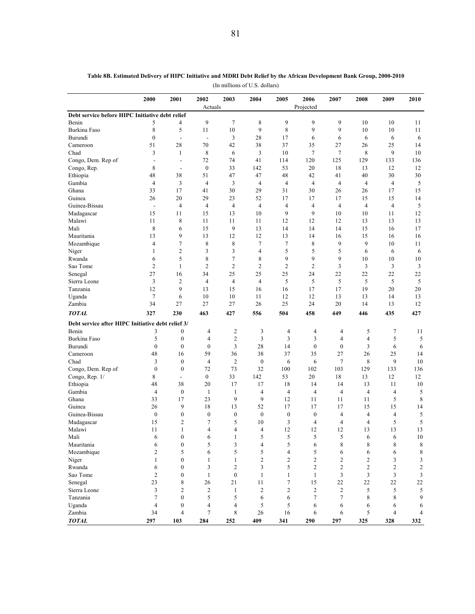|                                                   | 2000                     | 2001                     | 2002                     | 2003             | 2004             | 2005                    | 2006             | 2007           | 2008           | 2009                | 2010           |
|---------------------------------------------------|--------------------------|--------------------------|--------------------------|------------------|------------------|-------------------------|------------------|----------------|----------------|---------------------|----------------|
| Debt service before HIPC Initiative debt relief   |                          |                          | Actuals                  |                  |                  |                         | Projected        |                |                |                     |                |
| Benin                                             | 5                        | 4                        | 9                        | 7                | 8                | 9                       | 9                | 9              | 10             | 10                  | 11             |
| Burkina Faso                                      | 8                        | 5                        | 11                       | 10               | 9                | $\,$ 8 $\,$             | 9                | 9              | 10             | 10                  | 11             |
| Burundi                                           | $\boldsymbol{0}$         | $\overline{\phantom{a}}$ | $\overline{\phantom{a}}$ | 3                | 28               | 17                      | 6                | 6              | 6              | 6                   | 6              |
| Cameroon                                          | 51                       | 28                       | 70                       | 42               | 38               | 37                      | 35               | 27             | 26             | 25                  | 14             |
| Chad                                              | 3                        | $\mathbf{1}$             | 8                        | 6                | 3                | 10                      | $\tau$           | $\tau$         | 8              | 9                   | 10             |
| Congo, Dem. Rep of                                | $\overline{\phantom{a}}$ | $\overline{\phantom{a}}$ | 72                       | 74               | 41               | 114                     | 120              | 125            | 129            | 133                 | 136            |
| Congo, Rep.                                       | 8                        | $\overline{\phantom{a}}$ | $\boldsymbol{0}$         | 33               | 142              | 53                      | 20               | 18             | 13             | 12                  | 12             |
| Ethiopia                                          | 48                       | 38                       | 51                       | 47               | 47               | 48                      | 42               | 41             | 40             | 30                  | 30             |
| Gambia                                            | $\overline{4}$           | 3                        | $\overline{4}$           | 3                | $\overline{4}$   | $\overline{4}$          | $\overline{4}$   | $\overline{4}$ | $\overline{4}$ | $\overline{4}$      | 5              |
| Ghana                                             | 33                       | 17                       | 41                       | 30               | 29               | 31                      | 30               | 26             | 26             | 17                  | 15             |
| Guinea                                            | 26                       | 20                       | 29                       | 23               | 52               | 17                      | 17               | 17             | 15             | 15                  | 14             |
| Guinea-Bissau                                     | $\overline{\phantom{a}}$ | $\overline{\mathbf{4}}$  | $\overline{4}$           | $\overline{4}$   | $\overline{4}$   | $\overline{4}$          | $\overline{4}$   | $\overline{4}$ | $\overline{4}$ | $\overline{4}$      | 5              |
| Madagascar                                        | 15                       | 11                       | 15                       | 13               | 10               | 9                       | 9                | 10             | 10             | 11                  | 12             |
| Malawi                                            | 11                       | 8                        | 11                       | 11               | 11               | 12                      | 12               | 12             | 13             | 13                  | 13             |
| Mali                                              | 8                        | 6                        | 15                       | 9                | 13               | 14                      | 14               | 14             | 15             | 16                  | 17             |
| Mauritania                                        | 13                       | 9                        | 13                       | 12               | 12               | 13                      | 14               | 16             | 15             | 16                  | 16             |
| Mozambique                                        | $\overline{4}$           | $\tau$                   | 8                        | 8                | $\tau$           | $\tau$                  | 8                | 9              | 9              | 10                  | 11             |
| Niger                                             | $\mathbf{1}$             | $\overline{c}$           | 3                        | 3                | $\overline{4}$   | 5                       | 5                | 5              | 6              | 6                   | 6              |
| Rwanda                                            | 6                        | 5                        | 8                        | $\overline{7}$   | 8                | 9                       | 9                | 9              | 10             | 10                  | 10             |
| Sao Tome                                          | $\overline{c}$           | $\mathbf{1}$             | $\overline{2}$           | $\overline{c}$   | $\overline{c}$   | $\overline{c}$          | $\overline{2}$   | 3              | 3              | 3                   | $\mathfrak{Z}$ |
| Senegal                                           | 27                       | 16                       | 34                       | 25               | 25               | 25                      | 24               | 22             | 22             | 22                  | 22             |
| Sierra Leone                                      | 3                        | $\mathbf{2}$             | $\overline{4}$           | $\overline{4}$   | $\overline{4}$   | 5                       | 5                | 5              | 5              | 5                   | 5              |
| Tanzania                                          | 12                       | 9                        | 13                       | 15               | 16               | 16                      | 17               | 17             | 19             | 20                  | 20             |
| Uganda                                            | $\overline{7}$           | 6                        | 10                       | 10               | 11               | 12                      | 12               | 13             | 13             | 14                  | 13             |
| Zambia                                            | 34                       | 27                       | 27                       | 27               | 26               | 25                      | 24               | 20             | 14             | 13                  | 12             |
| <b>TOTAL</b>                                      | 327                      | 230                      | 463                      | 427              | 556              | 504                     | 458              | 449            | 446            | 435                 | 427            |
| Debt service after HIPC Initiative debt relief 3/ |                          |                          |                          |                  |                  |                         |                  |                |                |                     |                |
| Benin                                             | 3                        | $\boldsymbol{0}$         | $\overline{4}$           | $\overline{c}$   | 3                | 4                       | 4                | 4              | 5              | 7                   | 11             |
| Burkina Faso                                      | 5                        | $\boldsymbol{0}$         | $\overline{4}$           | $\overline{c}$   | 3                | $\overline{\mathbf{3}}$ | 3                | $\overline{4}$ | $\overline{4}$ | 5                   | 5              |
| Burundi                                           | $\mathbf{0}$             | $\mathbf{0}$             | $\mathbf{0}$             | 3                | 28               | 14                      | $\boldsymbol{0}$ | $\mathbf{0}$   | 3              | 6                   | 6              |
| Cameroon                                          | 48                       | 16                       | 59                       | 36               | 38               | 37                      | 35               | 27             | 26             | 25                  | 14             |
| Chad                                              | 3                        | $\boldsymbol{0}$         | $\overline{4}$           | $\overline{2}$   | $\boldsymbol{0}$ | 6                       | 6                | $\tau$         | 8              | 9                   | 10             |
| Congo, Dem. Rep of                                | $\boldsymbol{0}$         | $\boldsymbol{0}$         | 72                       | 73               | 32               | 100                     | 102              | 103            | 129            | 133                 | 136            |
| Congo, Rep. 1/                                    | 8                        | $\blacksquare$           | $\overline{0}$           | 33               | 142              | 53                      | 20               | 18             | 13             | 12                  | 12             |
| Ethiopia                                          | 48                       | 38                       | 20                       | 17               | 17               | 18                      | 14               | 14             | 13             | 11                  | 10             |
| Gambia                                            | 4                        | $\boldsymbol{0}$         | $\mathbf{1}$             | $\mathbf{1}$     | 4                | $\overline{4}$          | $\overline{4}$   | $\overline{4}$ | 4              | $\overline{4}$      | 5              |
| Ghana                                             | 33                       | 17                       | 23                       | 9                | 9                | 12                      | 11               | 11             | 11             | 5                   | 8              |
| Guinea                                            | 26                       | 9                        | 18                       | 13               | 52               | 17                      | 17               | 17             | 15             | 15                  | 14             |
| Guinea-Bissau                                     | $\boldsymbol{0}$         | $\boldsymbol{0}$         | $\boldsymbol{0}$         | $\boldsymbol{0}$ | $\boldsymbol{0}$ | $\boldsymbol{0}$        | $\boldsymbol{0}$ | 4              | 4              | $\overline{4}$      | 5              |
| Madagascar                                        | 15                       | $\overline{2}$           | $\tau$                   | 5                | 10               | 3                       | $\overline{4}$   | $\overline{4}$ | $\overline{4}$ | 5                   | 5              |
| Malawi                                            | 11                       | $\mathbf{1}$             | $\overline{4}$           | 4                | $\overline{4}$   | 12                      | 12               | 12             | 13             | 13                  | 13             |
| Mali                                              | 6                        | $\boldsymbol{0}$         | 6                        | $\mathbf{1}$     | 5                | $\sqrt{5}$              | 5                | 5              | 6              | 6                   | 10             |
| Mauritania                                        | 6                        | $\boldsymbol{0}$         | 5                        | 3                | 4                | 5                       | 6                | $\,$ 8 $\,$    | $\,$ 8 $\,$    | $\,$ 8 $\,$         | 8              |
| Mozambique                                        | $\overline{c}$           | 5                        | 6                        | 5                | 5                | $\overline{4}$          | 5                | 6              | 6              | 6                   | 8              |
| Niger                                             | $\mathbf{1}$             | $\bf{0}$                 | $\mathbf{1}$             | $\mathbf{1}$     | $\overline{c}$   | $\overline{c}$          | $\overline{c}$   | $\overline{c}$ | $\overline{c}$ | 3                   | 3              |
| Rwanda                                            | 6                        | $\mathbf{0}$             | 3                        | $\overline{c}$   | 3                | 5                       | $\overline{c}$   | $\overline{c}$ | $\overline{c}$ | $\overline{c}$      | 2              |
| Sao Tome                                          | $\overline{c}$           | $\bf{0}$                 | $\mathbf{1}$             | $\boldsymbol{0}$ | $\mathbf{1}$     | $\mathbf{1}$            | $\mathbf{1}$     | 3              | 3              | $\overline{3}$      | 3              |
| Senegal                                           | 23                       | 8                        | 26                       | 21               | 11               | $\tau$                  | 15               | 22             | 22             | 22                  | 22             |
| Sierra Leone                                      | 3                        | 2                        | $\overline{c}$           | $\mathbf{1}$     | $\overline{c}$   | $\overline{c}$          | $\overline{c}$   | 2              | 5              | 5                   | 5              |
| Tanzania                                          | $\tau$                   | $\bf{0}$                 | 5                        | 5                | 6                | 6                       | $\tau$           | 7              | 8              | 8                   | 9              |
| Uganda<br>Zambia                                  | $\overline{4}$<br>34     | $\bf{0}$                 | 4<br>$\tau$              | 4<br>8           | 5<br>$26\,$      | 5<br>16                 | 6<br>6           | 6              | 6<br>5         | 6<br>$\overline{4}$ | 6              |
|                                                   |                          | $\overline{4}$           |                          |                  |                  |                         |                  | 6              |                |                     | 4              |

*TOTAL* **103 297 284 252 409 341 290 297 325 328 332** 

**Table 8B. Estimated Delivery of HIPC Initiative and MDRI Debt Relief by the African Development Bank Group, 2000-2010**

(In millions of U.S. dollars)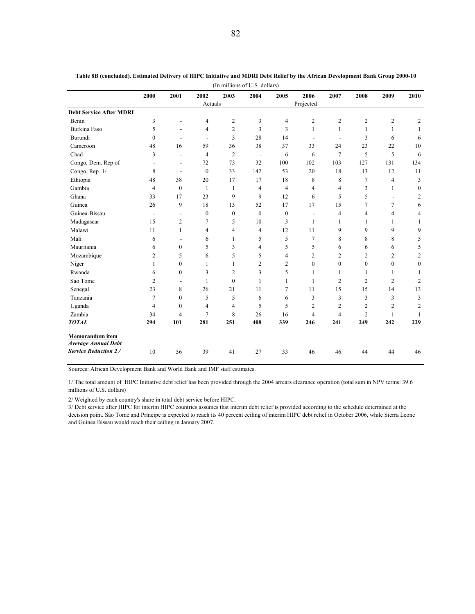| (In millions of U.S. dollars)  |                          |                          |                  |                |                          |                |                          |                          |                |                          |                  |
|--------------------------------|--------------------------|--------------------------|------------------|----------------|--------------------------|----------------|--------------------------|--------------------------|----------------|--------------------------|------------------|
|                                | 2000                     | 2001                     | 2002             | 2003           | 2004                     | 2005           | 2006                     | 2007                     | 2008           | 2009                     | 2010             |
|                                |                          |                          | Actuals          |                |                          |                | Projected                |                          |                |                          |                  |
| <b>Debt Service After MDRI</b> |                          |                          |                  |                |                          |                |                          |                          |                |                          |                  |
| Benin                          | 3                        |                          | 4                | $\overline{c}$ | 3                        | 4              | $\overline{c}$           | $\overline{c}$           | $\overline{c}$ | $\overline{c}$           | 2                |
| <b>Burkina Faso</b>            | 5                        |                          | 4                | $\overline{c}$ | 3                        | 3              | $\mathbf{1}$             | $\mathbf{1}$             | 1              | $\mathbf{1}$             | 1                |
| Burundi                        | $\mathbf{0}$             |                          | $\blacksquare$   | 3              | 28                       | 14             | $\overline{\phantom{a}}$ | $\overline{\phantom{a}}$ | 3              | 6                        | 6                |
| Cameroon                       | 48                       | 16                       | 59               | 36             | 38                       | 37             | 33                       | 24                       | 23             | 22                       | 10               |
| Chad                           | 3                        | $\overline{a}$           | 4                | $\overline{2}$ | $\overline{\phantom{a}}$ | 6              | 6                        | $\tau$                   | 5              | 5                        | 6                |
| Congo, Dem. Rep of             | $\overline{\phantom{a}}$ | $\overline{\phantom{a}}$ | 72               | 73             | 32                       | 100            | 102                      | 103                      | 127            | 131                      | 134              |
| Congo, Rep. 1/                 | 8                        | $\overline{a}$           | $\boldsymbol{0}$ | 33             | 142                      | 53             | 20                       | 18                       | 13             | 12                       | 11               |
| Ethiopia                       | 48                       | 38                       | 20               | 17             | 17                       | 18             | 8                        | 8                        | $\overline{7}$ | 4                        | 3                |
| Gambia                         | 4                        | $\mathbf{0}$             | $\mathbf{1}$     | $\mathbf{1}$   | 4                        | $\overline{4}$ | 4                        | 4                        | 3              | 1                        | $\boldsymbol{0}$ |
| Ghana                          | 33                       | 17                       | 23               | 9              | 9                        | 12             | 6                        | 5                        | 5              | $\overline{\phantom{a}}$ | 2                |
| Guinea                         | 26                       | 9                        | 18               | 13             | 52                       | 17             | 17                       | 15                       | 7              | 7                        | 6                |
| Guinea-Bissau                  | $\overline{\phantom{a}}$ | $\overline{\phantom{a}}$ | $\mathbf{0}$     | $\mathbf{0}$   | $\mathbf{0}$             | $\mathbf{0}$   | $\blacksquare$           | $\overline{4}$           | $\overline{4}$ | 4                        | 4                |
| Madagascar                     | 15                       | 2                        | 7                | 5              | 10                       | 3              | 1                        | $\mathbf{1}$             | 1              | 1                        | $\mathbf{1}$     |
| Malawi                         | 11                       | 1                        | 4                | 4              | 4                        | 12             | 11                       | 9                        | 9              | 9                        | 9                |
| Mali                           | 6                        |                          | 6                | 1              | 5                        | 5              | 7                        | 8                        | 8              | 8                        | 5                |
| Mauritania                     | 6                        | $\mathbf{0}$             | 5                | 3              | 4                        | 5              | 5                        | 6                        | 6              | 6                        | 5                |
| Mozambique                     | 2                        | 5                        | 6                | 5              | 5                        | 4              | $\overline{c}$           | $\overline{c}$           | $\overline{2}$ | 2                        | 2                |
| Niger                          | 1                        | $\mathbf{0}$             | $\mathbf{1}$     | 1              | 2                        | $\overline{2}$ | $\theta$                 | $\mathbf{0}$             | $\theta$       | $\mathbf{0}$             | $\mathbf{0}$     |
| Rwanda                         | 6                        | $\mathbf{0}$             | 3                | 2              | 3                        | 5              | 1                        | 1                        | -1             | 1                        | 1                |
| Sao Tome                       | $\overline{2}$           | $\overline{\phantom{a}}$ | $\mathbf{1}$     | $\theta$       | 1                        | $\mathbf{1}$   | $\mathbf{1}$             | $\overline{2}$           | $\overline{2}$ | $\overline{2}$           | $\overline{c}$   |
| Senegal                        | 23                       | 8                        | 26               | 21             | 11                       | $\overline{7}$ | 11                       | 15                       | 15             | 14                       | 13               |
| Tanzania                       | $\overline{7}$           | $\mathbf{0}$             | 5                | 5              | 6                        | 6              | 3                        | 3                        | 3              | 3                        | 3                |
| Uganda                         | 4                        | $\mathbf{0}$             | $\overline{4}$   | $\overline{4}$ | 5                        | 5              | $\overline{c}$           | $\overline{c}$           | $\overline{2}$ | $\overline{2}$           | 2                |
| Zambia                         | 34                       | 4                        | $\overline{7}$   | 8              | 26                       | 16             | $\overline{4}$           | $\overline{4}$           | $\overline{2}$ | 1                        | 1                |
| <b>TOTAL</b>                   | 294                      | 101                      | 281              | 251            | 408                      | 339            | 246                      | 241                      | 249            | 242                      | 229              |
| <b>Memorandum</b> item         |                          |                          |                  |                |                          |                |                          |                          |                |                          |                  |
| <b>Average Annual Debt</b>     |                          |                          |                  |                |                          |                |                          |                          |                |                          |                  |
| <b>Service Reduction 2/</b>    | 10                       | 56                       | 39               | 41             | 27                       | 33             | 46                       | 46                       | 44             | 44                       | 46               |

**Table 8B (concluded). Estimated Delivery of HIPC Initiative and MDRI Debt Relief by the African Development Bank Group 2000-10**

Sources: African Development Bank and World Bank and IMF staff estimates.

1/ The total amount of HIPC Initiative debt relief has been provided through the 2004 arrears clearance operation (total sum in NPV terms: 39.6 millions of U.S. dollars)

2/ Weighted by each country's share in total debt service before HIPC.

3/ Debt service after HIPC for interim HIPC countries assumes that interim debt relief is provided according to the schedule determined at the decision point. Sâo Tomé and Príncipe is expected to reach its 40 percent ceiling of interim HIPC debt relief in October 2006, while Sierra Leone and Guinea Bissau would reach their ceiling in January 2007.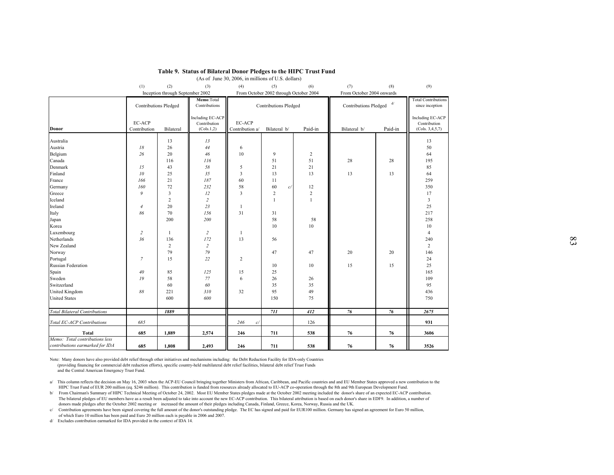|                                                                   |                 |                                  | Table 9. Status of Bilateral Donor Pledges to the HIPC Trust Fund |                                                    |                                        |                |                           |         |                                  |    |
|-------------------------------------------------------------------|-----------------|----------------------------------|-------------------------------------------------------------------|----------------------------------------------------|----------------------------------------|----------------|---------------------------|---------|----------------------------------|----|
|                                                                   |                 |                                  |                                                                   | (As of June 30, 2006, in millions of U.S. dollars) |                                        |                |                           |         |                                  |    |
|                                                                   |                 |                                  |                                                                   |                                                    |                                        |                |                           |         |                                  |    |
|                                                                   | (1)             | (2)                              | (3)                                                               | (4)                                                | (5)                                    | (6)            | (7)                       | (8)     | (9)                              |    |
|                                                                   |                 | Inception through September 2002 |                                                                   |                                                    | From October 2002 through October 2004 |                | From October 2004 onwards |         | <b>Total Contributions</b>       |    |
|                                                                   |                 | <b>Contributions Pledged</b>     | Memo:Total<br>Contributions                                       |                                                    | <b>Contributions Pledged</b>           |                | Contributions Pledged     | d/      | since inception                  |    |
|                                                                   | EC-ACP          |                                  | Including EC-ACP<br>Contribution                                  | EC-ACP                                             |                                        |                |                           |         | Including EC-ACP<br>Contribution |    |
| Donor                                                             | Contribution    | Bilateral                        | (Cols.1,2)                                                        | Contribution a/                                    | Bilateral b/                           | Paid-in        | Bilateral b/              | Paid-in | (Cols. 3, 4, 5, 7)               |    |
| Australia                                                         |                 | 13                               | 13                                                                |                                                    |                                        |                |                           |         | 13                               |    |
| Austria                                                           | $18\,$          | 26                               | $44$                                                              | 6                                                  |                                        |                |                           |         | 50                               |    |
| Belgium                                                           | 26              | 20                               | 46                                                                | 10                                                 | 9                                      | $\overline{2}$ |                           |         | 64                               |    |
| Canada                                                            |                 | 116                              | 116                                                               |                                                    | 51                                     | 51             | 28                        | 28      | 195                              |    |
| Denmark                                                           | 15              | 43                               | 58                                                                | 5                                                  | 21                                     | 21             |                           |         | 85                               |    |
| Finland                                                           | ${\it 10}$      | 25                               | 35                                                                | $\mathfrak{Z}$                                     | 13                                     | 13             | 13                        | 13      | 64                               |    |
| France                                                            | 166             | $21\,$                           | $187\,$                                                           | 60                                                 | 11                                     |                |                           |         | 259                              |    |
| Germany                                                           | 160             | $72\,$                           | 232                                                               | 58                                                 | 60<br>c/                               | 12             |                           |         | 350                              |    |
| Greece                                                            | 9               | $\overline{\mathbf{3}}$          | 12                                                                | $\overline{3}$                                     | $\overline{2}$                         | $\overline{2}$ |                           |         | 17                               |    |
| Iceland                                                           |                 | $\overline{2}$                   | $\overline{c}$                                                    |                                                    | $\mathbf{1}$                           | $\mathbf{1}$   |                           |         | $\overline{\mathbf{3}}$          |    |
| Ireland                                                           | $\overline{4}$  | 20                               | 23                                                                | 1                                                  |                                        |                |                           |         | 25                               |    |
| Italy                                                             | 86              | 70                               | 156                                                               | 31                                                 | 31                                     |                |                           |         | 217                              |    |
| Japan                                                             |                 | 200                              | 200                                                               |                                                    | 58                                     | 58             |                           |         | 258                              |    |
| Korea                                                             |                 |                                  |                                                                   |                                                    | 10                                     | $10\,$         |                           |         | 10                               |    |
| Luxembourg                                                        | $\overline{c}$  | $\mathbf{1}$                     | $\overline{2}$                                                    | 1                                                  |                                        |                |                           |         | $\overline{4}$                   |    |
| Netherlands                                                       | 36              | 136                              | 172                                                               | 13                                                 | 56                                     |                |                           |         | 240                              | 83 |
| New Zealand                                                       |                 | 2                                | $\overline{c}$                                                    |                                                    |                                        |                |                           |         | $\overline{2}$                   |    |
| Norway                                                            |                 | 79                               | 79                                                                |                                                    | 47                                     | 47             | 20                        | 20      | 146                              |    |
| Portugal                                                          | $7\overline{ }$ | 15                               | 22                                                                | $\overline{2}$                                     |                                        |                |                           |         | 24                               |    |
| Russian Federation                                                |                 |                                  |                                                                   |                                                    | 10                                     | 10             | 15                        | 15      | 25                               |    |
| Spain                                                             | 40              | 85                               | 125                                                               | 15                                                 | 25                                     |                |                           |         | 165                              |    |
| Sweden                                                            | 19              | 58                               | 77                                                                | 6                                                  | 26                                     | 26             |                           |         | 109                              |    |
| Switzerland                                                       |                 | 60                               | 60                                                                |                                                    | 35                                     | 35             |                           |         | 95                               |    |
| <b>United Kingdom</b>                                             | 88              | 221                              | 310                                                               | 32                                                 | 95                                     | 49             |                           |         | 436                              |    |
| <b>United States</b>                                              |                 | 600                              | 600                                                               |                                                    | 150                                    | 75             |                           |         | 750                              |    |
| <b>Total Bilateral Contributions</b>                              |                 | 1889                             |                                                                   |                                                    | 711                                    | 412            | 76                        | 76      | 2675                             |    |
| Total EC-ACP Contributions                                        | 685             |                                  |                                                                   | 246<br>c/                                          |                                        | 126            |                           |         | 931                              |    |
| Total                                                             | 685             | 1,889                            | 2,574                                                             | 246                                                | 711                                    | 538            | 76                        | 76      | 3606                             |    |
| Memo: Total contributions less<br>contributions earmarked for IDA | 685             | 1,808                            | 2,493                                                             | 246                                                | 711                                    | 538            | 76                        | 76      | 3526                             |    |
|                                                                   |                 |                                  |                                                                   |                                                    |                                        |                |                           |         |                                  |    |

# **Table 9. Status of Bilateral Donor Pledges to the HIPC Trust Fund**

Note: Many donors have also provided debt relief through other initiatives and mechanisms including: the Debt Reduction Facility for IDA-only Countries (providing financing for commercial debt reduction efforts), specific country-held multilateral debt relief facilities, bilateral debt relief Trust Funds and the Central American Emergency Trust Fund.

a/ This column reflects the decision on May 16, 2003 when the ACP-EU Council bringing together Ministers from African, Caribbean, and Pacific countries and and EU Member States approved a new contribution to the HIPC Trust Fund of EUR 200 million (eq. \$246 million). This contribution is funded from resources already allocated to EU-ACP co-operation through the 8th and 9th European Development Fund.

b/ From Chairman's Summary of HIPC Technical Meeting of October 24, 2002. Most EU Member States pledges made at the October 2002 meeting included the donor's share of an expected EC-ACP contribution. The bilateral pledges of EU members have as a result been adjusted to take into account the new EC-ACP contribution. This bilateral attribution is based on each donor's share in EDF9. In addition, a number of donors made pledges after the October 2002 meeting or increased the amount of their pledges including Canada, Finland, Greece, Korea, Norway, Russia and the UK.

c/ Contribution agreements have been signed covering the full amount of the donor's outstanding pledge. The EC has signed and paid for EUR100 million. Germany has signed an agreement for Euro 50 million, of which Euro 10 million has been paid and Euro 20 million each is payable in 2006 and 2007.

d/ Excludes contribution earmarked for IDA provided in the context of IDA 14.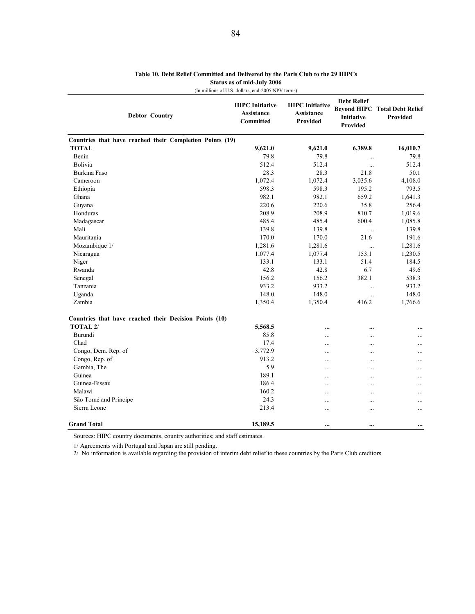| <b>Debtor Country</b>                                    | <b>HIPC</b> Initiative<br><b>Assistance</b><br><b>Committed</b> | <b>HIPC</b> Initiative<br>Assistance<br><b>Provided</b> | <b>Debt Relief</b><br><b>Initiative</b><br>Provided | <b>Beyond HIPC Total Debt Relief</b><br>Provided |
|----------------------------------------------------------|-----------------------------------------------------------------|---------------------------------------------------------|-----------------------------------------------------|--------------------------------------------------|
| Countries that have reached their Completion Points (19) |                                                                 |                                                         |                                                     |                                                  |
| <b>TOTAL</b>                                             | 9,621.0                                                         | 9,621.0                                                 | 6,389.8                                             | 16,010.7                                         |
| Benin                                                    | 79.8                                                            | 79.8                                                    | $\cdots$                                            | 79.8                                             |
| <b>Bolivia</b>                                           | 512.4                                                           | 512.4                                                   | $\cdots$                                            | 512.4                                            |
| Burkina Faso                                             | 28.3                                                            | 28.3                                                    | 21.8                                                | 50.1                                             |
| Cameroon                                                 | 1,072.4                                                         | 1,072.4                                                 | 3,035.6                                             | 4,108.0                                          |
| Ethiopia                                                 | 598.3                                                           | 598.3                                                   | 195.2                                               | 793.5                                            |
| Ghana                                                    | 982.1                                                           | 982.1                                                   | 659.2                                               | 1,641.3                                          |
| Guyana                                                   | 220.6                                                           | 220.6                                                   | 35.8                                                | 256.4                                            |
| Honduras                                                 | 208.9                                                           | 208.9                                                   | 810.7                                               | 1,019.6                                          |
| Madagascar                                               | 485.4                                                           | 485.4                                                   | 600.4                                               | 1,085.8                                          |
| Mali                                                     | 139.8                                                           | 139.8                                                   | $\cdots$                                            | 139.8                                            |
| Mauritania                                               | 170.0                                                           | 170.0                                                   | 21.6                                                | 191.6                                            |
| Mozambique 1/                                            | 1,281.6                                                         | 1,281.6                                                 | $\cdots$                                            | 1,281.6                                          |
| Nicaragua                                                | 1,077.4                                                         | 1,077.4                                                 | 153.1                                               | 1,230.5                                          |
| Niger                                                    | 133.1                                                           | 133.1                                                   | 51.4                                                | 184.5                                            |
| Rwanda                                                   | 42.8                                                            | 42.8                                                    | 6.7                                                 | 49.6                                             |
| Senegal                                                  | 156.2                                                           | 156.2                                                   | 382.1                                               | 538.3                                            |
| Tanzania                                                 | 933.2                                                           | 933.2                                                   | $\ddots$                                            | 933.2                                            |
| Uganda                                                   | 148.0                                                           | 148.0                                                   | $\ddotsc$                                           | 148.0                                            |
| Zambia                                                   | 1,350.4                                                         | 1,350.4                                                 | 416.2                                               | 1,766.6                                          |
| Countries that have reached their Decision Points (10)   |                                                                 |                                                         |                                                     |                                                  |
| TOTAL <sub>2</sub> /                                     | 5,568.5                                                         | $\ddotsc$                                               |                                                     | $\ddotsc$                                        |
| Burundi                                                  | 85.8                                                            |                                                         |                                                     | .                                                |
| Chad                                                     | 17.4                                                            | $\ddotsc$                                               |                                                     | $\ddotsc$                                        |
| Congo, Dem. Rep. of                                      | 3,772.9                                                         |                                                         |                                                     |                                                  |
| Congo, Rep. of                                           | 913.2                                                           | $\ddotsc$                                               | $\cdots$                                            | $\ddotsc$                                        |
| Gambia, The                                              | 5.9                                                             | $\ddotsc$                                               | $\cdots$                                            | $\ddotsc$                                        |
| Guinea                                                   | 189.1                                                           | .                                                       |                                                     | .                                                |
| Guinea-Bissau                                            | 186.4                                                           | $\ddotsc$                                               | $\cdots$                                            |                                                  |
| Malawi                                                   | 160.2                                                           | $\ddotsc$                                               | $\ddotsc$                                           | $\ddotsc$                                        |
| São Tomé and Príncipe                                    | 24.3                                                            | $\ddotsc$                                               |                                                     |                                                  |
| Sierra Leone                                             | 213.4                                                           | $\ddotsc$                                               | .                                                   | .                                                |
| <b>Grand Total</b>                                       | 15,189.5                                                        | $\ddotsc$                                               | $\cdots$                                            | $\ddotsc$                                        |

## **Table 10. Debt Relief Committed and Delivered by the Paris Club to the 29 HIPCs Status as of mid-July 2006** (In millions of U.S. dollars, end-2005 NPV terms)

Sources: HIPC country documents, country authorities; and staff estimates.

1/ Agreements with Portugal and Japan are still pending.

2/ No information is available regarding the provision of interim debt relief to these countries by the Paris Club creditors.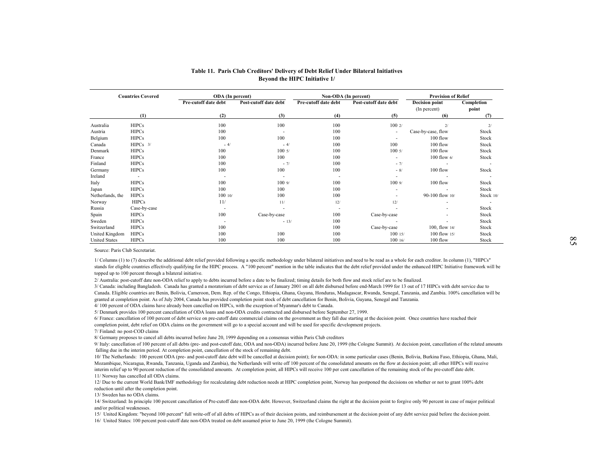|                      |                          |                      |                          |                               | Table 11. Paris Club Creditors' Delivery of Debt Relief Under Bilateral Initiatives |                            |                          |
|----------------------|--------------------------|----------------------|--------------------------|-------------------------------|-------------------------------------------------------------------------------------|----------------------------|--------------------------|
|                      |                          |                      |                          | Beyond the HIPC Initiative 1/ |                                                                                     |                            |                          |
|                      | <b>Countries Covered</b> | ODA (In percent)     |                          | Non-ODA (In percent)          |                                                                                     | <b>Provision of Relief</b> |                          |
|                      |                          | Pre-cutoff date debt | Post-cutoff date debt    | Pre-cutoff date debt          | Post-cutoff date debt                                                               | <b>Decision point</b>      | Completion               |
|                      |                          |                      |                          |                               |                                                                                     | (In percent)               | point                    |
|                      | (1)                      | (2)                  | (3)                      | (4)                           | (5)                                                                                 | (6)                        | (7)                      |
| Australia            | <b>HIPCs</b>             | 100                  | 100                      | 100                           | 1002/                                                                               | 2/                         | 2/                       |
| Austria              | <b>HIPCs</b>             | 100                  |                          | 100                           |                                                                                     | Case-by-case, flow         | Stock                    |
| Belgium              | <b>HIPCs</b>             | 100                  | 100                      | 100                           |                                                                                     | $100$ flow                 | Stock                    |
| Canada               | $HIPCs$ 3/               | $-4/$                | $-4/$                    | 100                           | 100                                                                                 | 100 flow                   | Stock                    |
| Denmark              | <b>HIPCs</b>             | 100                  | 1005/                    | 100                           | 1005/                                                                               | 100 flow                   | Stock                    |
| France               | <b>HIPCs</b>             | 100                  | 100                      | 100                           | $\sim$                                                                              | 100 flow 6/                | Stock                    |
| Finland              | <b>HIPCs</b>             | 100                  | $-7/$                    | 100                           | $-7/$                                                                               |                            |                          |
| Germany              | <b>HIPCs</b>             | 100                  | 100                      | 100                           | $-8/$                                                                               | 100 flow                   | Stock                    |
| Ireland              | $\overline{\phantom{a}}$ |                      | $\overline{\phantom{a}}$ | ٠                             | $\sim$                                                                              |                            |                          |
| Italy                | <b>HIPCs</b>             | 100                  | 1009                     | 100                           | 1009/                                                                               | 100 flow                   | Stock                    |
| Japan                | <b>HIPCs</b>             | 100                  | 100                      | 100                           |                                                                                     |                            | Stock                    |
| Netherlands, the     | <b>HIPCs</b>             | 100 10/              | 100                      | 100                           |                                                                                     | 90-100 flow 10/            | Stock 10/                |
| Norway               | <b>HIPCs</b>             | 11/                  | 11/                      | 12/                           | $12/$                                                                               |                            | $\overline{\phantom{a}}$ |
| Russia               | Case-by-case             |                      | ٠.                       | ٠                             |                                                                                     |                            | Stock                    |
| Spain                | <b>HIPCs</b>             | 100                  | Case-by-case             | 100                           | Case-by-case                                                                        |                            | Stock                    |
| Sweden               | <b>HIPCs</b>             |                      | $-13/$                   | 100                           |                                                                                     |                            | Stock                    |
| Switzerland          | <b>HIPCs</b>             | 100                  |                          | 100                           | Case-by-case                                                                        | 100, flow 14/              | Stock                    |
| United Kingdom       | <b>HIPCs</b>             | 100                  | 100                      | 100                           | 10015/                                                                              | 100 flow 15/               | Stock                    |
| <b>United States</b> | <b>HIPCs</b>             | 100                  | 100                      | 100                           | 10016                                                                               | 100 flow                   | Stock                    |

Source: Paris Club Secretariat.

1/ Columns (1) to (7) describe the additional debt relief provided following a specific methodology under bilateral initiatives and need to be read as a whole for each creditor. In column (1), "HIPCs" stands for eligible c

2/ Australia: post-cutoff date non-ODA relief to apply to debts incurred before a date to be finalized; timing details for both flow and stock relief are to be finalized.

3/ Canada: including Bangladesh. Canada has granted a moratorium of debt service as of January 2001 on all debt disbursed before end-March 1999 for 13 out of 17 HIPCs with debt service due to Canada. Eligible countries are

4/ 100 percent of ODA claims have already been cancelled on HIPCs, with the exception of Myanmar's debt to Canada.

5/ Denmark provides 100 percent cancellation of ODA loans and non-ODA credits contracted and disbursed before September 27, 1999.<br>6/ France: cancellation of 100 percent of debt service on pre-cutoff date commercial claims completion point, debt relief on ODA claims on the government will go to a special account and will be used for specific development projects.

7/ Finland: no post-COD claims

8/ Germany proposes to cancel all debts incurred before June 20, 1999 depending on a consensus within Paris Club creditors

9/ Italy: cancellation of 100 percent of all debts (pre- and post-cutoff date, ODA and non-ODA) incurred before June 20, 1999 (the Cologne Summit). At decision point, cancellation of the related amounts falling due in the

Mozambique, Nicaragua, Rwanda, Tanzania, Uganda and Zambia), the Netherlands will write off 100 percent of the consolidated amounts on the flow at decision point; all other HIPCs will receive interim relief up to 90 percen 11/ Norway has cancelled all ODA claims.

12/ Due to the current World Bank/IMF methodology for recalculating debt reduction needs at HIPC completion point, Norway has postponed the decisions on whether or not to grant 100% debt reduction until after the completio

13/ Sweden has no ODA claims.

14/ Switzerland: In principle 100 percent cancellation of Pre-cutoff date non-ODA debt. However, Switzerland claims the right at the decision point to forgive only 90 percent in case of major political and/or political wea

15/ United Kingdom: "beyond 100 percent" full write-off of all debts of HIPCs as of their decision points, and reimbursement at the decision point of any debt service paid before the decision point. 16/ United States: 100 percent post-cutoff date non-ODA treated on debt assumed prior to June 20, 1999 (the Cologne Summit).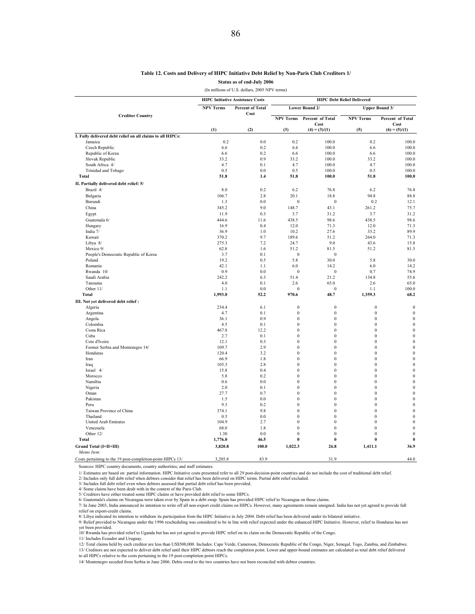### **Table 12. Costs and Delivery of HIPC Initiative Debt Relief by Non-Paris Club Creditors 1/**

**Status as of end-July 2006**

(In millions of U.S. dollars, 2005 NPV terms)

|                                                            |                  | <b>HIPC Initiative Assistance Costs</b> | <b>HIPC Debt Relief Delivered</b> |                                  |                                  |                                      |  |  |
|------------------------------------------------------------|------------------|-----------------------------------------|-----------------------------------|----------------------------------|----------------------------------|--------------------------------------|--|--|
|                                                            | <b>NPV Terms</b> | <b>Percent of Total</b><br>Cost         |                                   | Lower Bound 2/                   |                                  | Upper Bound 3/                       |  |  |
| <b>Creditor Country</b>                                    |                  |                                         | <b>NPV Terms</b>                  | <b>Percent of Total</b>          | <b>NPV Terms</b>                 | Percent of Total                     |  |  |
|                                                            | (1)              | (2)                                     | (3)                               | Cost<br>$(4) = (3)/(1)$          | (5)                              | Cost<br>$(6) = (5)/(1)$              |  |  |
| I. Fully delivered debt relief on all claims to all HIPCs: |                  |                                         |                                   |                                  |                                  |                                      |  |  |
| Jamaica                                                    | 0.2              | 0.0                                     | 0.2                               | 100.0                            | 0.2                              | 100.0                                |  |  |
| Czech Republic                                             | 6.6              | 0.2                                     | 6.6                               | 100.0                            | 6.6                              | 100.0                                |  |  |
| Republic of Korea                                          | 6.6              | 0.2                                     | 6.6                               | 100.0                            | 6.6                              | 100.0                                |  |  |
| Slovak Republic                                            | 33.2             | 0.9                                     | 33.2                              | 100.0                            | 33.2                             | 100.0                                |  |  |
| South Africa 4/                                            | 4.7              | 0.1                                     | 4.7                               | 100.0                            | 4.7                              | 100.0                                |  |  |
| Trinidad and Tobago                                        | 0.5              | 0.0                                     | 0.5                               | 100.0                            | 0.5                              | 100.0                                |  |  |
| <b>Total</b>                                               | 51.8             | 1.4                                     | 51.8                              | 100.0                            | 51.8                             | 100.0                                |  |  |
| II. Partially delivered debt relief: 5/                    |                  |                                         |                                   |                                  |                                  |                                      |  |  |
| Brazil 4/                                                  | 8.0              | 0.2                                     | 6.2                               | 76.8                             | 6.2                              | 76.8                                 |  |  |
| Bulgaria                                                   | 106.7            | 2.8                                     | 20.1                              | 18.8                             | 94.8                             | 88.8                                 |  |  |
| Burundi                                                    | 1.3              | 0.0                                     | $\boldsymbol{0}$                  | $\boldsymbol{0}$                 | 0.2                              | 12.1                                 |  |  |
| China                                                      | 345.2            | 9.0                                     | 148.7                             | 43.1                             | 261.2                            | 75.7                                 |  |  |
| Egypt                                                      | 11.9             | 0.3                                     | 3.7                               | 31.2                             | 3.7                              | 31.2                                 |  |  |
| Guatemala 6/                                               | 444.6            | 11.6                                    | 438.5                             | 98.6                             | 438.5                            | 98.6                                 |  |  |
| Hungary                                                    | 16.9             | 0.4                                     | 12.0                              | 71.3                             | 12.0                             | 71.3                                 |  |  |
| India 7/                                                   | 36.9             | 1.0                                     | 10.2                              | 27.6                             | 33.2                             | 89.9                                 |  |  |
| Kuwait                                                     | 370.2            | 9.7                                     | 189.6                             | 51.2                             | 264.0                            | 71.3                                 |  |  |
| Libya 8/                                                   | 275.3            | 7.2                                     | 24.7                              | 9.0                              | 43.6                             | 15.8                                 |  |  |
| Mexico 9/                                                  | 62.8             | 1.6                                     | 51.2                              | 81.5                             | 51.2                             | 81.5                                 |  |  |
| People's Democratic Republic of Korea<br>Poland            | 3.7<br>19.2      | 0.1<br>0.5                              | $\mathbf{0}$<br>5.8               | $\mathbf{0}$<br>30.0             | 5.8                              | 30.0                                 |  |  |
| Romania                                                    | 42.1             | 1.1                                     | 6.0                               | 14.2                             | 6.0                              | 14.2                                 |  |  |
| Rwanda 10/                                                 | 0.9              | 0.0                                     | $\boldsymbol{0}$                  | $\boldsymbol{0}$                 | 0.7                              | 74.9                                 |  |  |
| Saudi Arabia                                               | 242.2            | 6.3                                     | 51.4                              | 21.2                             | 134.8                            | 55.6                                 |  |  |
| Tanzania                                                   | 4.0              | 0.1                                     | $2.6\,$                           | 65.0                             | 2.6                              | 65.0                                 |  |  |
| Other 11/                                                  | 1.1              | 0.0                                     | $\theta$                          | $\mathbf{0}$                     | 1.1                              | 100.0                                |  |  |
| <b>Total</b>                                               | 1,993.0          | 52.2                                    | 970.6                             | 48.7                             | 1,359.3                          | 68.2                                 |  |  |
| III. Not yet delivered debt relief :                       |                  |                                         |                                   |                                  |                                  |                                      |  |  |
| Algeria                                                    | 234.4            | 6.1                                     | $\boldsymbol{0}$                  | $\boldsymbol{0}$                 | $\mathbf{0}$                     | $\boldsymbol{0}$                     |  |  |
| Argentina                                                  | 4.7              | 0.1                                     | $\mathbf{0}$                      | $\mathbf{0}$                     | $\mathbf{0}$                     | $\bf{0}$                             |  |  |
| Angola                                                     | 36.1             | 0.9                                     | $\mathbf{0}$                      | $\mathbf{0}$                     | $\mathbf{0}$                     | $\bf{0}$                             |  |  |
| Colombia                                                   | 4.5              | 0.1                                     | $\boldsymbol{0}$                  | $\mathbf{0}$                     | $\boldsymbol{0}$                 | $\boldsymbol{0}$                     |  |  |
| Costa Rica                                                 | 467.8            | 12.2                                    | $\Omega$                          | $\theta$                         | $\mathbf{0}$                     | $\mathbf{0}$                         |  |  |
| Cuba                                                       | 2.7              | 0.1                                     | $\mathbf{0}$                      | $\mathbf{0}$                     | $\mathbf{0}$                     | $\bf{0}$                             |  |  |
| Cote d'Ivoire                                              | 12.1             | 0.3                                     | $\boldsymbol{0}$                  | $\boldsymbol{0}$                 | $\boldsymbol{0}$                 | $\boldsymbol{0}$                     |  |  |
| Former Serbia and Montenegro 14/                           | 109.7            | 2.9                                     | $\mathbf{0}$                      | $\mathbf{0}$                     | $\mathbf{0}$                     | $\bf{0}$                             |  |  |
| Honduras                                                   | 120.4            | 3.2                                     | $\mathbf{0}$                      | $\mathbf{0}$                     | $\bf{0}$                         | $\bf{0}$                             |  |  |
| Iran                                                       | 66.9             | 1.8                                     | $\boldsymbol{0}$                  | $\boldsymbol{0}$                 | $\boldsymbol{0}$                 | $\boldsymbol{0}$                     |  |  |
| Iraq                                                       | 105.3            | 2.8                                     | $\mathbf{0}$                      | $\mathbf{0}$                     | $\mathbf{0}$                     | $\boldsymbol{0}$                     |  |  |
| Israel 4/                                                  | 15.8             | 0.4                                     | $\theta$                          | $\mathbf{0}$                     | $\boldsymbol{0}$                 | $\boldsymbol{0}$                     |  |  |
| Morocco<br>Namibia                                         | 5.8<br>0.6       | 0.2<br>0.0                              | $\boldsymbol{0}$<br>$\mathbf{0}$  | $\boldsymbol{0}$<br>$\mathbf{0}$ | $\boldsymbol{0}$<br>$\mathbf{0}$ | $\boldsymbol{0}$<br>$\boldsymbol{0}$ |  |  |
| Nigeria                                                    | 2.0              | 0.1                                     | $\mathbf{0}$                      | $\mathbf{0}$                     | $\boldsymbol{0}$                 | $\boldsymbol{0}$                     |  |  |
| Oman                                                       | 27.7             | 0.7                                     | $\boldsymbol{0}$                  | $\boldsymbol{0}$                 | $\boldsymbol{0}$                 | $\boldsymbol{0}$                     |  |  |
| Pakistan                                                   | 1.5              | 0.0                                     | $\theta$                          | $\mathbf{0}$                     | $\mathbf{0}$                     | $\boldsymbol{0}$                     |  |  |
| Peru                                                       | 9.3              | 0.2                                     | $\mathbf{0}$                      | $\mathbf{0}$                     | $\mathbf{0}$                     | $\boldsymbol{0}$                     |  |  |
| Taiwan Province of China                                   | 374.1            | 9.8                                     | $\boldsymbol{0}$                  | $\mathbf{0}$                     | $\mathbf{0}$                     | $\boldsymbol{0}$                     |  |  |
| Thailand                                                   | 0.5              | 0.0                                     | $\Omega$                          | $\theta$                         | $\mathbf{0}$                     | $\bf{0}$                             |  |  |
| <b>United Arab Emirates</b>                                | 104.9            | 2.7                                     | $\mathbf{0}$                      | $\mathbf{0}$                     | $\mathbf{0}$                     | $\bf{0}$                             |  |  |
| Venezuela                                                  | 68.0             | 1.8                                     | $\boldsymbol{0}$                  | $\mathbf{0}$                     | $\mathbf{0}$                     | $\mathbf{0}$                         |  |  |
| Other 12/                                                  | 1.30             | 0.0                                     | $\Omega$                          | $\theta$                         | $\mathbf{0}$                     | $\mathbf{0}$                         |  |  |
| <b>Total</b>                                               | 1,776.0          | 46.5                                    | $\bf{0}$                          | $\bf{0}$                         | $\bf{0}$                         | $\bf{0}$                             |  |  |
| Grand Total (I+II+III)                                     | 3,820.8          | 100.0                                   | 1,022.3                           | 26.8                             | 1,411.1                          | 36.9                                 |  |  |
| Memo Item:                                                 |                  |                                         |                                   |                                  |                                  |                                      |  |  |
| Costs pertaining to the 19 post-completion-point HIPCs 13/ | 3,205.8          | 83.9                                    |                                   | 31.9                             |                                  | 44.0                                 |  |  |

Sources: HIPC country documents, country authorities; and staff estimates.

1/ Estimates are based on partial information. HIPC Initiative costs presented refer to all 29 post-decision-point countries and do not include the cost of traditional debt relief.

2/ Includes only full debt relief when debtors consider that relief has been delivered on HIPC terms. Partial debt relief excluded.

3/ Includes full debt relief even when debtors assessed that partial debt relief has been provided. 4/ Some claims have been dealt with in the context of the Paris Club.

5/ Creditors have either treated some HIPC claims or have provided debt relief to some HIPCs.<br>6/ Guatemala's claims on Nicaragua were taken over by Spain in a debt swap. Spain has provided HIPC relief to Nicaragua on those

7/ In June 2003, India announced its intention to write off all non-export credit claims on HIPCs. However, many agreements remain unsigned. India has not yet agreed to provide full relief on export-credit claims.

8/ Libya indicated its intention to withdraw its participation from the HIPC Initiative in July 2004. Debt relief has been delivered under its bilateral initiative.<br>9/ Relief provided to Nicaragua under the 1996 rescheduli

yet been provided. 10/ Rwanda has provided relief to Uganda but has not yet agreed to provide HIPC relief on its claim on the Democratic Republic of the Congo.

11/ Includes Ecuador and Uruguay.

12/ Total claims held by each creditor are less than US\$500,000. Includes: Cape Verde, Cameroon, Democratic Republic of the Congo, Niger, Senegal, Togo, Zambia, and Zimbabwe. 13/ Creditors are not expected to deliver debt relief until their HIPC debtors reach the completion point. Lower and upper-bound estimates are calculated as total debt relief delivered

to all HIPCs relative to the costs pertaining to the 19 post-completion point HIPCs.

14/ Montenegro seceded from Serbia in June 2006. Debts owed to the two countries have not been reconciled with debtor countries.